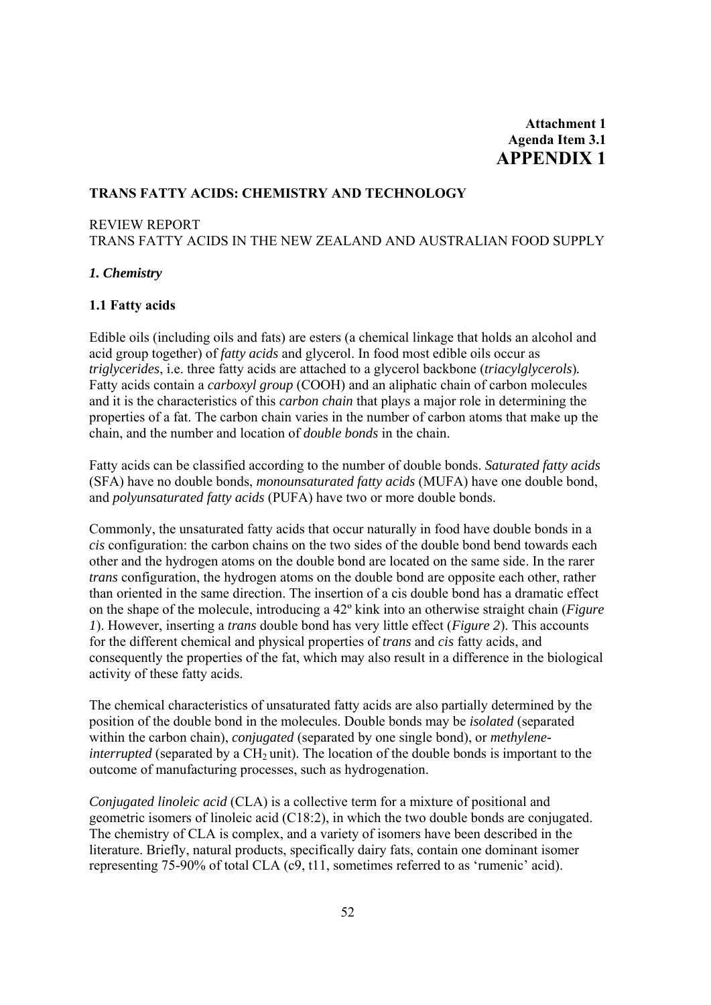# **Attachment 1 Agenda Item 3.1 APPENDIX 1**

# **TRANS FATTY ACIDS: CHEMISTRY AND TECHNOLOGY**

### REVIEW REPORT

TRANS FATTY ACIDS IN THE NEW ZEALAND AND AUSTRALIAN FOOD SUPPLY

## *1. Chemistry*

### **1.1 Fatty acids**

Edible oils (including oils and fats) are esters (a chemical linkage that holds an alcohol and acid group together) of *fatty acids* and glycerol. In food most edible oils occur as *triglycerides*, i.e. three fatty acids are attached to a glycerol backbone (*triacylglycerols*)*.*  Fatty acids contain a *carboxyl group* (COOH) and an aliphatic chain of carbon molecules and it is the characteristics of this *carbon chain* that plays a major role in determining the properties of a fat. The carbon chain varies in the number of carbon atoms that make up the chain, and the number and location of *double bonds* in the chain.

Fatty acids can be classified according to the number of double bonds. *Saturated fatty acids* (SFA) have no double bonds, *monounsaturated fatty acids* (MUFA) have one double bond, and *polyunsaturated fatty acids* (PUFA) have two or more double bonds.

Commonly, the unsaturated fatty acids that occur naturally in food have double bonds in a *cis* configuration: the carbon chains on the two sides of the double bond bend towards each other and the hydrogen atoms on the double bond are located on the same side. In the rarer *trans* configuration, the hydrogen atoms on the double bond are opposite each other, rather than oriented in the same direction. The insertion of a cis double bond has a dramatic effect on the shape of the molecule, introducing a 42º kink into an otherwise straight chain (*Figure 1*). However, inserting a *trans* double bond has very little effect (*Figure 2*). This accounts for the different chemical and physical properties of *trans* and *cis* fatty acids, and consequently the properties of the fat, which may also result in a difference in the biological activity of these fatty acids.

The chemical characteristics of unsaturated fatty acids are also partially determined by the position of the double bond in the molecules. Double bonds may be *isolated* (separated within the carbon chain), *conjugated* (separated by one single bond), or *methyleneinterrupted* (separated by a CH<sub>2</sub> unit). The location of the double bonds is important to the outcome of manufacturing processes, such as hydrogenation.

*Conjugated linoleic acid* (CLA) is a collective term for a mixture of positional and geometric isomers of linoleic acid (C18:2), in which the two double bonds are conjugated. The chemistry of CLA is complex, and a variety of isomers have been described in the literature. Briefly, natural products, specifically dairy fats, contain one dominant isomer representing 75-90% of total CLA (c9, t11, sometimes referred to as 'rumenic' acid).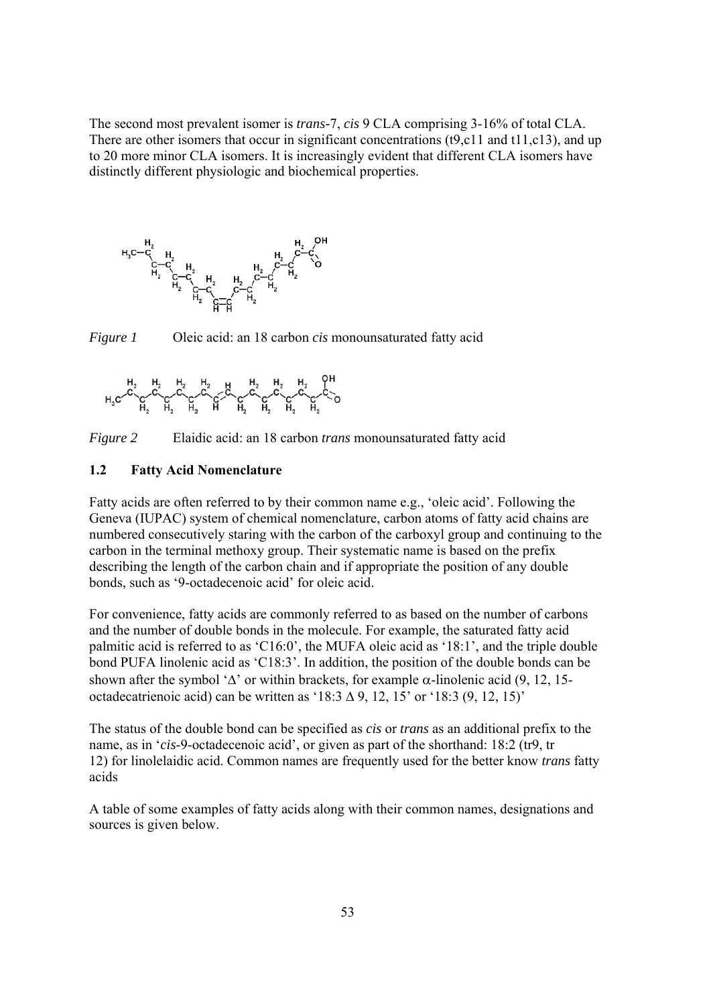The second most prevalent isomer is *trans-*7, *cis* 9 CLA comprising 3-16% of total CLA. There are other isomers that occur in significant concentrations (t9,c11 and t11,c13), and up to 20 more minor CLA isomers. It is increasingly evident that different CLA isomers have distinctly different physiologic and biochemical properties.



*Figure 1* Oleic acid: an 18 carbon *cis* monounsaturated fatty acid

$$
H_3C\overset{H_2}{\curvearrowleft}C\overset{H_2}{\curvearrowright}C\overset{H_2}{\curvearrowleft}C\overset{H_2}{\curvearrowleft}C\overset{H_2}{\curvearrowleft}C\overset{H_2}{\curvearrowleft}C\overset{H_2}{\curvearrowleft}C\overset{H_2}{\curvearrowleft}C\overset{H_2}{\curvearrowleft}C\overset{H_2}{\curvearrowleft}C\overset{H_2}{\curvearrowleft}C\overset{H_2}{\curvearrowleft}C\overset{H_2}{\curvearrowleft}C\overset{H_2}{\curvearrowleft}C\overset{H_2}{\curvearrowleft}C\overset{H_2}{\curvearrowleft}C\overset{H_2}{\curvearrowleft}C\overset{H_2}{\curvearrowleft}C\overset{H_2}{\curvearrowleft}C\overset{H_2}{\curvearrowleft}C\overset{H_2}{\curvearrowleft}C\overset{H_2}{\curvearrowleft}C\overset{H_2}{\curvearrowleft}C\overset{H_2}{\curvearrowleft}C\overset{H_2}{\curvearrowleft}C\overset{H_2}{\curvearrowleft}C\overset{H_2}{\curvearrowleft}C\overset{H_2}{\curvearrowleft}C\overset{H_2}{\curvearrowleft}C\overset{H_2}{\curvearrowleft}C\overset{H_2}{\curvearrowleft}C\overset{H_2}{\curvearrowleft}C\overset{H_2}{\curvearrowleft}C\overset{H_2}{\curvearrowleft}C\overset{H_2}{\curvearrowleft}C\overset{H_2}{\curvearrowleft}C\overset{H_2}{\curvearrowleft}C\overset{H_2}{\curvearrowleft}C\overset{H_2}{\curvearrowleft}C\overset{H_2}{\curvearrowleft}C\overset{H_2}{\curvearrowleft}C\overset{H_2}{\curvearrowleft}C\overset{H_2}{\curvearrowsim}C\overset{H_2}{\curvearrowsim}C\overset{H_2}{\curvearrowsim}C\overset{H_2}{\curvearrowsim}C\overset{H_2}{\curvearrowsim}C\overset{H_2}{\curvearrowsim}C\overset{H_2}{\curvearrowsim}C\overset{H_2}{\curvearrowsim}C\overset{H_2}{\curvearrowsim}C\overset{H_2}{\curvearrowsim}C\overset{H_2}{\curvearrowsim}C\overset{H_2}{\curvearrowsim}
$$



#### **1.2 Fatty Acid Nomenclature**

Fatty acids are often referred to by their common name e.g., 'oleic acid'. Following the Geneva (IUPAC) system of chemical nomenclature, carbon atoms of fatty acid chains are numbered consecutively staring with the carbon of the carboxyl group and continuing to the carbon in the terminal methoxy group. Their systematic name is based on the prefix describing the length of the carbon chain and if appropriate the position of any double bonds, such as '9-octadecenoic acid' for oleic acid.

For convenience, fatty acids are commonly referred to as based on the number of carbons and the number of double bonds in the molecule. For example, the saturated fatty acid palmitic acid is referred to as 'C16:0', the MUFA oleic acid as '18:1', and the triple double bond PUFA linolenic acid as 'C18:3'. In addition, the position of the double bonds can be shown after the symbol ' $\Delta$ ' or within brackets, for example  $\alpha$ -linolenic acid (9, 12, 15octadecatrienoic acid) can be written as '18:3  $\Delta$  9, 12, 15' or '18:3 (9, 12, 15)'

The status of the double bond can be specified as *cis* or *trans* as an additional prefix to the name, as in '*cis*-9-octadecenoic acid', or given as part of the shorthand: 18:2 (tr9, tr 12) for linolelaidic acid. Common names are frequently used for the better know *trans* fatty acids

A table of some examples of fatty acids along with their common names, designations and sources is given below.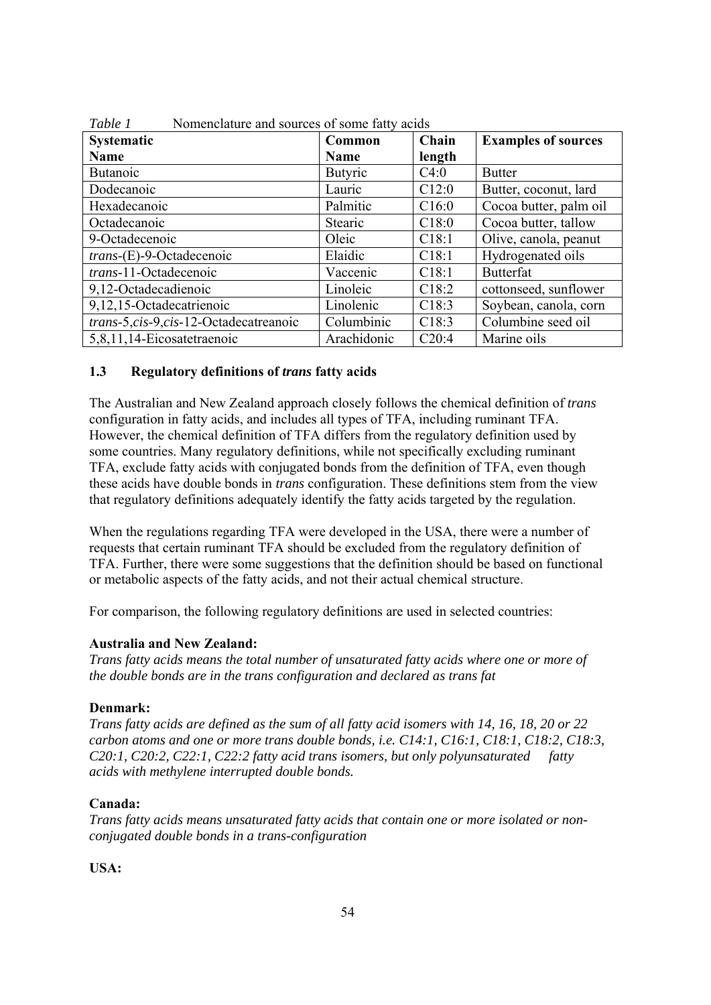| <b>Systematic</b>                     | Common         | Chain  | <b>Examples of sources</b> |
|---------------------------------------|----------------|--------|----------------------------|
| <b>Name</b>                           | Name           | length |                            |
| Butanoic                              | <b>Butyric</b> | C4:0   | <b>Butter</b>              |
| Dodecanoic                            | Lauric         | C12:0  | Butter, coconut, lard      |
| Hexadecanoic                          | Palmitic       | C16:0  | Cocoa butter, palm oil     |
| Octadecanoic                          | Stearic        | C18:0  | Cocoa butter, tallow       |
| 9-Octadecenoic                        | Oleic          | C18:1  | Olive, canola, peanut      |
| $trans$ - $(E)$ -9-Octadecenoic       | Elaidic        | C18:1  | Hydrogenated oils          |
| trans-11-Octadecenoic                 | Vaccenic       | C18:1  | <b>Butterfat</b>           |
| 9,12-Octadecadienoic                  | Linoleic       | C18:2  | cottonseed, sunflower      |
| 9,12,15-Octadecatrienoic              | Linolenic      | C18:3  | Soybean, canola, corn      |
| trans-5,cis-9,cis-12-Octadecatreanoic | Columbinic     | C18:3  | Columbine seed oil         |
| 5,8,11,14-Eicosatetraenoic            | Arachidonic    | C20:4  | Marine oils                |

*Table 1* Nomenclature and sources of some fatty acids

### **1.3 Regulatory definitions of** *trans* **fatty acids**

The Australian and New Zealand approach closely follows the chemical definition of *trans*  configuration in fatty acids, and includes all types of TFA, including ruminant TFA. However, the chemical definition of TFA differs from the regulatory definition used by some countries. Many regulatory definitions, while not specifically excluding ruminant TFA, exclude fatty acids with conjugated bonds from the definition of TFA, even though these acids have double bonds in *trans* configuration. These definitions stem from the view that regulatory definitions adequately identify the fatty acids targeted by the regulation.

When the regulations regarding TFA were developed in the USA, there were a number of requests that certain ruminant TFA should be excluded from the regulatory definition of TFA. Further, there were some suggestions that the definition should be based on functional or metabolic aspects of the fatty acids, and not their actual chemical structure.

For comparison, the following regulatory definitions are used in selected countries:

# **Australia and New Zealand:**

*Trans fatty acids means the total number of unsaturated fatty acids where one or more of the double bonds are in the trans configuration and declared as trans fat* 

#### **Denmark:**

*Trans fatty acids are defined as the sum of all fatty acid isomers with 14, 16, 18, 20 or 22 carbon atoms and one or more trans double bonds, i.e. C14:1, C16:1, C18:1, C18:2, C18:3, C20:1, C20:2, C22:1, C22:2 fatty acid trans isomers, but only polyunsaturated fatty acids with methylene interrupted double bonds.* 

#### **Canada:**

*Trans fatty acids means unsaturated fatty acids that contain one or more isolated or nonconjugated double bonds in a trans-configuration* 

**USA:**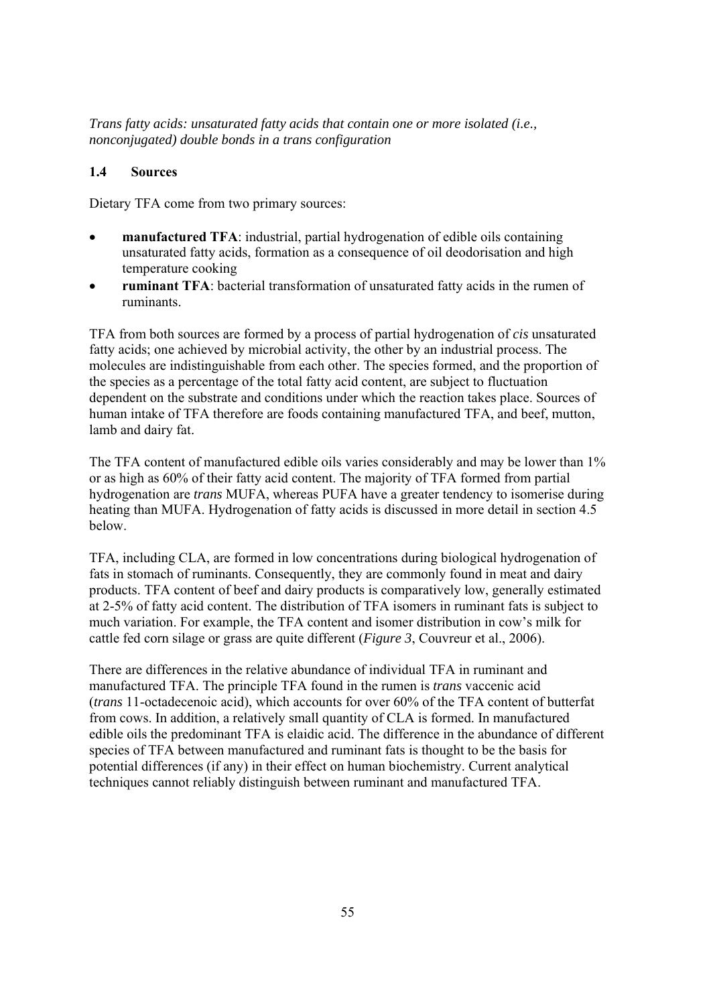*Trans fatty acids: unsaturated fatty acids that contain one or more isolated (i.e., nonconjugated) double bonds in a trans configuration* 

### **1.4 Sources**

Dietary TFA come from two primary sources:

- **manufactured TFA**: industrial, partial hydrogenation of edible oils containing unsaturated fatty acids, formation as a consequence of oil deodorisation and high temperature cooking
- **ruminant TFA**: bacterial transformation of unsaturated fatty acids in the rumen of ruminants.

TFA from both sources are formed by a process of partial hydrogenation of *cis* unsaturated fatty acids; one achieved by microbial activity, the other by an industrial process. The molecules are indistinguishable from each other. The species formed, and the proportion of the species as a percentage of the total fatty acid content, are subject to fluctuation dependent on the substrate and conditions under which the reaction takes place. Sources of human intake of TFA therefore are foods containing manufactured TFA, and beef, mutton, lamb and dairy fat.

The TFA content of manufactured edible oils varies considerably and may be lower than 1% or as high as 60% of their fatty acid content. The majority of TFA formed from partial hydrogenation are *trans* MUFA, whereas PUFA have a greater tendency to isomerise during heating than MUFA. Hydrogenation of fatty acids is discussed in more detail in section 4.5 below.

TFA, including CLA, are formed in low concentrations during biological hydrogenation of fats in stomach of ruminants. Consequently, they are commonly found in meat and dairy products. TFA content of beef and dairy products is comparatively low, generally estimated at 2-5% of fatty acid content. The distribution of TFA isomers in ruminant fats is subject to much variation. For example, the TFA content and isomer distribution in cow's milk for cattle fed corn silage or grass are quite different (*Figure 3*, Couvreur et al., 2006).

There are differences in the relative abundance of individual TFA in ruminant and manufactured TFA. The principle TFA found in the rumen is *trans* vaccenic acid (*trans* 11-octadecenoic acid), which accounts for over 60% of the TFA content of butterfat from cows. In addition, a relatively small quantity of CLA is formed. In manufactured edible oils the predominant TFA is elaidic acid. The difference in the abundance of different species of TFA between manufactured and ruminant fats is thought to be the basis for potential differences (if any) in their effect on human biochemistry. Current analytical techniques cannot reliably distinguish between ruminant and manufactured TFA.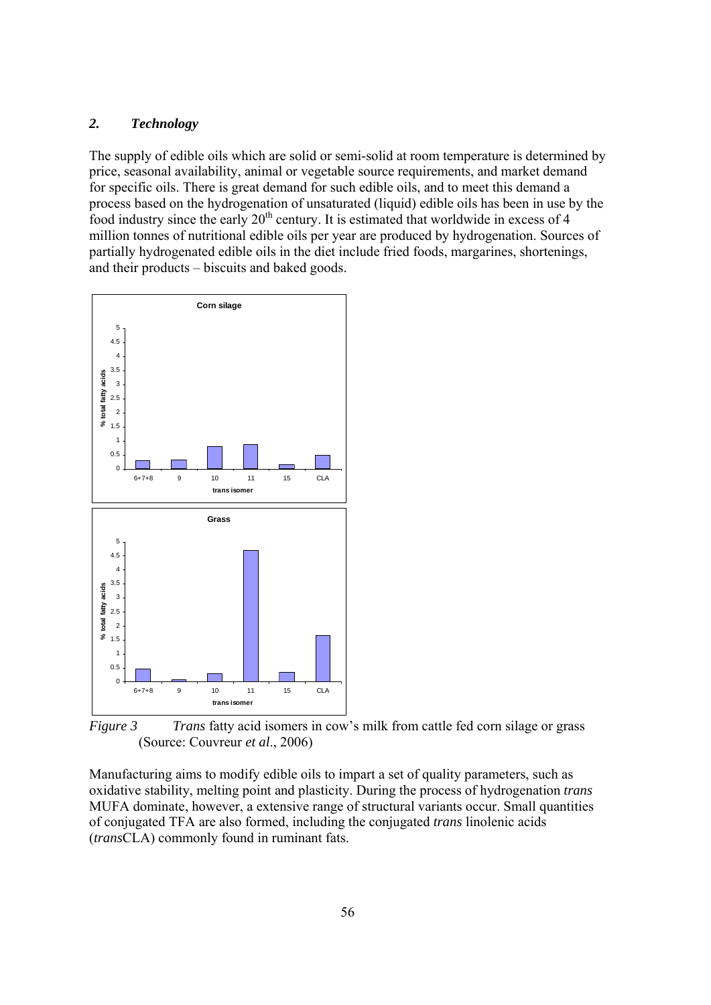#### *2. Technology*

The supply of edible oils which are solid or semi-solid at room temperature is determined by price, seasonal availability, animal or vegetable source requirements, and market demand for specific oils. There is great demand for such edible oils, and to meet this demand a process based on the hydrogenation of unsaturated (liquid) edible oils has been in use by the food industry since the early  $20<sup>th</sup>$  century. It is estimated that worldwide in excess of 4 million tonnes of nutritional edible oils per year are produced by hydrogenation. Sources of partially hydrogenated edible oils in the diet include fried foods, margarines, shortenings, and their products – biscuits and baked goods.



*Figure 3 Trans* fatty acid isomers in cow's milk from cattle fed corn silage or grass (Source: Couvreur *et al*., 2006)

Manufacturing aims to modify edible oils to impart a set of quality parameters, such as oxidative stability, melting point and plasticity. During the process of hydrogenation *trans* MUFA dominate, however, a extensive range of structural variants occur. Small quantities of conjugated TFA are also formed, including the conjugated *trans* linolenic acids (*trans*CLA) commonly found in ruminant fats.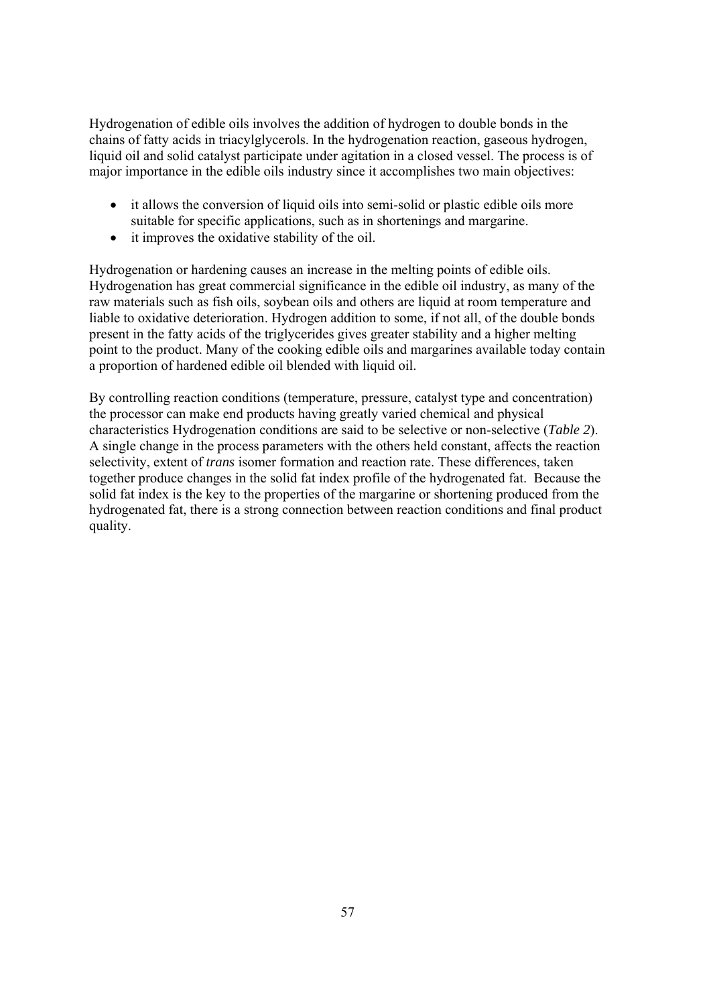Hydrogenation of edible oils involves the addition of hydrogen to double bonds in the chains of fatty acids in triacylglycerols. In the hydrogenation reaction, gaseous hydrogen, liquid oil and solid catalyst participate under agitation in a closed vessel. The process is of major importance in the edible oils industry since it accomplishes two main objectives:

- it allows the conversion of liquid oils into semi-solid or plastic edible oils more suitable for specific applications, such as in shortenings and margarine.
- it improves the oxidative stability of the oil.

Hydrogenation or hardening causes an increase in the melting points of edible oils. Hydrogenation has great commercial significance in the edible oil industry, as many of the raw materials such as fish oils, soybean oils and others are liquid at room temperature and liable to oxidative deterioration. Hydrogen addition to some, if not all, of the double bonds present in the fatty acids of the triglycerides gives greater stability and a higher melting point to the product. Many of the cooking edible oils and margarines available today contain a proportion of hardened edible oil blended with liquid oil.

By controlling reaction conditions (temperature, pressure, catalyst type and concentration) the processor can make end products having greatly varied chemical and physical characteristics Hydrogenation conditions are said to be selective or non-selective (*Table 2*). A single change in the process parameters with the others held constant, affects the reaction selectivity, extent of *trans* isomer formation and reaction rate. These differences, taken together produce changes in the solid fat index profile of the hydrogenated fat. Because the solid fat index is the key to the properties of the margarine or shortening produced from the hydrogenated fat, there is a strong connection between reaction conditions and final product quality.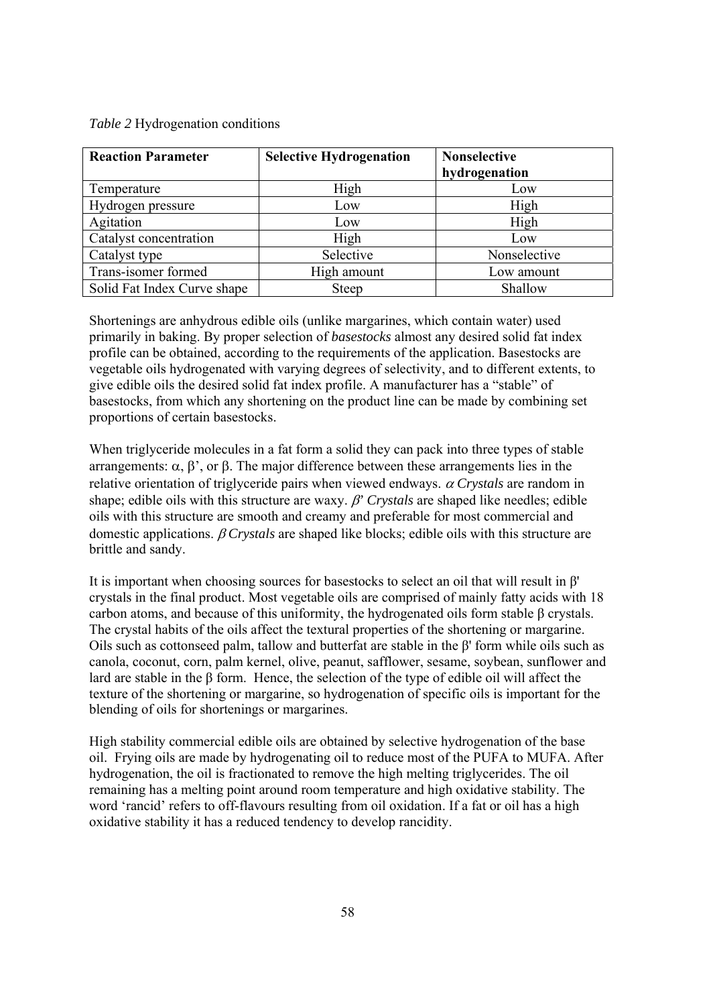*Table 2* Hydrogenation conditions

| <b>Reaction Parameter</b>   | <b>Selective Hydrogenation</b> | <b>Nonselective</b> |
|-----------------------------|--------------------------------|---------------------|
|                             |                                | hydrogenation       |
| Temperature                 | High                           | Low                 |
| Hydrogen pressure           | Low                            | High                |
| Agitation                   | Low                            | High                |
| Catalyst concentration      | High                           | Low                 |
| Catalyst type               | Selective                      | Nonselective        |
| Trans-isomer formed         | High amount                    | Low amount          |
| Solid Fat Index Curve shape | <b>Steep</b>                   | Shallow             |

Shortenings are anhydrous edible oils (unlike margarines, which contain water) used primarily in baking. By proper selection of *basestocks* almost any desired solid fat index profile can be obtained, according to the requirements of the application. Basestocks are vegetable oils hydrogenated with varying degrees of selectivity, and to different extents, to give edible oils the desired solid fat index profile. A manufacturer has a "stable" of basestocks, from which any shortening on the product line can be made by combining set proportions of certain basestocks.

When triglyceride molecules in a fat form a solid they can pack into three types of stable arrangements: α, β', or β. The major difference between these arrangements lies in the relative orientation of triglyceride pairs when viewed endways. α *Crystals* are random in shape; edible oils with this structure are waxy. β*' Crystals* are shaped like needles; edible oils with this structure are smooth and creamy and preferable for most commercial and domestic applications. β *Crystals* are shaped like blocks; edible oils with this structure are brittle and sandy.

It is important when choosing sources for basestocks to select an oil that will result in β' crystals in the final product. Most vegetable oils are comprised of mainly fatty acids with 18 carbon atoms, and because of this uniformity, the hydrogenated oils form stable β crystals. The crystal habits of the oils affect the textural properties of the shortening or margarine. Oils such as cottonseed palm, tallow and butterfat are stable in the β' form while oils such as canola, coconut, corn, palm kernel, olive, peanut, safflower, sesame, soybean, sunflower and lard are stable in the β form. Hence, the selection of the type of edible oil will affect the texture of the shortening or margarine, so hydrogenation of specific oils is important for the blending of oils for shortenings or margarines.

High stability commercial edible oils are obtained by selective hydrogenation of the base oil. Frying oils are made by hydrogenating oil to reduce most of the PUFA to MUFA. After hydrogenation, the oil is fractionated to remove the high melting triglycerides. The oil remaining has a melting point around room temperature and high oxidative stability. The word 'rancid' refers to off-flavours resulting from oil oxidation. If a fat or oil has a high oxidative stability it has a reduced tendency to develop rancidity.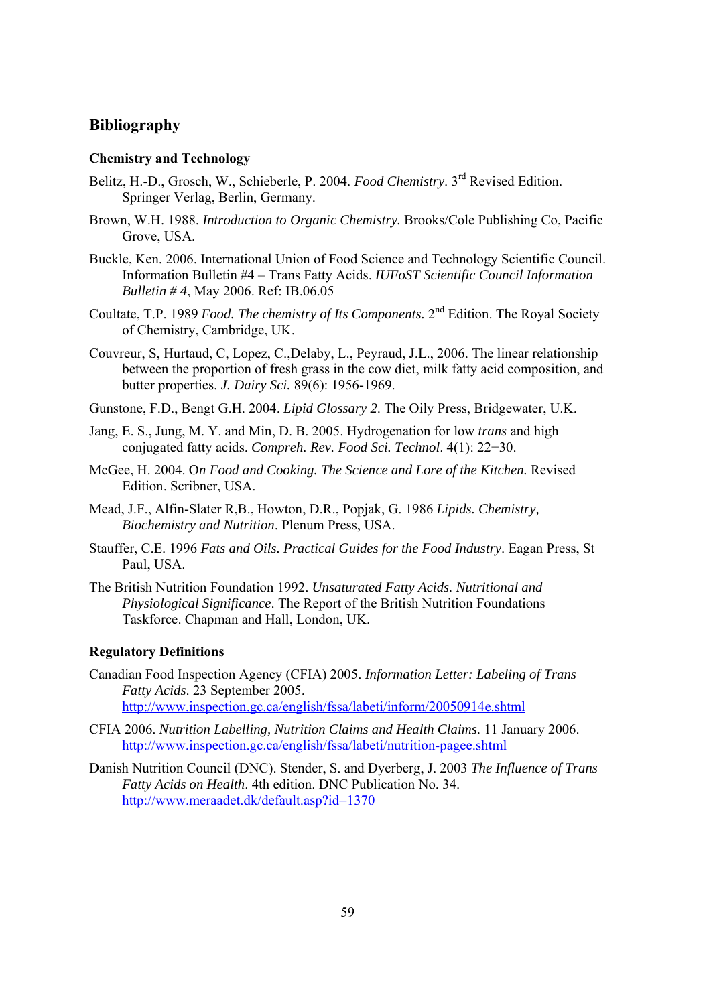# **Bibliography**

#### **Chemistry and Technology**

- Belitz, H.-D., Grosch, W., Schieberle, P. 2004. *Food Chemistry*. 3rd Revised Edition. Springer Verlag, Berlin, Germany.
- Brown, W.H. 1988. *Introduction to Organic Chemistry.* Brooks/Cole Publishing Co, Pacific Grove, USA.
- Buckle, Ken. 2006. International Union of Food Science and Technology Scientific Council. Information Bulletin #4 – Trans Fatty Acids. *IUFoST Scientific Council Information Bulletin # 4*, May 2006. Ref: IB.06.05
- Coultate, T.P. 1989 *Food. The chemistry of Its Components.* 2nd Edition. The Royal Society of Chemistry, Cambridge, UK.
- Couvreur, S, Hurtaud, C, Lopez, C.,Delaby, L., Peyraud, J.L., 2006. The linear relationship between the proportion of fresh grass in the cow diet, milk fatty acid composition, and butter properties. *J. Dairy Sci.* 89(6): 1956-1969.
- Gunstone, F.D., Bengt G.H. 2004. *Lipid Glossary 2*. The Oily Press, Bridgewater, U.K.
- Jang, E. S., Jung, M. Y. and Min, D. B. 2005. Hydrogenation for low *trans* and high conjugated fatty acids. *Compreh. Rev. Food Sci. Technol*. 4(1): 22−30.
- McGee, H. 2004. O*n Food and Cooking. The Science and Lore of the Kitchen.* Revised Edition. Scribner, USA.
- Mead, J.F., Alfin-Slater R,B., Howton, D.R., Popjak, G. 1986 *Lipids. Chemistry, Biochemistry and Nutrition*. Plenum Press, USA.
- Stauffer, C.E. 1996 *Fats and Oils. Practical Guides for the Food Industry*. Eagan Press, St Paul, USA.
- The British Nutrition Foundation 1992. *Unsaturated Fatty Acids. Nutritional and Physiological Significance*. The Report of the British Nutrition Foundations Taskforce. Chapman and Hall, London, UK.

#### **Regulatory Definitions**

- Canadian Food Inspection Agency (CFIA) 2005. *Information Letter: Labeling of Trans Fatty Acids*. 23 September 2005. http://www.inspection.gc.ca/english/fssa/labeti/inform/20050914e.shtml
- CFIA 2006. *Nutrition Labelling, Nutrition Claims and Health Claims*. 11 January 2006. http://www.inspection.gc.ca/english/fssa/labeti/nutrition-pagee.shtml
- Danish Nutrition Council (DNC). Stender, S. and Dyerberg, J. 2003 *The Influence of Trans Fatty Acids on Health*. 4th edition. DNC Publication No. 34. http://www.meraadet.dk/default.asp?id=1370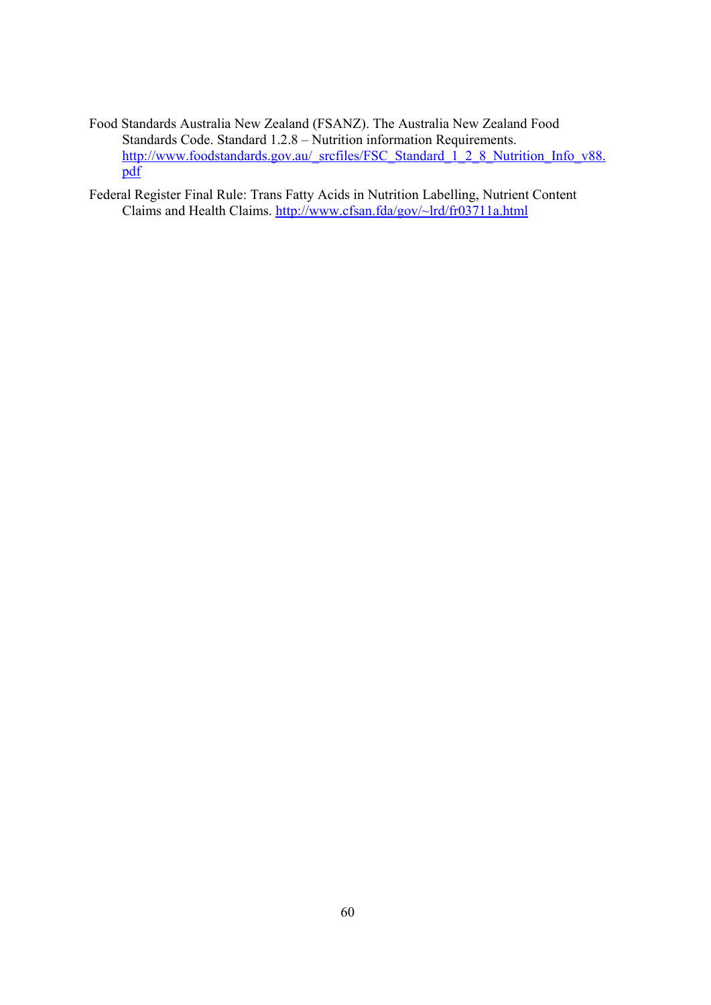Food Standards Australia New Zealand (FSANZ). The Australia New Zealand Food Standards Code. Standard 1.2.8 – Nutrition information Requirements. http://www.foodstandards.gov.au/\_srcfiles/FSC\_Standard\_1\_2\_8\_Nutrition\_Info\_v88. pdf

Federal Register Final Rule: Trans Fatty Acids in Nutrition Labelling, Nutrient Content Claims and Health Claims. http://www.cfsan.fda/gov/~lrd/fr03711a.html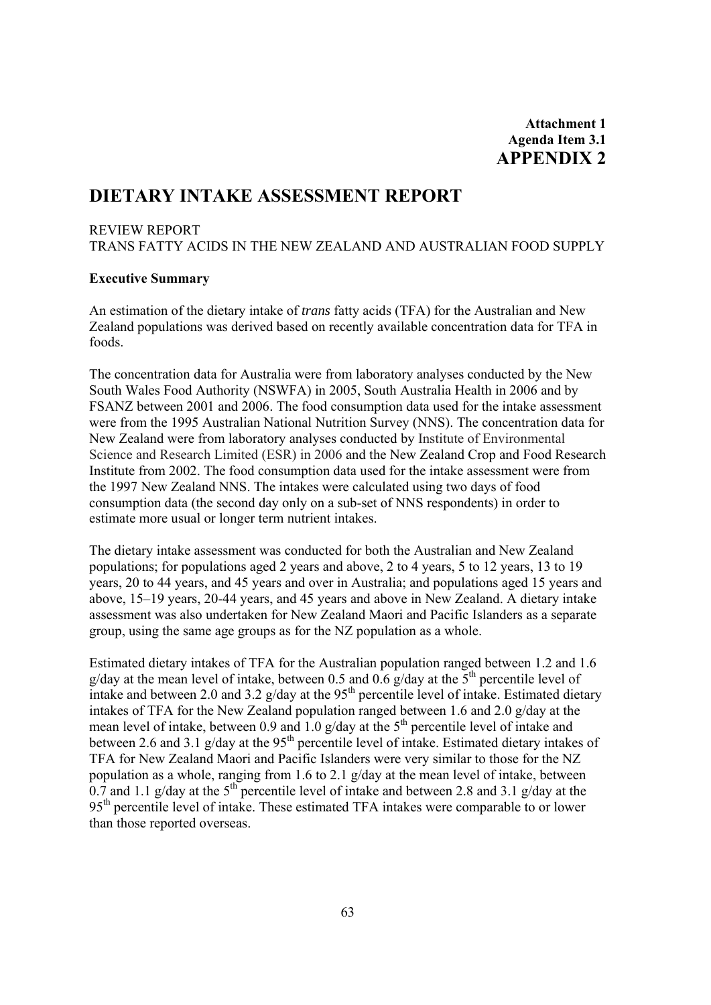# **DIETARY INTAKE ASSESSMENT REPORT**

#### REVIEW REPORT

TRANS FATTY ACIDS IN THE NEW ZEALAND AND AUSTRALIAN FOOD SUPPLY

#### **Executive Summary**

An estimation of the dietary intake of *trans* fatty acids (TFA) for the Australian and New Zealand populations was derived based on recently available concentration data for TFA in foods.

The concentration data for Australia were from laboratory analyses conducted by the New South Wales Food Authority (NSWFA) in 2005, South Australia Health in 2006 and by FSANZ between 2001 and 2006. The food consumption data used for the intake assessment were from the 1995 Australian National Nutrition Survey (NNS). The concentration data for New Zealand were from laboratory analyses conducted by Institute of Environmental Science and Research Limited (ESR) in 2006 and the New Zealand Crop and Food Research Institute from 2002. The food consumption data used for the intake assessment were from the 1997 New Zealand NNS. The intakes were calculated using two days of food consumption data (the second day only on a sub-set of NNS respondents) in order to estimate more usual or longer term nutrient intakes.

The dietary intake assessment was conducted for both the Australian and New Zealand populations; for populations aged 2 years and above, 2 to 4 years, 5 to 12 years, 13 to 19 years, 20 to 44 years, and 45 years and over in Australia; and populations aged 15 years and above, 15–19 years, 20-44 years, and 45 years and above in New Zealand. A dietary intake assessment was also undertaken for New Zealand Maori and Pacific Islanders as a separate group, using the same age groups as for the NZ population as a whole.

Estimated dietary intakes of TFA for the Australian population ranged between 1.2 and 1.6 g/day at the mean level of intake, between 0.5 and 0.6 g/day at the  $5<sup>th</sup>$  percentile level of intake and between 2.0 and 3.2  $g$ /day at the 95<sup>th</sup> percentile level of intake. Estimated dietary intakes of TFA for the New Zealand population ranged between 1.6 and 2.0 g/day at the mean level of intake, between 0.9 and 1.0  $\alpha$ /day at the 5<sup>th</sup> percentile level of intake and between 2.6 and 3.1  $g/day$  at the 95<sup>th</sup> percentile level of intake. Estimated dietary intakes of TFA for New Zealand Maori and Pacific Islanders were very similar to those for the NZ population as a whole, ranging from 1.6 to 2.1 g/day at the mean level of intake, between 0.7 and 1.1 g/day at the  $5<sup>th</sup>$  percentile level of intake and between 2.8 and 3.1 g/day at the 95<sup>th</sup> percentile level of intake. These estimated TFA intakes were comparable to or lower than those reported overseas.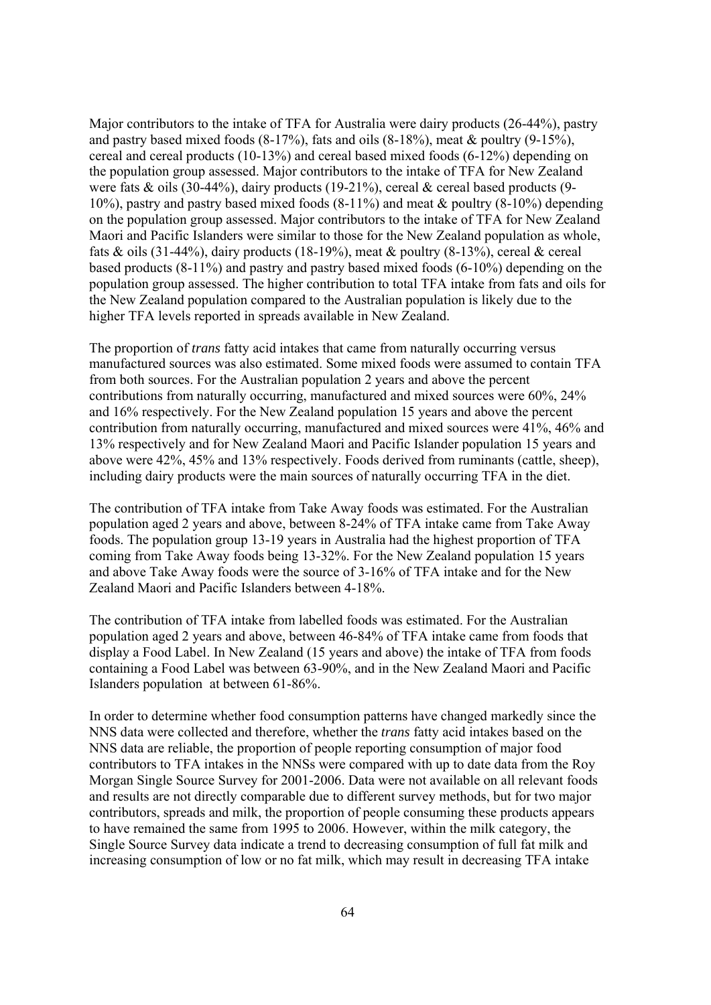Major contributors to the intake of TFA for Australia were dairy products (26-44%), pastry and pastry based mixed foods  $(8-17%)$ , fats and oils  $(8-18%)$ , meat & poultry  $(9-15%)$ , cereal and cereal products (10-13%) and cereal based mixed foods (6-12%) depending on the population group assessed. Major contributors to the intake of TFA for New Zealand were fats  $\&$  oils (30-44%), dairy products (19-21%), cereal  $\&$  cereal based products (9-10%), pastry and pastry based mixed foods (8-11%) and meat & poultry (8-10%) depending on the population group assessed. Major contributors to the intake of TFA for New Zealand Maori and Pacific Islanders were similar to those for the New Zealand population as whole, fats & oils (31-44%), dairy products (18-19%), meat & poultry (8-13%), cereal & cereal based products (8-11%) and pastry and pastry based mixed foods (6-10%) depending on the population group assessed. The higher contribution to total TFA intake from fats and oils for the New Zealand population compared to the Australian population is likely due to the higher TFA levels reported in spreads available in New Zealand.

The proportion of *trans* fatty acid intakes that came from naturally occurring versus manufactured sources was also estimated. Some mixed foods were assumed to contain TFA from both sources. For the Australian population 2 years and above the percent contributions from naturally occurring, manufactured and mixed sources were 60%, 24% and 16% respectively. For the New Zealand population 15 years and above the percent contribution from naturally occurring, manufactured and mixed sources were 41%, 46% and 13% respectively and for New Zealand Maori and Pacific Islander population 15 years and above were 42%, 45% and 13% respectively. Foods derived from ruminants (cattle, sheep), including dairy products were the main sources of naturally occurring TFA in the diet.

The contribution of TFA intake from Take Away foods was estimated. For the Australian population aged 2 years and above, between 8-24% of TFA intake came from Take Away foods. The population group 13-19 years in Australia had the highest proportion of TFA coming from Take Away foods being 13-32%. For the New Zealand population 15 years and above Take Away foods were the source of 3-16% of TFA intake and for the New Zealand Maori and Pacific Islanders between 4-18%.

The contribution of TFA intake from labelled foods was estimated. For the Australian population aged 2 years and above, between 46-84% of TFA intake came from foods that display a Food Label. In New Zealand (15 years and above) the intake of TFA from foods containing a Food Label was between 63-90%, and in the New Zealand Maori and Pacific Islanders population at between 61-86%.

In order to determine whether food consumption patterns have changed markedly since the NNS data were collected and therefore, whether the *trans* fatty acid intakes based on the NNS data are reliable, the proportion of people reporting consumption of major food contributors to TFA intakes in the NNSs were compared with up to date data from the Roy Morgan Single Source Survey for 2001-2006. Data were not available on all relevant foods and results are not directly comparable due to different survey methods, but for two major contributors, spreads and milk, the proportion of people consuming these products appears to have remained the same from 1995 to 2006. However, within the milk category, the Single Source Survey data indicate a trend to decreasing consumption of full fat milk and increasing consumption of low or no fat milk, which may result in decreasing TFA intake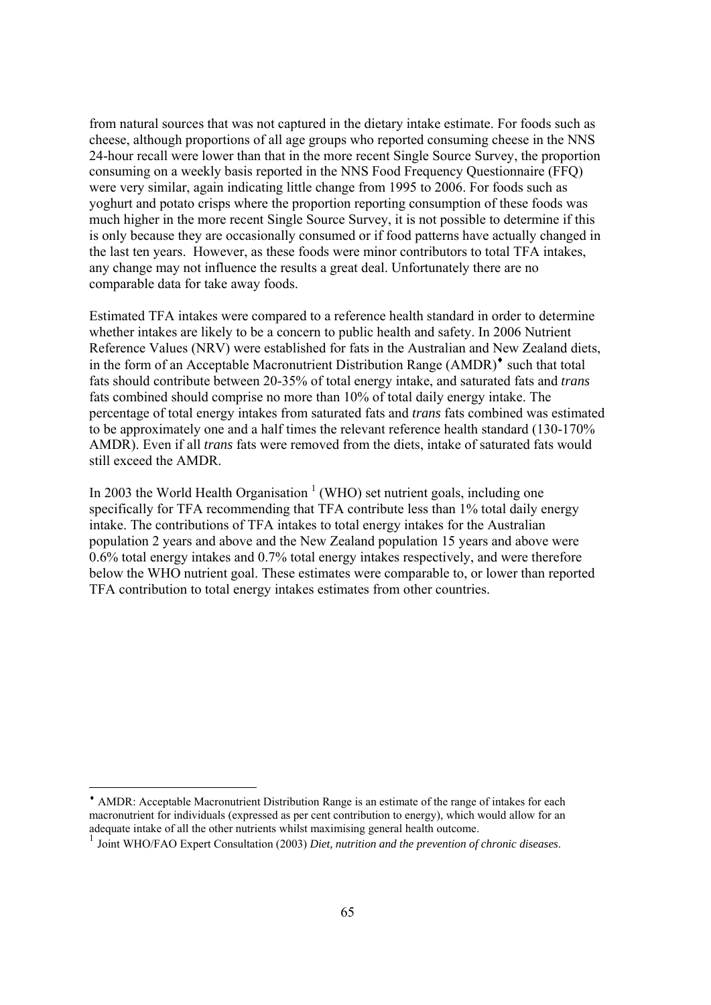from natural sources that was not captured in the dietary intake estimate. For foods such as cheese, although proportions of all age groups who reported consuming cheese in the NNS 24-hour recall were lower than that in the more recent Single Source Survey, the proportion consuming on a weekly basis reported in the NNS Food Frequency Questionnaire (FFQ) were very similar, again indicating little change from 1995 to 2006. For foods such as yoghurt and potato crisps where the proportion reporting consumption of these foods was much higher in the more recent Single Source Survey, it is not possible to determine if this is only because they are occasionally consumed or if food patterns have actually changed in the last ten years. However, as these foods were minor contributors to total TFA intakes, any change may not influence the results a great deal. Unfortunately there are no comparable data for take away foods.

Estimated TFA intakes were compared to a reference health standard in order to determine whether intakes are likely to be a concern to public health and safety. In 2006 Nutrient Reference Values (NRV) were established for fats in the Australian and New Zealand diets, in the form of an Acceptable Macronutrient Distribution Range (AMDR)♦ such that total fats should contribute between 20-35% of total energy intake, and saturated fats and *trans* fats combined should comprise no more than 10% of total daily energy intake. The percentage of total energy intakes from saturated fats and *trans* fats combined was estimated to be approximately one and a half times the relevant reference health standard (130-170% AMDR). Even if all *trans* fats were removed from the diets, intake of saturated fats would still exceed the AMDR.

In 2003 the World Health Organisation<sup>1</sup> (WHO) set nutrient goals, including one specifically for TFA recommending that TFA contribute less than 1% total daily energy intake. The contributions of TFA intakes to total energy intakes for the Australian population 2 years and above and the New Zealand population 15 years and above were 0.6% total energy intakes and 0.7% total energy intakes respectively, and were therefore below the WHO nutrient goal. These estimates were comparable to, or lower than reported TFA contribution to total energy intakes estimates from other countries.

<sup>♦</sup> AMDR: Acceptable Macronutrient Distribution Range is an estimate of the range of intakes for each macronutrient for individuals (expressed as per cent contribution to energy), which would allow for an adequate intake of all the other nutrients whilst maximising general health outcome.

<sup>1</sup> Joint WHO/FAO Expert Consultation (2003) *Diet, nutrition and the prevention of chronic diseases*.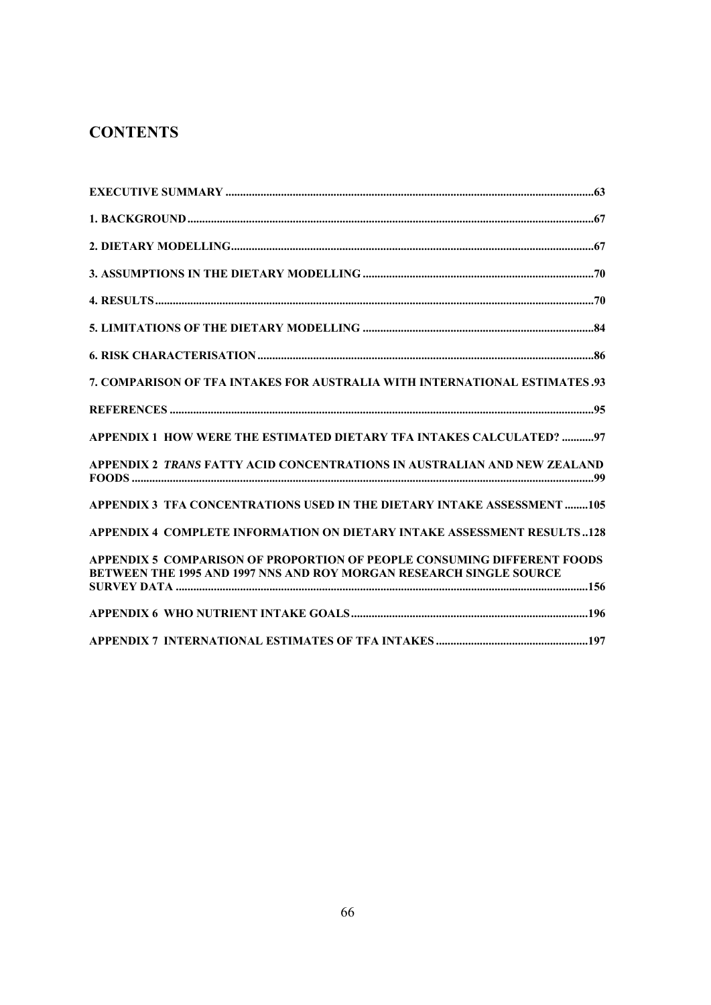# **CONTENTS**

| 7. COMPARISON OF TFA INTAKES FOR AUSTRALIA WITH INTERNATIONAL ESTIMATES.93                                                                     |  |
|------------------------------------------------------------------------------------------------------------------------------------------------|--|
|                                                                                                                                                |  |
| APPENDIX 1 HOW WERE THE ESTIMATED DIETARY TFA INTAKES CALCULATED? 97                                                                           |  |
| APPENDIX 2 TRANS FATTY ACID CONCENTRATIONS IN AUSTRALIAN AND NEW ZEALAND                                                                       |  |
| APPENDIX 3 TFA CONCENTRATIONS USED IN THE DIETARY INTAKE ASSESSMENT 105                                                                        |  |
| APPENDIX 4 COMPLETE INFORMATION ON DIETARY INTAKE ASSESSMENT RESULTS 128                                                                       |  |
| APPENDIX 5 COMPARISON OF PROPORTION OF PEOPLE CONSUMING DIFFERENT FOODS<br>BETWEEN THE 1995 AND 1997 NNS AND ROY MORGAN RESEARCH SINGLE SOURCE |  |
|                                                                                                                                                |  |
|                                                                                                                                                |  |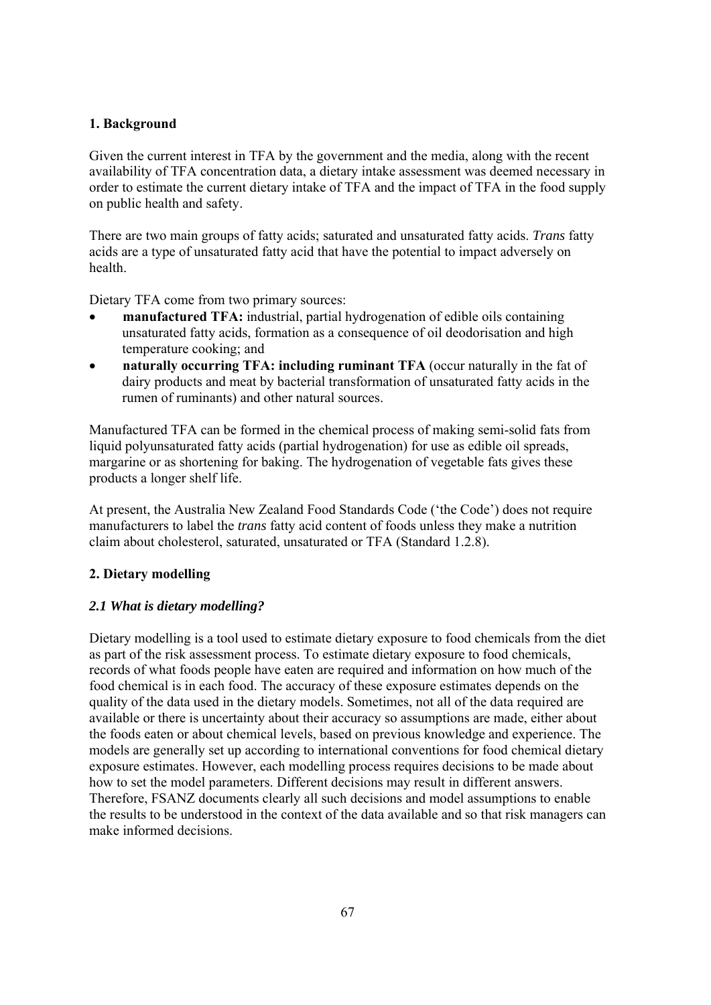# **1. Background**

Given the current interest in TFA by the government and the media, along with the recent availability of TFA concentration data, a dietary intake assessment was deemed necessary in order to estimate the current dietary intake of TFA and the impact of TFA in the food supply on public health and safety.

There are two main groups of fatty acids; saturated and unsaturated fatty acids. *Trans* fatty acids are a type of unsaturated fatty acid that have the potential to impact adversely on health.

Dietary TFA come from two primary sources:

- **manufactured TFA:** industrial, partial hydrogenation of edible oils containing unsaturated fatty acids, formation as a consequence of oil deodorisation and high temperature cooking; and
- **naturally occurring TFA: including ruminant TFA** (occur naturally in the fat of dairy products and meat by bacterial transformation of unsaturated fatty acids in the rumen of ruminants) and other natural sources.

Manufactured TFA can be formed in the chemical process of making semi-solid fats from liquid polyunsaturated fatty acids (partial hydrogenation) for use as edible oil spreads, margarine or as shortening for baking. The hydrogenation of vegetable fats gives these products a longer shelf life.

At present, the Australia New Zealand Food Standards Code ('the Code') does not require manufacturers to label the *trans* fatty acid content of foods unless they make a nutrition claim about cholesterol, saturated, unsaturated or TFA (Standard 1.2.8).

# **2. Dietary modelling**

# *2.1 What is dietary modelling?*

Dietary modelling is a tool used to estimate dietary exposure to food chemicals from the diet as part of the risk assessment process. To estimate dietary exposure to food chemicals, records of what foods people have eaten are required and information on how much of the food chemical is in each food. The accuracy of these exposure estimates depends on the quality of the data used in the dietary models. Sometimes, not all of the data required are available or there is uncertainty about their accuracy so assumptions are made, either about the foods eaten or about chemical levels, based on previous knowledge and experience. The models are generally set up according to international conventions for food chemical dietary exposure estimates. However, each modelling process requires decisions to be made about how to set the model parameters. Different decisions may result in different answers. Therefore, FSANZ documents clearly all such decisions and model assumptions to enable the results to be understood in the context of the data available and so that risk managers can make informed decisions.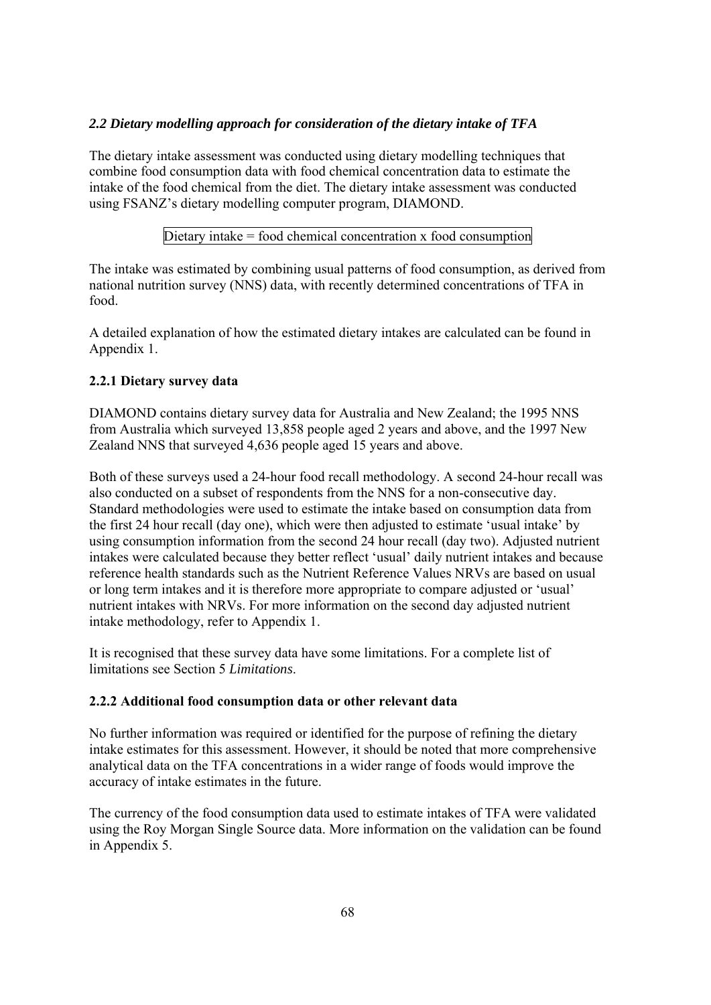# *2.2 Dietary modelling approach for consideration of the dietary intake of TFA*

The dietary intake assessment was conducted using dietary modelling techniques that combine food consumption data with food chemical concentration data to estimate the intake of the food chemical from the diet. The dietary intake assessment was conducted using FSANZ's dietary modelling computer program, DIAMOND.

# Dietary intake = food chemical concentration x food consumption

The intake was estimated by combining usual patterns of food consumption, as derived from national nutrition survey (NNS) data, with recently determined concentrations of TFA in food.

A detailed explanation of how the estimated dietary intakes are calculated can be found in Appendix 1.

# **2.2.1 Dietary survey data**

DIAMOND contains dietary survey data for Australia and New Zealand; the 1995 NNS from Australia which surveyed 13,858 people aged 2 years and above, and the 1997 New Zealand NNS that surveyed 4,636 people aged 15 years and above.

Both of these surveys used a 24-hour food recall methodology. A second 24-hour recall was also conducted on a subset of respondents from the NNS for a non-consecutive day. Standard methodologies were used to estimate the intake based on consumption data from the first 24 hour recall (day one), which were then adjusted to estimate 'usual intake' by using consumption information from the second 24 hour recall (day two). Adjusted nutrient intakes were calculated because they better reflect 'usual' daily nutrient intakes and because reference health standards such as the Nutrient Reference Values NRVs are based on usual or long term intakes and it is therefore more appropriate to compare adjusted or 'usual' nutrient intakes with NRVs. For more information on the second day adjusted nutrient intake methodology, refer to Appendix 1.

It is recognised that these survey data have some limitations. For a complete list of limitations see Section 5 *Limitations*.

# **2.2.2 Additional food consumption data or other relevant data**

No further information was required or identified for the purpose of refining the dietary intake estimates for this assessment. However, it should be noted that more comprehensive analytical data on the TFA concentrations in a wider range of foods would improve the accuracy of intake estimates in the future.

The currency of the food consumption data used to estimate intakes of TFA were validated using the Roy Morgan Single Source data. More information on the validation can be found in Appendix 5.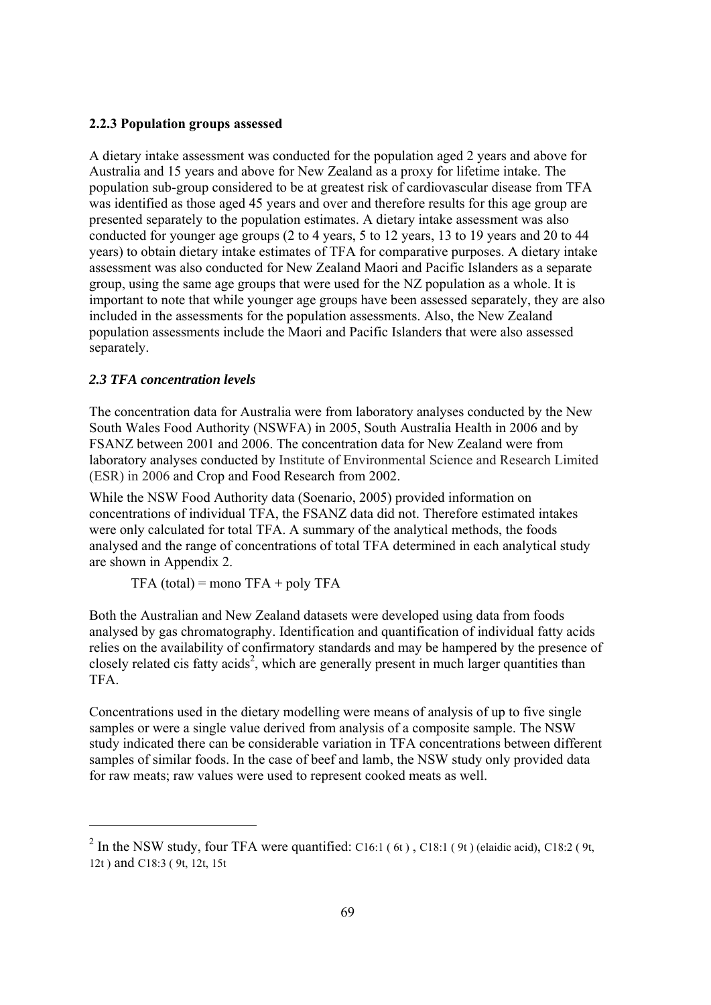## **2.2.3 Population groups assessed**

A dietary intake assessment was conducted for the population aged 2 years and above for Australia and 15 years and above for New Zealand as a proxy for lifetime intake. The population sub-group considered to be at greatest risk of cardiovascular disease from TFA was identified as those aged 45 years and over and therefore results for this age group are presented separately to the population estimates. A dietary intake assessment was also conducted for younger age groups (2 to 4 years, 5 to 12 years, 13 to 19 years and 20 to 44 years) to obtain dietary intake estimates of TFA for comparative purposes. A dietary intake assessment was also conducted for New Zealand Maori and Pacific Islanders as a separate group, using the same age groups that were used for the NZ population as a whole. It is important to note that while younger age groups have been assessed separately, they are also included in the assessments for the population assessments. Also, the New Zealand population assessments include the Maori and Pacific Islanders that were also assessed separately.

### *2.3 TFA concentration levels*

l

The concentration data for Australia were from laboratory analyses conducted by the New South Wales Food Authority (NSWFA) in 2005, South Australia Health in 2006 and by FSANZ between 2001 and 2006. The concentration data for New Zealand were from laboratory analyses conducted by Institute of Environmental Science and Research Limited (ESR) in 2006 and Crop and Food Research from 2002.

While the NSW Food Authority data (Soenario, 2005) provided information on concentrations of individual TFA, the FSANZ data did not. Therefore estimated intakes were only calculated for total TFA. A summary of the analytical methods, the foods analysed and the range of concentrations of total TFA determined in each analytical study are shown in Appendix 2.

 $TFA$  (total) = mono  $TFA$  + poly  $TFA$ 

Both the Australian and New Zealand datasets were developed using data from foods analysed by gas chromatography. Identification and quantification of individual fatty acids relies on the availability of confirmatory standards and may be hampered by the presence of closely related cis fatty  $acids^2$ , which are generally present in much larger quantities than TFA.

Concentrations used in the dietary modelling were means of analysis of up to five single samples or were a single value derived from analysis of a composite sample. The NSW study indicated there can be considerable variation in TFA concentrations between different samples of similar foods. In the case of beef and lamb, the NSW study only provided data for raw meats; raw values were used to represent cooked meats as well.

<sup>&</sup>lt;sup>2</sup> In the NSW study, four TFA were quantified: C16:1 (6t), C18:1 (9t) (elaidic acid), C18:2 (9t, 12t ) and C18:3 ( 9t, 12t, 15t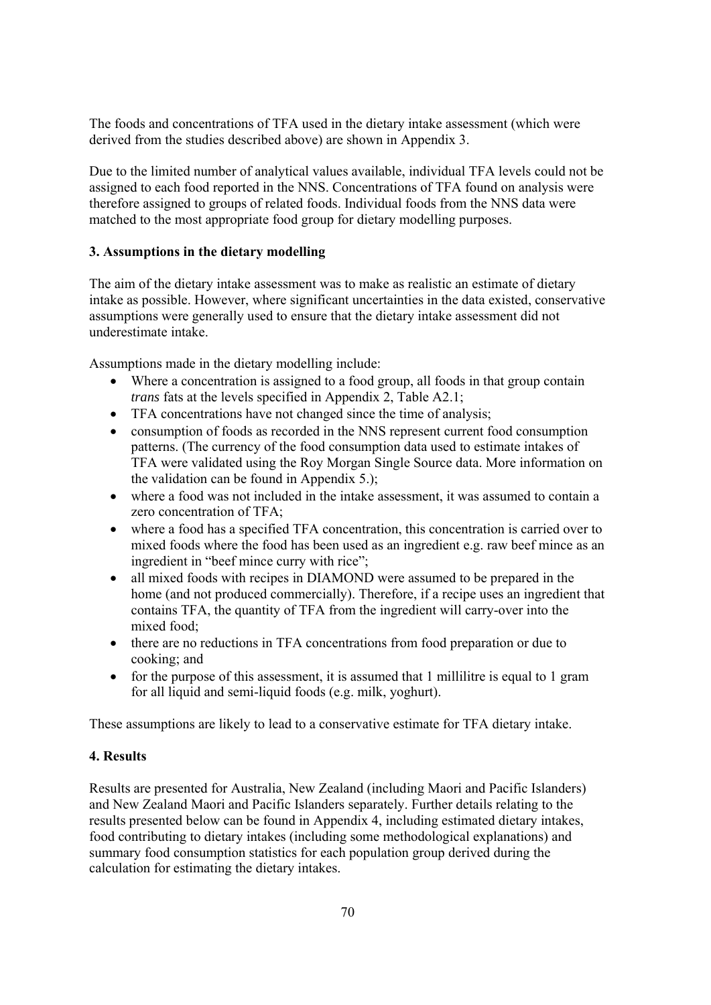The foods and concentrations of TFA used in the dietary intake assessment (which were derived from the studies described above) are shown in Appendix 3.

Due to the limited number of analytical values available, individual TFA levels could not be assigned to each food reported in the NNS. Concentrations of TFA found on analysis were therefore assigned to groups of related foods. Individual foods from the NNS data were matched to the most appropriate food group for dietary modelling purposes.

## **3. Assumptions in the dietary modelling**

The aim of the dietary intake assessment was to make as realistic an estimate of dietary intake as possible. However, where significant uncertainties in the data existed, conservative assumptions were generally used to ensure that the dietary intake assessment did not underestimate intake.

Assumptions made in the dietary modelling include:

- Where a concentration is assigned to a food group, all foods in that group contain *trans* fats at the levels specified in Appendix 2, Table A2.1;
- TFA concentrations have not changed since the time of analysis;
- consumption of foods as recorded in the NNS represent current food consumption patterns. (The currency of the food consumption data used to estimate intakes of TFA were validated using the Roy Morgan Single Source data. More information on the validation can be found in Appendix 5.);
- where a food was not included in the intake assessment, it was assumed to contain a zero concentration of TFA;
- where a food has a specified TFA concentration, this concentration is carried over to mixed foods where the food has been used as an ingredient e.g. raw beef mince as an ingredient in "beef mince curry with rice";
- all mixed foods with recipes in DIAMOND were assumed to be prepared in the home (and not produced commercially). Therefore, if a recipe uses an ingredient that contains TFA, the quantity of TFA from the ingredient will carry-over into the mixed food;
- there are no reductions in TFA concentrations from food preparation or due to cooking; and
- for the purpose of this assessment, it is assumed that 1 millilitre is equal to 1 gram for all liquid and semi-liquid foods (e.g. milk, yoghurt).

These assumptions are likely to lead to a conservative estimate for TFA dietary intake.

# **4. Results**

Results are presented for Australia, New Zealand (including Maori and Pacific Islanders) and New Zealand Maori and Pacific Islanders separately. Further details relating to the results presented below can be found in Appendix 4, including estimated dietary intakes, food contributing to dietary intakes (including some methodological explanations) and summary food consumption statistics for each population group derived during the calculation for estimating the dietary intakes.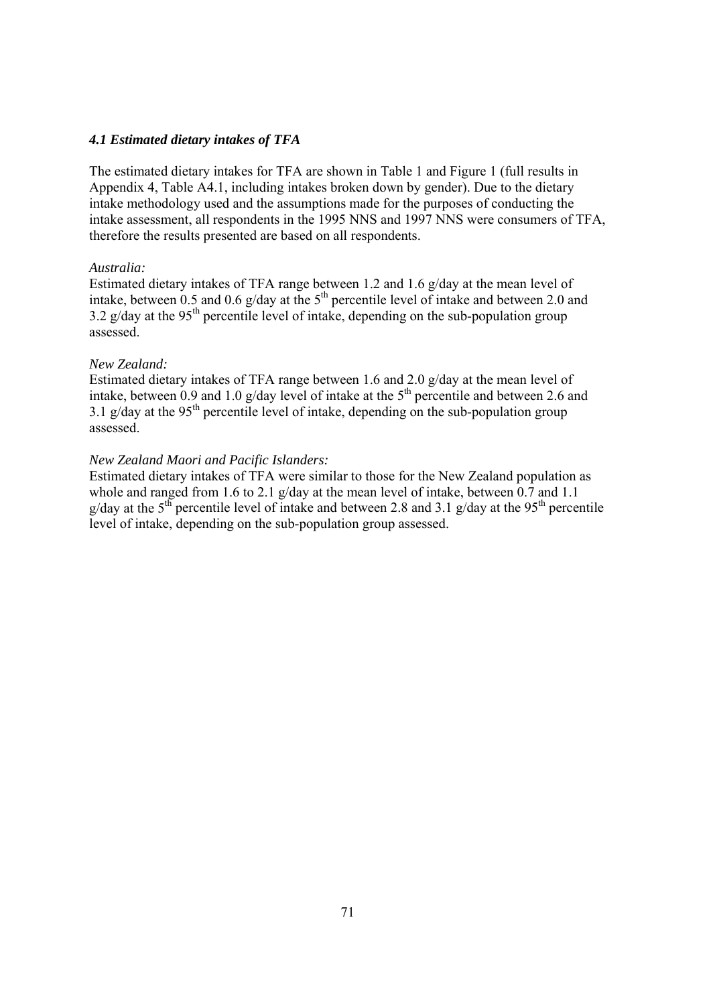### *4.1 Estimated dietary intakes of TFA*

The estimated dietary intakes for TFA are shown in Table 1 and Figure 1 (full results in Appendix 4, Table A4.1, including intakes broken down by gender). Due to the dietary intake methodology used and the assumptions made for the purposes of conducting the intake assessment, all respondents in the 1995 NNS and 1997 NNS were consumers of TFA, therefore the results presented are based on all respondents.

#### *Australia:*

Estimated dietary intakes of TFA range between 1.2 and 1.6 g/day at the mean level of intake, between 0.5 and 0.6 g/day at the  $5<sup>th</sup>$  percentile level of intake and between 2.0 and  $3.2$  g/day at the 95<sup>th</sup> percentile level of intake, depending on the sub-population group assessed.

### *New Zealand:*

Estimated dietary intakes of TFA range between 1.6 and 2.0 g/day at the mean level of intake, between 0.9 and 1.0 g/day level of intake at the  $5<sup>th</sup>$  percentile and between 2.6 and  $3.1$  g/day at the 95<sup>th</sup> percentile level of intake, depending on the sub-population group assessed.

### *New Zealand Maori and Pacific Islanders:*

Estimated dietary intakes of TFA were similar to those for the New Zealand population as whole and ranged from 1.6 to 2.1 g/day at the mean level of intake, between 0.7 and 1.1 g/day at the 5<sup>th</sup> percentile level of intake and between 2.8 and 3.1 g/day at the 95<sup>th</sup> percentile level of intake, depending on the sub-population group assessed.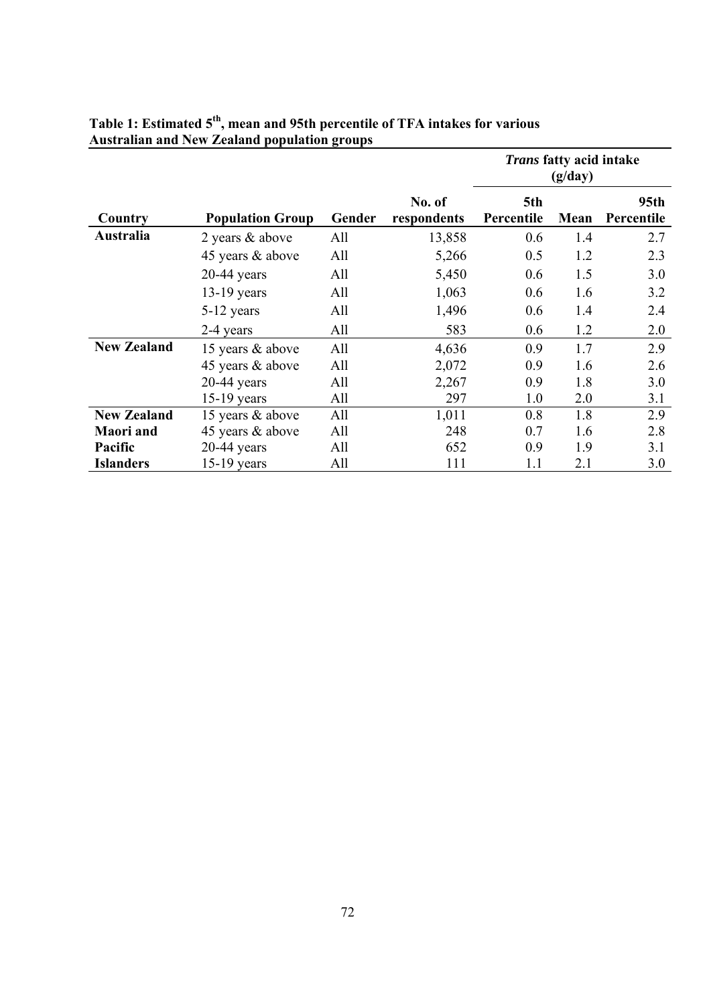|                    |                         |        |                       | Trans fatty acid intake<br>(g/day) |      |                                |
|--------------------|-------------------------|--------|-----------------------|------------------------------------|------|--------------------------------|
| Country            | <b>Population Group</b> | Gender | No. of<br>respondents | 5th<br>Percentile                  | Mean | 95 <sub>th</sub><br>Percentile |
| Australia          | 2 years & above         | All    | 13,858                | 0.6                                | 1.4  | 2.7                            |
|                    | 45 years & above        | All    | 5,266                 | 0.5                                | 1.2  | 2.3                            |
|                    | $20-44$ years           | All    | 5,450                 | 0.6                                | 1.5  | 3.0                            |
|                    | $13-19$ years           | All    | 1,063                 | 0.6                                | 1.6  | 3.2                            |
|                    | 5-12 years              | All    | 1,496                 | 0.6                                | 1.4  | 2.4                            |
|                    | 2-4 years               | All    | 583                   | 0.6                                | 1.2  | 2.0                            |
| <b>New Zealand</b> | 15 years & above        | All    | 4,636                 | 0.9                                | 1.7  | 2.9                            |
|                    | 45 years & above        | All    | 2,072                 | 0.9                                | 1.6  | 2.6                            |
|                    | $20-44$ years           | All    | 2,267                 | 0.9                                | 1.8  | 3.0                            |
|                    | $15-19$ years           | All    | 297                   | 1.0                                | 2.0  | 3.1                            |
| <b>New Zealand</b> | 15 years & above        | All    | 1,011                 | 0.8                                | 1.8  | 2.9                            |
| <b>Maori</b> and   | 45 years & above        | All    | 248                   | 0.7                                | 1.6  | 2.8                            |
| Pacific            | $20-44$ years           | All    | 652                   | 0.9                                | 1.9  | 3.1                            |
| <b>Islanders</b>   | $15-19$ years           | All    | 111                   | 1.1                                | 2.1  | 3.0                            |

# **Table 1: Estimated 5th, mean and 95th percentile of TFA intakes for various Australian and New Zealand population groups**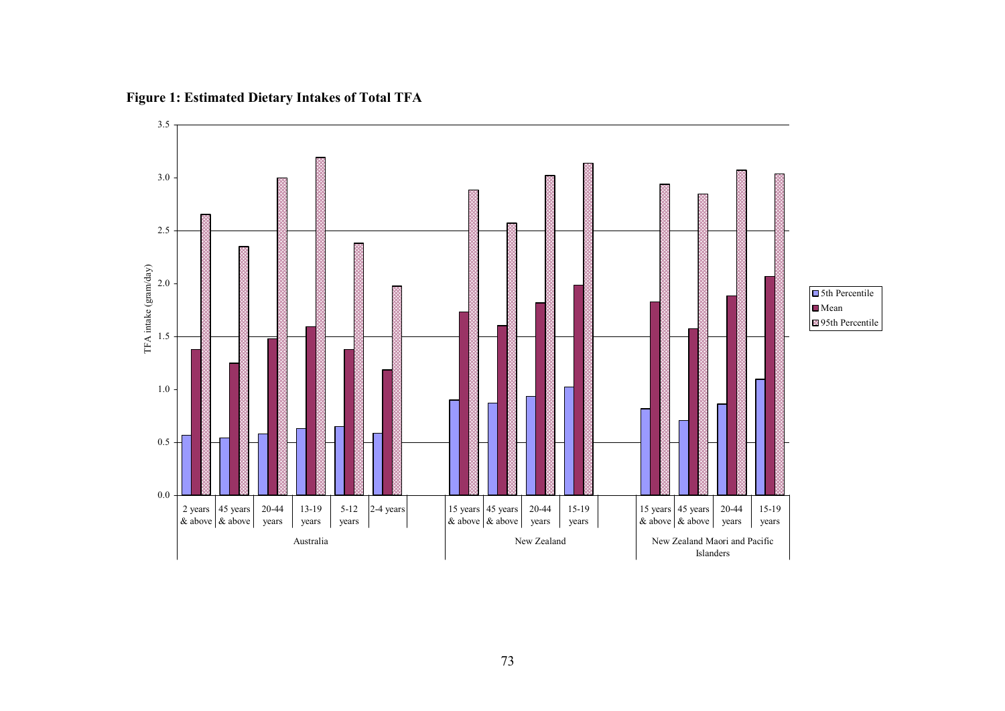

**Figure 1: Estimated Dietary Intakes of Total TFA**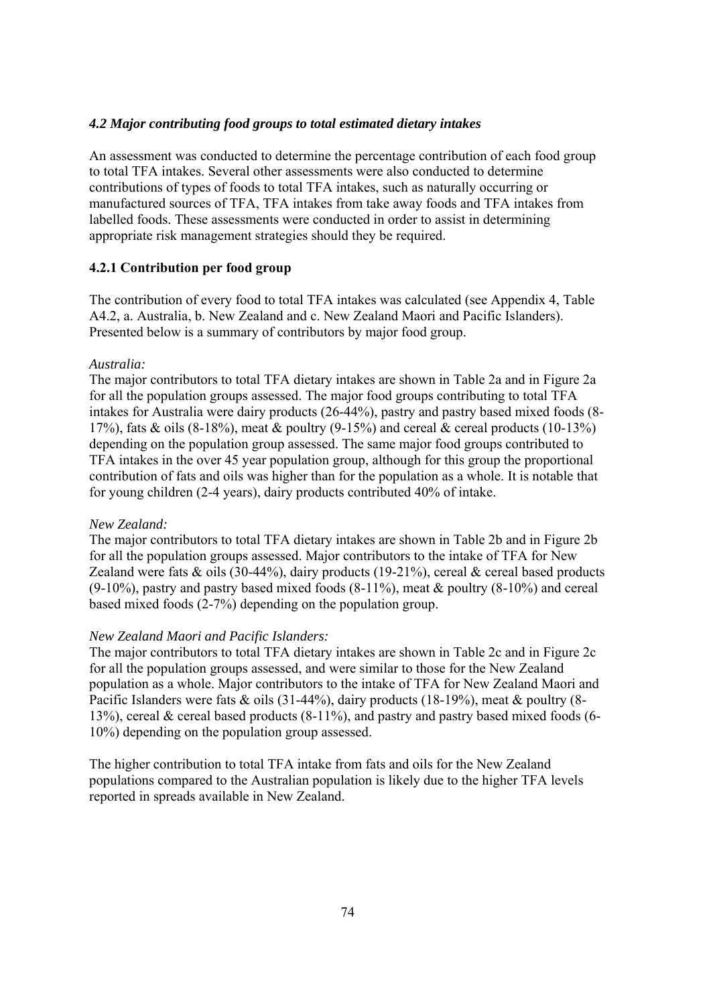#### *4.2 Major contributing food groups to total estimated dietary intakes*

An assessment was conducted to determine the percentage contribution of each food group to total TFA intakes. Several other assessments were also conducted to determine contributions of types of foods to total TFA intakes, such as naturally occurring or manufactured sources of TFA, TFA intakes from take away foods and TFA intakes from labelled foods. These assessments were conducted in order to assist in determining appropriate risk management strategies should they be required.

### **4.2.1 Contribution per food group**

The contribution of every food to total TFA intakes was calculated (see Appendix 4, Table A4.2, a. Australia, b. New Zealand and c. New Zealand Maori and Pacific Islanders). Presented below is a summary of contributors by major food group.

#### *Australia:*

The major contributors to total TFA dietary intakes are shown in Table 2a and in Figure 2a for all the population groups assessed. The major food groups contributing to total TFA intakes for Australia were dairy products (26-44%), pastry and pastry based mixed foods (8- 17%), fats & oils  $(8-18\%)$ , meat & poultry  $(9-15\%)$  and cereal & cereal products  $(10-13\%)$ depending on the population group assessed. The same major food groups contributed to TFA intakes in the over 45 year population group, although for this group the proportional contribution of fats and oils was higher than for the population as a whole. It is notable that for young children (2-4 years), dairy products contributed 40% of intake.

#### *New Zealand:*

The major contributors to total TFA dietary intakes are shown in Table 2b and in Figure 2b for all the population groups assessed. Major contributors to the intake of TFA for New Zealand were fats  $\&$  oils (30-44%), dairy products (19-21%), cereal  $\&$  cereal based products  $(9-10\%)$ , pastry and pastry based mixed foods  $(8-11\%)$ , meat & poultry  $(8-10\%)$  and cereal based mixed foods (2-7%) depending on the population group.

#### *New Zealand Maori and Pacific Islanders:*

The major contributors to total TFA dietary intakes are shown in Table 2c and in Figure 2c for all the population groups assessed, and were similar to those for the New Zealand population as a whole. Major contributors to the intake of TFA for New Zealand Maori and Pacific Islanders were fats & oils (31-44%), dairy products (18-19%), meat & poultry (8-13%), cereal  $\&$  cereal based products (8-11%), and pastry and pastry based mixed foods (6-10%) depending on the population group assessed.

The higher contribution to total TFA intake from fats and oils for the New Zealand populations compared to the Australian population is likely due to the higher TFA levels reported in spreads available in New Zealand.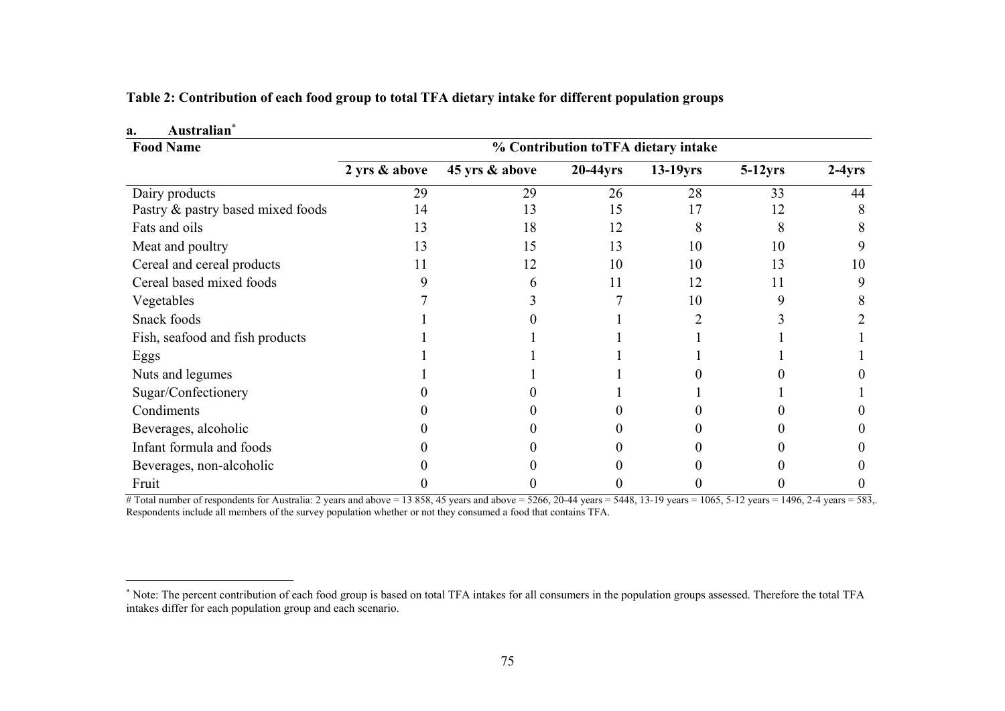| Australian <sup>®</sup><br>a.     |                                     |                |             |             |            |          |
|-----------------------------------|-------------------------------------|----------------|-------------|-------------|------------|----------|
| <b>Food Name</b>                  | % Contribution toTFA dietary intake |                |             |             |            |          |
|                                   | 2 yrs & above                       | 45 yrs & above | $20-44$ yrs | $13-19$ yrs | $5-12$ yrs | $2-4yrs$ |
| Dairy products                    | 29                                  | 29             | 26          | 28          | 33         | 44       |
| Pastry & pastry based mixed foods | 14                                  | 13             | 15          | 17          | 12         |          |
| Fats and oils                     | 13                                  | 18             | 12          | 8           |            |          |
| Meat and poultry                  | 13                                  | 15             | 13          | 10          | 10         | 9        |
| Cereal and cereal products        | 11                                  | 12             | 10          | 10          | 13         | 10       |
| Cereal based mixed foods          |                                     | 6              | 11          | 12          | 11         | 9        |
| Vegetables                        |                                     |                |             | 10          |            |          |
| Snack foods                       |                                     |                |             |             |            |          |
| Fish, seafood and fish products   |                                     |                |             |             |            |          |
| Eggs                              |                                     |                |             |             |            |          |
| Nuts and legumes                  |                                     |                |             |             |            |          |
| Sugar/Confectionery               |                                     |                |             |             |            |          |
| Condiments                        |                                     |                |             |             |            |          |
| Beverages, alcoholic              |                                     |                |             |             |            |          |
| Infant formula and foods          |                                     |                |             |             |            |          |
| Beverages, non-alcoholic          |                                     |                |             |             |            |          |
| Fruit                             |                                     |                |             |             |            |          |

**Table 2: Contribution of each food group to total TFA dietary intake for different population groups** 

# Total number of respondents for Australia: 2 years and above = 13 858, 45 years and above = 5266, 20-44 years = 5448, 13-19 years = 1065, 5-12 years = 1496, 2-4 years = 583,. Respondents include all members of the survey population whether or not they consumed a food that contains TFA.

<sup>∗</sup> Note: The percent contribution of each food group is based on total TFA intakes for all consumers in the population groups assessed. Therefore the total TFA intakes differ for each population group and each scenario.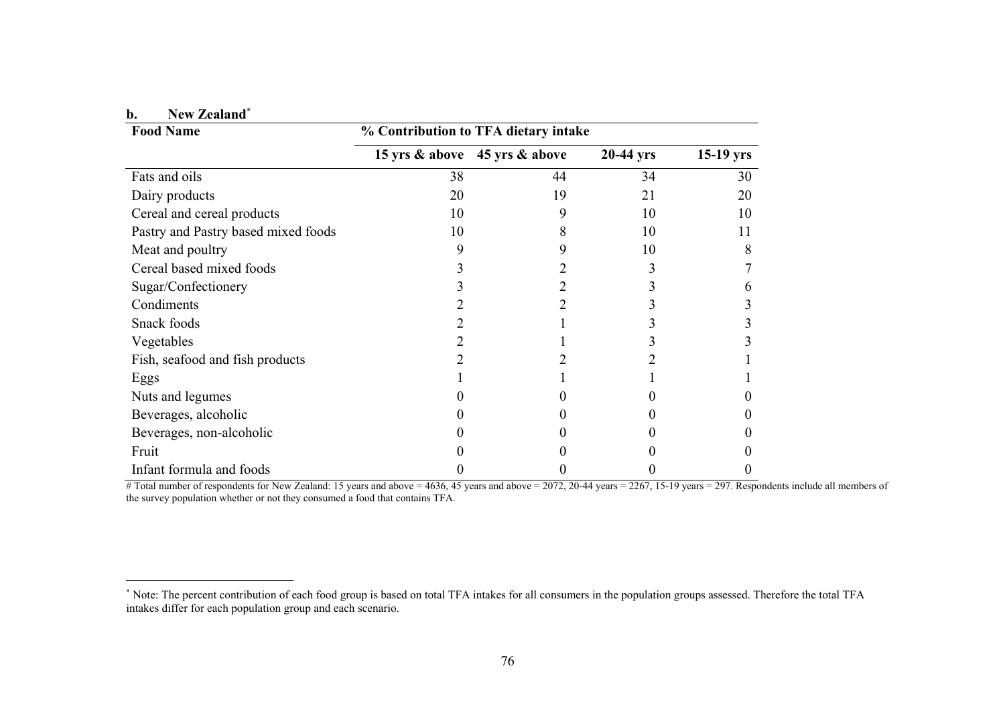| b. | New Zealand* |
|----|--------------|
|    |              |

| <b>Food Name</b>                    |    | % Contribution to TFA dietary intake |             |             |
|-------------------------------------|----|--------------------------------------|-------------|-------------|
|                                     |    | 15 yrs & above 45 yrs & above        | $20-44$ yrs | $15-19$ yrs |
| Fats and oils                       | 38 | 44                                   | 34          | 30          |
| Dairy products                      | 20 | 19                                   | 21          | 20          |
| Cereal and cereal products          | 10 | 9                                    | 10          | 10          |
| Pastry and Pastry based mixed foods | 10 | 8                                    | 10          | 11          |
| Meat and poultry                    | 9  | 9                                    | 10          | 8           |
| Cereal based mixed foods            |    |                                      |             |             |
| Sugar/Confectionery                 |    |                                      |             | h           |
| Condiments                          |    | 2                                    |             |             |
| Snack foods                         |    |                                      |             |             |
| Vegetables                          |    |                                      |             |             |
| Fish, seafood and fish products     |    |                                      |             |             |
| Eggs                                |    |                                      |             |             |
| Nuts and legumes                    |    |                                      |             |             |
| Beverages, alcoholic                |    |                                      |             |             |
| Beverages, non-alcoholic            |    |                                      |             |             |
| Fruit                               |    |                                      |             |             |
| Infant formula and foods            |    |                                      |             |             |

# Total number of respondents for New Zealand: 15 years and above = 4636, 45 years and above = 2072, 20-44 years = 2267, 15-19 years = 297. Respondents include all members of the survey population whether or not they consumed a food that contains TFA.

<sup>∗</sup> Note: The percent contribution of each food group is based on total TFA intakes for all consumers in the population groups assessed. Therefore the total TFA intakes differ for each population group and each scenario.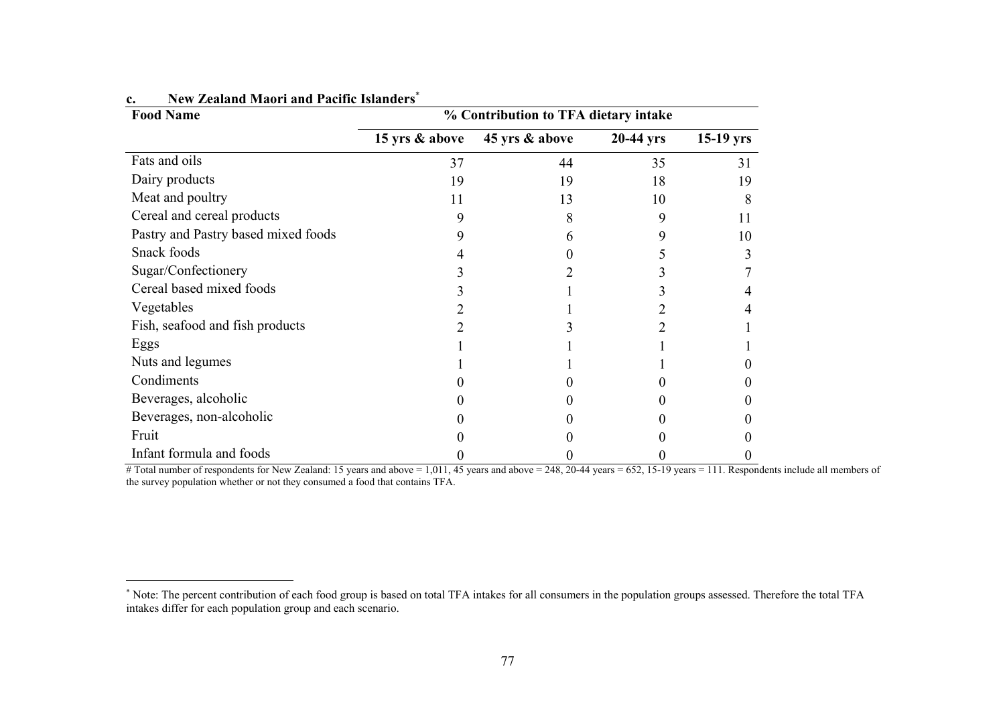| <b>Food Name</b>                    | % Contribution to TFA dietary intake |                |           |             |  |  |
|-------------------------------------|--------------------------------------|----------------|-----------|-------------|--|--|
|                                     | 15 yrs & above                       | 45 yrs & above | 20-44 yrs | $15-19$ yrs |  |  |
| Fats and oils                       | 37                                   | 44             | 35        | 31          |  |  |
| Dairy products                      | 19                                   | 19             | 18        | 19          |  |  |
| Meat and poultry                    | 11                                   | 13             | 10        |             |  |  |
| Cereal and cereal products          | Q                                    |                | 9         | 11          |  |  |
| Pastry and Pastry based mixed foods |                                      | h              |           | 10          |  |  |
| Snack foods                         |                                      |                |           |             |  |  |
| Sugar/Confectionery                 |                                      |                |           |             |  |  |
| Cereal based mixed foods            |                                      |                |           |             |  |  |
| Vegetables                          |                                      |                |           |             |  |  |
| Fish, seafood and fish products     |                                      |                |           |             |  |  |
| Eggs                                |                                      |                |           |             |  |  |
| Nuts and legumes                    |                                      |                |           |             |  |  |
| Condiments                          |                                      |                |           |             |  |  |
| Beverages, alcoholic                |                                      |                |           |             |  |  |
| Beverages, non-alcoholic            |                                      |                |           |             |  |  |
| Fruit                               |                                      |                |           |             |  |  |
| Infant formula and foods            |                                      |                |           |             |  |  |

#### **c.New Zealand Maori and Pacific Islanders**<sup>∗</sup>

# Total number of respondents for New Zealand: 15 years and above = 1,011, 45 years and above = 248, 20-44 years = 652, 15-19 years = 111. Respondents include all members of the survey population whether or not they consumed a food that contains TFA.

<sup>∗</sup> Note: The percent contribution of each food group is based on total TFA intakes for all consumers in the population groups assessed. Therefore the total TFA intakes differ for each population group and each scenario.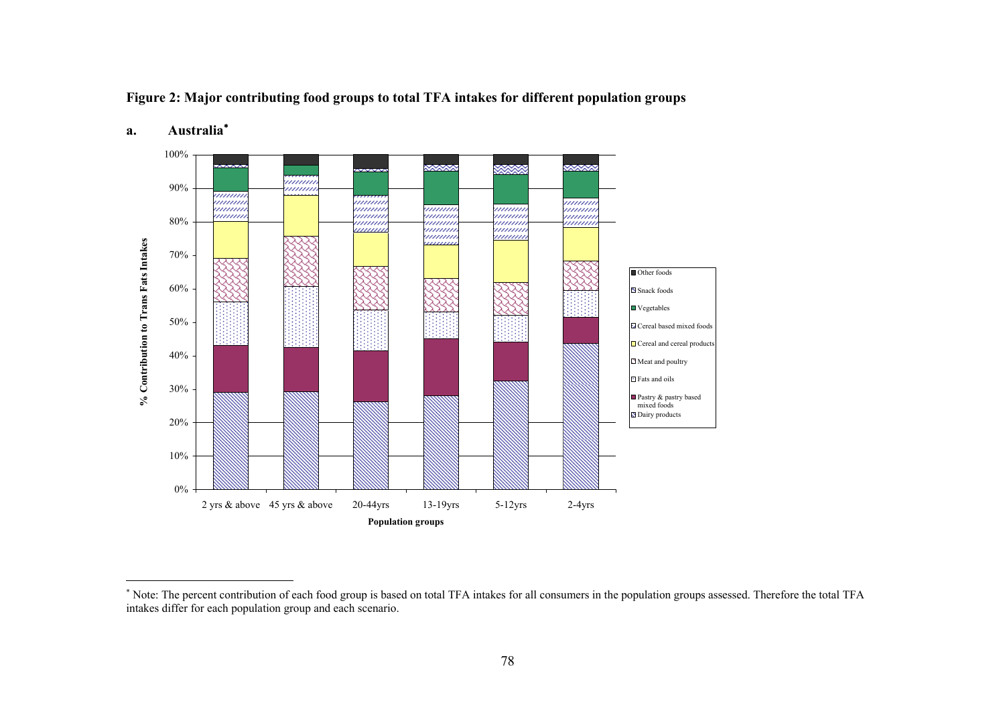**Figure 2: Major contributing food groups to total TFA intakes for different population groups** 



# **a. Australia**<sup>∗</sup>

<sup>∗</sup> Note: The percent contribution of each food group is based on total TFA intakes for all consumers in the population groups assessed. Therefore the total TFA intakes differ for each population group and each scenario.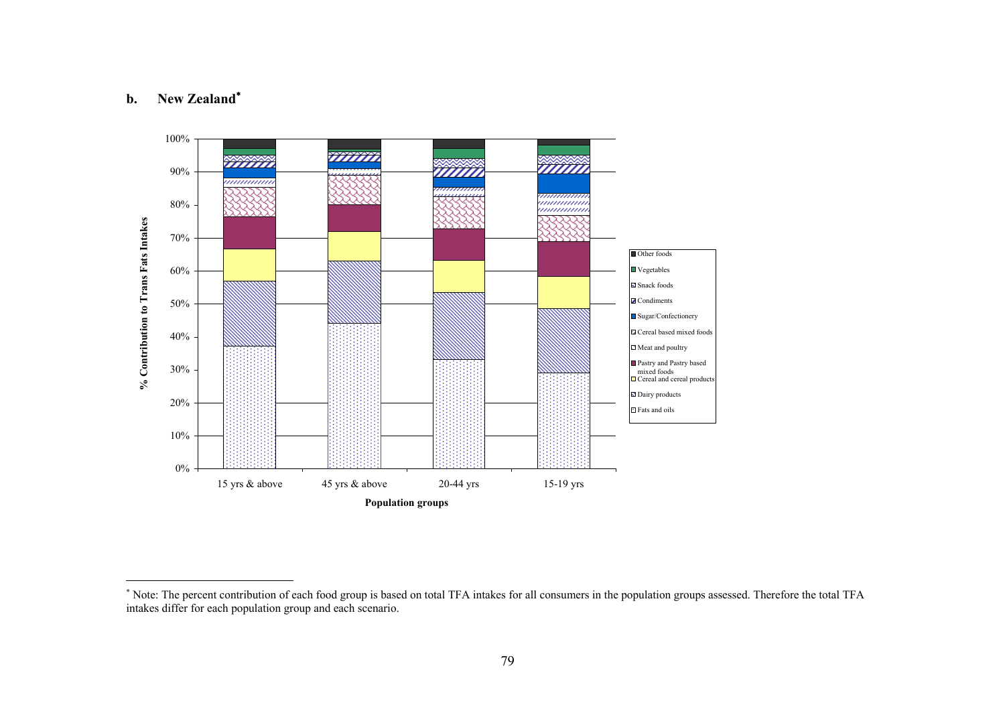#### **b.New Zealand**<sup>∗</sup>



<sup>∗</sup> Note: The percent contribution of each food group is based on total TFA intakes for all consumers in the population groups assessed. Therefore the total TFA intakes differ for each population group and each scenario.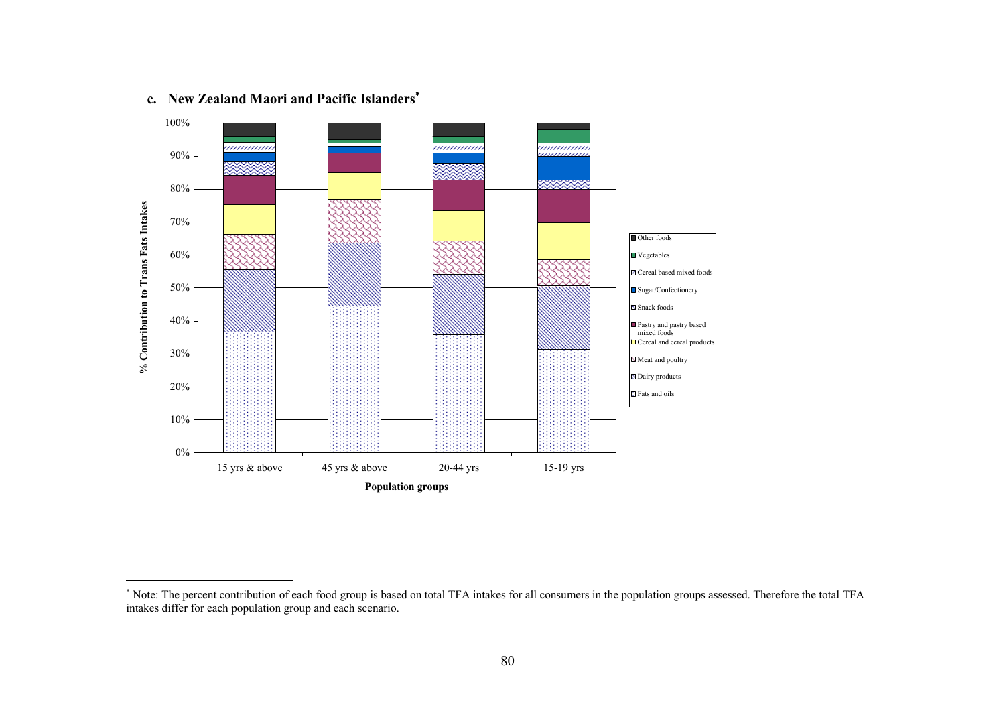

#### **c. New Zealand Maori and Pacific Islanders**<sup>∗</sup>

<sup>∗</sup> Note: The percent contribution of each food group is based on total TFA intakes for all consumers in the population groups assessed. Therefore the total TFA intakes differ for each population group and each scenario.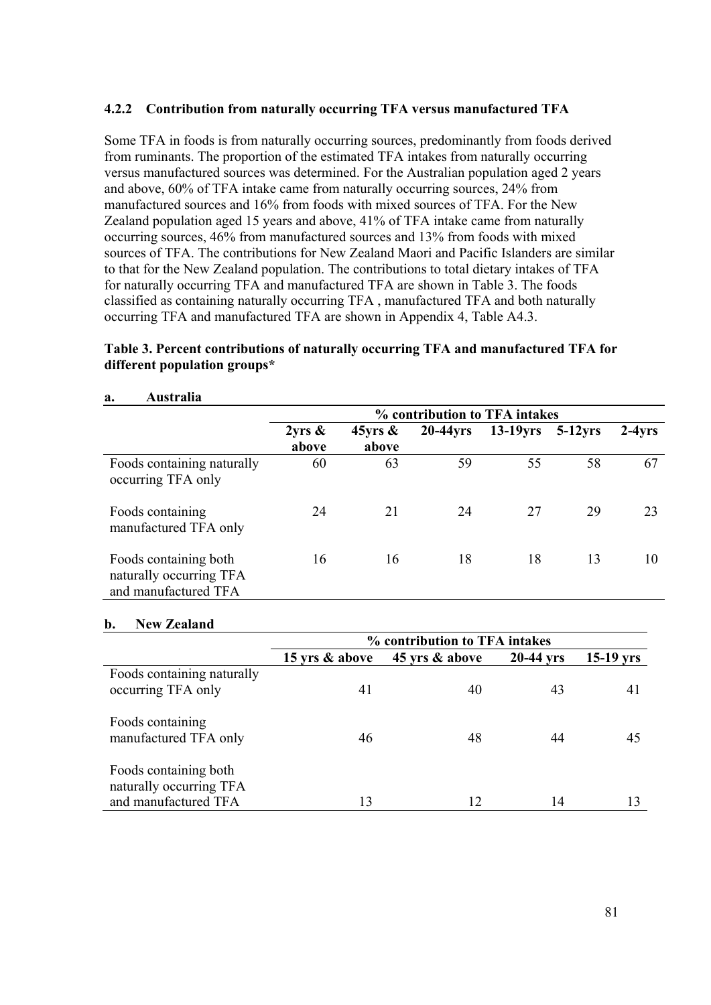# **4.2.2 Contribution from naturally occurring TFA versus manufactured TFA**

Some TFA in foods is from naturally occurring sources, predominantly from foods derived from ruminants. The proportion of the estimated TFA intakes from naturally occurring versus manufactured sources was determined. For the Australian population aged 2 years and above, 60% of TFA intake came from naturally occurring sources, 24% from manufactured sources and 16% from foods with mixed sources of TFA. For the New Zealand population aged 15 years and above, 41% of TFA intake came from naturally occurring sources, 46% from manufactured sources and 13% from foods with mixed sources of TFA. The contributions for New Zealand Maori and Pacific Islanders are similar to that for the New Zealand population. The contributions to total dietary intakes of TFA for naturally occurring TFA and manufactured TFA are shown in Table 3. The foods classified as containing naturally occurring TFA , manufactured TFA and both naturally occurring TFA and manufactured TFA are shown in Appendix 4, Table A4.3.

# **Table 3. Percent contributions of naturally occurring TFA and manufactured TFA for different population groups\***

|                                                                          | % contribution to TFA intakes |                        |             |             |            |            |
|--------------------------------------------------------------------------|-------------------------------|------------------------|-------------|-------------|------------|------------|
|                                                                          | $2yrs \&$<br>above            | $45$ vrs $\&$<br>above | $20-44$ yrs | $13-19$ vrs | $5-12$ vrs | $2-4\nyrs$ |
| Foods containing naturally<br>occurring TFA only                         | 60                            | 63                     | 59          | 55          | 58         | 67         |
| Foods containing<br>manufactured TFA only                                | 24                            | 21                     | 24          | 27          | 29         | 23         |
| Foods containing both<br>naturally occurring TFA<br>and manufactured TFA | 16                            | 16                     | 18          | 18          | 13         | 10         |

#### **a. Australia**

# **b. New Zealand**

|                                                  | % contribution to TFA intakes |                |           |             |  |  |
|--------------------------------------------------|-------------------------------|----------------|-----------|-------------|--|--|
|                                                  | 15 yrs & above                | 45 yrs & above | 20-44 yrs | $15-19$ yrs |  |  |
| Foods containing naturally<br>occurring TFA only | 41                            | 40             | 43        | 41          |  |  |
| Foods containing<br>manufactured TFA only        | 46                            | 48             | 44        | 45          |  |  |
| Foods containing both<br>naturally occurring TFA |                               |                |           |             |  |  |
| and manufactured TFA                             | 13                            | 12             | 14        |             |  |  |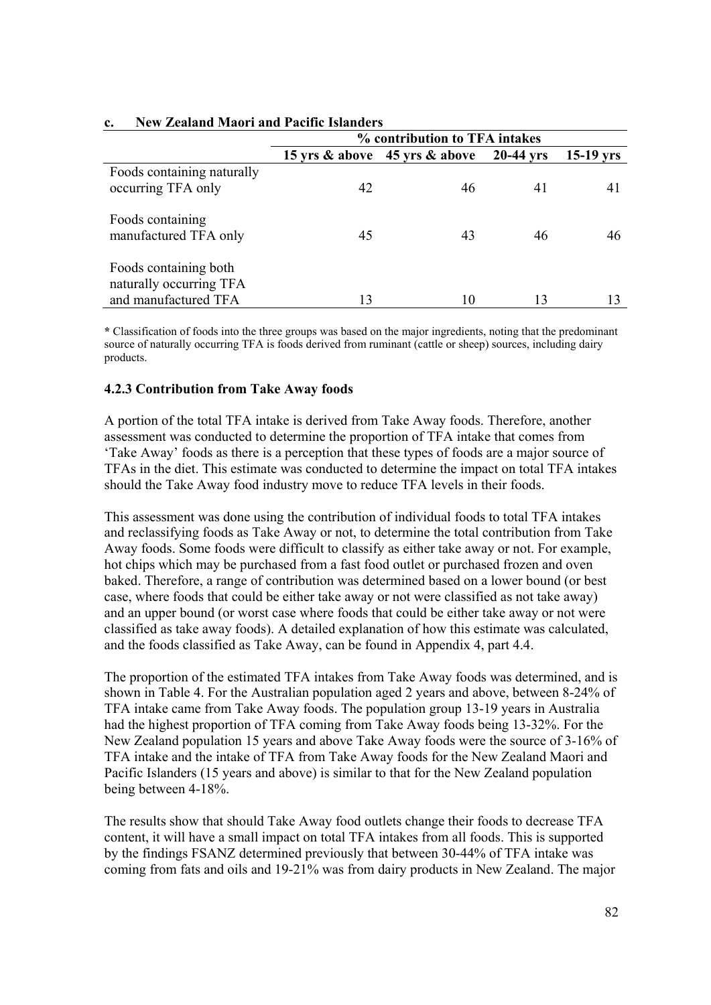|                                                  | % contribution to TFA intakes |                                     |             |             |  |  |
|--------------------------------------------------|-------------------------------|-------------------------------------|-------------|-------------|--|--|
|                                                  |                               | 15 yrs $\&$ above 45 yrs $\&$ above | $20-44$ yrs | $15-19$ yrs |  |  |
| Foods containing naturally                       |                               |                                     |             |             |  |  |
| occurring TFA only                               | 42                            | 46                                  | 41          | 41          |  |  |
| Foods containing<br>manufactured TFA only        | 45                            | 43                                  | 46          | 46          |  |  |
| Foods containing both<br>naturally occurring TFA |                               |                                     |             |             |  |  |
| and manufactured TFA                             | 13                            | 10                                  | 13          |             |  |  |

# **c. New Zealand Maori and Pacific Islanders**

**\*** Classification of foods into the three groups was based on the major ingredients, noting that the predominant source of naturally occurring TFA is foods derived from ruminant (cattle or sheep) sources, including dairy products.

# **4.2.3 Contribution from Take Away foods**

A portion of the total TFA intake is derived from Take Away foods. Therefore, another assessment was conducted to determine the proportion of TFA intake that comes from 'Take Away' foods as there is a perception that these types of foods are a major source of TFAs in the diet. This estimate was conducted to determine the impact on total TFA intakes should the Take Away food industry move to reduce TFA levels in their foods.

This assessment was done using the contribution of individual foods to total TFA intakes and reclassifying foods as Take Away or not, to determine the total contribution from Take Away foods. Some foods were difficult to classify as either take away or not. For example, hot chips which may be purchased from a fast food outlet or purchased frozen and oven baked. Therefore, a range of contribution was determined based on a lower bound (or best case, where foods that could be either take away or not were classified as not take away) and an upper bound (or worst case where foods that could be either take away or not were classified as take away foods). A detailed explanation of how this estimate was calculated, and the foods classified as Take Away, can be found in Appendix 4, part 4.4.

The proportion of the estimated TFA intakes from Take Away foods was determined, and is shown in Table 4. For the Australian population aged 2 years and above, between 8-24% of TFA intake came from Take Away foods. The population group 13-19 years in Australia had the highest proportion of TFA coming from Take Away foods being 13-32%. For the New Zealand population 15 years and above Take Away foods were the source of 3-16% of TFA intake and the intake of TFA from Take Away foods for the New Zealand Maori and Pacific Islanders (15 years and above) is similar to that for the New Zealand population being between 4-18%.

The results show that should Take Away food outlets change their foods to decrease TFA content, it will have a small impact on total TFA intakes from all foods. This is supported by the findings FSANZ determined previously that between 30-44% of TFA intake was coming from fats and oils and 19-21% was from dairy products in New Zealand. The major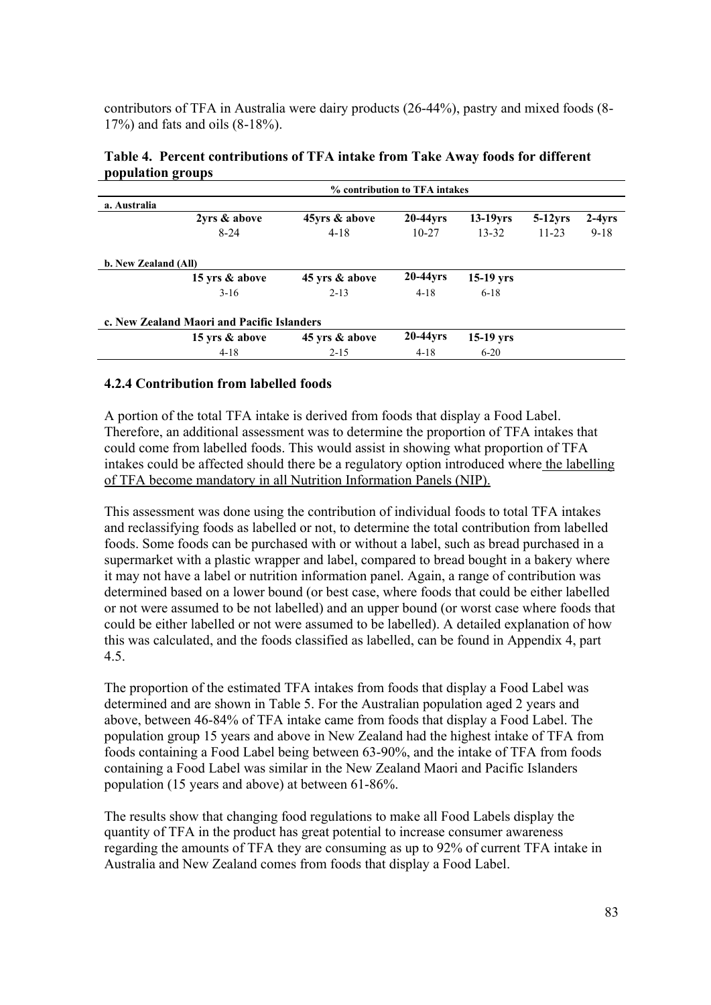contributors of TFA in Australia were dairy products (26-44%), pastry and mixed foods (8- 17%) and fats and oils (8-18%).

| Table 4. Percent contributions of TFA intake from Take Away foods for different |  |
|---------------------------------------------------------------------------------|--|
| population groups                                                               |  |
|                                                                                 |  |

|                                            | % contribution to TFA intakes |                |             |             |            |          |  |  |  |  |  |  |  |  |
|--------------------------------------------|-------------------------------|----------------|-------------|-------------|------------|----------|--|--|--|--|--|--|--|--|
| a. Australia                               |                               |                |             |             |            |          |  |  |  |  |  |  |  |  |
|                                            | 2yrs & above                  | 45yrs & above  | 20-44yrs    | $13-19yrs$  | $5-12$ yrs | $2-4yrs$ |  |  |  |  |  |  |  |  |
|                                            | $8 - 24$                      | $4 - 18$       | $10 - 27$   | $13 - 32$   | $11 - 23$  | $9 - 18$ |  |  |  |  |  |  |  |  |
| b. New Zealand (All)                       |                               |                |             |             |            |          |  |  |  |  |  |  |  |  |
|                                            | 15 yrs & above                | 45 yrs & above | $20-44$ yrs | $15-19$ yrs |            |          |  |  |  |  |  |  |  |  |
|                                            | $3 - 16$                      | $2 - 13$       | $4 - 18$    | $6 - 18$    |            |          |  |  |  |  |  |  |  |  |
| c. New Zealand Maori and Pacific Islanders |                               |                |             |             |            |          |  |  |  |  |  |  |  |  |
|                                            | 15 yrs & above                | 45 yrs & above | $20-44$ yrs | $15-19$ yrs |            |          |  |  |  |  |  |  |  |  |
|                                            | $4 - 18$                      | $2 - 15$       | $4 - 18$    | $6 - 20$    |            |          |  |  |  |  |  |  |  |  |

# **4.2.4 Contribution from labelled foods**

A portion of the total TFA intake is derived from foods that display a Food Label. Therefore, an additional assessment was to determine the proportion of TFA intakes that could come from labelled foods. This would assist in showing what proportion of TFA intakes could be affected should there be a regulatory option introduced where the labelling of TFA become mandatory in all Nutrition Information Panels (NIP).

This assessment was done using the contribution of individual foods to total TFA intakes and reclassifying foods as labelled or not, to determine the total contribution from labelled foods. Some foods can be purchased with or without a label, such as bread purchased in a supermarket with a plastic wrapper and label, compared to bread bought in a bakery where it may not have a label or nutrition information panel. Again, a range of contribution was determined based on a lower bound (or best case, where foods that could be either labelled or not were assumed to be not labelled) and an upper bound (or worst case where foods that could be either labelled or not were assumed to be labelled). A detailed explanation of how this was calculated, and the foods classified as labelled, can be found in Appendix 4, part 4.5.

The proportion of the estimated TFA intakes from foods that display a Food Label was determined and are shown in Table 5. For the Australian population aged 2 years and above, between 46-84% of TFA intake came from foods that display a Food Label. The population group 15 years and above in New Zealand had the highest intake of TFA from foods containing a Food Label being between 63-90%, and the intake of TFA from foods containing a Food Label was similar in the New Zealand Maori and Pacific Islanders population (15 years and above) at between 61-86%.

The results show that changing food regulations to make all Food Labels display the quantity of TFA in the product has great potential to increase consumer awareness regarding the amounts of TFA they are consuming as up to 92% of current TFA intake in Australia and New Zealand comes from foods that display a Food Label.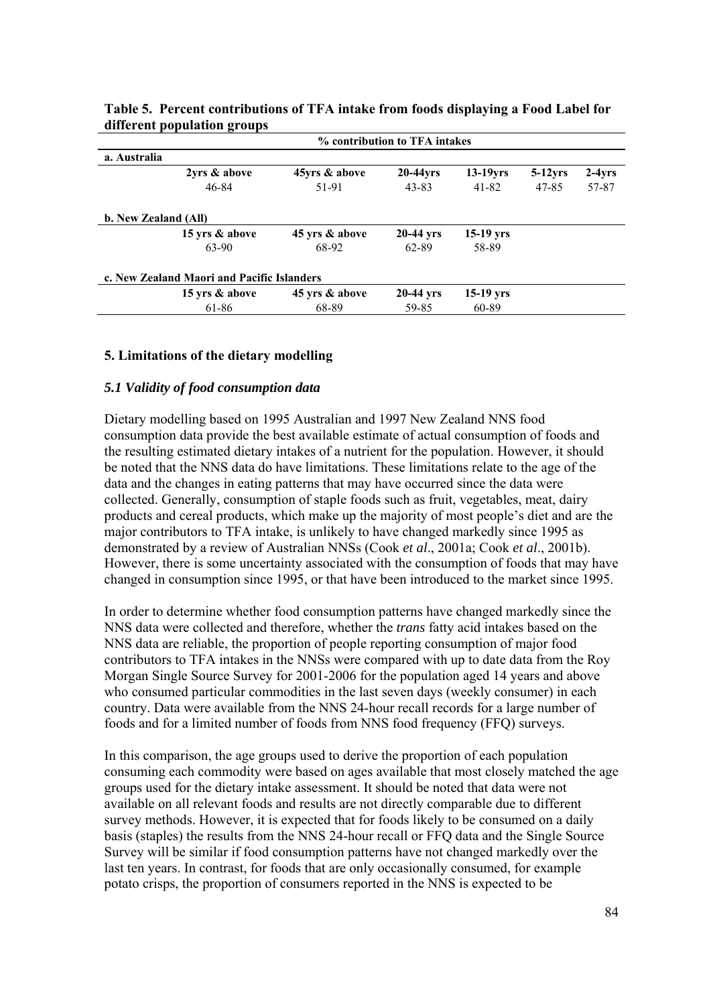|                                            | % contribution to TFA intakes |                |             |             |            |          |  |  |  |  |  |  |  |  |
|--------------------------------------------|-------------------------------|----------------|-------------|-------------|------------|----------|--|--|--|--|--|--|--|--|
| a. Australia                               |                               |                |             |             |            |          |  |  |  |  |  |  |  |  |
|                                            | 2yrs & above                  | 45yrs & above  | 20-44yrs    | $13-19$ yrs | $5-12$ yrs | $2-4yrs$ |  |  |  |  |  |  |  |  |
|                                            | 46-84                         | 51-91          | 43-83       | 41-82       | 47-85      | 57-87    |  |  |  |  |  |  |  |  |
| b. New Zealand (All)                       |                               |                |             |             |            |          |  |  |  |  |  |  |  |  |
|                                            | 15 yrs & above                | 45 yrs & above | $20-44$ yrs | $15-19$ yrs |            |          |  |  |  |  |  |  |  |  |
|                                            | 63-90                         | 68-92          | 62-89       | 58-89       |            |          |  |  |  |  |  |  |  |  |
| c. New Zealand Maori and Pacific Islanders |                               |                |             |             |            |          |  |  |  |  |  |  |  |  |
|                                            | 15 yrs & above                | 45 yrs & above | $20-44$ yrs | $15-19$ yrs |            |          |  |  |  |  |  |  |  |  |
|                                            | 61-86                         | 68-89          | 59-85       | 60-89       |            |          |  |  |  |  |  |  |  |  |

| Table 5. Percent contributions of TFA intake from foods displaying a Food Label for |  |  |
|-------------------------------------------------------------------------------------|--|--|
| different population groups                                                         |  |  |

# **5. Limitations of the dietary modelling**

### *5.1 Validity of food consumption data*

Dietary modelling based on 1995 Australian and 1997 New Zealand NNS food consumption data provide the best available estimate of actual consumption of foods and the resulting estimated dietary intakes of a nutrient for the population. However, it should be noted that the NNS data do have limitations. These limitations relate to the age of the data and the changes in eating patterns that may have occurred since the data were collected. Generally, consumption of staple foods such as fruit, vegetables, meat, dairy products and cereal products, which make up the majority of most people's diet and are the major contributors to TFA intake, is unlikely to have changed markedly since 1995 as demonstrated by a review of Australian NNSs (Cook *et al*., 2001a; Cook *et al*., 2001b). However, there is some uncertainty associated with the consumption of foods that may have changed in consumption since 1995, or that have been introduced to the market since 1995.

In order to determine whether food consumption patterns have changed markedly since the NNS data were collected and therefore, whether the *trans* fatty acid intakes based on the NNS data are reliable, the proportion of people reporting consumption of major food contributors to TFA intakes in the NNSs were compared with up to date data from the Roy Morgan Single Source Survey for 2001-2006 for the population aged 14 years and above who consumed particular commodities in the last seven days (weekly consumer) in each country. Data were available from the NNS 24-hour recall records for a large number of foods and for a limited number of foods from NNS food frequency (FFQ) surveys.

In this comparison, the age groups used to derive the proportion of each population consuming each commodity were based on ages available that most closely matched the age groups used for the dietary intake assessment. It should be noted that data were not available on all relevant foods and results are not directly comparable due to different survey methods. However, it is expected that for foods likely to be consumed on a daily basis (staples) the results from the NNS 24-hour recall or FFQ data and the Single Source Survey will be similar if food consumption patterns have not changed markedly over the last ten years. In contrast, for foods that are only occasionally consumed, for example potato crisps, the proportion of consumers reported in the NNS is expected to be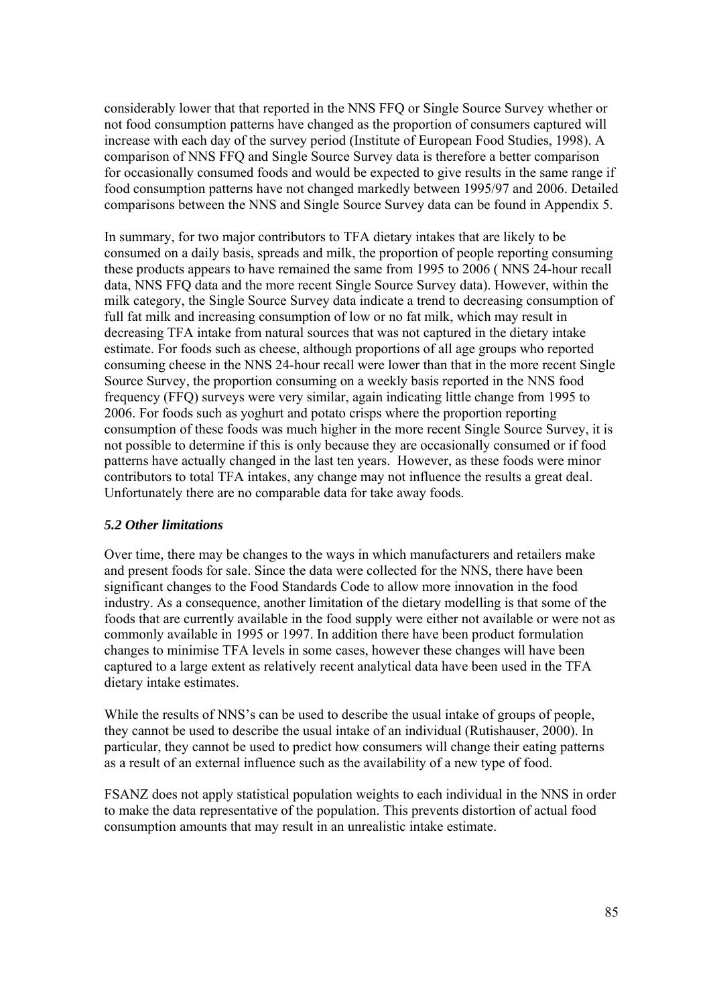considerably lower that that reported in the NNS FFQ or Single Source Survey whether or not food consumption patterns have changed as the proportion of consumers captured will increase with each day of the survey period (Institute of European Food Studies, 1998). A comparison of NNS FFQ and Single Source Survey data is therefore a better comparison for occasionally consumed foods and would be expected to give results in the same range if food consumption patterns have not changed markedly between 1995/97 and 2006. Detailed comparisons between the NNS and Single Source Survey data can be found in Appendix 5.

In summary, for two major contributors to TFA dietary intakes that are likely to be consumed on a daily basis, spreads and milk, the proportion of people reporting consuming these products appears to have remained the same from 1995 to 2006 ( NNS 24-hour recall data, NNS FFQ data and the more recent Single Source Survey data). However, within the milk category, the Single Source Survey data indicate a trend to decreasing consumption of full fat milk and increasing consumption of low or no fat milk, which may result in decreasing TFA intake from natural sources that was not captured in the dietary intake estimate. For foods such as cheese, although proportions of all age groups who reported consuming cheese in the NNS 24-hour recall were lower than that in the more recent Single Source Survey, the proportion consuming on a weekly basis reported in the NNS food frequency (FFQ) surveys were very similar, again indicating little change from 1995 to 2006. For foods such as yoghurt and potato crisps where the proportion reporting consumption of these foods was much higher in the more recent Single Source Survey, it is not possible to determine if this is only because they are occasionally consumed or if food patterns have actually changed in the last ten years. However, as these foods were minor contributors to total TFA intakes, any change may not influence the results a great deal. Unfortunately there are no comparable data for take away foods.

# *5.2 Other limitations*

Over time, there may be changes to the ways in which manufacturers and retailers make and present foods for sale. Since the data were collected for the NNS, there have been significant changes to the Food Standards Code to allow more innovation in the food industry. As a consequence, another limitation of the dietary modelling is that some of the foods that are currently available in the food supply were either not available or were not as commonly available in 1995 or 1997. In addition there have been product formulation changes to minimise TFA levels in some cases, however these changes will have been captured to a large extent as relatively recent analytical data have been used in the TFA dietary intake estimates.

While the results of NNS's can be used to describe the usual intake of groups of people, they cannot be used to describe the usual intake of an individual (Rutishauser, 2000). In particular, they cannot be used to predict how consumers will change their eating patterns as a result of an external influence such as the availability of a new type of food.

FSANZ does not apply statistical population weights to each individual in the NNS in order to make the data representative of the population. This prevents distortion of actual food consumption amounts that may result in an unrealistic intake estimate.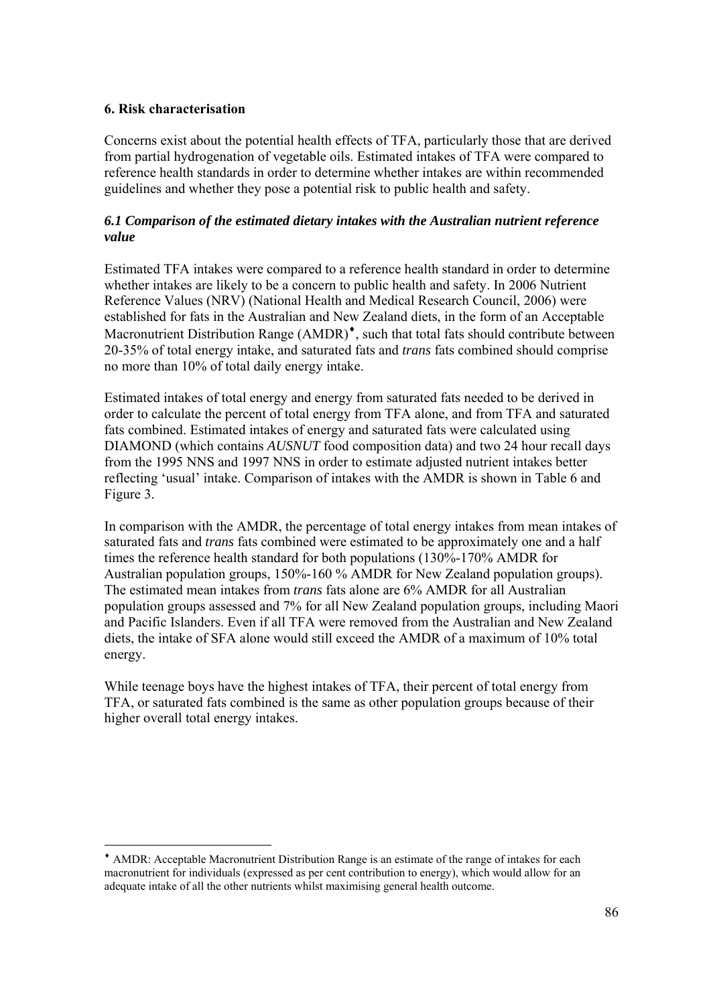# **6. Risk characterisation**

-

Concerns exist about the potential health effects of TFA, particularly those that are derived from partial hydrogenation of vegetable oils. Estimated intakes of TFA were compared to reference health standards in order to determine whether intakes are within recommended guidelines and whether they pose a potential risk to public health and safety.

# *6.1 Comparison of the estimated dietary intakes with the Australian nutrient reference value*

Estimated TFA intakes were compared to a reference health standard in order to determine whether intakes are likely to be a concern to public health and safety. In 2006 Nutrient Reference Values (NRV) (National Health and Medical Research Council, 2006) were established for fats in the Australian and New Zealand diets, in the form of an Acceptable Macronutrient Distribution Range (AMDR)<sup> $\bullet$ </sup>, such that total fats should contribute between 20-35% of total energy intake, and saturated fats and *trans* fats combined should comprise no more than 10% of total daily energy intake.

Estimated intakes of total energy and energy from saturated fats needed to be derived in order to calculate the percent of total energy from TFA alone, and from TFA and saturated fats combined. Estimated intakes of energy and saturated fats were calculated using DIAMOND (which contains *AUSNUT* food composition data) and two 24 hour recall days from the 1995 NNS and 1997 NNS in order to estimate adjusted nutrient intakes better reflecting 'usual' intake. Comparison of intakes with the AMDR is shown in Table 6 and Figure 3.

In comparison with the AMDR, the percentage of total energy intakes from mean intakes of saturated fats and *trans* fats combined were estimated to be approximately one and a half times the reference health standard for both populations (130%-170% AMDR for Australian population groups, 150%-160 % AMDR for New Zealand population groups). The estimated mean intakes from *trans* fats alone are 6% AMDR for all Australian population groups assessed and 7% for all New Zealand population groups, including Maori and Pacific Islanders. Even if all TFA were removed from the Australian and New Zealand diets, the intake of SFA alone would still exceed the AMDR of a maximum of 10% total energy.

While teenage boys have the highest intakes of TFA, their percent of total energy from TFA, or saturated fats combined is the same as other population groups because of their higher overall total energy intakes.

<sup>♦</sup> AMDR: Acceptable Macronutrient Distribution Range is an estimate of the range of intakes for each macronutrient for individuals (expressed as per cent contribution to energy), which would allow for an adequate intake of all the other nutrients whilst maximising general health outcome.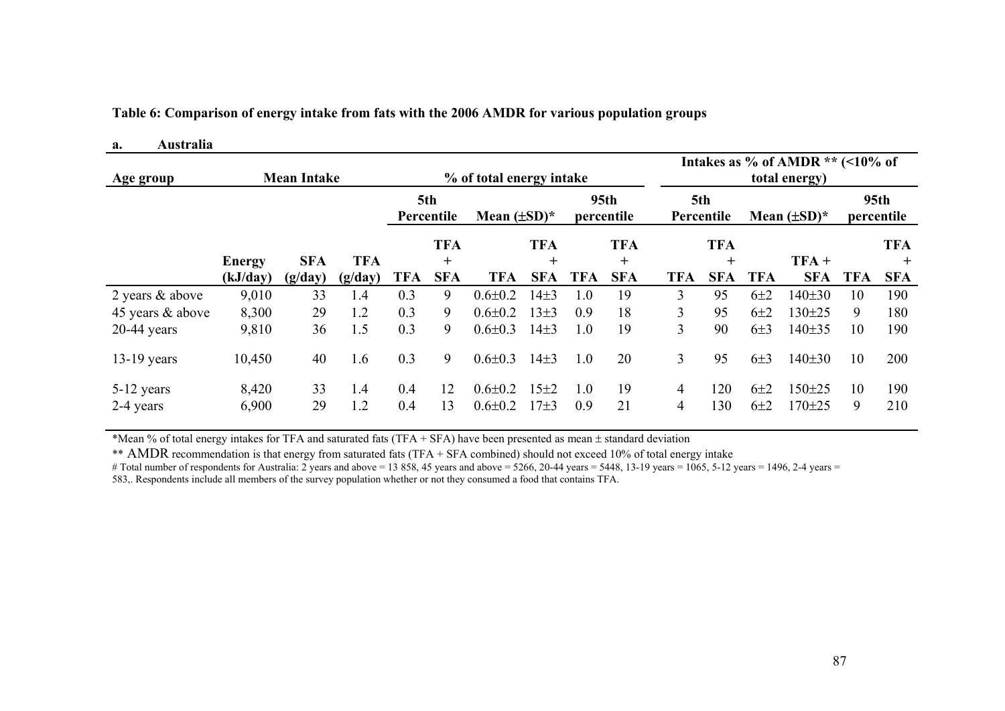**Table 6: Comparison of energy intake from fats with the 2006 AMDR for various population groups** 

#### **a. Australia**

| Age group        |               | <b>Mean Intake</b> |            |                   |                     | % of total energy intake |                     |                                |                      | Intakes as % of AMDR $**$ (<10% of<br>total energy) |                     |                   |            |                                |                      |  |
|------------------|---------------|--------------------|------------|-------------------|---------------------|--------------------------|---------------------|--------------------------------|----------------------|-----------------------------------------------------|---------------------|-------------------|------------|--------------------------------|----------------------|--|
|                  |               |                    |            | 5th<br>Percentile |                     | Mean $(\pm SD)^*$        |                     | 95 <sub>th</sub><br>percentile |                      | 5th<br>Percentile                                   |                     | Mean $(\pm SD)^*$ |            | 95 <sub>th</sub><br>percentile |                      |  |
|                  | <b>Energy</b> | <b>SFA</b>         | <b>TFA</b> |                   | <b>TFA</b><br>$\pm$ |                          | <b>TFA</b><br>$\pm$ |                                | <b>TFA</b><br>$^{+}$ |                                                     | <b>TFA</b><br>$\pm$ |                   | $TFA +$    |                                | <b>TFA</b><br>$^{+}$ |  |
|                  | (kJ/day)      | (g/day)            | (g/day)    | TFA               | <b>SFA</b>          | TFA                      | <b>SFA</b>          | <b>TFA</b>                     | <b>SFA</b>           | <b>TFA</b>                                          | <b>SFA</b>          | <b>TFA</b>        | <b>SFA</b> | <b>TFA</b>                     | <b>SFA</b>           |  |
| 2 years & above  | 9,010         | 33                 | 1.4        | 0.3               | 9                   | $0.6 \pm 0.2$            | $14\pm3$            | 1.0                            | 19                   | 3                                                   | 95                  | $6\pm2$           | 140±30     | 10                             | 190                  |  |
| 45 years & above | 8,300         | 29                 | 1.2        | 0.3               | 9                   | $0.6 \pm 0.2$            | $13\pm3$            | 0.9                            | 18                   | 3                                                   | 95                  | $6\pm2$           | 130±25     | 9                              | 180                  |  |
| $20-44$ years    | 9,810         | 36                 | 1.5        | 0.3               | 9                   | $0.6 \pm 0.3$            | $14\pm3$            | 1.0                            | 19                   | $\mathcal{F}$                                       | 90                  | 6±3               | 140±35     | 10                             | 190                  |  |
| $13-19$ years    | 10,450        | 40                 | 1.6        | 0.3               | 9                   | $0.6 \pm 0.3$            | $14\pm3$            | 1.0                            | 20                   | 3                                                   | 95                  | $6\pm3$           | 140±30     | 10                             | 200                  |  |
| 5-12 years       | 8,420         | 33                 | 1.4        | 0.4               | 12                  | $0.6 \pm 0.2$            | $15+2$              | 1.0                            | 19                   | 4                                                   | 120                 | 6±2               | $150 + 25$ | 10                             | 190                  |  |
| 2-4 years        | 6,900         | 29                 | 1.2        | 0.4               | 13                  | $0.6 \pm 0.2$            | $17 + 3$            | 0.9                            | 21                   | 4                                                   | 130                 | $6\pm2$           | $170 + 25$ | 9                              | 210                  |  |

\*Mean % of total energy intakes for TFA and saturated fats (TFA + SFA) have been presented as mean ± standard deviation

\*\* AMDR recommendation is that energy from saturated fats (TFA + SFA combined) should not exceed 10% of total energy intake

# Total number of respondents for Australia: 2 years and above = 13 858, 45 years and above = 5266, 20-44 years = 5448, 13-19 years = 1065, 5-12 years = 1496, 2-4 years =

583,. Respondents include all members of the survey population whether or not they consumed a food that contains TFA.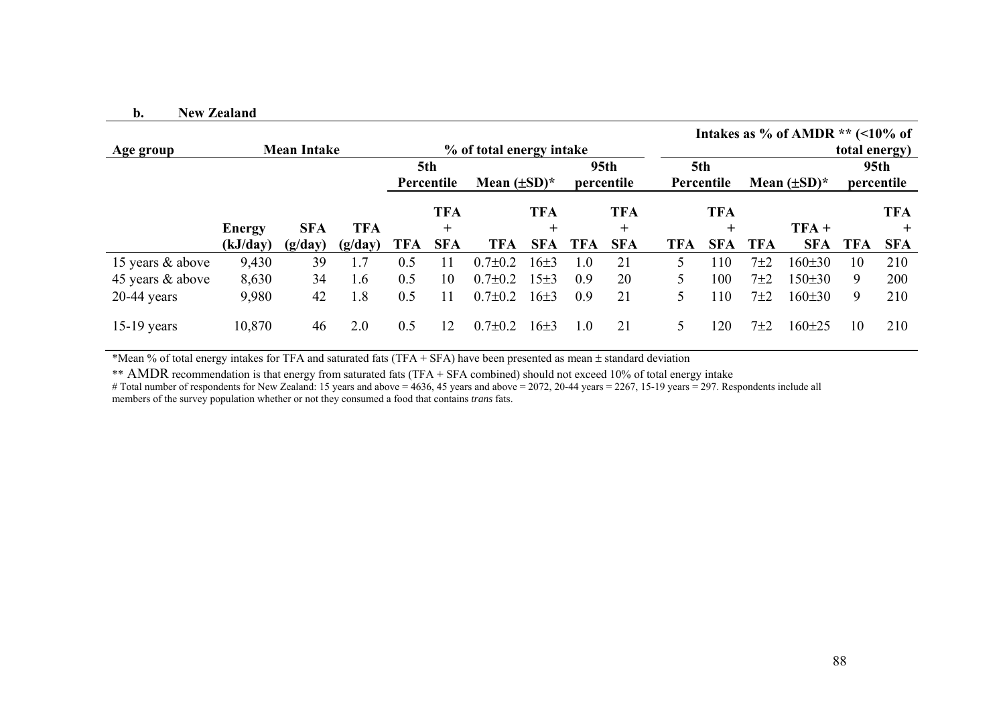#### **b.New Zealand**

|                  |          |                    |            |     |                   |                                         |            |     |                   |               |                   |       | Intakes as % of AMDR $**$ (<10% of |               |            |
|------------------|----------|--------------------|------------|-----|-------------------|-----------------------------------------|------------|-----|-------------------|---------------|-------------------|-------|------------------------------------|---------------|------------|
| Age group        |          | <b>Mean Intake</b> |            |     |                   | % of total energy intake                |            |     |                   |               |                   |       |                                    | total energy) |            |
|                  |          |                    |            |     | 5th<br>Percentile | 95th<br>Mean $(\pm SD)^*$<br>percentile |            |     | 5th<br>Percentile |               | Mean $(\pm SD)^*$ |       | 95th<br>percentile                 |               |            |
|                  |          |                    |            |     | <b>TFA</b>        |                                         | <b>TFA</b> |     | <b>TFA</b>        |               | <b>TFA</b>        |       |                                    |               | <b>TFA</b> |
|                  | Energy   | <b>SFA</b>         | <b>TFA</b> |     | $\pm$             |                                         | $\pm$      |     | $\pm$             |               | $\pm$             |       | $TFA +$                            |               | $^{+}$     |
|                  | (kJ/day) | (g/day)            | (g/day)    | TFA | <b>SFA</b>        | <b>TFA</b>                              | <b>SFA</b> | TFA | <b>SFA</b>        | <b>TFA</b>    | <b>SFA</b>        | TFA   | <b>SFA</b>                         | <b>TFA</b>    | <b>SFA</b> |
| 15 years & above | 9,430    | 39                 | 1.7        | 0.5 |                   | $0.7 \pm 0.2$                           | $16\pm3$   | 1.0 | 21                | 5.            | 110               | $7+2$ | $160 \pm 30$                       | 10            | 210        |
| 45 years & above | 8,630    | 34                 | 1.6        | 0.5 | 10                | $0.7 \pm 0.2$                           | $15\pm3$   | 0.9 | 20                |               | 100               | 7±2   | $150 \pm 30$                       | 9             | <b>200</b> |
| $20-44$ years    | 9,980    | 42                 | 1.8        | 0.5 | 11                | $0.7 \pm 0.2$                           | $16\pm3$   | 0.9 | 21                |               | 110               | 7±2   | $160 \pm 30$                       | 9             | 210        |
| $15-19$ years    | 10,870   | 46                 | 2.0        | 0.5 | 12                | $0.7 \pm 0.2$                           | $16\pm3$   | 1.0 | 21                | $\mathcal{L}$ | 120               | 7±2   | $160 \pm 25$                       | 10            | 210        |

\*Mean % of total energy intakes for TFA and saturated fats (TFA + SFA) have been presented as mean ± standard deviation

\*\* AMDR recommendation is that energy from saturated fats (TFA + SFA combined) should not exceed 10% of total energy intake

# Total number of respondents for New Zealand: 15 years and above = 4636, 45 years and above = 2072, 20-44 years = 2267, 15-19 years = 297. Respondents include all members of the survey population whether or not they consumed a food that contains *trans* fats.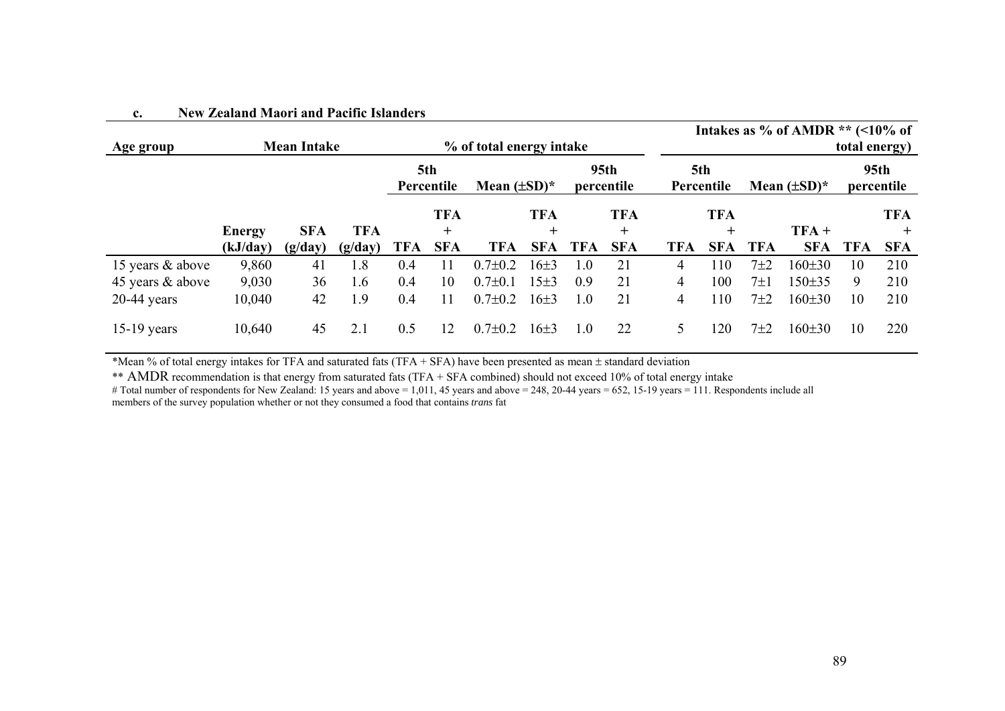| Age group        |          | <b>Mean Intake</b> |            |                   |            | % of total energy intake |            | Intakes as % of AMDR $**$ (<10% of<br>total energy) |            |                   |            |                   |              |                                |            |
|------------------|----------|--------------------|------------|-------------------|------------|--------------------------|------------|-----------------------------------------------------|------------|-------------------|------------|-------------------|--------------|--------------------------------|------------|
|                  |          |                    |            | 5th<br>Percentile |            | Mean $(\pm SD)^*$        |            | 95 <sub>th</sub><br>percentile                      |            | 5th<br>Percentile |            | Mean $(\pm SD)^*$ |              | 95 <sub>th</sub><br>percentile |            |
|                  |          |                    |            |                   | <b>TFA</b> |                          | <b>TFA</b> |                                                     | <b>TFA</b> |                   | <b>TFA</b> |                   |              |                                | <b>TFA</b> |
|                  | Energy   | <b>SFA</b>         | <b>TFA</b> |                   | $\pm$      |                          | $\pm$      |                                                     | $\div$     |                   | $+$        |                   | $TFA +$      |                                | $\pm$      |
|                  | (kJ/day) | (g/day)            | (g/day)    | TFA               | <b>SFA</b> | <b>TFA</b>               | <b>SFA</b> | <b>TFA</b>                                          | <b>SFA</b> | <b>TFA</b>        | <b>SFA</b> | <b>TFA</b>        | <b>SFA</b>   | <b>TFA</b>                     | <b>SFA</b> |
| 15 years & above | 9,860    | 41                 | 1.8        | 0.4               | 11         | $0.7 \pm 0.2$            | $16+3$     | 1.0                                                 | 21         | 4                 | 110        | $7\pm2$           | $160 \pm 30$ | 10                             | 210        |
| 45 years & above | 9,030    | 36                 | 1.6        | 0.4               | 10         | $0.7 \pm 0.1$            | $15\pm3$   | 0.9                                                 | 21         | 4                 | 100        | 7±1               | $150 \pm 35$ | 9                              | 210        |
| $20-44$ years    | 10,040   | 42                 | 1.9        | 0.4               | 11         | $0.7 \pm 0.2$            | $16\pm3$   | 1.0                                                 | 21         | 4                 | 110        | 7±2               | $160 \pm 30$ | 10                             | 210        |
| $15-19$ years    | 10,640   | 45                 | 2.1        | 0.5               | 12         | $0.7 \pm 0.2$            | $16+3$     | 1.0                                                 | 22         | 5                 | 20         | $7+2$             | $160 \pm 30$ | 10                             | 220        |

#### **c.New Zealand Maori and Pacific Islanders**

\*Mean % of total energy intakes for TFA and saturated fats (TFA + SFA) have been presented as mean ± standard deviation

\*\* AMDR recommendation is that energy from saturated fats (TFA + SFA combined) should not exceed 10% of total energy intake

# Total number of respondents for New Zealand: 15 years and above = 1,011, 45 years and above = 248, 20-44 years = 652, 15-19 years = 111. Respondents include all members of the survey population whether or not they consumed a food that contains *trans* fat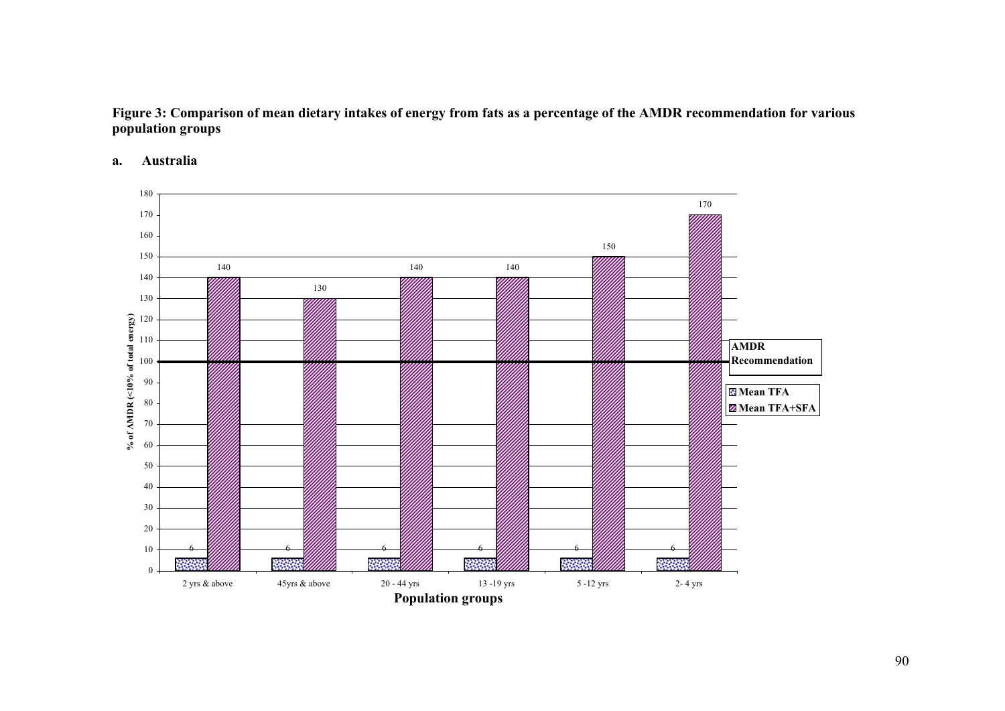### **Figure 3: Comparison of mean dietary intakes of energy from fats as a percentage of the AMDR recommendation for various population groups**

**a.Australia** 

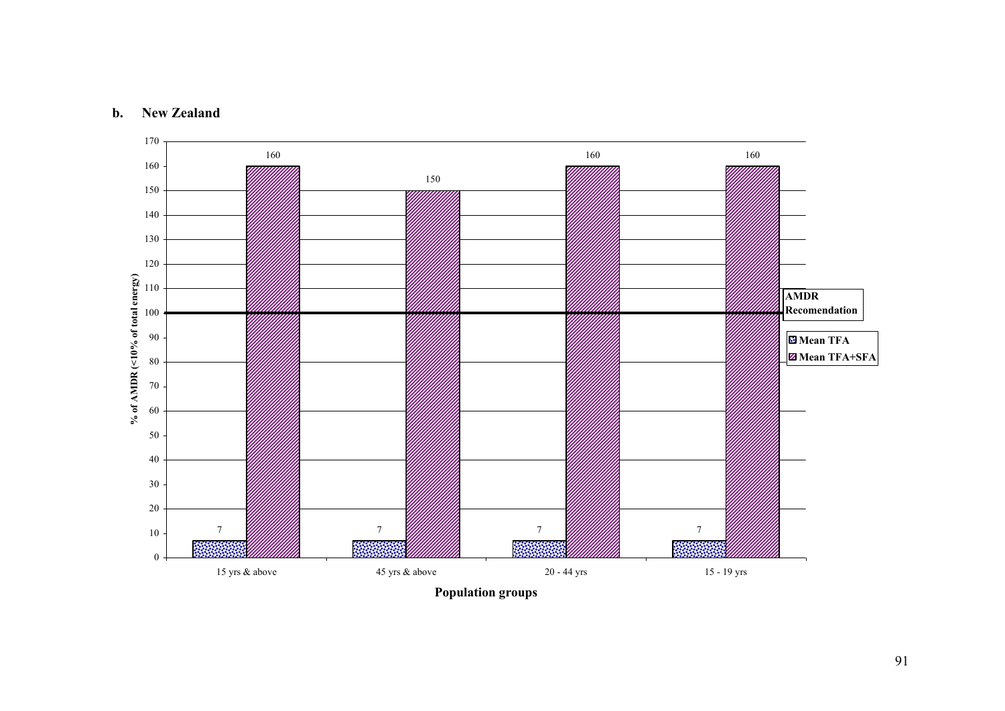#### **b.New Zealand**

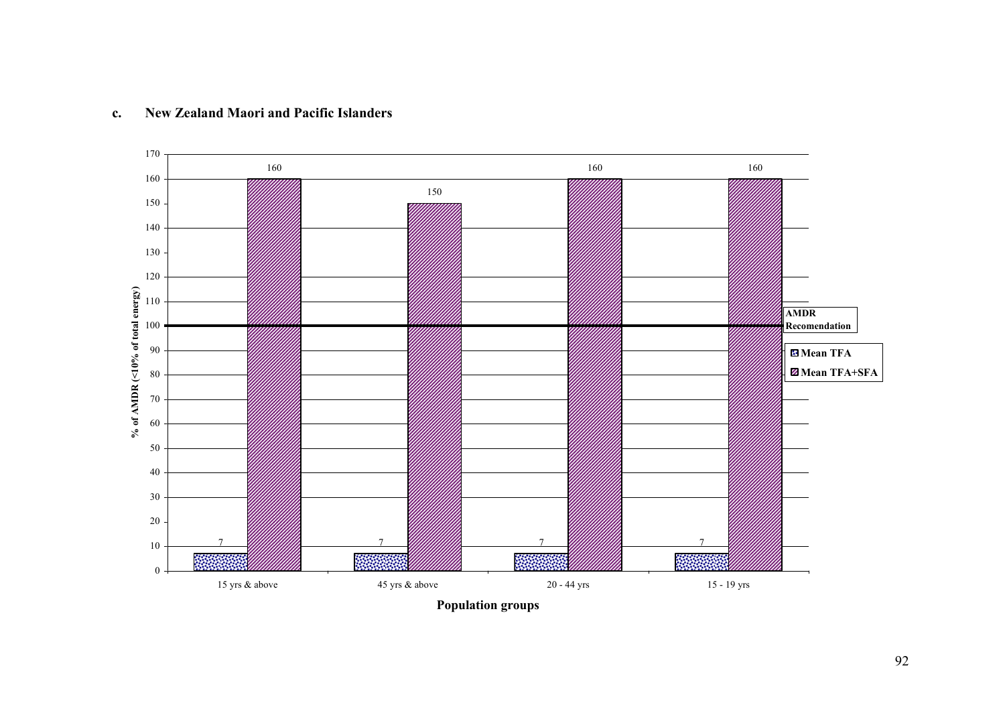

#### **c. New Zealand Maori and Pacific Islanders**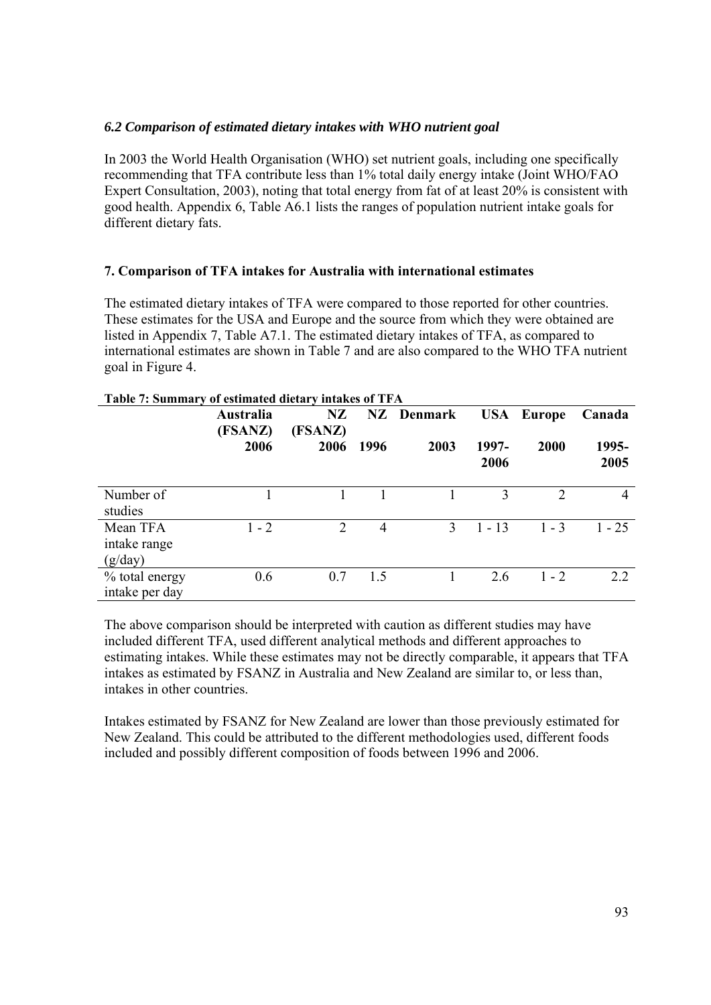### *6.2 Comparison of estimated dietary intakes with WHO nutrient goal*

In 2003 the World Health Organisation (WHO) set nutrient goals, including one specifically recommending that TFA contribute less than 1% total daily energy intake (Joint WHO/FAO Expert Consultation, 2003), noting that total energy from fat of at least 20% is consistent with good health. Appendix 6, Table A6.1 lists the ranges of population nutrient intake goals for different dietary fats.

### **7. Comparison of TFA intakes for Australia with international estimates**

The estimated dietary intakes of TFA were compared to those reported for other countries. These estimates for the USA and Europe and the source from which they were obtained are listed in Appendix 7, Table A7.1. The estimated dietary intakes of TFA, as compared to international estimates are shown in Table 7 and are also compared to the WHO TFA nutrient goal in Figure 4.

|                                     | Australia<br>(FSANZ) | NZ<br>(FSANZ) |      | NZ Denmark    |               | <b>USA</b> Europe | Canada        |
|-------------------------------------|----------------------|---------------|------|---------------|---------------|-------------------|---------------|
|                                     | 2006                 | 2006          | 1996 | 2003          | 1997-<br>2006 | 2000              | 1995-<br>2005 |
| Number of<br>studies                |                      |               |      |               | 3             | $\mathcal{D}$     | 4             |
| Mean TFA<br>intake range<br>(g/day) | $1 - 2$              | 2             | 4    | $\mathcal{E}$ | $1 - 13$      | $1 - 3$           | $1 - 25$      |
| % total energy<br>intake per day    | 0.6                  | 0.7           | 1.5  |               | 2.6           | $1 - 2$           | 2.2           |

### **Table 7: Summary of estimated dietary intakes of TFA**

The above comparison should be interpreted with caution as different studies may have included different TFA, used different analytical methods and different approaches to estimating intakes. While these estimates may not be directly comparable, it appears that TFA intakes as estimated by FSANZ in Australia and New Zealand are similar to, or less than, intakes in other countries.

Intakes estimated by FSANZ for New Zealand are lower than those previously estimated for New Zealand. This could be attributed to the different methodologies used, different foods included and possibly different composition of foods between 1996 and 2006.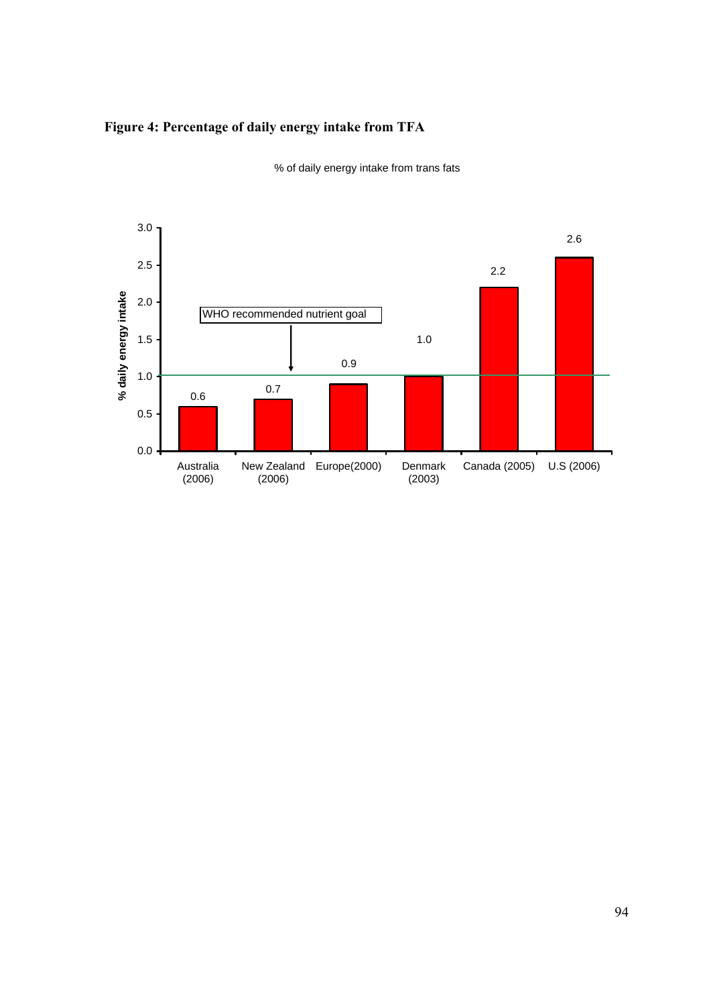### **Figure 4: Percentage of daily energy intake from TFA**



% of daily energy intake from trans fats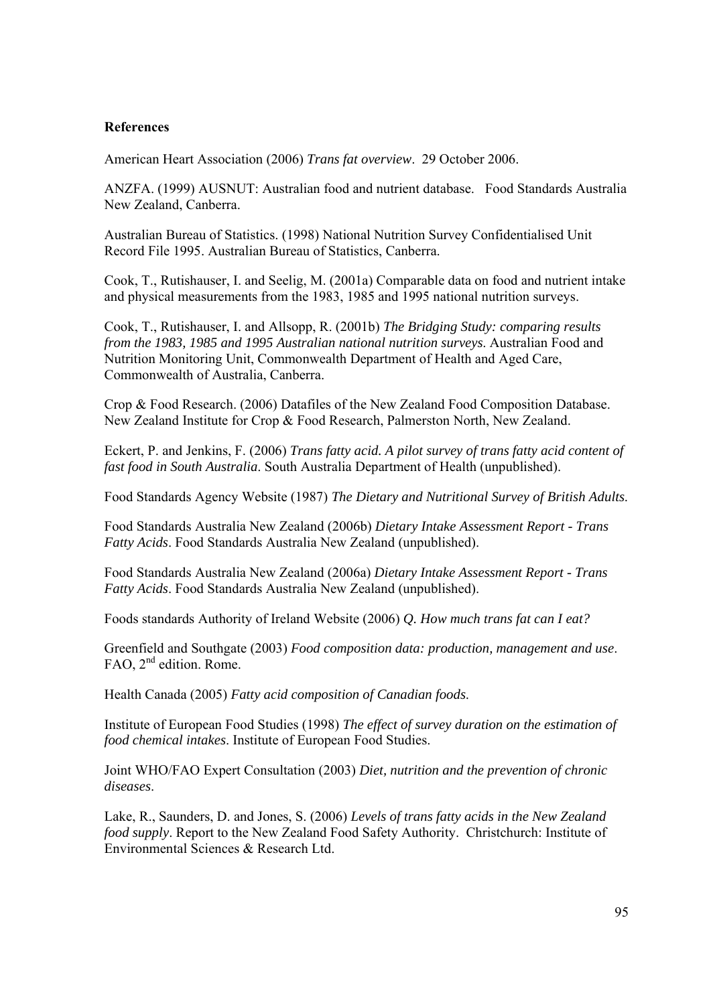#### **References**

American Heart Association (2006) *Trans fat overview*. 29 October 2006.

ANZFA. (1999) AUSNUT: Australian food and nutrient database. Food Standards Australia New Zealand, Canberra.

Australian Bureau of Statistics. (1998) National Nutrition Survey Confidentialised Unit Record File 1995. Australian Bureau of Statistics, Canberra.

Cook, T., Rutishauser, I. and Seelig, M. (2001a) Comparable data on food and nutrient intake and physical measurements from the 1983, 1985 and 1995 national nutrition surveys.

Cook, T., Rutishauser, I. and Allsopp, R. (2001b) *The Bridging Study: comparing results from the 1983, 1985 and 1995 Australian national nutrition surveys*. Australian Food and Nutrition Monitoring Unit, Commonwealth Department of Health and Aged Care, Commonwealth of Australia, Canberra.

Crop & Food Research. (2006) Datafiles of the New Zealand Food Composition Database. New Zealand Institute for Crop & Food Research, Palmerston North, New Zealand.

Eckert, P. and Jenkins, F. (2006) *Trans fatty acid. A pilot survey of trans fatty acid content of fast food in South Australia*. South Australia Department of Health (unpublished).

Food Standards Agency Website (1987) *The Dietary and Nutritional Survey of British Adults*.

Food Standards Australia New Zealand (2006b) *Dietary Intake Assessment Report - Trans Fatty Acids*. Food Standards Australia New Zealand (unpublished).

Food Standards Australia New Zealand (2006a) *Dietary Intake Assessment Report - Trans Fatty Acids*. Food Standards Australia New Zealand (unpublished).

Foods standards Authority of Ireland Website (2006) *Q. How much trans fat can I eat?*

Greenfield and Southgate (2003) *Food composition data: production, management and use*. FAO, 2<sup>nd</sup> edition. Rome.

Health Canada (2005) *Fatty acid composition of Canadian foods*.

Institute of European Food Studies (1998) *The effect of survey duration on the estimation of food chemical intakes*. Institute of European Food Studies.

Joint WHO/FAO Expert Consultation (2003) *Diet, nutrition and the prevention of chronic diseases*.

Lake, R., Saunders, D. and Jones, S. (2006) *Levels of trans fatty acids in the New Zealand food supply*. Report to the New Zealand Food Safety Authority. Christchurch: Institute of Environmental Sciences & Research Ltd.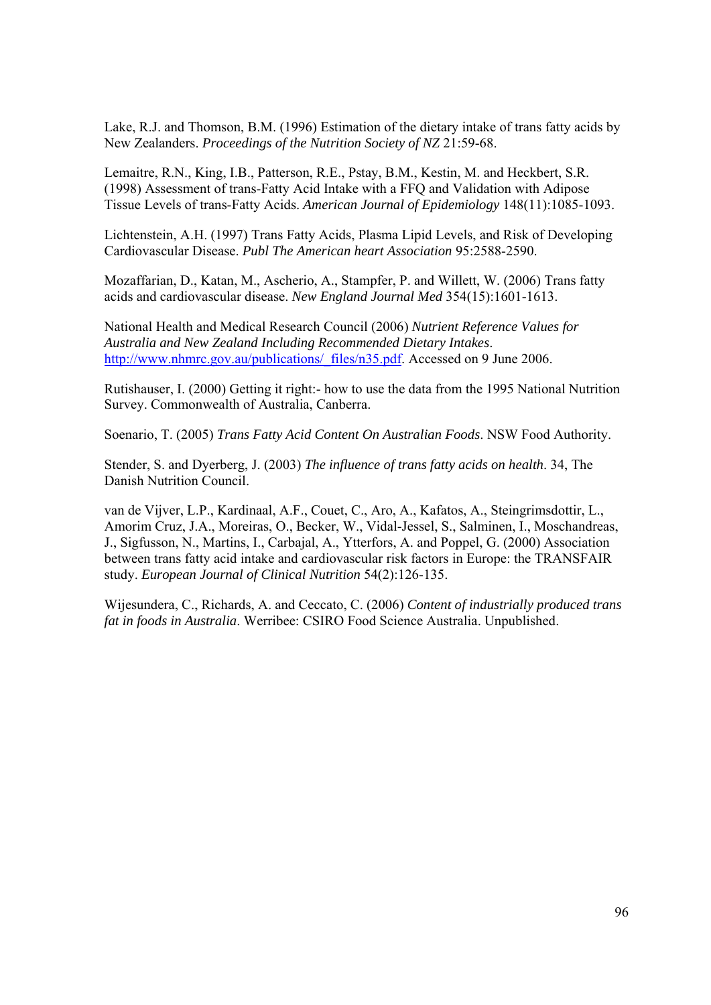Lake, R.J. and Thomson, B.M. (1996) Estimation of the dietary intake of trans fatty acids by New Zealanders. *Proceedings of the Nutrition Society of NZ* 21:59-68.

Lemaitre, R.N., King, I.B., Patterson, R.E., Pstay, B.M., Kestin, M. and Heckbert, S.R. (1998) Assessment of trans-Fatty Acid Intake with a FFQ and Validation with Adipose Tissue Levels of trans-Fatty Acids. *American Journal of Epidemiology* 148(11):1085-1093.

Lichtenstein, A.H. (1997) Trans Fatty Acids, Plasma Lipid Levels, and Risk of Developing Cardiovascular Disease. *Publ The American heart Association* 95:2588-2590.

Mozaffarian, D., Katan, M., Ascherio, A., Stampfer, P. and Willett, W. (2006) Trans fatty acids and cardiovascular disease. *New England Journal Med* 354(15):1601-1613.

National Health and Medical Research Council (2006) *Nutrient Reference Values for Australia and New Zealand Including Recommended Dietary Intakes*. http://www.nhmrc.gov.au/publications/\_files/n35.pdf. Accessed on 9 June 2006.

Rutishauser, I. (2000) Getting it right:- how to use the data from the 1995 National Nutrition Survey. Commonwealth of Australia, Canberra.

Soenario, T. (2005) *Trans Fatty Acid Content On Australian Foods*. NSW Food Authority.

Stender, S. and Dyerberg, J. (2003) *The influence of trans fatty acids on health*. 34, The Danish Nutrition Council.

van de Vijver, L.P., Kardinaal, A.F., Couet, C., Aro, A., Kafatos, A., Steingrimsdottir, L., Amorim Cruz, J.A., Moreiras, O., Becker, W., Vidal-Jessel, S., Salminen, I., Moschandreas, J., Sigfusson, N., Martins, I., Carbajal, A., Ytterfors, A. and Poppel, G. (2000) Association between trans fatty acid intake and cardiovascular risk factors in Europe: the TRANSFAIR study. *European Journal of Clinical Nutrition* 54(2):126-135.

Wijesundera, C., Richards, A. and Ceccato, C. (2006) *Content of industrially produced trans fat in foods in Australia*. Werribee: CSIRO Food Science Australia. Unpublished.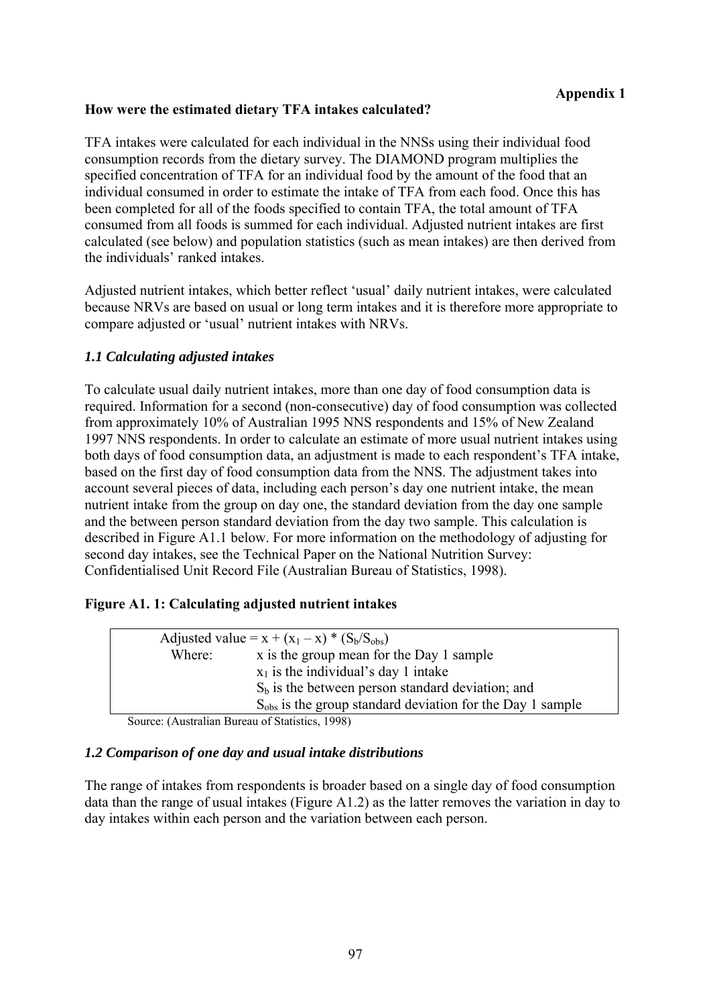### **How were the estimated dietary TFA intakes calculated?**

TFA intakes were calculated for each individual in the NNSs using their individual food consumption records from the dietary survey. The DIAMOND program multiplies the specified concentration of TFA for an individual food by the amount of the food that an individual consumed in order to estimate the intake of TFA from each food. Once this has been completed for all of the foods specified to contain TFA, the total amount of TFA consumed from all foods is summed for each individual. Adjusted nutrient intakes are first calculated (see below) and population statistics (such as mean intakes) are then derived from the individuals' ranked intakes.

Adjusted nutrient intakes, which better reflect 'usual' daily nutrient intakes, were calculated because NRVs are based on usual or long term intakes and it is therefore more appropriate to compare adjusted or 'usual' nutrient intakes with NRVs.

### *1.1 Calculating adjusted intakes*

To calculate usual daily nutrient intakes, more than one day of food consumption data is required. Information for a second (non-consecutive) day of food consumption was collected from approximately 10% of Australian 1995 NNS respondents and 15% of New Zealand 1997 NNS respondents. In order to calculate an estimate of more usual nutrient intakes using both days of food consumption data, an adjustment is made to each respondent's TFA intake, based on the first day of food consumption data from the NNS. The adjustment takes into account several pieces of data, including each person's day one nutrient intake, the mean nutrient intake from the group on day one, the standard deviation from the day one sample and the between person standard deviation from the day two sample. This calculation is described in Figure A1.1 below. For more information on the methodology of adjusting for second day intakes, see the Technical Paper on the National Nutrition Survey: Confidentialised Unit Record File (Australian Bureau of Statistics, 1998).

### **Figure A1. 1: Calculating adjusted nutrient intakes**

|        | Adjusted value = $x + (x_1 - x) * (S_b/S_{obs})$            |
|--------|-------------------------------------------------------------|
| Where: | x is the group mean for the Day 1 sample                    |
|        | $x_1$ is the individual's day 1 intake                      |
|        | $Sb$ is the between person standard deviation; and          |
|        | $Sobs$ is the group standard deviation for the Day 1 sample |
|        |                                                             |

Source: (Australian Bureau of Statistics, 1998)

### *1.2 Comparison of one day and usual intake distributions*

The range of intakes from respondents is broader based on a single day of food consumption data than the range of usual intakes (Figure A1.2) as the latter removes the variation in day to day intakes within each person and the variation between each person.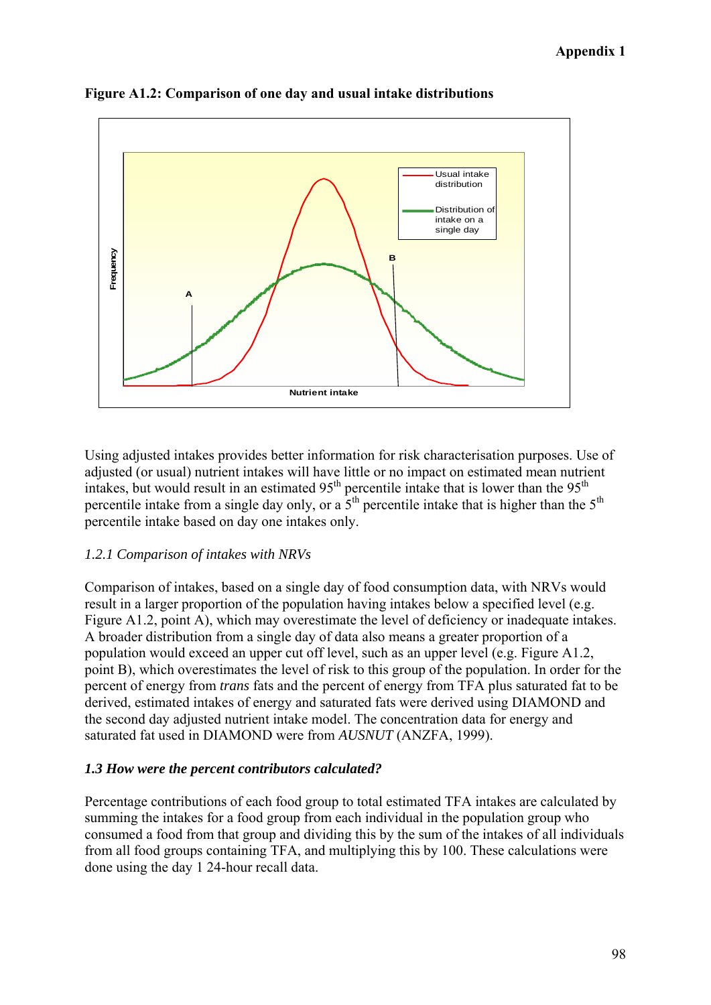

**Figure A1.2: Comparison of one day and usual intake distributions** 

Using adjusted intakes provides better information for risk characterisation purposes. Use of adjusted (or usual) nutrient intakes will have little or no impact on estimated mean nutrient intakes, but would result in an estimated  $95<sup>th</sup>$  percentile intake that is lower than the  $95<sup>th</sup>$ percentile intake from a single day only, or a  $5<sup>th</sup>$  percentile intake that is higher than the  $5<sup>th</sup>$ percentile intake based on day one intakes only.

### *1.2.1 Comparison of intakes with NRVs*

Comparison of intakes, based on a single day of food consumption data, with NRVs would result in a larger proportion of the population having intakes below a specified level (e.g. Figure A1.2, point A), which may overestimate the level of deficiency or inadequate intakes. A broader distribution from a single day of data also means a greater proportion of a population would exceed an upper cut off level, such as an upper level (e.g. Figure A1.2, point B), which overestimates the level of risk to this group of the population. In order for the percent of energy from *trans* fats and the percent of energy from TFA plus saturated fat to be derived, estimated intakes of energy and saturated fats were derived using DIAMOND and the second day adjusted nutrient intake model. The concentration data for energy and saturated fat used in DIAMOND were from *AUSNUT* (ANZFA, 1999).

### *1.3 How were the percent contributors calculated?*

Percentage contributions of each food group to total estimated TFA intakes are calculated by summing the intakes for a food group from each individual in the population group who consumed a food from that group and dividing this by the sum of the intakes of all individuals from all food groups containing TFA, and multiplying this by 100. These calculations were done using the day 1 24-hour recall data.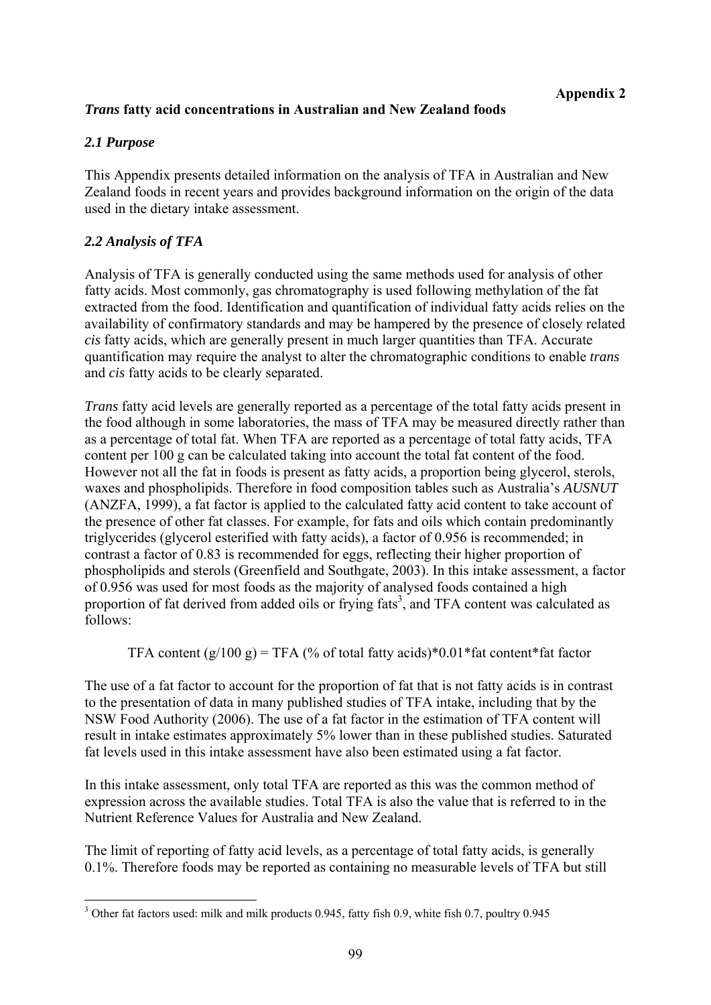### *Trans* **fatty acid concentrations in Australian and New Zealand foods**

### *2.1 Purpose*

This Appendix presents detailed information on the analysis of TFA in Australian and New Zealand foods in recent years and provides background information on the origin of the data used in the dietary intake assessment.

### *2.2 Analysis of TFA*

Analysis of TFA is generally conducted using the same methods used for analysis of other fatty acids. Most commonly, gas chromatography is used following methylation of the fat extracted from the food. Identification and quantification of individual fatty acids relies on the availability of confirmatory standards and may be hampered by the presence of closely related *cis* fatty acids, which are generally present in much larger quantities than TFA. Accurate quantification may require the analyst to alter the chromatographic conditions to enable *trans* and *cis* fatty acids to be clearly separated.

*Trans* fatty acid levels are generally reported as a percentage of the total fatty acids present in the food although in some laboratories, the mass of TFA may be measured directly rather than as a percentage of total fat. When TFA are reported as a percentage of total fatty acids, TFA content per 100 g can be calculated taking into account the total fat content of the food. However not all the fat in foods is present as fatty acids, a proportion being glycerol, sterols, waxes and phospholipids. Therefore in food composition tables such as Australia's *AUSNUT* (ANZFA, 1999), a fat factor is applied to the calculated fatty acid content to take account of the presence of other fat classes. For example, for fats and oils which contain predominantly triglycerides (glycerol esterified with fatty acids), a factor of 0.956 is recommended; in contrast a factor of 0.83 is recommended for eggs, reflecting their higher proportion of phospholipids and sterols (Greenfield and Southgate, 2003). In this intake assessment, a factor of 0.956 was used for most foods as the majority of analysed foods contained a high proportion of fat derived from added oils or frying  $\text{fats}^3$ , and TFA content was calculated as follows:

TFA content  $(g/100 g)$  = TFA (% of total fatty acids)\*0.01 \*fat content \*fat factor

The use of a fat factor to account for the proportion of fat that is not fatty acids is in contrast to the presentation of data in many published studies of TFA intake, including that by the NSW Food Authority (2006). The use of a fat factor in the estimation of TFA content will result in intake estimates approximately 5% lower than in these published studies. Saturated fat levels used in this intake assessment have also been estimated using a fat factor.

In this intake assessment, only total TFA are reported as this was the common method of expression across the available studies. Total TFA is also the value that is referred to in the Nutrient Reference Values for Australia and New Zealand.

The limit of reporting of fatty acid levels, as a percentage of total fatty acids, is generally 0.1%. Therefore foods may be reported as containing no measurable levels of TFA but still

<sup>1</sup> <sup>3</sup> Other fat factors used: milk and milk products 0.945, fatty fish 0.9, white fish 0.7, poultry 0.945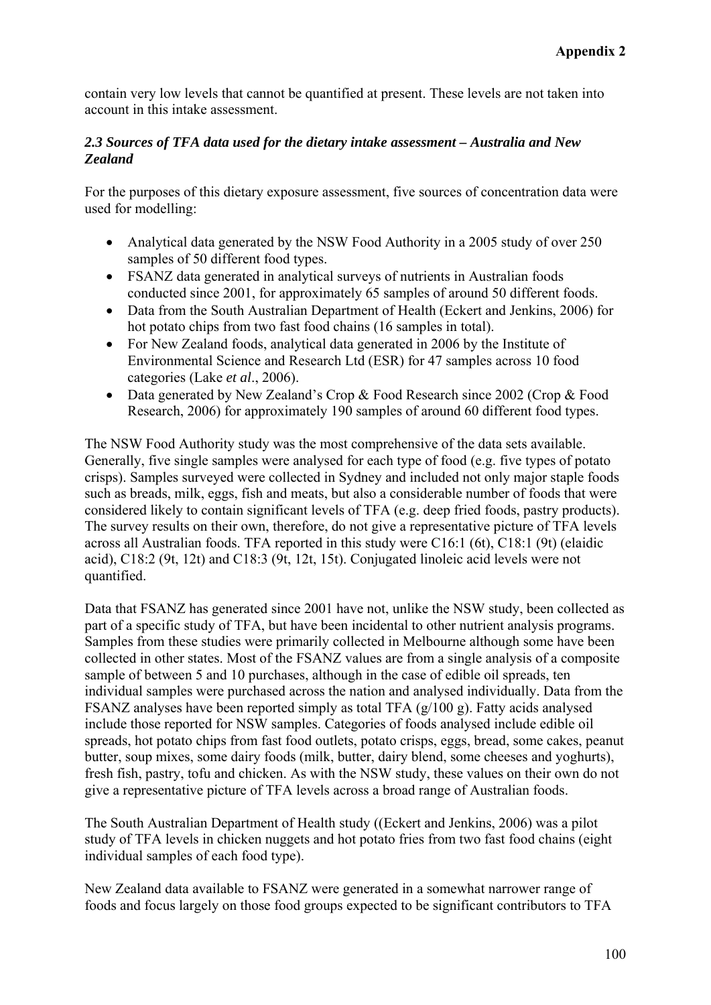contain very low levels that cannot be quantified at present. These levels are not taken into account in this intake assessment.

### *2.3 Sources of TFA data used for the dietary intake assessment – Australia and New Zealand*

For the purposes of this dietary exposure assessment, five sources of concentration data were used for modelling:

- Analytical data generated by the NSW Food Authority in a 2005 study of over 250 samples of 50 different food types.
- FSANZ data generated in analytical surveys of nutrients in Australian foods conducted since 2001, for approximately 65 samples of around 50 different foods.
- Data from the South Australian Department of Health (Eckert and Jenkins, 2006) for hot potato chips from two fast food chains (16 samples in total).
- For New Zealand foods, analytical data generated in 2006 by the Institute of Environmental Science and Research Ltd (ESR) for 47 samples across 10 food categories (Lake *et al*., 2006).
- Data generated by New Zealand's Crop & Food Research since 2002 (Crop & Food Research, 2006) for approximately 190 samples of around 60 different food types.

The NSW Food Authority study was the most comprehensive of the data sets available. Generally, five single samples were analysed for each type of food (e.g. five types of potato crisps). Samples surveyed were collected in Sydney and included not only major staple foods such as breads, milk, eggs, fish and meats, but also a considerable number of foods that were considered likely to contain significant levels of TFA (e.g. deep fried foods, pastry products). The survey results on their own, therefore, do not give a representative picture of TFA levels across all Australian foods. TFA reported in this study were C16:1 (6t), C18:1 (9t) (elaidic acid), C18:2 (9t, 12t) and C18:3 (9t, 12t, 15t). Conjugated linoleic acid levels were not quantified.

Data that FSANZ has generated since 2001 have not, unlike the NSW study, been collected as part of a specific study of TFA, but have been incidental to other nutrient analysis programs. Samples from these studies were primarily collected in Melbourne although some have been collected in other states. Most of the FSANZ values are from a single analysis of a composite sample of between 5 and 10 purchases, although in the case of edible oil spreads, ten individual samples were purchased across the nation and analysed individually. Data from the FSANZ analyses have been reported simply as total TFA (g/100 g). Fatty acids analysed include those reported for NSW samples. Categories of foods analysed include edible oil spreads, hot potato chips from fast food outlets, potato crisps, eggs, bread, some cakes, peanut butter, soup mixes, some dairy foods (milk, butter, dairy blend, some cheeses and yoghurts), fresh fish, pastry, tofu and chicken. As with the NSW study, these values on their own do not give a representative picture of TFA levels across a broad range of Australian foods.

The South Australian Department of Health study ((Eckert and Jenkins, 2006) was a pilot study of TFA levels in chicken nuggets and hot potato fries from two fast food chains (eight individual samples of each food type).

New Zealand data available to FSANZ were generated in a somewhat narrower range of foods and focus largely on those food groups expected to be significant contributors to TFA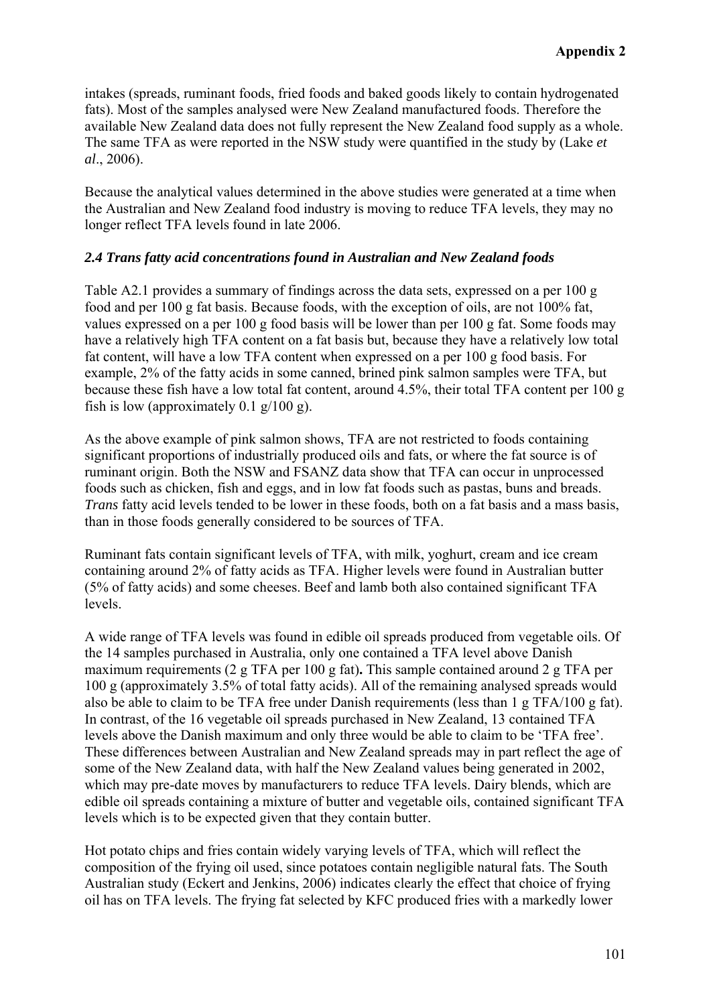intakes (spreads, ruminant foods, fried foods and baked goods likely to contain hydrogenated fats). Most of the samples analysed were New Zealand manufactured foods. Therefore the available New Zealand data does not fully represent the New Zealand food supply as a whole. The same TFA as were reported in the NSW study were quantified in the study by (Lake *et al*., 2006).

Because the analytical values determined in the above studies were generated at a time when the Australian and New Zealand food industry is moving to reduce TFA levels, they may no longer reflect TFA levels found in late 2006.

### *2.4 Trans fatty acid concentrations found in Australian and New Zealand foods*

Table A2.1 provides a summary of findings across the data sets, expressed on a per 100 g food and per 100 g fat basis. Because foods, with the exception of oils, are not 100% fat, values expressed on a per 100 g food basis will be lower than per 100 g fat. Some foods may have a relatively high TFA content on a fat basis but, because they have a relatively low total fat content, will have a low TFA content when expressed on a per 100 g food basis. For example, 2% of the fatty acids in some canned, brined pink salmon samples were TFA, but because these fish have a low total fat content, around 4.5%, their total TFA content per 100 g fish is low (approximately 0.1 g/100 g).

As the above example of pink salmon shows, TFA are not restricted to foods containing significant proportions of industrially produced oils and fats, or where the fat source is of ruminant origin. Both the NSW and FSANZ data show that TFA can occur in unprocessed foods such as chicken, fish and eggs, and in low fat foods such as pastas, buns and breads. *Trans* fatty acid levels tended to be lower in these foods, both on a fat basis and a mass basis, than in those foods generally considered to be sources of TFA.

Ruminant fats contain significant levels of TFA, with milk, yoghurt, cream and ice cream containing around 2% of fatty acids as TFA. Higher levels were found in Australian butter (5% of fatty acids) and some cheeses. Beef and lamb both also contained significant TFA levels.

A wide range of TFA levels was found in edible oil spreads produced from vegetable oils. Of the 14 samples purchased in Australia, only one contained a TFA level above Danish maximum requirements (2 g TFA per 100 g fat)**.** This sample contained around 2 g TFA per 100 g (approximately 3.5% of total fatty acids). All of the remaining analysed spreads would also be able to claim to be TFA free under Danish requirements (less than 1 g TFA/100 g fat). In contrast, of the 16 vegetable oil spreads purchased in New Zealand, 13 contained TFA levels above the Danish maximum and only three would be able to claim to be 'TFA free'. These differences between Australian and New Zealand spreads may in part reflect the age of some of the New Zealand data, with half the New Zealand values being generated in 2002, which may pre-date moves by manufacturers to reduce TFA levels. Dairy blends, which are edible oil spreads containing a mixture of butter and vegetable oils, contained significant TFA levels which is to be expected given that they contain butter.

Hot potato chips and fries contain widely varying levels of TFA, which will reflect the composition of the frying oil used, since potatoes contain negligible natural fats. The South Australian study (Eckert and Jenkins, 2006) indicates clearly the effect that choice of frying oil has on TFA levels. The frying fat selected by KFC produced fries with a markedly lower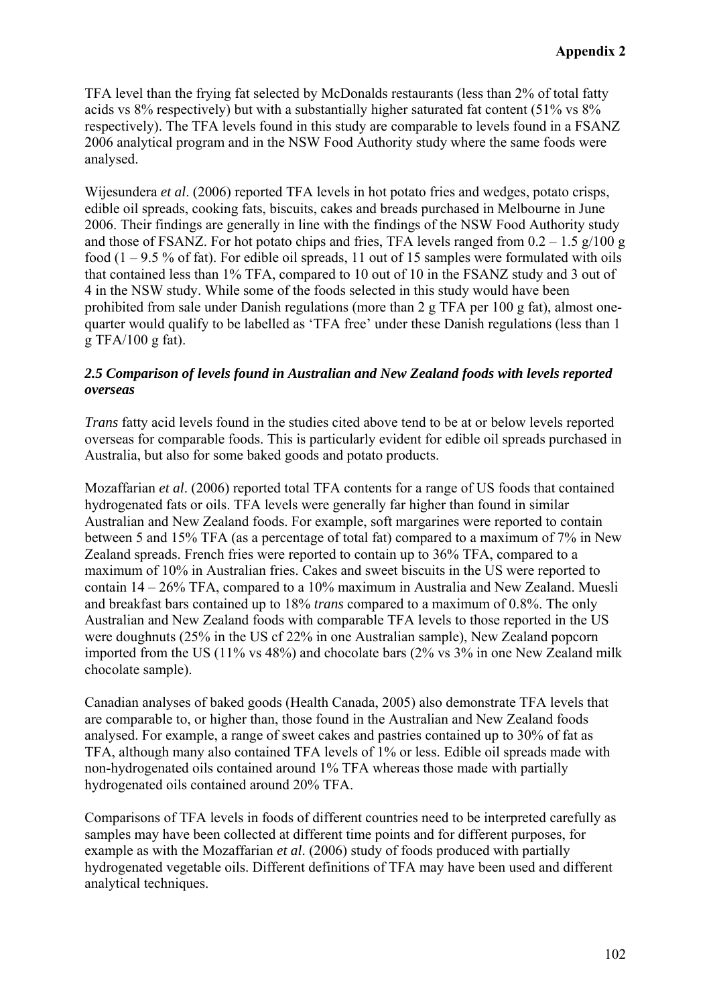TFA level than the frying fat selected by McDonalds restaurants (less than 2% of total fatty acids vs 8% respectively) but with a substantially higher saturated fat content (51% vs 8% respectively). The TFA levels found in this study are comparable to levels found in a FSANZ 2006 analytical program and in the NSW Food Authority study where the same foods were analysed.

Wijesundera *et al*. (2006) reported TFA levels in hot potato fries and wedges, potato crisps, edible oil spreads, cooking fats, biscuits, cakes and breads purchased in Melbourne in June 2006. Their findings are generally in line with the findings of the NSW Food Authority study and those of FSANZ. For hot potato chips and fries, TFA levels ranged from  $0.2 - 1.5$  g/100 g food  $(1 - 9.5\%$  of fat). For edible oil spreads, 11 out of 15 samples were formulated with oils that contained less than 1% TFA, compared to 10 out of 10 in the FSANZ study and 3 out of 4 in the NSW study. While some of the foods selected in this study would have been prohibited from sale under Danish regulations (more than 2 g TFA per 100 g fat), almost onequarter would qualify to be labelled as 'TFA free' under these Danish regulations (less than 1 g TFA/100 g fat).

### *2.5 Comparison of levels found in Australian and New Zealand foods with levels reported overseas*

*Trans* fatty acid levels found in the studies cited above tend to be at or below levels reported overseas for comparable foods. This is particularly evident for edible oil spreads purchased in Australia, but also for some baked goods and potato products.

Mozaffarian *et al*. (2006) reported total TFA contents for a range of US foods that contained hydrogenated fats or oils. TFA levels were generally far higher than found in similar Australian and New Zealand foods. For example, soft margarines were reported to contain between 5 and 15% TFA (as a percentage of total fat) compared to a maximum of 7% in New Zealand spreads. French fries were reported to contain up to 36% TFA, compared to a maximum of 10% in Australian fries. Cakes and sweet biscuits in the US were reported to contain 14 – 26% TFA, compared to a 10% maximum in Australia and New Zealand. Muesli and breakfast bars contained up to 18% *trans* compared to a maximum of 0.8%. The only Australian and New Zealand foods with comparable TFA levels to those reported in the US were doughnuts (25% in the US cf 22% in one Australian sample), New Zealand popcorn imported from the US (11% vs 48%) and chocolate bars (2% vs 3% in one New Zealand milk chocolate sample).

Canadian analyses of baked goods (Health Canada, 2005) also demonstrate TFA levels that are comparable to, or higher than, those found in the Australian and New Zealand foods analysed. For example, a range of sweet cakes and pastries contained up to 30% of fat as TFA, although many also contained TFA levels of 1% or less. Edible oil spreads made with non-hydrogenated oils contained around 1% TFA whereas those made with partially hydrogenated oils contained around 20% TFA.

Comparisons of TFA levels in foods of different countries need to be interpreted carefully as samples may have been collected at different time points and for different purposes, for example as with the Mozaffarian *et al*. (2006) study of foods produced with partially hydrogenated vegetable oils. Different definitions of TFA may have been used and different analytical techniques.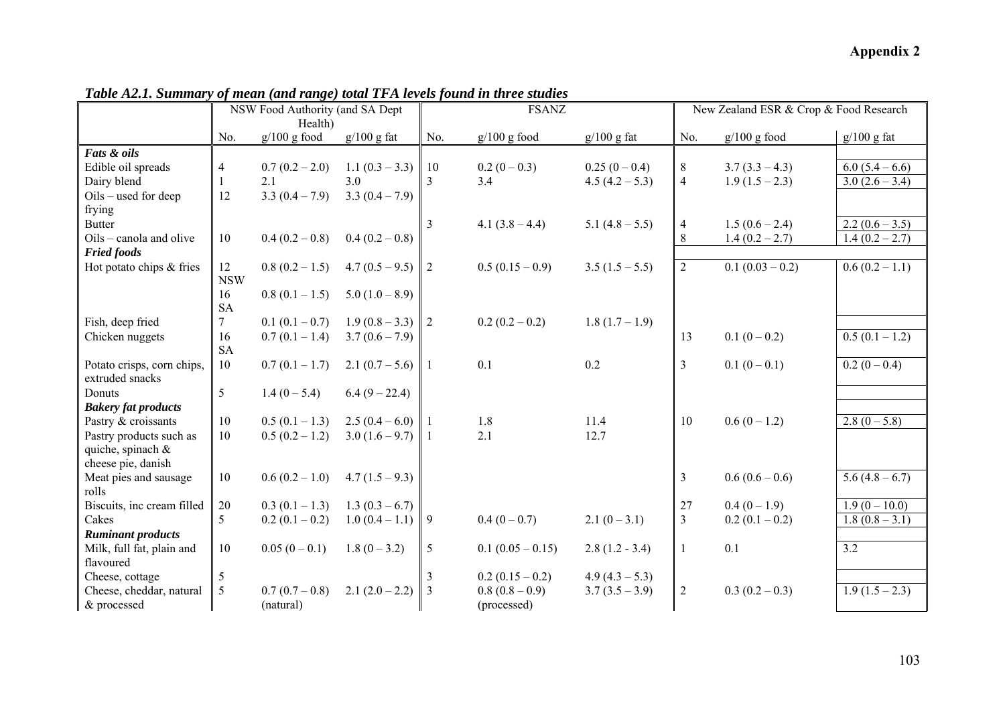|                            |                  | NSW Food Authority (and SA Dept |                  | <b>FSANZ</b>   |                   |                  | New Zealand ESR & Crop & Food Research |                    |                  |
|----------------------------|------------------|---------------------------------|------------------|----------------|-------------------|------------------|----------------------------------------|--------------------|------------------|
|                            | No.              | Health)<br>$g/100$ g food       | $g/100$ g fat    | No.            | $g/100$ g food    | $g/100$ g fat    | No.                                    | $g/100$ g food     | $g/100$ g fat    |
| Fats & oils                |                  |                                 |                  |                |                   |                  |                                        |                    |                  |
| Edible oil spreads         | 4                | $0.7(0.2-2.0)$                  | $1.1(0.3-3.3)$   | 10             | $0.2(0-0.3)$      | $0.25(0-0.4)$    | 8                                      | $3.7(3.3 - 4.3)$   | $6.0(5.4-6.6)$   |
| Dairy blend                |                  | 2.1                             | 3.0              | 3              | 3.4               | $4.5(4.2-5.3)$   | $\overline{4}$                         | $1.9(1.5-2.3)$     | $3.0(2.6-3.4)$   |
| Oils – used for deep       | 12               | $3.3(0.4-7.9)$                  | $3.3(0.4-7.9)$   |                |                   |                  |                                        |                    |                  |
| frying                     |                  |                                 |                  |                |                   |                  |                                        |                    |                  |
| <b>Butter</b>              |                  |                                 |                  | 3              | 4.1 $(3.8 - 4.4)$ | $5.1(4.8-5.5)$   | $\overline{4}$                         | $1.5(0.6 - 2.4)$   | $2.2(0.6 - 3.5)$ |
| Oils – canola and olive    | 10               | $0.4(0.2-0.8)$                  | $0.4(0.2-0.8)$   |                |                   |                  | 8                                      | $1.4(0.2 - 2.7)$   | $1.4(0.2 - 2.7)$ |
| <b>Fried foods</b>         |                  |                                 |                  |                |                   |                  |                                        |                    |                  |
| Hot potato chips & fries   | 12<br><b>NSW</b> | $0.8(0.2-1.5)$                  | $4.7(0.5-9.5)$   | $\overline{2}$ | $0.5(0.15-0.9)$   | $3.5(1.5-5.5)$   | $\overline{2}$                         | $0.1 (0.03 - 0.2)$ | $0.6(0.2-1.1)$   |
|                            | 16<br><b>SA</b>  | $0.8(0.1-1.5)$                  | $5.0(1.0-8.9)$   |                |                   |                  |                                        |                    |                  |
| Fish, deep fried           | 7                | $0.1(0.1-0.7)$                  | $1.9(0.8-3.3)$ 2 |                | $0.2(0.2-0.2)$    | $1.8(1.7-1.9)$   |                                        |                    |                  |
| Chicken nuggets            | 16               | $0.7(0.1-1.4)$                  | $3.7(0.6 - 7.9)$ |                |                   |                  | 13                                     | $0.1(0-0.2)$       | $0.5(0.1-1.2)$   |
|                            | <b>SA</b>        |                                 |                  |                |                   |                  |                                        |                    |                  |
| Potato crisps, corn chips, | 10               | $0.7(0.1-1.7)$                  | $2.1(0.7-5.6)$   | $\mathbf{1}$   | 0.1               | 0.2              | $\overline{3}$                         | $0.1(0-0.1)$       | $0.2(0-0.4)$     |
| extruded snacks            |                  |                                 |                  |                |                   |                  |                                        |                    |                  |
| Donuts                     | 5                | $1.4(0-5.4)$                    | $6.4(9-22.4)$    |                |                   |                  |                                        |                    |                  |
| <b>Bakery fat products</b> |                  |                                 |                  |                |                   |                  |                                        |                    |                  |
| Pastry & croissants        | 10               | $0.5(0.1-1.3)$                  | $2.5(0.4-6.0)$   |                | 1.8               | 11.4             | 10                                     | $0.6(0-1.2)$       | $2.8(0-5.8)$     |
| Pastry products such as    | 10               | $0.5(0.2 - 1.2)$                | $3.0(1.6-9.7)$   | 1              | 2.1               | 12.7             |                                        |                    |                  |
| quiche, spinach $\&$       |                  |                                 |                  |                |                   |                  |                                        |                    |                  |
| cheese pie, danish         |                  |                                 |                  |                |                   |                  |                                        |                    |                  |
| Meat pies and sausage      | 10               | $0.6(0.2 - 1.0)$                | $4.7(1.5-9.3)$   |                |                   |                  | $\overline{3}$                         | $0.6(0.6-0.6)$     | $5.6(4.8-6.7)$   |
| rolls                      |                  |                                 |                  |                |                   |                  |                                        |                    |                  |
| Biscuits, inc cream filled | $20\,$           | $0.3(0.1-1.3)$                  | $1.3(0.3-6.7)$   |                |                   |                  | 27                                     | $0.4(0-1.9)$       | $1.9(0-10.0)$    |
| Cakes                      | 5                | $0.2(0.1-0.2)$                  | $1.0(0.4-1.1)$   | 9              | $0.4(0-0.7)$      | $2.1(0-3.1)$     | $\overline{3}$                         | $0.2(0.1-0.2)$     | $1.8(0.8 - 3.1)$ |
| <b>Ruminant products</b>   |                  |                                 |                  |                |                   |                  |                                        |                    |                  |
| Milk, full fat, plain and  | 10               | $0.05(0-0.1)$                   | $1.8(0-3.2)$     | 5              | $0.1(0.05-0.15)$  | $2.8(1.2 - 3.4)$ | $\mathbf{1}$                           | 0.1                | 3.2              |
| flavoured                  |                  |                                 |                  |                |                   |                  |                                        |                    |                  |
| Cheese, cottage            | 5                |                                 |                  |                | $0.2(0.15-0.2)$   | $4.9(4.3-5.3)$   |                                        |                    |                  |
| Cheese, cheddar, natural   | 5                | $0.7(0.7-0.8)$                  | $2.1(2.0-2.2)$   | 3              | $0.8(0.8-0.9)$    | $3.7(3.5-3.9)$   | 2                                      | $0.3(0.2-0.3)$     | $1.9(1.5-2.3)$   |
| & processed                |                  | (natural)                       |                  |                | (processed)       |                  |                                        |                    |                  |

*Table A2.1. Summary of mean (and range) total TFA levels found in three studies*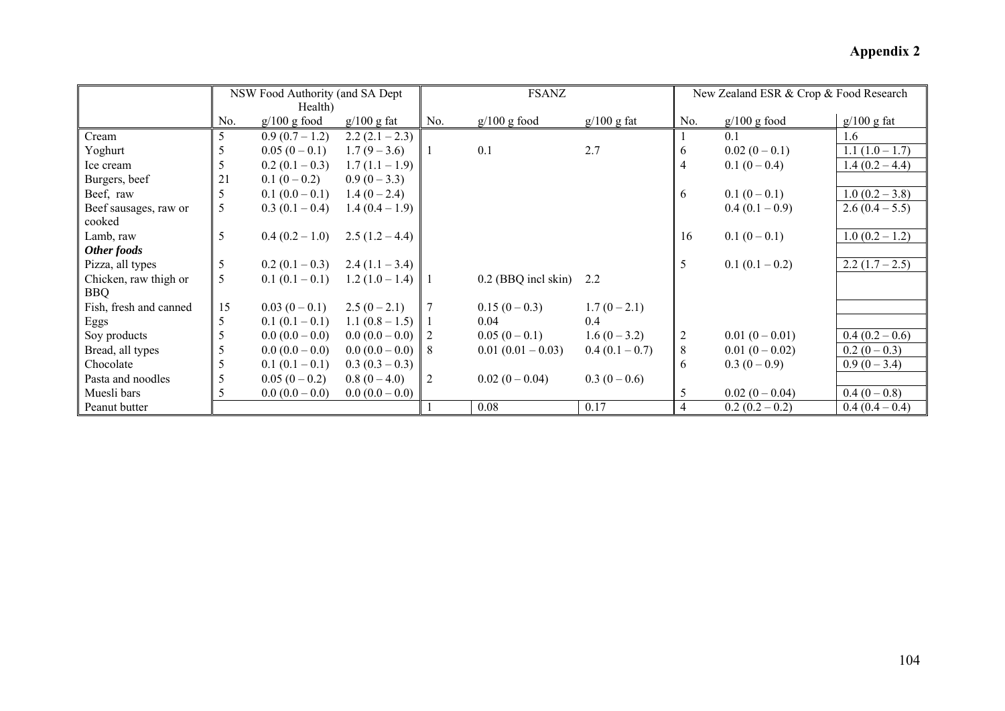|                        |     | NSW Food Authority (and SA Dept |                   |     | <b>FSANZ</b>          |                | New Zealand ESR & Crop & Food Research |                |                  |
|------------------------|-----|---------------------------------|-------------------|-----|-----------------------|----------------|----------------------------------------|----------------|------------------|
|                        |     | Health)                         |                   |     |                       |                |                                        |                |                  |
|                        | No. | $g/100$ g food                  | $g/100$ g fat     | No. | $g/100$ g food        | $g/100$ g fat  | No.                                    | $g/100$ g food | $g/100$ g fat    |
| Cream                  | 5   | $0.9(0.7-1.2)$                  | $2.2(2.1-2.3)$    |     |                       |                |                                        | 0.1            | 1.6              |
| Yoghurt                | 5   | $0.05(0-0.1)$                   | $1.7(9-3.6)$      |     | 0.1                   | 2.7            | 6                                      | $0.02(0-0.1)$  | $1.1(1.0-1.7)$   |
| Ice cream              | 5   | $0.2(0.1-0.3)$                  | $1.7(1.1-1.9)$    |     |                       |                | $\overline{4}$                         | $0.1(0-0.4)$   | $1.4(0.2 - 4.4)$ |
| Burgers, beef          | 21  | $0.1(0-0.2)$                    | $0.9(0-3.3)$      |     |                       |                |                                        |                |                  |
| Beef, raw              | 5   | $0.1(0.0-0.1)$                  | $1.4(0-2.4)$      |     |                       |                | 6                                      | $0.1(0-0.1)$   | $1.0(0.2 - 3.8)$ |
| Beef sausages, raw or  | 5   | $0.3(0.1-0.4)$                  | $1.4(0.4-1.9)$    |     |                       |                |                                        | $0.4(0.1-0.9)$ | $2.6(0.4-5.5)$   |
| cooked                 |     |                                 |                   |     |                       |                |                                        |                |                  |
| Lamb, raw              | 5   | $0.4(0.2-1.0)$                  | $2.5(1.2-4.4)$    |     |                       |                | 16                                     | $0.1(0-0.1)$   | $1.0(0.2 - 1.2)$ |
| Other foods            |     |                                 |                   |     |                       |                |                                        |                |                  |
| Pizza, all types       | 5   | $0.2(0.1-0.3)$                  | $2.4(1.1-3.4)$    |     |                       |                | 5                                      | $0.1(0.1-0.2)$ | $2.2(1.7-2.5)$   |
| Chicken, raw thigh or  | 5   | $0.1(0.1-0.1)$                  | $1.2(1.0-1.4)$    |     | $0.2$ (BBQ incl skin) | 2.2            |                                        |                |                  |
| <b>BBQ</b>             |     |                                 |                   |     |                       |                |                                        |                |                  |
| Fish, fresh and canned | 15  | $0.03(0-0.1)$                   | $2.5(0-2.1)$      |     | $0.15(0-0.3)$         | $1.7(0-2.1)$   |                                        |                |                  |
| Eggs                   | 5   | $0.1(0.1-0.1)$                  | $1.1(0.8-1.5)$    |     | 0.04                  | 0.4            |                                        |                |                  |
| Soy products           | 5   | $0.0(0.0-0.0)$                  | $0.0(0.0-0.0)$    | 2   | $0.05(0-0.1)$         | $1.6(0-3.2)$   | $\sqrt{2}$                             | $0.01(0-0.01)$ | $0.4(0.2-0.6)$   |
| Bread, all types       | 5   | $0.0(0.0-0.0)$                  | $0.0(0.0-0.0)$    | 8   | $0.01(0.01-0.03)$     | $0.4(0.1-0.7)$ | 8                                      | $0.01(0-0.02)$ | $0.2(0-0.3)$     |
| Chocolate              |     | $0.1(0.1-0.1)$                  | $0.3(0.3-0.3)$    |     |                       |                | 6                                      | $0.3(0-0.9)$   | $0.9(0-3.4)$     |
| Pasta and noodles      | 5   | $0.05(0-0.2)$                   | $0.8(0-4.0)$      | 2   | $0.02(0-0.04)$        | $0.3(0-0.6)$   |                                        |                |                  |
| Muesli bars            |     | $0.0(0.0-0.0)$                  | $0.0 (0.0 - 0.0)$ |     |                       |                | 5                                      | $0.02(0-0.04)$ | $0.4(0-0.8)$     |
| Peanut butter          |     |                                 |                   |     | 0.08                  | 0.17           | $\overline{4}$                         | $0.2(0.2-0.2)$ | $0.4(0.4-0.4)$   |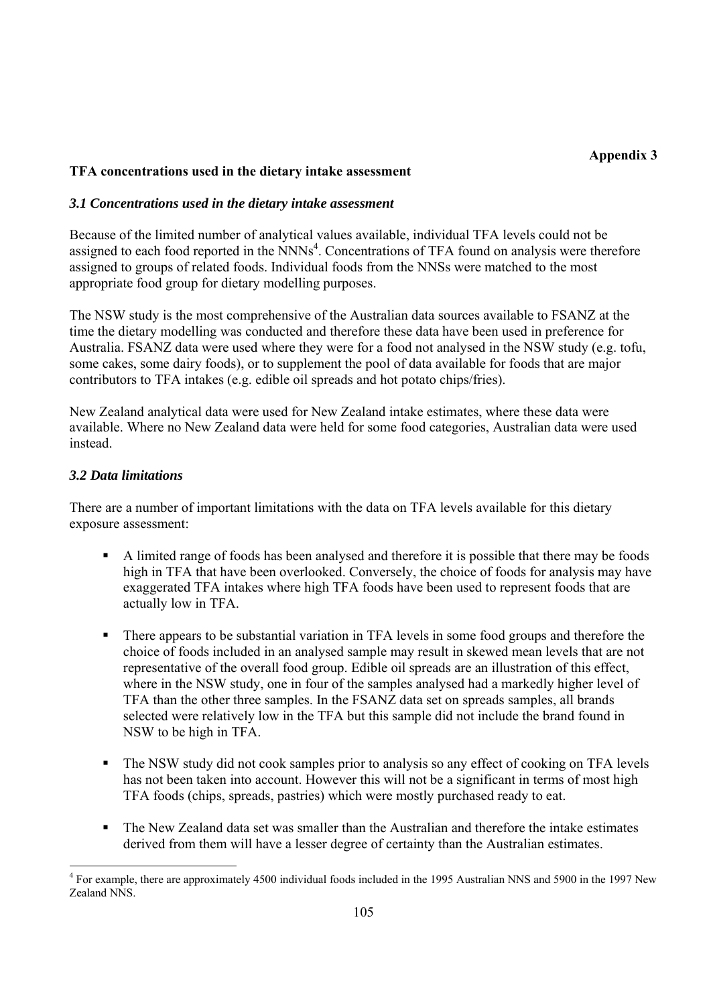### **TFA concentrations used in the dietary intake assessment**

#### *3.1 Concentrations used in the dietary intake assessment*

Because of the limited number of analytical values available, individual TFA levels could not be assigned to each food reported in the  $NNNs<sup>4</sup>$ . Concentrations of TFA found on analysis were therefore assigned to groups of related foods. Individual foods from the NNSs were matched to the most appropriate food group for dietary modelling purposes.

The NSW study is the most comprehensive of the Australian data sources available to FSANZ at the time the dietary modelling was conducted and therefore these data have been used in preference for Australia. FSANZ data were used where they were for a food not analysed in the NSW study (e.g. tofu, some cakes, some dairy foods), or to supplement the pool of data available for foods that are major contributors to TFA intakes (e.g. edible oil spreads and hot potato chips/fries).

New Zealand analytical data were used for New Zealand intake estimates, where these data were available. Where no New Zealand data were held for some food categories, Australian data were used instead.

#### *3.2 Data limitations*

There are a number of important limitations with the data on TFA levels available for this dietary exposure assessment:

- A limited range of foods has been analysed and therefore it is possible that there may be foods high in TFA that have been overlooked. Conversely, the choice of foods for analysis may have exaggerated TFA intakes where high TFA foods have been used to represent foods that are actually low in TFA.
- There appears to be substantial variation in TFA levels in some food groups and therefore the choice of foods included in an analysed sample may result in skewed mean levels that are not representative of the overall food group. Edible oil spreads are an illustration of this effect, where in the NSW study, one in four of the samples analysed had a markedly higher level of TFA than the other three samples. In the FSANZ data set on spreads samples, all brands selected were relatively low in the TFA but this sample did not include the brand found in NSW to be high in TFA.
- The NSW study did not cook samples prior to analysis so any effect of cooking on TFA levels has not been taken into account. However this will not be a significant in terms of most high TFA foods (chips, spreads, pastries) which were mostly purchased ready to eat.
- The New Zealand data set was smaller than the Australian and therefore the intake estimates derived from them will have a lesser degree of certainty than the Australian estimates.

<sup>&</sup>lt;sup>4</sup> For example, there are approximately 4500 individual foods included in the 1995 Australian NNS and 5900 in the 1997 New Zealand NNS.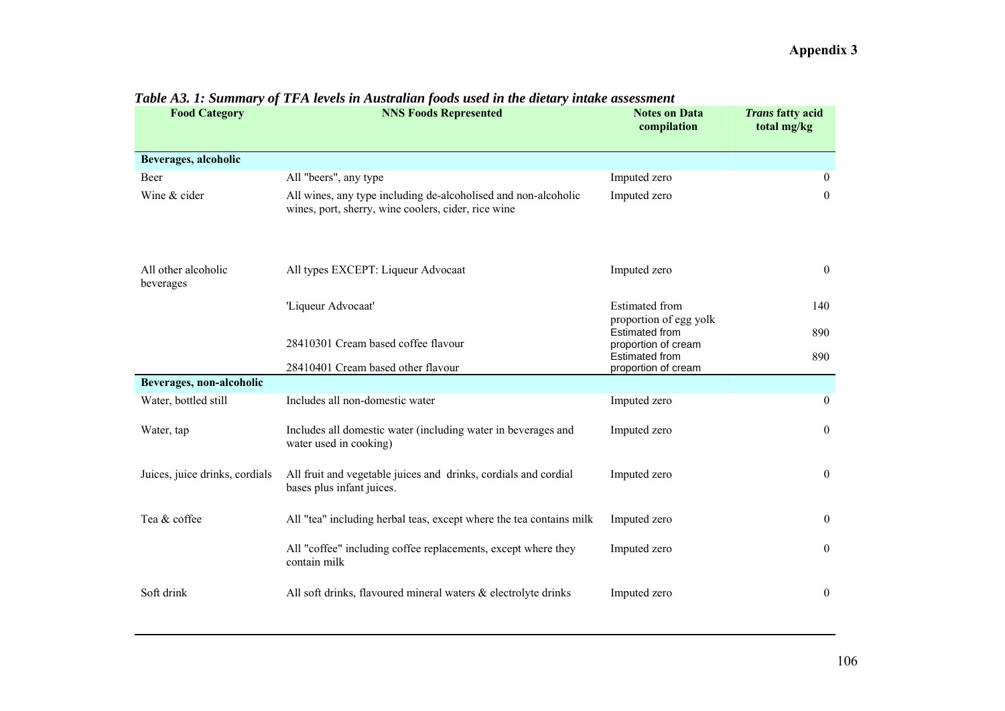| <b>Food Category</b>             | <b>NNS Foods Represented</b>                                                                                          | <b>Notes on Data</b><br>compilation             | <b>Trans fatty acid</b><br>total mg/kg |
|----------------------------------|-----------------------------------------------------------------------------------------------------------------------|-------------------------------------------------|----------------------------------------|
|                                  |                                                                                                                       |                                                 |                                        |
| Beverages, alcoholic             |                                                                                                                       |                                                 |                                        |
| Beer                             | All "beers", any type                                                                                                 | Imputed zero                                    | $\overline{0}$                         |
| Wine & cider                     | All wines, any type including de-alcoholised and non-alcoholic<br>wines, port, sherry, wine coolers, cider, rice wine | Imputed zero                                    | $\overline{0}$                         |
| All other alcoholic<br>beverages | All types EXCEPT: Liqueur Advocaat                                                                                    | Imputed zero                                    | $\overline{0}$                         |
|                                  | 'Liqueur Advocaat'                                                                                                    | <b>Estimated</b> from<br>proportion of egg yolk | 140                                    |
|                                  | 28410301 Cream based coffee flavour                                                                                   | <b>Estimated from</b><br>proportion of cream    | 890                                    |
|                                  | 28410401 Cream based other flavour                                                                                    | <b>Estimated from</b>                           | 890                                    |
| Beverages, non-alcoholic         |                                                                                                                       | proportion of cream                             |                                        |
| Water, bottled still             | Includes all non-domestic water                                                                                       | Imputed zero                                    | $\theta$                               |
| Water, tap                       | Includes all domestic water (including water in beverages and<br>water used in cooking)                               | Imputed zero                                    | $\mathbf{0}$                           |
| Juices, juice drinks, cordials   | All fruit and vegetable juices and drinks, cordials and cordial<br>bases plus infant juices.                          | Imputed zero                                    | $\mathbf{0}$                           |
| Tea & coffee                     | All "tea" including herbal teas, except where the tea contains milk                                                   | Imputed zero                                    | $\boldsymbol{0}$                       |
|                                  | All "coffee" including coffee replacements, except where they<br>contain milk                                         | Imputed zero                                    | $\overline{0}$                         |
| Soft drink                       | All soft drinks, flavoured mineral waters & electrolyte drinks                                                        | Imputed zero                                    | $\mathbf{0}$                           |

### *Table A3. 1: Summary of TFA levels in Australian foods used in the dietary intake assessment*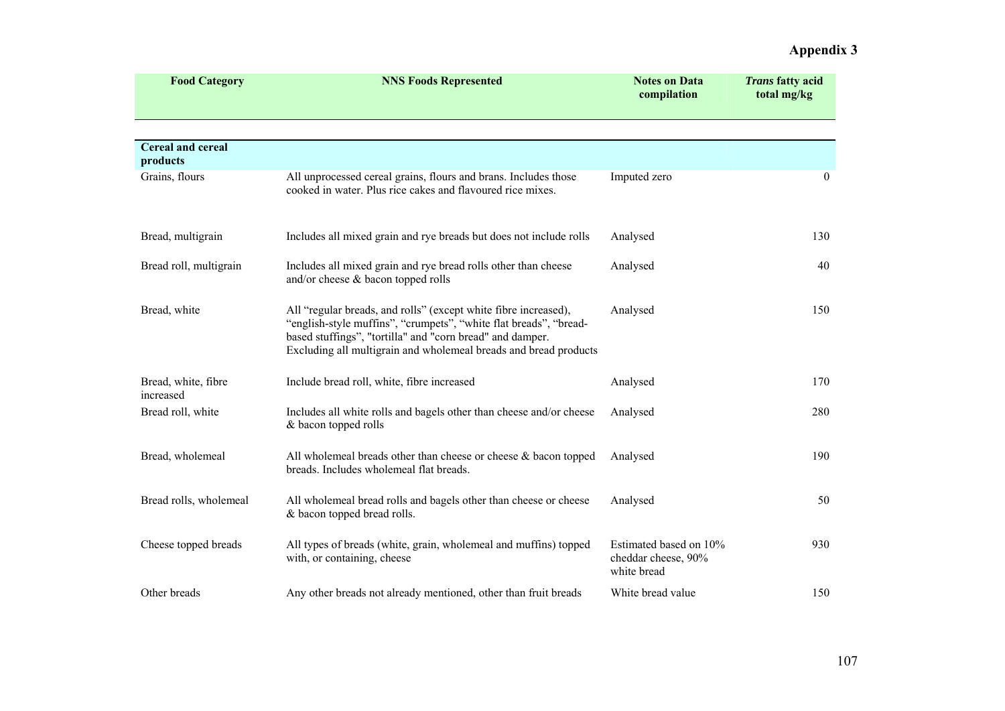| <b>Food Category</b>             | <b>NNS Foods Represented</b>                                                                                                                                                                                                                                          | <b>Notes on Data</b><br>compilation                          | <b>Trans fatty acid</b><br>total mg/kg |
|----------------------------------|-----------------------------------------------------------------------------------------------------------------------------------------------------------------------------------------------------------------------------------------------------------------------|--------------------------------------------------------------|----------------------------------------|
|                                  |                                                                                                                                                                                                                                                                       |                                                              |                                        |
| Cereal and cereal<br>products    |                                                                                                                                                                                                                                                                       |                                                              |                                        |
| Grains, flours                   | All unprocessed cereal grains, flours and brans. Includes those<br>cooked in water. Plus rice cakes and flavoured rice mixes.                                                                                                                                         | Imputed zero                                                 | $\mathbf{0}$                           |
| Bread, multigrain                | Includes all mixed grain and rye breads but does not include rolls                                                                                                                                                                                                    | Analysed                                                     | 130                                    |
| Bread roll, multigrain           | Includes all mixed grain and rye bread rolls other than cheese<br>and/or cheese & bacon topped rolls                                                                                                                                                                  | Analysed                                                     | 40                                     |
| Bread, white                     | All "regular breads, and rolls" (except white fibre increased),<br>"english-style muffins", "crumpets", "white flat breads", "bread-<br>based stuffings", "tortilla" and "corn bread" and damper.<br>Excluding all multigrain and wholemeal breads and bread products | Analysed                                                     | 150                                    |
| Bread, white, fibre<br>increased | Include bread roll, white, fibre increased                                                                                                                                                                                                                            | Analysed                                                     | 170                                    |
| Bread roll, white                | Includes all white rolls and bagels other than cheese and/or cheese<br>& bacon topped rolls                                                                                                                                                                           | Analysed                                                     | 280                                    |
| Bread, wholemeal                 | All whole meal breads other than cheese or cheese $\&$ bacon topped<br>breads. Includes wholemeal flat breads.                                                                                                                                                        | Analysed                                                     | 190                                    |
| Bread rolls, wholemeal           | All wholemeal bread rolls and bagels other than cheese or cheese<br>& bacon topped bread rolls.                                                                                                                                                                       | Analysed                                                     | 50                                     |
| Cheese topped breads             | All types of breads (white, grain, wholemeal and muffins) topped<br>with, or containing, cheese                                                                                                                                                                       | Estimated based on 10%<br>cheddar cheese, 90%<br>white bread | 930                                    |
| Other breads                     | Any other breads not already mentioned, other than fruit breads                                                                                                                                                                                                       | White bread value                                            | 150                                    |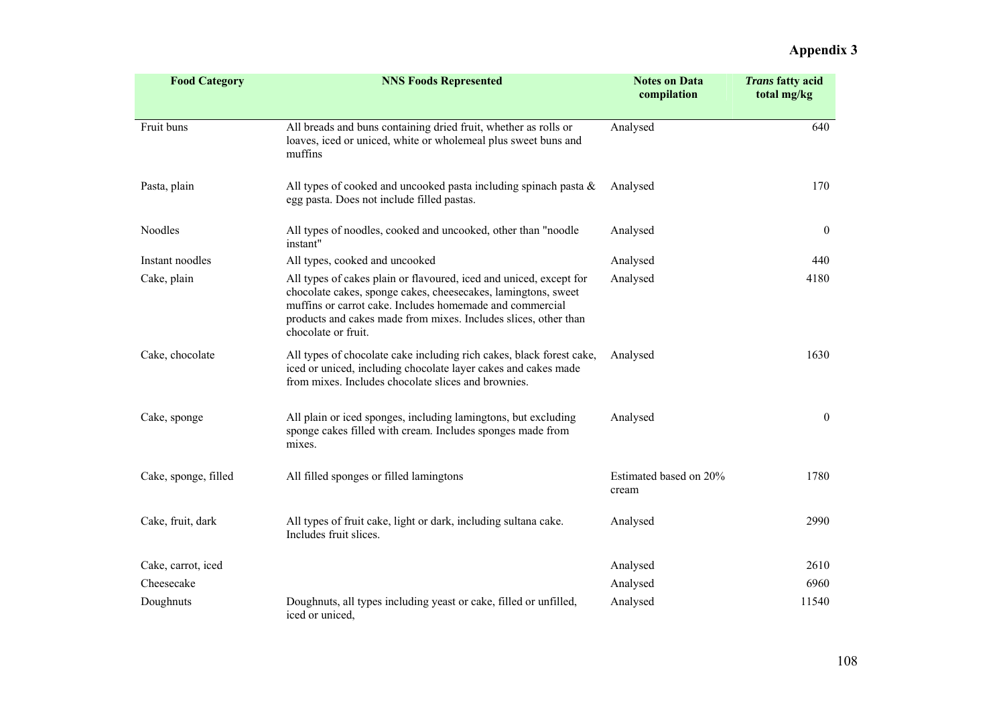| <b>Food Category</b> | <b>NNS Foods Represented</b>                                                                                                                                                                                                                                                              | <b>Notes on Data</b><br>compilation | <b>Trans fatty acid</b><br>total mg/kg |
|----------------------|-------------------------------------------------------------------------------------------------------------------------------------------------------------------------------------------------------------------------------------------------------------------------------------------|-------------------------------------|----------------------------------------|
|                      |                                                                                                                                                                                                                                                                                           |                                     |                                        |
| Fruit buns           | All breads and buns containing dried fruit, whether as rolls or<br>loaves, iced or uniced, white or wholemeal plus sweet buns and<br>muffins                                                                                                                                              | Analysed                            | 640                                    |
| Pasta, plain         | All types of cooked and uncooked pasta including spinach pasta $\&$<br>egg pasta. Does not include filled pastas.                                                                                                                                                                         | Analysed                            | 170                                    |
| <b>Noodles</b>       | All types of noodles, cooked and uncooked, other than "noodle<br>instant"                                                                                                                                                                                                                 | Analysed                            | $\boldsymbol{0}$                       |
| Instant noodles      | All types, cooked and uncooked                                                                                                                                                                                                                                                            | Analysed                            | 440                                    |
| Cake, plain          | All types of cakes plain or flavoured, iced and uniced, except for<br>chocolate cakes, sponge cakes, cheesecakes, lamingtons, sweet<br>muffins or carrot cake. Includes homemade and commercial<br>products and cakes made from mixes. Includes slices, other than<br>chocolate or fruit. | Analysed                            | 4180                                   |
| Cake, chocolate      | All types of chocolate cake including rich cakes, black forest cake,<br>iced or uniced, including chocolate layer cakes and cakes made<br>from mixes. Includes chocolate slices and brownies.                                                                                             | Analysed                            | 1630                                   |
| Cake, sponge         | All plain or iced sponges, including lamingtons, but excluding<br>sponge cakes filled with cream. Includes sponges made from<br>mixes.                                                                                                                                                    | Analysed                            | $\overline{0}$                         |
| Cake, sponge, filled | All filled sponges or filled lamingtons                                                                                                                                                                                                                                                   | Estimated based on 20%<br>cream     | 1780                                   |
| Cake, fruit, dark    | All types of fruit cake, light or dark, including sultana cake.<br>Includes fruit slices.                                                                                                                                                                                                 | Analysed                            | 2990                                   |
| Cake, carrot, iced   |                                                                                                                                                                                                                                                                                           | Analysed                            | 2610                                   |
| Cheesecake           |                                                                                                                                                                                                                                                                                           | Analysed                            | 6960                                   |
| Doughnuts            | Doughnuts, all types including yeast or cake, filled or unfilled,<br>iced or uniced,                                                                                                                                                                                                      | Analysed                            | 11540                                  |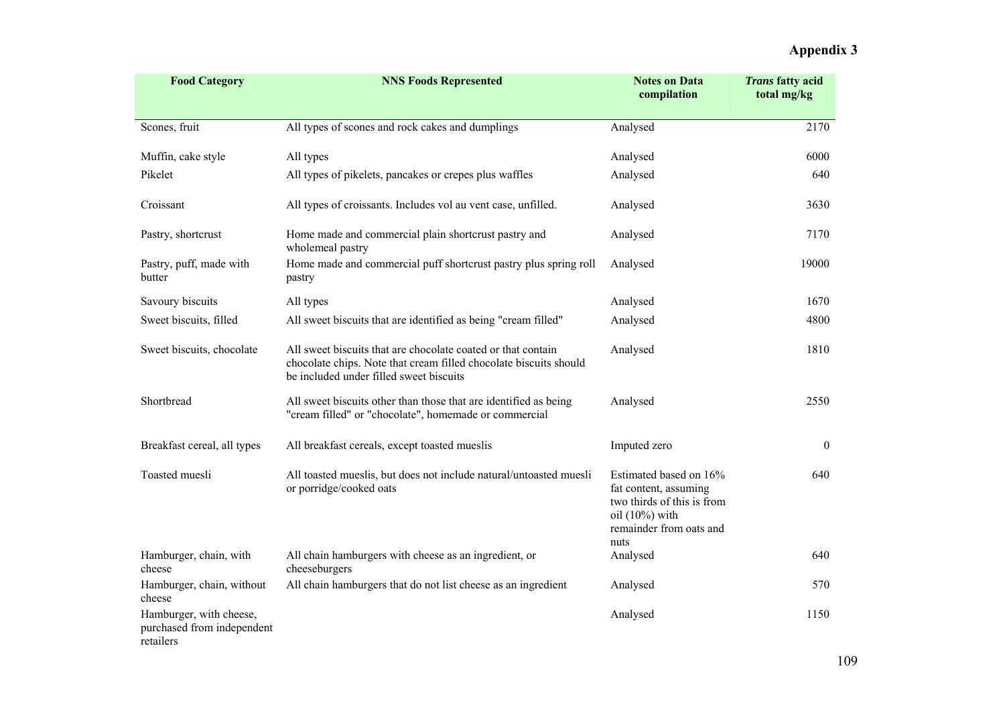| <b>Food Category</b>                                               | <b>NNS Foods Represented</b>                                                                                                                                                 | <b>Notes on Data</b><br>compilation                                                                                                   | <b>Trans fatty acid</b><br>total mg/kg |
|--------------------------------------------------------------------|------------------------------------------------------------------------------------------------------------------------------------------------------------------------------|---------------------------------------------------------------------------------------------------------------------------------------|----------------------------------------|
| Scones, fruit                                                      | All types of scones and rock cakes and dumplings                                                                                                                             | Analysed                                                                                                                              | 2170                                   |
| Muffin, cake style                                                 | All types                                                                                                                                                                    | Analysed                                                                                                                              | 6000                                   |
| Pikelet                                                            | All types of pikelets, pancakes or crepes plus waffles                                                                                                                       | Analysed                                                                                                                              | 640                                    |
| Croissant                                                          | All types of croissants. Includes vol au vent case, unfilled.                                                                                                                | Analysed                                                                                                                              | 3630                                   |
| Pastry, shortcrust                                                 | Home made and commercial plain shortcrust pastry and<br>wholemeal pastry                                                                                                     | Analysed                                                                                                                              | 7170                                   |
| Pastry, puff, made with<br>butter                                  | Home made and commercial puff shortcrust pastry plus spring roll<br>pastry                                                                                                   | Analysed                                                                                                                              | 19000                                  |
| Savoury biscuits                                                   | All types                                                                                                                                                                    | Analysed                                                                                                                              | 1670                                   |
| Sweet biscuits, filled                                             | All sweet biscuits that are identified as being "cream filled"                                                                                                               | Analysed                                                                                                                              | 4800                                   |
| Sweet biscuits, chocolate                                          | All sweet biscuits that are chocolate coated or that contain<br>chocolate chips. Note that cream filled chocolate biscuits should<br>be included under filled sweet biscuits | Analysed                                                                                                                              | 1810                                   |
| Shortbread                                                         | All sweet biscuits other than those that are identified as being<br>"cream filled" or "chocolate", homemade or commercial                                                    | Analysed                                                                                                                              | 2550                                   |
| Breakfast cereal, all types                                        | All breakfast cereals, except toasted mueslis                                                                                                                                | Imputed zero                                                                                                                          | $\mathbf{0}$                           |
| Toasted muesli                                                     | All toasted mueslis, but does not include natural/untoasted muesli<br>or porridge/cooked oats                                                                                | Estimated based on 16%<br>fat content, assuming<br>two thirds of this is from<br>oil $(10\%)$ with<br>remainder from oats and<br>nuts | 640                                    |
| Hamburger, chain, with<br>cheese                                   | All chain hamburgers with cheese as an ingredient, or<br>cheeseburgers                                                                                                       | Analysed                                                                                                                              | 640                                    |
| Hamburger, chain, without<br>cheese                                | All chain hamburgers that do not list cheese as an ingredient                                                                                                                | Analysed                                                                                                                              | 570                                    |
| Hamburger, with cheese,<br>purchased from independent<br>retailers |                                                                                                                                                                              | Analysed                                                                                                                              | 1150                                   |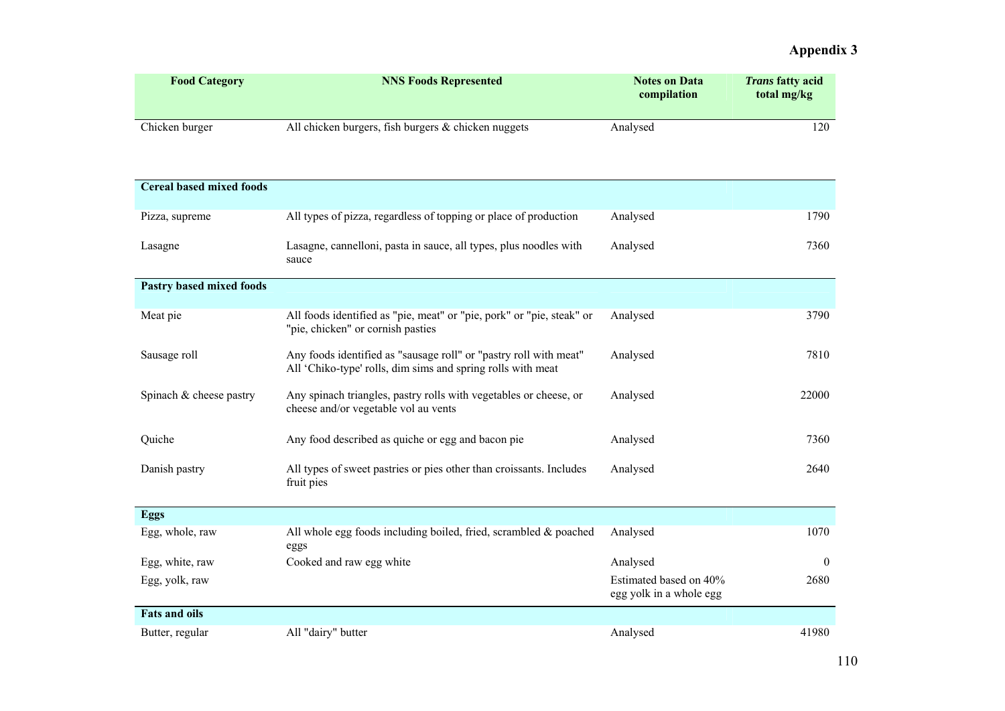| <b>Food Category</b>            | <b>NNS Foods Represented</b>                                                                                                     | <b>Notes on Data</b><br>compilation               | <b>Trans fatty acid</b><br>total mg/kg |
|---------------------------------|----------------------------------------------------------------------------------------------------------------------------------|---------------------------------------------------|----------------------------------------|
|                                 |                                                                                                                                  |                                                   |                                        |
| Chicken burger                  | All chicken burgers, fish burgers & chicken nuggets                                                                              | Analysed                                          | 120                                    |
| <b>Cereal based mixed foods</b> |                                                                                                                                  |                                                   |                                        |
| Pizza, supreme                  | All types of pizza, regardless of topping or place of production                                                                 | Analysed                                          | 1790                                   |
| Lasagne                         | Lasagne, cannelloni, pasta in sauce, all types, plus noodles with<br>sauce                                                       | Analysed                                          | 7360                                   |
| <b>Pastry based mixed foods</b> |                                                                                                                                  |                                                   |                                        |
| Meat pie                        | All foods identified as "pie, meat" or "pie, pork" or "pie, steak" or<br>"pie, chicken" or cornish pasties                       | Analysed                                          | 3790                                   |
| Sausage roll                    | Any foods identified as "sausage roll" or "pastry roll with meat"<br>All 'Chiko-type' rolls, dim sims and spring rolls with meat | Analysed                                          | 7810                                   |
| Spinach & cheese pastry         | Any spinach triangles, pastry rolls with vegetables or cheese, or<br>cheese and/or vegetable vol au vents                        | Analysed                                          | 22000                                  |
| Quiche                          | Any food described as quiche or egg and bacon pie                                                                                | Analysed                                          | 7360                                   |
| Danish pastry                   | All types of sweet pastries or pies other than croissants. Includes<br>fruit pies                                                | Analysed                                          | 2640                                   |
| Eggs                            |                                                                                                                                  |                                                   |                                        |
| Egg, whole, raw                 | All whole egg foods including boiled, fried, scrambled & poached<br>eggs                                                         | Analysed                                          | 1070                                   |
| Egg, white, raw                 | Cooked and raw egg white                                                                                                         | Analysed                                          | $\overline{0}$                         |
| Egg, yolk, raw                  |                                                                                                                                  | Estimated based on 40%<br>egg yolk in a whole egg | 2680                                   |
| <b>Fats and oils</b>            |                                                                                                                                  |                                                   |                                        |
| Butter, regular                 | All "dairy" butter                                                                                                               | Analysed                                          | 41980                                  |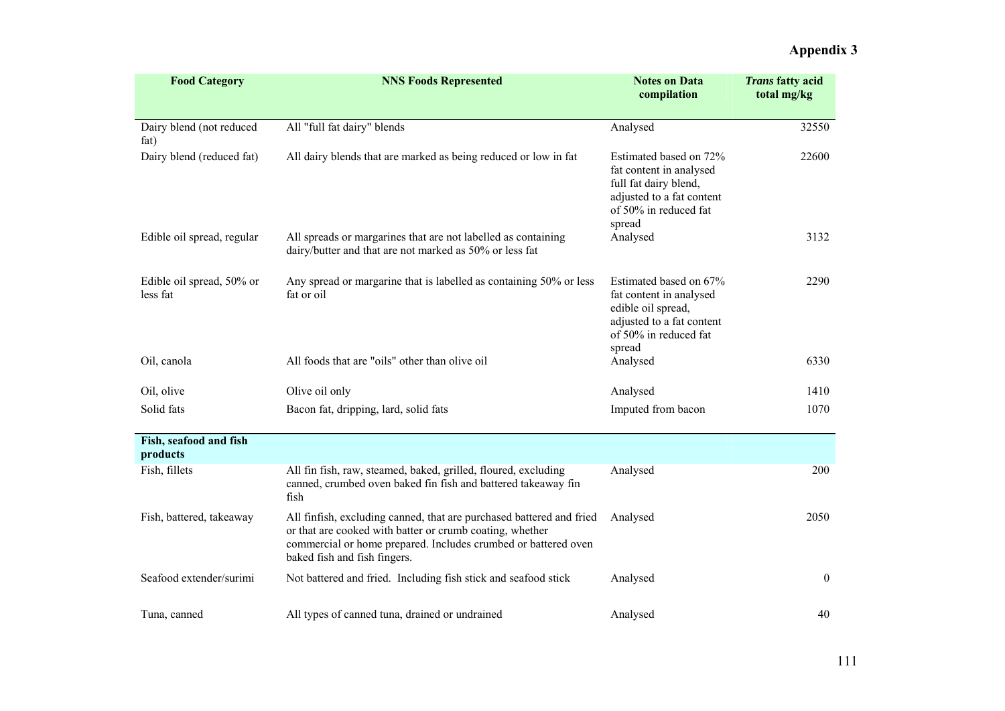| <b>Food Category</b>                  | <b>NNS Foods Represented</b>                                                                                                                                                                                                       | <b>Notes on Data</b><br>compilation                                                                                                        | <b>Trans fatty acid</b><br>total mg/kg |
|---------------------------------------|------------------------------------------------------------------------------------------------------------------------------------------------------------------------------------------------------------------------------------|--------------------------------------------------------------------------------------------------------------------------------------------|----------------------------------------|
|                                       |                                                                                                                                                                                                                                    |                                                                                                                                            |                                        |
| Dairy blend (not reduced<br>fat)      | All "full fat dairy" blends                                                                                                                                                                                                        | Analysed                                                                                                                                   | 32550                                  |
| Dairy blend (reduced fat)             | All dairy blends that are marked as being reduced or low in fat                                                                                                                                                                    | Estimated based on 72%<br>fat content in analysed<br>full fat dairy blend,<br>adjusted to a fat content<br>of 50% in reduced fat<br>spread | 22600                                  |
| Edible oil spread, regular            | All spreads or margarines that are not labelled as containing<br>dairy/butter and that are not marked as 50% or less fat                                                                                                           | Analysed                                                                                                                                   | 3132                                   |
| Edible oil spread, 50% or<br>less fat | Any spread or margarine that is labelled as containing 50% or less<br>fat or oil                                                                                                                                                   | Estimated based on 67%<br>fat content in analysed<br>edible oil spread,<br>adjusted to a fat content<br>of 50% in reduced fat<br>spread    | 2290                                   |
| Oil, canola                           | All foods that are "oils" other than olive oil                                                                                                                                                                                     | Analysed                                                                                                                                   | 6330                                   |
| Oil, olive                            | Olive oil only                                                                                                                                                                                                                     | Analysed                                                                                                                                   | 1410                                   |
| Solid fats                            | Bacon fat, dripping, lard, solid fats                                                                                                                                                                                              | Imputed from bacon                                                                                                                         | 1070                                   |
| Fish, seafood and fish<br>products    |                                                                                                                                                                                                                                    |                                                                                                                                            |                                        |
| Fish, fillets                         | All fin fish, raw, steamed, baked, grilled, floured, excluding<br>canned, crumbed oven baked fin fish and battered takeaway fin<br>fish                                                                                            | Analysed                                                                                                                                   | 200                                    |
| Fish, battered, takeaway              | All finfish, excluding canned, that are purchased battered and fried<br>or that are cooked with batter or crumb coating, whether<br>commercial or home prepared. Includes crumbed or battered oven<br>baked fish and fish fingers. | Analysed                                                                                                                                   | 2050                                   |
| Seafood extender/surimi               | Not battered and fried. Including fish stick and seafood stick                                                                                                                                                                     | Analysed                                                                                                                                   | $\boldsymbol{0}$                       |
| Tuna, canned                          | All types of canned tuna, drained or undrained                                                                                                                                                                                     | Analysed                                                                                                                                   | 40                                     |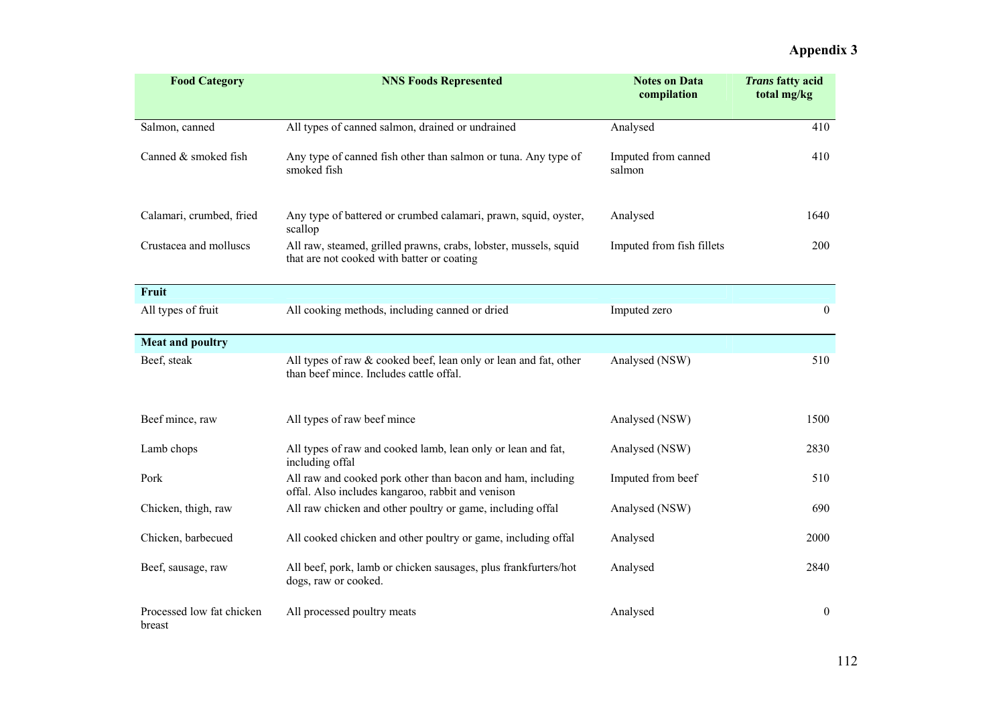| <b>Food Category</b>                | <b>NNS Foods Represented</b>                                                                                     | <b>Notes on Data</b><br>compilation | Trans fatty acid<br>total mg/kg |
|-------------------------------------|------------------------------------------------------------------------------------------------------------------|-------------------------------------|---------------------------------|
| Salmon, canned                      | All types of canned salmon, drained or undrained                                                                 | Analysed                            | 410                             |
| Canned & smoked fish                | Any type of canned fish other than salmon or tuna. Any type of<br>smoked fish                                    | Imputed from canned<br>salmon       | 410                             |
| Calamari, crumbed, fried            | Any type of battered or crumbed calamari, prawn, squid, oyster,<br>scallop                                       | Analysed                            | 1640                            |
| Crustacea and molluscs              | All raw, steamed, grilled prawns, crabs, lobster, mussels, squid<br>that are not cooked with batter or coating   | Imputed from fish fillets           | 200                             |
| Fruit                               |                                                                                                                  |                                     |                                 |
| All types of fruit                  | All cooking methods, including canned or dried                                                                   | Imputed zero                        | $\mathbf{0}$                    |
| <b>Meat and poultry</b>             |                                                                                                                  |                                     |                                 |
| Beef, steak                         | All types of raw & cooked beef, lean only or lean and fat, other<br>than beef mince. Includes cattle offal.      | Analysed (NSW)                      | 510                             |
| Beef mince, raw                     | All types of raw beef mince                                                                                      | Analysed (NSW)                      | 1500                            |
| Lamb chops                          | All types of raw and cooked lamb, lean only or lean and fat,<br>including offal                                  | Analysed (NSW)                      | 2830                            |
| Pork                                | All raw and cooked pork other than bacon and ham, including<br>offal. Also includes kangaroo, rabbit and venison | Imputed from beef                   | 510                             |
| Chicken, thigh, raw                 | All raw chicken and other poultry or game, including offal                                                       | Analysed (NSW)                      | 690                             |
| Chicken, barbecued                  | All cooked chicken and other poultry or game, including offal                                                    | Analysed                            | 2000                            |
| Beef, sausage, raw                  | All beef, pork, lamb or chicken sausages, plus frankfurters/hot<br>dogs, raw or cooked.                          | Analysed                            | 2840                            |
| Processed low fat chicken<br>breast | All processed poultry meats                                                                                      | Analysed                            | $\boldsymbol{0}$                |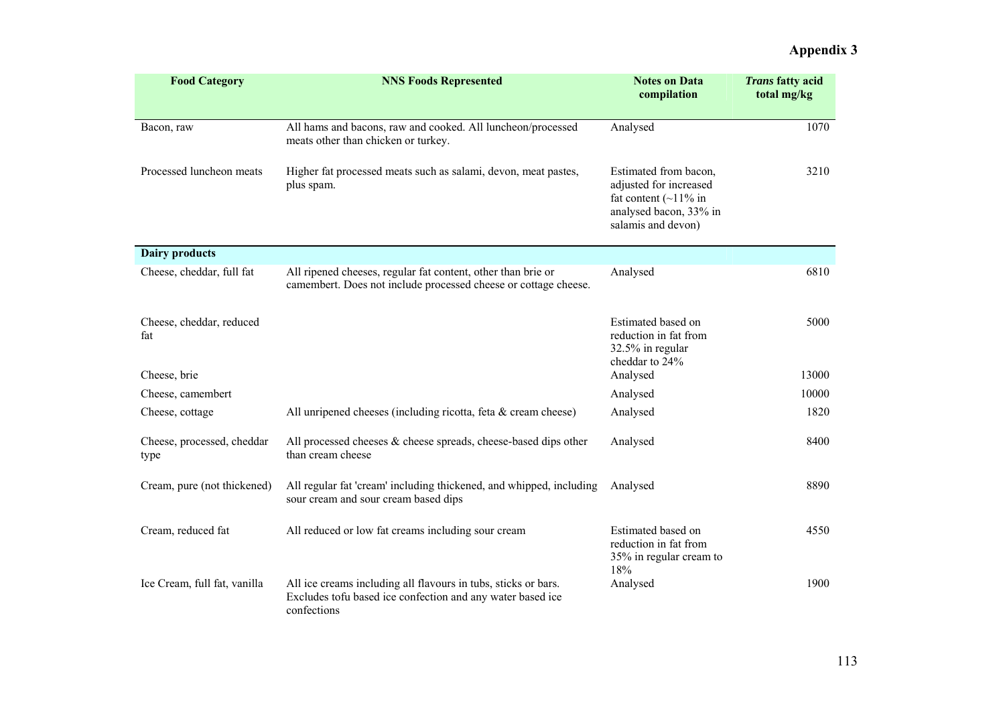| <b>Food Category</b>               | <b>NNS Foods Represented</b><br><b>Notes on Data</b><br>compilation                                                                         |                                                                                                                                | <b>Trans fatty acid</b><br>total mg/kg |
|------------------------------------|---------------------------------------------------------------------------------------------------------------------------------------------|--------------------------------------------------------------------------------------------------------------------------------|----------------------------------------|
|                                    |                                                                                                                                             |                                                                                                                                |                                        |
| Bacon, raw                         | All hams and bacons, raw and cooked. All luncheon/processed<br>meats other than chicken or turkey.                                          | Analysed                                                                                                                       | 1070                                   |
| Processed luncheon meats           | Higher fat processed meats such as salami, devon, meat pastes,<br>plus spam.                                                                | Estimated from bacon,<br>adjusted for increased<br>fat content $(\sim 11\%$ in<br>analysed bacon, 33% in<br>salamis and devon) | 3210                                   |
| <b>Dairy products</b>              |                                                                                                                                             |                                                                                                                                |                                        |
| Cheese, cheddar, full fat          | All ripened cheeses, regular fat content, other than brie or<br>camembert. Does not include processed cheese or cottage cheese.             | Analysed                                                                                                                       | 6810                                   |
| Cheese, cheddar, reduced<br>fat    |                                                                                                                                             | Estimated based on<br>reduction in fat from<br>32.5% in regular<br>cheddar to 24%                                              | 5000                                   |
| Cheese, brie                       |                                                                                                                                             | Analysed                                                                                                                       | 13000                                  |
| Cheese, camembert                  |                                                                                                                                             | Analysed                                                                                                                       | 10000                                  |
| Cheese, cottage                    | All unripened cheeses (including ricotta, feta $\&$ cream cheese)                                                                           | Analysed                                                                                                                       | 1820                                   |
| Cheese, processed, cheddar<br>type | All processed cheeses $\&$ cheese spreads, cheese-based dips other<br>than cream cheese                                                     | Analysed                                                                                                                       | 8400                                   |
| Cream, pure (not thickened)        | All regular fat 'cream' including thickened, and whipped, including<br>sour cream and sour cream based dips                                 | Analysed                                                                                                                       | 8890                                   |
| Cream, reduced fat                 | All reduced or low fat creams including sour cream                                                                                          | Estimated based on<br>reduction in fat from<br>35% in regular cream to<br>18%                                                  | 4550                                   |
| Ice Cream, full fat, vanilla       | All ice creams including all flavours in tubs, sticks or bars.<br>Excludes tofu based ice confection and any water based ice<br>confections | Analysed                                                                                                                       | 1900                                   |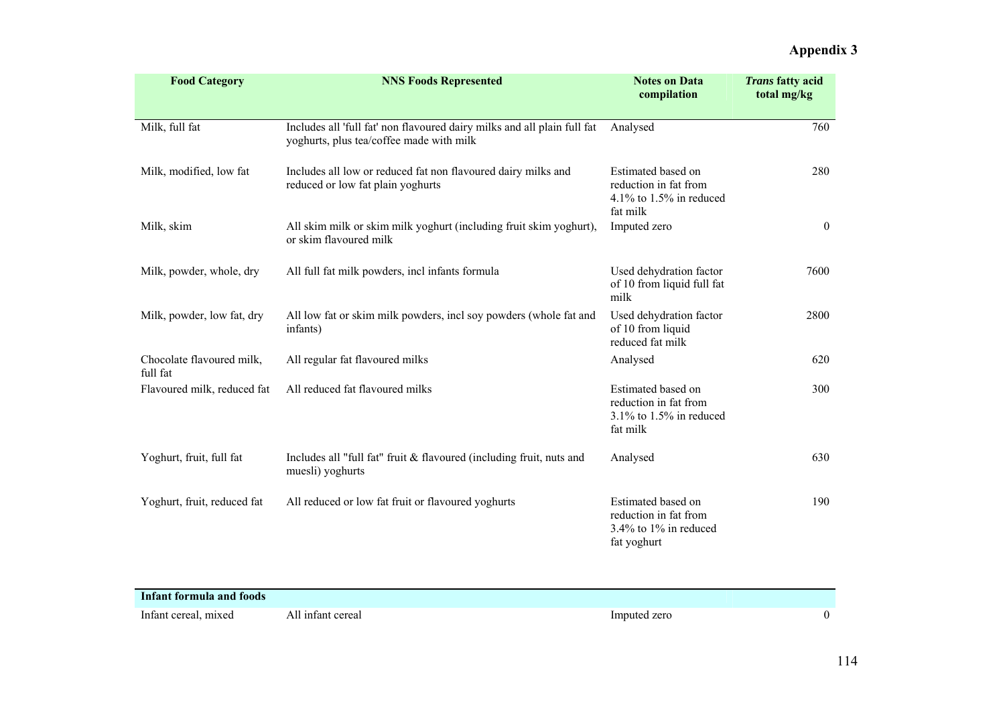| <b>Food Category</b>                  | <b>NNS Foods Represented</b>                                                                                         | <b>Notes on Data</b><br>compilation                                                   | <b>Trans fatty acid</b><br>total mg/kg |
|---------------------------------------|----------------------------------------------------------------------------------------------------------------------|---------------------------------------------------------------------------------------|----------------------------------------|
| Milk, full fat                        | Includes all 'full fat' non flavoured dairy milks and all plain full fat<br>yoghurts, plus tea/coffee made with milk | Analysed                                                                              | 760                                    |
| Milk, modified, low fat               | Includes all low or reduced fat non flavoured dairy milks and<br>reduced or low fat plain yoghurts                   | Estimated based on<br>reduction in fat from<br>4.1% to $1.5\%$ in reduced<br>fat milk | 280                                    |
| Milk, skim                            | All skim milk or skim milk yoghurt (including fruit skim yoghurt),<br>or skim flavoured milk                         | Imputed zero                                                                          | $\overline{0}$                         |
| Milk, powder, whole, dry              | All full fat milk powders, incl infants formula                                                                      | Used dehydration factor<br>of 10 from liquid full fat<br>milk                         | 7600                                   |
| Milk, powder, low fat, dry            | All low fat or skim milk powders, incl soy powders (whole fat and<br>infants)                                        | Used dehydration factor<br>of 10 from liquid<br>reduced fat milk                      | 2800                                   |
| Chocolate flavoured milk,<br>full fat | All regular fat flavoured milks                                                                                      | Analysed                                                                              | 620                                    |
| Flavoured milk, reduced fat           | All reduced fat flavoured milks                                                                                      | Estimated based on<br>reduction in fat from<br>$3.1\%$ to 1.5% in reduced<br>fat milk | 300                                    |
| Yoghurt, fruit, full fat              | Includes all "full fat" fruit & flavoured (including fruit, nuts and<br>muesli) yoghurts                             | Analysed                                                                              | 630                                    |
| Yoghurt, fruit, reduced fat           | All reduced or low fat fruit or flavoured yoghurts                                                                   | Estimated based on<br>reduction in fat from<br>3.4% to 1% in reduced<br>fat yoghurt   | 190                                    |

| Infant formula and foods |                   |              |  |
|--------------------------|-------------------|--------------|--|
| Infant cereal, mixed     | All infant cereal | Imputed zero |  |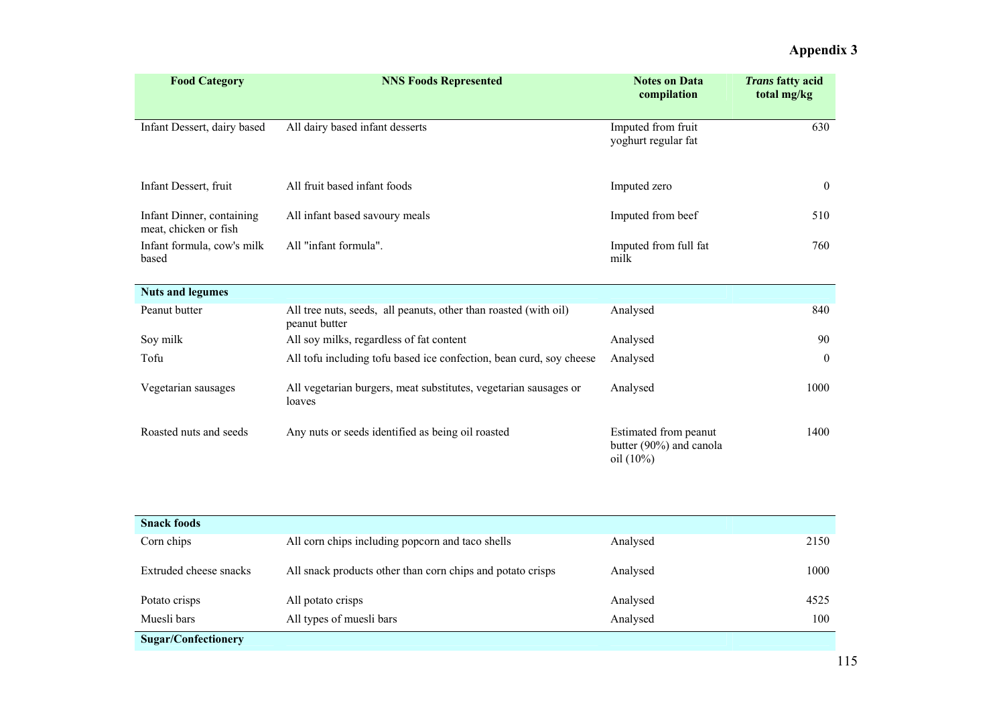| <b>Food Category</b>                               | <b>NNS Foods Represented</b>                                                      | <b>Notes on Data</b><br>compilation                              | <b>Trans fatty acid</b><br>total mg/kg |
|----------------------------------------------------|-----------------------------------------------------------------------------------|------------------------------------------------------------------|----------------------------------------|
| Infant Dessert, dairy based                        | All dairy based infant desserts                                                   | Imputed from fruit<br>yoghurt regular fat                        | 630                                    |
| Infant Dessert, fruit                              | All fruit based infant foods                                                      | Imputed zero                                                     | $\overline{0}$                         |
| Infant Dinner, containing<br>meat, chicken or fish | All infant based savoury meals                                                    | Imputed from beef                                                | 510                                    |
| Infant formula, cow's milk<br>based                | All "infant formula".                                                             | Imputed from full fat<br>milk                                    | 760                                    |
| <b>Nuts and legumes</b>                            |                                                                                   |                                                                  |                                        |
| Peanut butter                                      | All tree nuts, seeds, all peanuts, other than roasted (with oil)<br>peanut butter | Analysed                                                         | 840                                    |
| Soy milk                                           | All soy milks, regardless of fat content                                          | Analysed                                                         | 90                                     |
| Tofu                                               | All tofu including tofu based ice confection, bean curd, soy cheese               | Analysed                                                         | $\mathbf{0}$                           |
| Vegetarian sausages                                | All vegetarian burgers, meat substitutes, vegetarian sausages or<br>loaves        | Analysed                                                         | 1000                                   |
| Roasted nuts and seeds                             | Any nuts or seeds identified as being oil roasted                                 | Estimated from peanut<br>butter (90%) and canola<br>oil $(10\%)$ | 1400                                   |

| <b>Snack foods</b>         |                                                            |          |      |
|----------------------------|------------------------------------------------------------|----------|------|
| Corn chips                 | All corn chips including popcorn and taco shells           | Analysed | 2150 |
| Extruded cheese snacks     | All snack products other than corn chips and potato crisps | Analysed | 1000 |
| Potato crisps              | All potato crisps                                          | Analysed | 4525 |
| Muesli bars                | All types of muesli bars                                   | Analysed | 100  |
| <b>Sugar/Confectionery</b> |                                                            |          |      |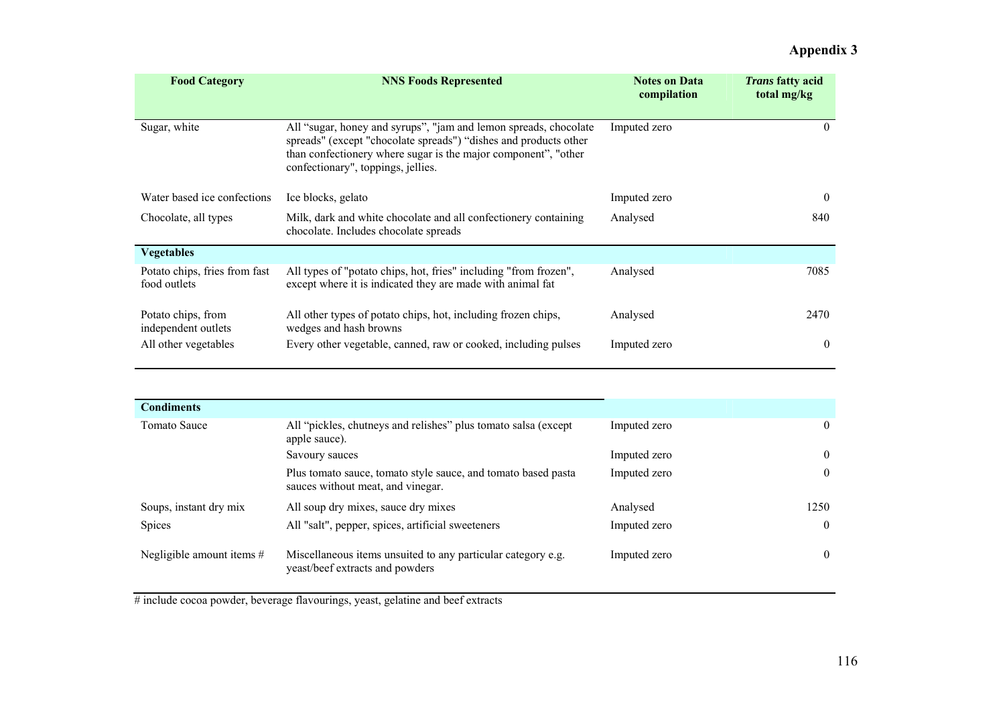| <b>Food Category</b>                          | <b>NNS Foods Represented</b>                                                                                                                                                                                                                 | <b>Notes on Data</b><br>compilation | <i>Trans</i> fatty acid<br>total mg/kg |
|-----------------------------------------------|----------------------------------------------------------------------------------------------------------------------------------------------------------------------------------------------------------------------------------------------|-------------------------------------|----------------------------------------|
| Sugar, white                                  | All "sugar, honey and syrups", "jam and lemon spreads, chocolate<br>spreads" (except "chocolate spreads") "dishes and products other<br>than confectionery where sugar is the major component", "other<br>confectionary", toppings, jellies. | Imputed zero                        | $\left( \right)$                       |
| Water based ice confections                   | Ice blocks, gelato                                                                                                                                                                                                                           | Imputed zero                        | $\left( \right)$                       |
| Chocolate, all types                          | Milk, dark and white chocolate and all confectionery containing<br>chocolate. Includes chocolate spreads                                                                                                                                     | Analysed                            | 840                                    |
| <b>Vegetables</b>                             |                                                                                                                                                                                                                                              |                                     |                                        |
| Potato chips, fries from fast<br>food outlets | All types of "potato chips, hot, fries" including "from frozen",<br>except where it is indicated they are made with animal fat                                                                                                               | Analysed                            | 7085                                   |
| Potato chips, from<br>independent outlets     | All other types of potato chips, hot, including frozen chips,<br>wedges and hash browns                                                                                                                                                      | Analysed                            | 2470                                   |
| All other vegetables                          | Every other vegetable, canned, raw or cooked, including pulses                                                                                                                                                                               | Imputed zero                        | $\boldsymbol{0}$                       |

| <b>Condiments</b>           |                                                                                                    |              |                |
|-----------------------------|----------------------------------------------------------------------------------------------------|--------------|----------------|
| <b>Tomato Sauce</b>         | All "pickles, chutneys and relishes" plus tomato salsa (except<br>apple sauce).                    | Imputed zero | $\overline{0}$ |
|                             | Savoury sauces                                                                                     | Imputed zero | $\theta$       |
|                             | Plus tomato sauce, tomato style sauce, and tomato based pasta<br>sauces without meat, and vinegar. | Imputed zero | $\theta$       |
| Soups, instant dry mix      | All soup dry mixes, sauce dry mixes                                                                | Analysed     | 1250           |
| Spices                      | All "salt", pepper, spices, artificial sweeteners                                                  | Imputed zero | $\theta$       |
| Negligible amount items $#$ | Miscellaneous items unsuited to any particular category e.g.<br>yeast/beef extracts and powders    | Imputed zero | $\theta$       |

# include cocoa powder, beverage flavourings, yeast, gelatine and beef extracts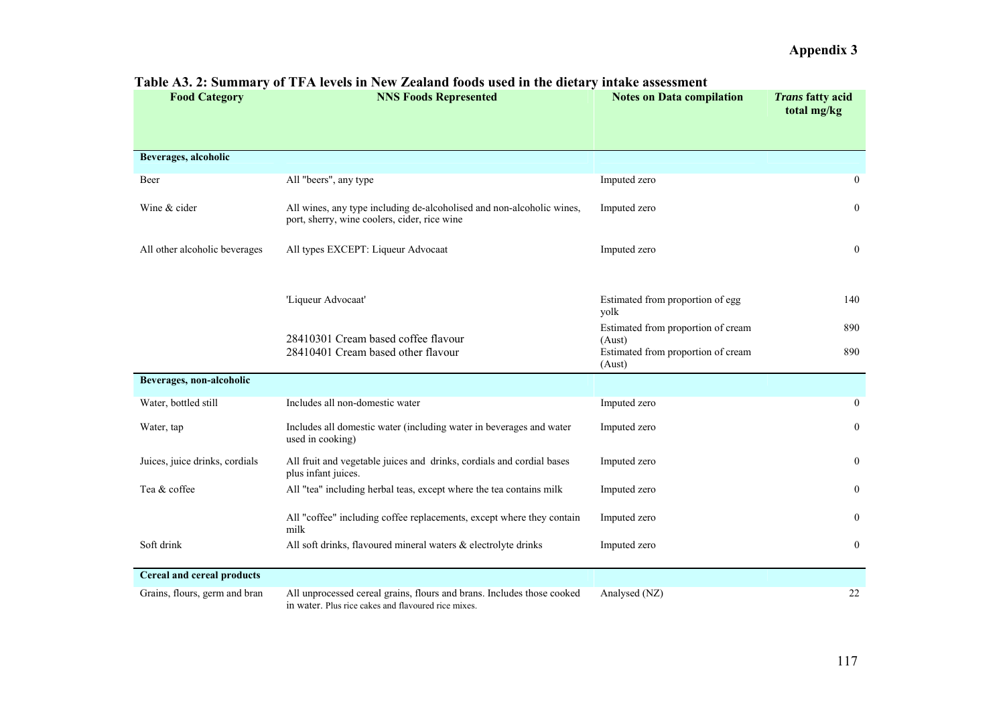| <b>Food Category</b>           | <b>NNS Foods Represented</b>                                                                                                  | <b>Notes on Data compilation</b>                       | <b>Trans fatty acid</b><br>total mg/kg |
|--------------------------------|-------------------------------------------------------------------------------------------------------------------------------|--------------------------------------------------------|----------------------------------------|
|                                |                                                                                                                               |                                                        |                                        |
| Beverages, alcoholic           |                                                                                                                               |                                                        |                                        |
| Beer                           | All "beers", any type                                                                                                         | Imputed zero                                           | $\bf{0}$                               |
| Wine & cider                   | All wines, any type including de-alcoholised and non-alcoholic wines,<br>port, sherry, wine coolers, cider, rice wine         | Imputed zero                                           | $\mathbf{0}$                           |
| All other alcoholic beverages  | All types EXCEPT: Liqueur Advocaat                                                                                            | Imputed zero                                           | $\mathbf{0}$                           |
|                                |                                                                                                                               |                                                        |                                        |
|                                | 'Liqueur Advocaat'                                                                                                            | Estimated from proportion of egg<br>yolk               | 140                                    |
|                                | 28410301 Cream based coffee flavour                                                                                           | Estimated from proportion of cream                     | 890                                    |
|                                | 28410401 Cream based other flavour                                                                                            | (Aust)<br>Estimated from proportion of cream<br>(Aust) | 890                                    |
| Beverages, non-alcoholic       |                                                                                                                               |                                                        |                                        |
| Water, bottled still           | Includes all non-domestic water                                                                                               | Imputed zero                                           | $\overline{0}$                         |
| Water, tap                     | Includes all domestic water (including water in beverages and water<br>used in cooking)                                       | Imputed zero                                           | $\overline{0}$                         |
| Juices, juice drinks, cordials | All fruit and vegetable juices and drinks, cordials and cordial bases<br>plus infant juices.                                  | Imputed zero                                           | $\mathbf{0}$                           |
| Tea & coffee                   | All "tea" including herbal teas, except where the tea contains milk                                                           | Imputed zero                                           | $\overline{0}$                         |
|                                | All "coffee" including coffee replacements, except where they contain<br>milk                                                 | Imputed zero                                           | $\overline{0}$                         |
| Soft drink                     | All soft drinks, flavoured mineral waters & electrolyte drinks                                                                | Imputed zero                                           | $\bf{0}$                               |
| Cereal and cereal products     |                                                                                                                               |                                                        |                                        |
| Grains, flours, germ and bran  | All unprocessed cereal grains, flours and brans. Includes those cooked<br>in water. Plus rice cakes and flavoured rice mixes. | Analysed (NZ)                                          | 22                                     |

### **Table A3. 2: Summary of TFA levels in New Zealand foods used in the dietary intake assessment**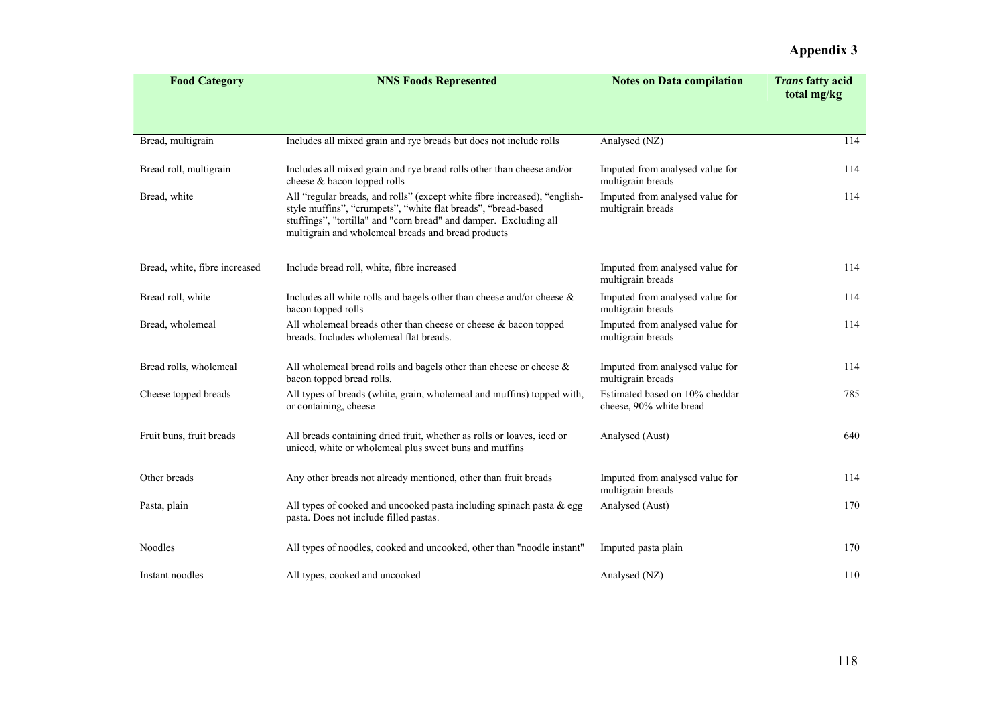| <b>Food Category</b>          | <b>NNS Foods Represented</b>                                                                                                                                                                                                                                          | <b>Notes on Data compilation</b>                          | <b>Trans fatty acid</b><br>total mg/kg |
|-------------------------------|-----------------------------------------------------------------------------------------------------------------------------------------------------------------------------------------------------------------------------------------------------------------------|-----------------------------------------------------------|----------------------------------------|
|                               |                                                                                                                                                                                                                                                                       |                                                           |                                        |
| Bread, multigrain             | Includes all mixed grain and rye breads but does not include rolls                                                                                                                                                                                                    | Analysed (NZ)                                             | 114                                    |
| Bread roll, multigrain        | Includes all mixed grain and rye bread rolls other than cheese and/or<br>cheese & bacon topped rolls                                                                                                                                                                  | Imputed from analysed value for<br>multigrain breads      | 114                                    |
| Bread, white                  | All "regular breads, and rolls" (except white fibre increased), "english-<br>style muffins", "crumpets", "white flat breads", "bread-based<br>stuffings", "tortilla" and "corn bread" and damper. Excluding all<br>multigrain and wholemeal breads and bread products | Imputed from analysed value for<br>multigrain breads      | 114                                    |
| Bread, white, fibre increased | Include bread roll, white, fibre increased                                                                                                                                                                                                                            | Imputed from analysed value for<br>multigrain breads      | 114                                    |
| Bread roll, white             | Includes all white rolls and bagels other than cheese and/or cheese $\&$<br>bacon topped rolls                                                                                                                                                                        | Imputed from analysed value for<br>multigrain breads      | 114                                    |
| Bread, wholemeal              | All whole meal breads other than cheese or cheese $\&$ bacon topped<br>breads. Includes wholemeal flat breads.                                                                                                                                                        | Imputed from analysed value for<br>multigrain breads      | 114                                    |
| Bread rolls, wholemeal        | All whole meal bread rolls and bagels other than cheese or cheese $\&$<br>bacon topped bread rolls.                                                                                                                                                                   | Imputed from analysed value for<br>multigrain breads      | 114                                    |
| Cheese topped breads          | All types of breads (white, grain, wholemeal and muffins) topped with,<br>or containing, cheese                                                                                                                                                                       | Estimated based on 10% cheddar<br>cheese, 90% white bread | 785                                    |
| Fruit buns, fruit breads      | All breads containing dried fruit, whether as rolls or loaves, iced or<br>uniced, white or wholemeal plus sweet buns and muffins                                                                                                                                      | Analysed (Aust)                                           | 640                                    |
| Other breads                  | Any other breads not already mentioned, other than fruit breads                                                                                                                                                                                                       | Imputed from analysed value for<br>multigrain breads      | 114                                    |
| Pasta, plain                  | All types of cooked and uncooked pasta including spinach pasta & egg<br>pasta. Does not include filled pastas.                                                                                                                                                        | Analysed (Aust)                                           | 170                                    |
| Noodles                       | All types of noodles, cooked and uncooked, other than "noodle instant"                                                                                                                                                                                                | Imputed pasta plain                                       | 170                                    |
| Instant noodles               | All types, cooked and uncooked                                                                                                                                                                                                                                        | Analysed (NZ)                                             | 110                                    |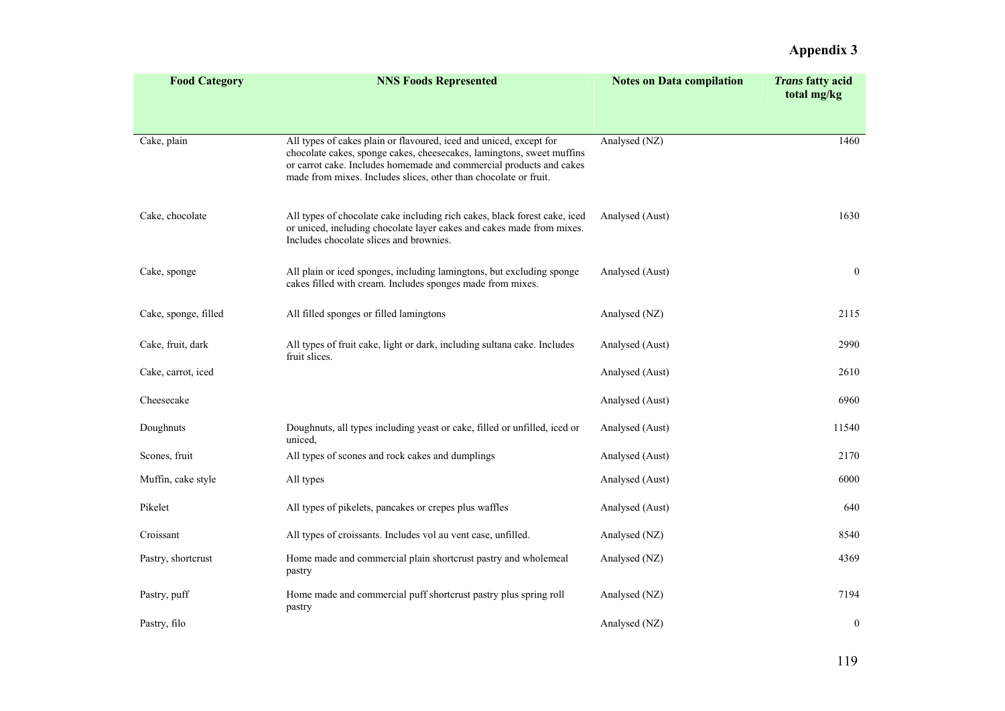| <b>Food Category</b> | <b>NNS Foods Represented</b>                                                                                                                                                                                                                                                           | <b>Notes on Data compilation</b> | <b>Trans fatty acid</b><br>total mg/kg |
|----------------------|----------------------------------------------------------------------------------------------------------------------------------------------------------------------------------------------------------------------------------------------------------------------------------------|----------------------------------|----------------------------------------|
| Cake, plain          | All types of cakes plain or flavoured, iced and uniced, except for<br>chocolate cakes, sponge cakes, cheesecakes, lamingtons, sweet muffins<br>or carrot cake. Includes homemade and commercial products and cakes<br>made from mixes. Includes slices, other than chocolate or fruit. | Analysed (NZ)                    | 1460                                   |
| Cake, chocolate      | All types of chocolate cake including rich cakes, black forest cake, iced<br>or uniced, including chocolate layer cakes and cakes made from mixes.<br>Includes chocolate slices and brownies.                                                                                          | Analysed (Aust)                  | 1630                                   |
| Cake, sponge         | All plain or iced sponges, including lamingtons, but excluding sponge<br>cakes filled with cream. Includes sponges made from mixes.                                                                                                                                                    | Analysed (Aust)                  | $\boldsymbol{0}$                       |
| Cake, sponge, filled | All filled sponges or filled lamingtons                                                                                                                                                                                                                                                | Analysed (NZ)                    | 2115                                   |
| Cake, fruit, dark    | All types of fruit cake, light or dark, including sultana cake. Includes<br>fruit slices.                                                                                                                                                                                              | Analysed (Aust)                  | 2990                                   |
| Cake, carrot, iced   |                                                                                                                                                                                                                                                                                        | Analysed (Aust)                  | 2610                                   |
| Cheesecake           |                                                                                                                                                                                                                                                                                        | Analysed (Aust)                  | 6960                                   |
| Doughnuts            | Doughnuts, all types including yeast or cake, filled or unfilled, iced or<br>uniced.                                                                                                                                                                                                   | Analysed (Aust)                  | 11540                                  |
| Scones, fruit        | All types of scones and rock cakes and dumplings                                                                                                                                                                                                                                       | Analysed (Aust)                  | 2170                                   |
| Muffin, cake style   | All types                                                                                                                                                                                                                                                                              | Analysed (Aust)                  | 6000                                   |
| Pikelet              | All types of pikelets, pancakes or crepes plus waffles                                                                                                                                                                                                                                 | Analysed (Aust)                  | 640                                    |
| Croissant            | All types of croissants. Includes vol au vent case, unfilled.                                                                                                                                                                                                                          | Analysed (NZ)                    | 8540                                   |
| Pastry, shortcrust   | Home made and commercial plain shortcrust pastry and wholemeal<br>pastry                                                                                                                                                                                                               | Analysed (NZ)                    | 4369                                   |
| Pastry, puff         | Home made and commercial puff shortcrust pastry plus spring roll<br>pastry                                                                                                                                                                                                             | Analysed (NZ)                    | 7194                                   |
| Pastry, filo         |                                                                                                                                                                                                                                                                                        | Analysed (NZ)                    | $\mathbf{0}$                           |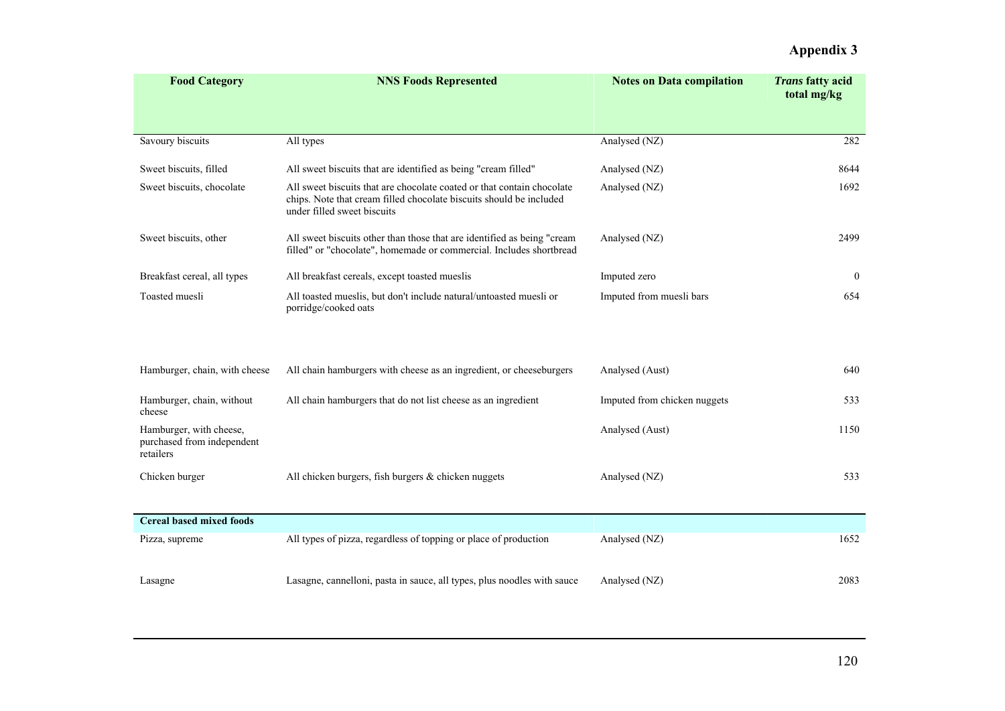| <b>Food Category</b>                                               | <b>NNS Foods Represented</b>                                                                                                                                                 | <b>Notes on Data compilation</b> | <b>Trans fatty acid</b><br>total mg/kg |
|--------------------------------------------------------------------|------------------------------------------------------------------------------------------------------------------------------------------------------------------------------|----------------------------------|----------------------------------------|
|                                                                    |                                                                                                                                                                              |                                  |                                        |
| Savoury biscuits                                                   | All types                                                                                                                                                                    | Analysed (NZ)                    | 282                                    |
| Sweet biscuits, filled                                             | All sweet biscuits that are identified as being "cream filled"                                                                                                               | Analysed (NZ)                    | 8644                                   |
| Sweet biscuits, chocolate                                          | All sweet biscuits that are chocolate coated or that contain chocolate<br>chips. Note that cream filled chocolate biscuits should be included<br>under filled sweet biscuits | Analysed (NZ)                    | 1692                                   |
| Sweet biscuits, other                                              | All sweet biscuits other than those that are identified as being "cream<br>filled" or "chocolate", homemade or commercial. Includes shortbread                               | Analysed (NZ)                    | 2499                                   |
| Breakfast cereal, all types                                        | All breakfast cereals, except toasted mueslis                                                                                                                                | Imputed zero                     | $\overline{0}$                         |
| Toasted muesli                                                     | All toasted mueslis, but don't include natural/untoasted muesli or<br>porridge/cooked oats                                                                                   | Imputed from muesli bars         | 654                                    |
|                                                                    |                                                                                                                                                                              |                                  |                                        |
| Hamburger, chain, with cheese                                      | All chain hamburgers with cheese as an ingredient, or cheeseburgers                                                                                                          | Analysed (Aust)                  | 640                                    |
| Hamburger, chain, without<br>cheese                                | All chain hamburgers that do not list cheese as an ingredient                                                                                                                | Imputed from chicken nuggets     | 533                                    |
| Hamburger, with cheese,<br>purchased from independent<br>retailers |                                                                                                                                                                              | Analysed (Aust)                  | 1150                                   |
| Chicken burger                                                     | All chicken burgers, fish burgers & chicken nuggets                                                                                                                          | Analysed (NZ)                    | 533                                    |
|                                                                    |                                                                                                                                                                              |                                  |                                        |
| <b>Cereal based mixed foods</b>                                    |                                                                                                                                                                              |                                  |                                        |
| Pizza, supreme                                                     | All types of pizza, regardless of topping or place of production                                                                                                             | Analysed (NZ)                    | 1652                                   |
| Lasagne                                                            | Lasagne, cannelloni, pasta in sauce, all types, plus noodles with sauce                                                                                                      | Analysed (NZ)                    | 2083                                   |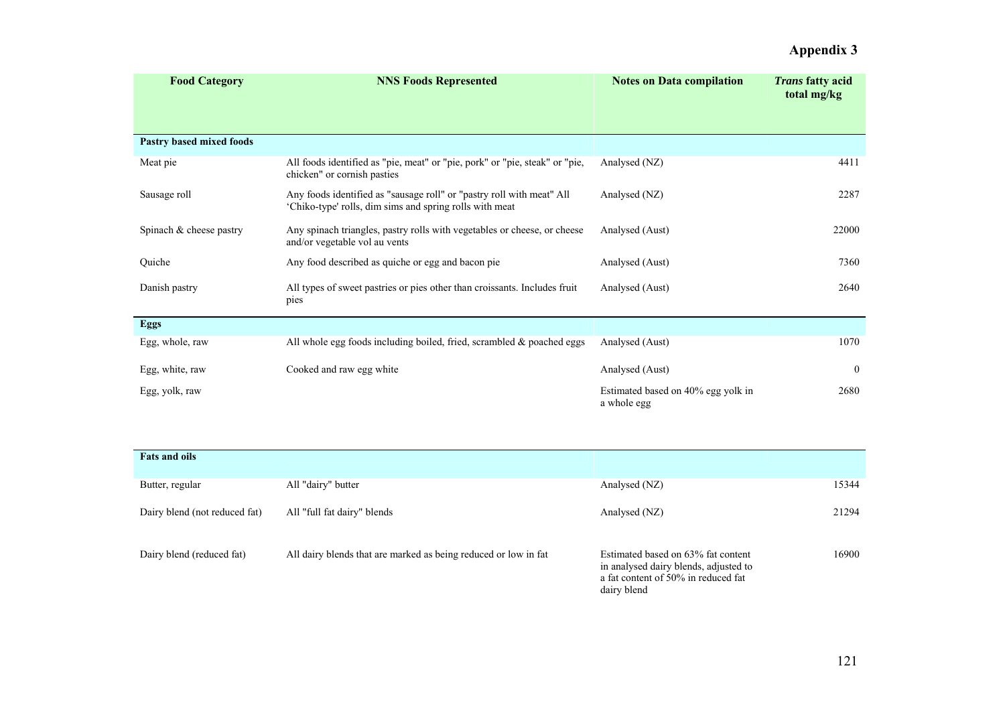| <b>Food Category</b>     | <b>NNS Foods Represented</b>                                                                                                     | <b>Notes on Data compilation</b>                  | <i>Trans</i> fatty acid<br>total mg/kg |
|--------------------------|----------------------------------------------------------------------------------------------------------------------------------|---------------------------------------------------|----------------------------------------|
| Pastry based mixed foods |                                                                                                                                  |                                                   |                                        |
| Meat pie                 | All foods identified as "pie, meat" or "pie, pork" or "pie, steak" or "pie,<br>chicken" or cornish pasties                       | Analysed (NZ)                                     | 4411                                   |
| Sausage roll             | Any foods identified as "sausage roll" or "pastry roll with meat" All<br>'Chiko-type' rolls, dim sims and spring rolls with meat | Analysed (NZ)                                     | 2287                                   |
| Spinach & cheese pastry  | Any spinach triangles, pastry rolls with vegetables or cheese, or cheese<br>and/or vegetable vol au vents                        | Analysed (Aust)                                   | 22000                                  |
| Quiche                   | Any food described as quiche or egg and bacon pie                                                                                | Analysed (Aust)                                   | 7360                                   |
| Danish pastry            | All types of sweet pastries or pies other than croissants. Includes fruit<br>pies                                                | Analysed (Aust)                                   | 2640                                   |
| <b>Eggs</b>              |                                                                                                                                  |                                                   |                                        |
| Egg, whole, raw          | All whole egg foods including boiled, fried, scrambled $\&$ poached eggs                                                         | Analysed (Aust)                                   | 1070                                   |
| Egg, white, raw          | Cooked and raw egg white                                                                                                         | Analysed (Aust)                                   | $\bf{0}$                               |
| Egg, yolk, raw           |                                                                                                                                  | Estimated based on 40% egg yolk in<br>a whole egg | 2680                                   |

| <b>Fats and oils</b>          |                                                                 |                                                                                                                                   |       |
|-------------------------------|-----------------------------------------------------------------|-----------------------------------------------------------------------------------------------------------------------------------|-------|
| Butter, regular               | All "dairy" butter                                              | Analysed (NZ)                                                                                                                     | 15344 |
| Dairy blend (not reduced fat) | All "full fat dairy" blends                                     | Analysed (NZ)                                                                                                                     | 21294 |
| Dairy blend (reduced fat)     | All dairy blends that are marked as being reduced or low in fat | Estimated based on 63% fat content<br>in analysed dairy blends, adjusted to<br>a fat content of 50% in reduced fat<br>dairy blend | 16900 |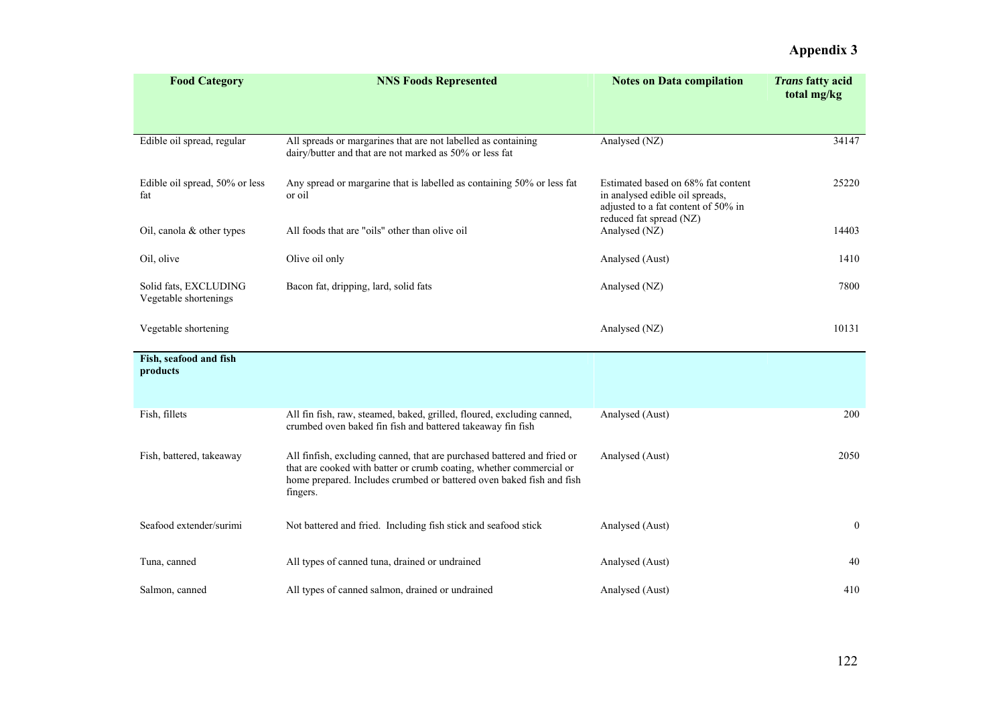| <b>Food Category</b>                           | <b>NNS Foods Represented</b>                                                                                                                                                                                                       | <b>Notes on Data compilation</b>                                                                             | <b>Trans fatty acid</b><br>total mg/kg |
|------------------------------------------------|------------------------------------------------------------------------------------------------------------------------------------------------------------------------------------------------------------------------------------|--------------------------------------------------------------------------------------------------------------|----------------------------------------|
| Edible oil spread, regular                     | All spreads or margarines that are not labelled as containing<br>dairy/butter and that are not marked as 50% or less fat                                                                                                           | Analysed (NZ)                                                                                                | 34147                                  |
| Edible oil spread, 50% or less<br>fat          | Any spread or margarine that is labelled as containing 50% or less fat<br>or oil                                                                                                                                                   | Estimated based on 68% fat content<br>in analysed edible oil spreads,<br>adjusted to a fat content of 50% in | 25220                                  |
| Oil, canola & other types                      | All foods that are "oils" other than olive oil                                                                                                                                                                                     | reduced fat spread (NZ)<br>Analysed (NZ)                                                                     | 14403                                  |
| Oil, olive                                     | Olive oil only                                                                                                                                                                                                                     | Analysed (Aust)                                                                                              | 1410                                   |
| Solid fats, EXCLUDING<br>Vegetable shortenings | Bacon fat, dripping, lard, solid fats                                                                                                                                                                                              | Analysed (NZ)                                                                                                | 7800                                   |
| Vegetable shortening                           |                                                                                                                                                                                                                                    | Analysed (NZ)                                                                                                | 10131                                  |
| Fish, seafood and fish<br>products             |                                                                                                                                                                                                                                    |                                                                                                              |                                        |
| Fish, fillets                                  | All fin fish, raw, steamed, baked, grilled, floured, excluding canned,<br>crumbed oven baked fin fish and battered takeaway fin fish                                                                                               | Analysed (Aust)                                                                                              | 200                                    |
| Fish, battered, takeaway                       | All finfish, excluding canned, that are purchased battered and fried or<br>that are cooked with batter or crumb coating, whether commercial or<br>home prepared. Includes crumbed or battered oven baked fish and fish<br>fingers. | Analysed (Aust)                                                                                              | 2050                                   |
| Seafood extender/surimi                        | Not battered and fried. Including fish stick and seafood stick                                                                                                                                                                     | Analysed (Aust)                                                                                              | $\boldsymbol{0}$                       |
| Tuna, canned                                   | All types of canned tuna, drained or undrained                                                                                                                                                                                     | Analysed (Aust)                                                                                              | 40                                     |
| Salmon, canned                                 | All types of canned salmon, drained or undrained                                                                                                                                                                                   | Analysed (Aust)                                                                                              | 410                                    |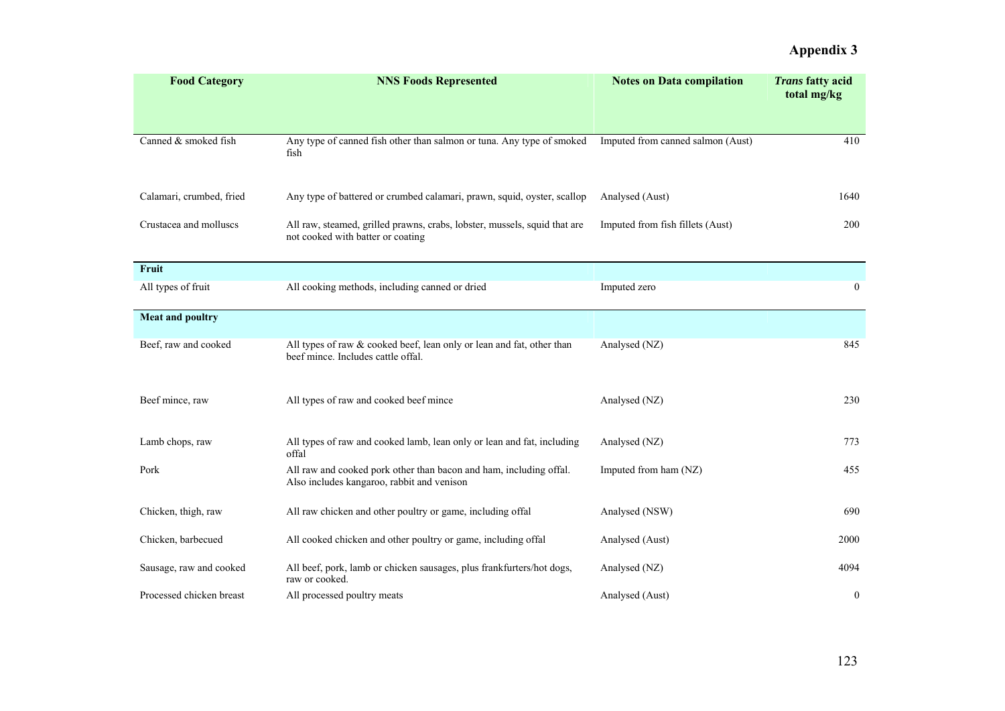| <b>Food Category</b>     | <b>NNS Foods Represented</b>                                                                                     | <b>Notes on Data compilation</b>  | <b>Trans fatty acid</b><br>total mg/kg |
|--------------------------|------------------------------------------------------------------------------------------------------------------|-----------------------------------|----------------------------------------|
| Canned & smoked fish     | Any type of canned fish other than salmon or tuna. Any type of smoked<br>fish                                    | Imputed from canned salmon (Aust) | 410                                    |
| Calamari, crumbed, fried | Any type of battered or crumbed calamari, prawn, squid, oyster, scallop                                          | Analysed (Aust)                   | 1640                                   |
| Crustacea and molluscs   | All raw, steamed, grilled prawns, crabs, lobster, mussels, squid that are<br>not cooked with batter or coating   | Imputed from fish fillets (Aust)  | 200                                    |
| Fruit                    |                                                                                                                  |                                   |                                        |
| All types of fruit       | All cooking methods, including canned or dried                                                                   | Imputed zero                      | $\boldsymbol{0}$                       |
| <b>Meat and poultry</b>  |                                                                                                                  |                                   |                                        |
| Beef, raw and cooked     | All types of raw & cooked beef, lean only or lean and fat, other than<br>beef mince. Includes cattle offal.      | Analysed (NZ)                     | 845                                    |
| Beef mince, raw          | All types of raw and cooked beef mince                                                                           | Analysed (NZ)                     | 230                                    |
| Lamb chops, raw          | All types of raw and cooked lamb, lean only or lean and fat, including<br>offal                                  | Analysed (NZ)                     | 773                                    |
| Pork                     | All raw and cooked pork other than bacon and ham, including offal.<br>Also includes kangaroo, rabbit and venison | Imputed from ham (NZ)             | 455                                    |
| Chicken, thigh, raw      | All raw chicken and other poultry or game, including offal                                                       | Analysed (NSW)                    | 690                                    |
| Chicken, barbecued       | All cooked chicken and other poultry or game, including offal                                                    | Analysed (Aust)                   | 2000                                   |
| Sausage, raw and cooked  | All beef, pork, lamb or chicken sausages, plus frankfurters/hot dogs,<br>raw or cooked.                          | Analysed (NZ)                     | 4094                                   |
| Processed chicken breast | All processed poultry meats                                                                                      | Analysed (Aust)                   | $\boldsymbol{0}$                       |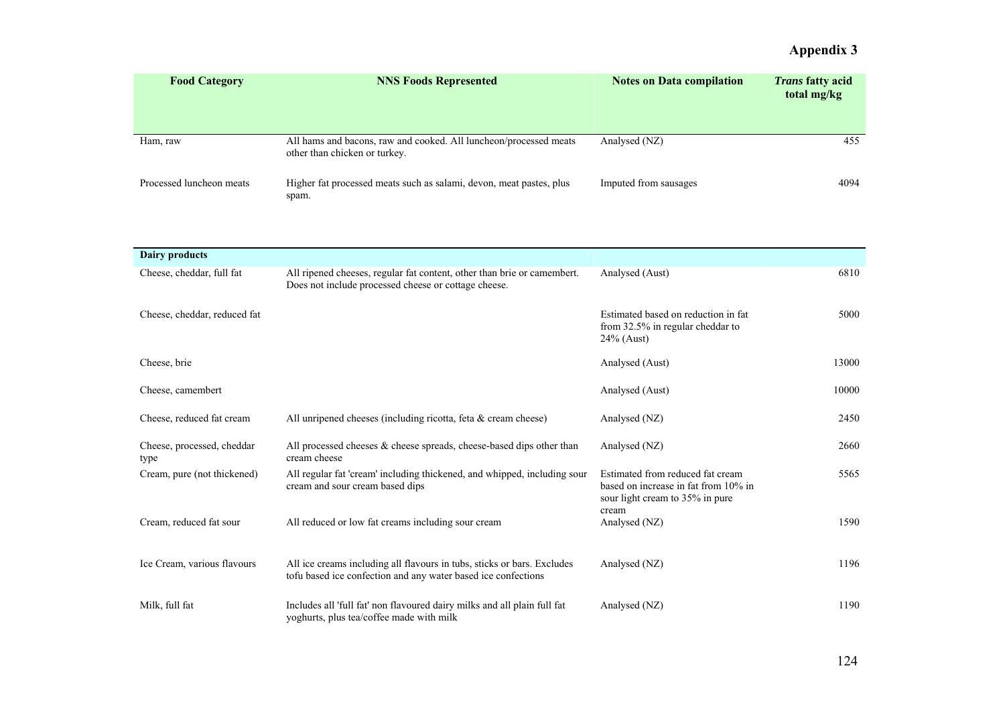| <b>Food Category</b>     | <b>NNS Foods Represented</b>                                                                       | <b>Notes on Data compilation</b> | <i>Trans</i> fatty acid<br>total mg/kg |
|--------------------------|----------------------------------------------------------------------------------------------------|----------------------------------|----------------------------------------|
| Ham, raw                 | All hams and bacons, raw and cooked. All luncheon/processed meats<br>other than chicken or turkey. | Analysed (NZ)                    | 455                                    |
| Processed luncheon meats | Higher fat processed meats such as salami, devon, meat pastes, plus<br>spam.                       | Imputed from sausages            | 4094                                   |

| <b>Dairy products</b>              |                                                                                                                                          |                                                                                                             |       |
|------------------------------------|------------------------------------------------------------------------------------------------------------------------------------------|-------------------------------------------------------------------------------------------------------------|-------|
| Cheese, cheddar, full fat          | All ripened cheeses, regular fat content, other than brie or camembert.<br>Does not include processed cheese or cottage cheese.          | Analysed (Aust)                                                                                             | 6810  |
| Cheese, cheddar, reduced fat       |                                                                                                                                          | Estimated based on reduction in fat<br>from 32.5% in regular cheddar to<br>$24\%$ (Aust)                    | 5000  |
| Cheese, brie                       |                                                                                                                                          | Analysed (Aust)                                                                                             | 13000 |
| Cheese, camembert                  |                                                                                                                                          | Analysed (Aust)                                                                                             | 10000 |
| Cheese, reduced fat cream          | All unripened cheeses (including ricotta, feta $\&$ cream cheese)                                                                        | Analysed (NZ)                                                                                               | 2450  |
| Cheese, processed, cheddar<br>type | All processed cheeses $\&$ cheese spreads, cheese-based dips other than<br>cream cheese                                                  | Analysed (NZ)                                                                                               | 2660  |
| Cream, pure (not thickened)        | All regular fat 'cream' including thickened, and whipped, including sour<br>cream and sour cream based dips                              | Estimated from reduced fat cream<br>based on increase in fat from 10% in<br>sour light cream to 35% in pure | 5565  |
| Cream, reduced fat sour            | All reduced or low fat creams including sour cream                                                                                       | cream<br>Analysed (NZ)                                                                                      | 1590  |
| Ice Cream, various flavours        | All ice creams including all flavours in tubs, sticks or bars. Excludes<br>tofu based ice confection and any water based ice confections | Analysed (NZ)                                                                                               | 1196  |
| Milk, full fat                     | Includes all 'full fat' non flavoured dairy milks and all plain full fat<br>yoghurts, plus tea/coffee made with milk                     | Analysed (NZ)                                                                                               | 1190  |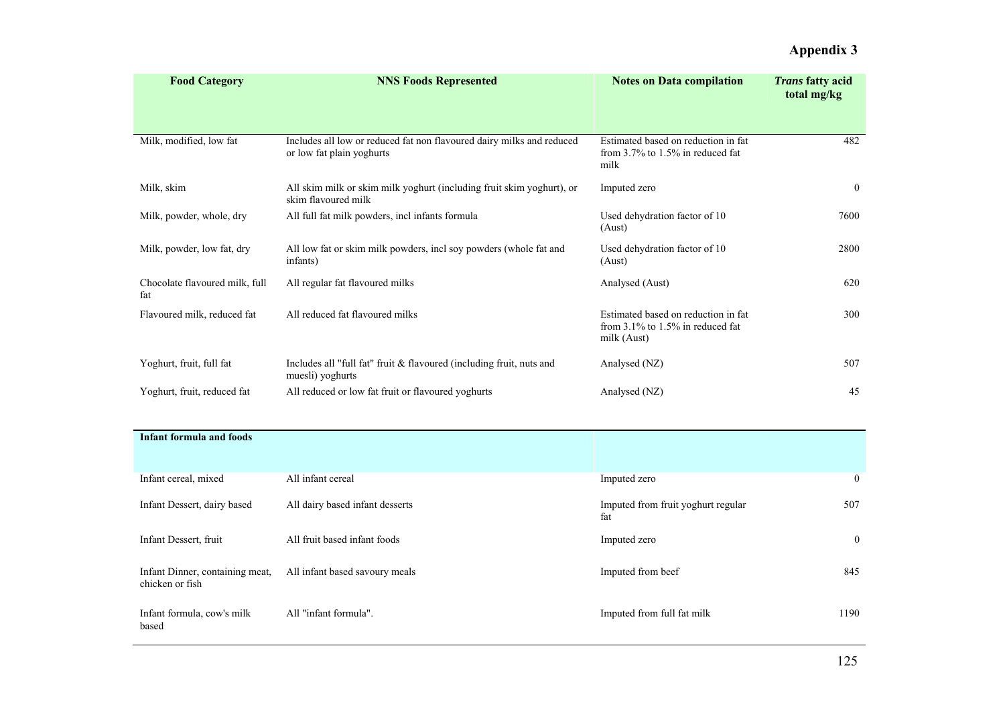| <b>Food Category</b>                  | <b>NNS Foods Represented</b>                                                                       | <b>Notes on Data compilation</b>                                                             | <i>Trans</i> fatty acid<br>total mg/kg |
|---------------------------------------|----------------------------------------------------------------------------------------------------|----------------------------------------------------------------------------------------------|----------------------------------------|
| Milk, modified, low fat               | Includes all low or reduced fat non flavoured dairy milks and reduced<br>or low fat plain yoghurts | Estimated based on reduction in fat<br>from $3.7\%$ to 1.5% in reduced fat<br>milk           | 482                                    |
| Milk, skim                            | All skim milk or skim milk yoghurt (including fruit skim yoghurt), or<br>skim flavoured milk       | Imputed zero                                                                                 | $\theta$                               |
| Milk, powder, whole, dry              | All full fat milk powders, incl infants formula                                                    | Used dehydration factor of 10<br>(Aust)                                                      | 7600                                   |
| Milk, powder, low fat, dry            | All low fat or skim milk powders, incl soy powders (whole fat and<br>infants)                      | Used dehydration factor of 10<br>(Aust)                                                      | 2800                                   |
| Chocolate flavoured milk, full<br>fat | All regular fat flavoured milks                                                                    | Analysed (Aust)                                                                              | 620                                    |
| Flavoured milk, reduced fat           | All reduced fat flavoured milks                                                                    | Estimated based on reduction in fat<br>from $3.1\%$ to $1.5\%$ in reduced fat<br>milk (Aust) | 300                                    |
| Yoghurt, fruit, full fat              | Includes all "full fat" fruit $&$ flavoured (including fruit, nuts and<br>muesli) yoghurts         | Analysed (NZ)                                                                                | 507                                    |
| Yoghurt, fruit, reduced fat           | All reduced or low fat fruit or flavoured yoghurts                                                 | Analysed (NZ)                                                                                | 45                                     |

| <b>Infant formula and foods</b>                    |                                 |                                           |          |
|----------------------------------------------------|---------------------------------|-------------------------------------------|----------|
| Infant cereal, mixed                               | All infant cereal               | Imputed zero                              | $\bf{0}$ |
| Infant Dessert, dairy based                        | All dairy based infant desserts | Imputed from fruit yoghurt regular<br>fat | 507      |
| Infant Dessert, fruit                              | All fruit based infant foods    | Imputed zero                              | $\bf{0}$ |
| Infant Dinner, containing meat,<br>chicken or fish | All infant based sayoury meals  | Imputed from beef                         | 845      |
| Infant formula, cow's milk<br>based                | All "infant formula".           | Imputed from full fat milk                | 1190     |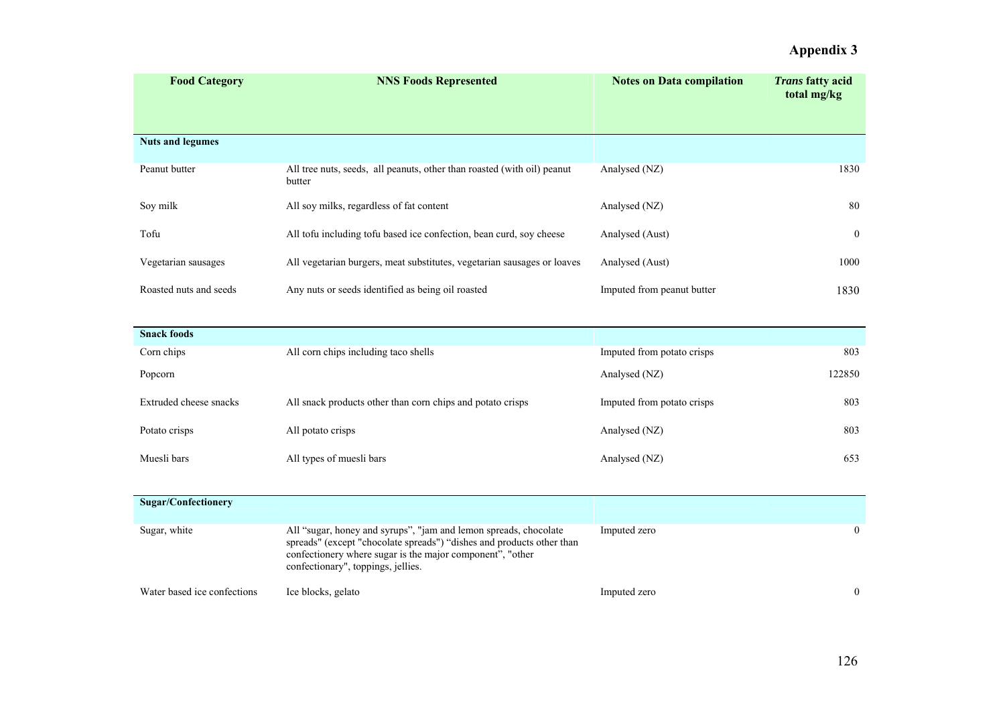| <b>Food Category</b>    | <b>NNS Foods Represented</b>                                                      | <b>Notes on Data compilation</b> | <i>Trans</i> fatty acid<br>total mg/kg |
|-------------------------|-----------------------------------------------------------------------------------|----------------------------------|----------------------------------------|
| <b>Nuts and legumes</b> |                                                                                   |                                  |                                        |
| Peanut butter           | All tree nuts, seeds, all peanuts, other than roasted (with oil) peanut<br>butter | Analysed (NZ)                    | 1830                                   |
| Soy milk                | All soy milks, regardless of fat content                                          | Analysed (NZ)                    | 80                                     |
| Tofu                    | All tofu including tofu based ice confection, bean curd, soy cheese               | Analysed (Aust)                  | $\theta$                               |
| Vegetarian sausages     | All vegetarian burgers, meat substitutes, vegetarian sausages or loaves           | Analysed (Aust)                  | 1000                                   |
| Roasted nuts and seeds  | Any nuts or seeds identified as being oil roasted                                 | Imputed from peanut butter       | 1830                                   |

| <b>Snack foods</b>     |                                                            |                            |        |
|------------------------|------------------------------------------------------------|----------------------------|--------|
| Corn chips             | All corn chips including taco shells                       | Imputed from potato crisps | 803    |
| Popcorn                |                                                            | Analysed (NZ)              | 122850 |
| Extruded cheese snacks | All snack products other than corn chips and potato crisps | Imputed from potato crisps | 803    |
| Potato crisps          | All potato crisps                                          | Analysed (NZ)              | 803    |
| Muesli bars            | All types of muesli bars                                   | Analysed (NZ)              | 653    |

| <b>Sugar/Confectionery</b>  |                                                                                                                                                                                                                                              |              |   |
|-----------------------------|----------------------------------------------------------------------------------------------------------------------------------------------------------------------------------------------------------------------------------------------|--------------|---|
| Sugar, white                | All "sugar, honey and syrups", "jam and lemon spreads, chocolate<br>spreads" (except "chocolate spreads") "dishes and products other than<br>confectionery where sugar is the major component", "other<br>confectionary", toppings, jellies. | Imputed zero |   |
| Water based ice confections | Ice blocks, gelato                                                                                                                                                                                                                           | Imputed zero | 0 |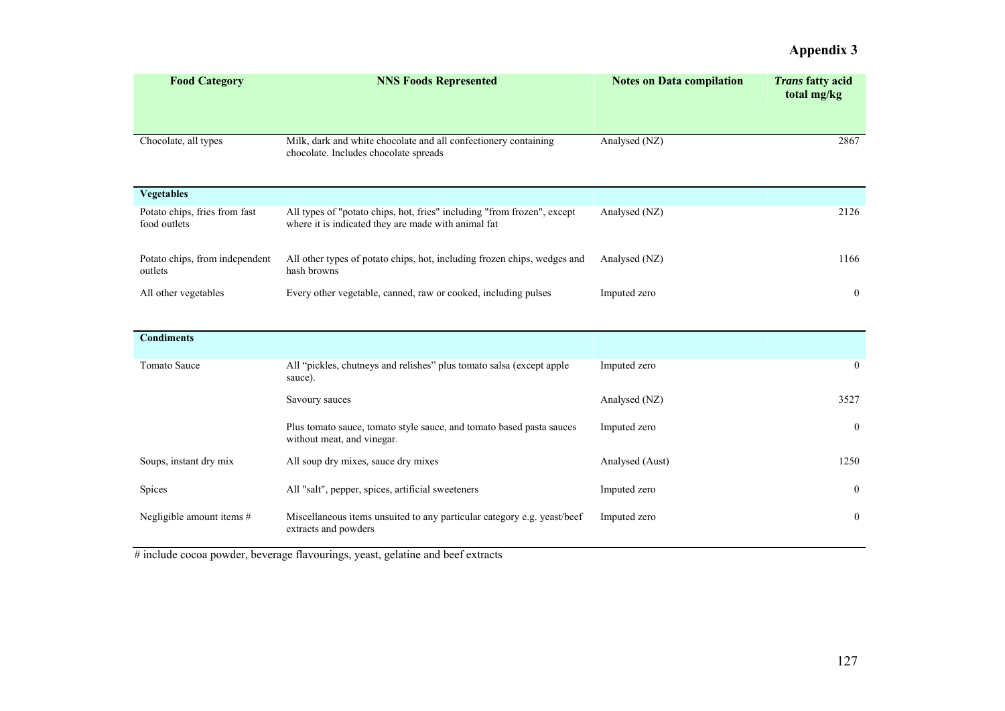| <b>Food Category</b>                          | <b>NNS Foods Represented</b>                                                                                                   | <b>Notes on Data compilation</b> | <i>Trans</i> fatty acid<br>total mg/kg |
|-----------------------------------------------|--------------------------------------------------------------------------------------------------------------------------------|----------------------------------|----------------------------------------|
| Chocolate, all types                          | Milk, dark and white chocolate and all confectionery containing<br>chocolate. Includes chocolate spreads                       | Analysed (NZ)                    | 2867                                   |
| <b>Vegetables</b>                             |                                                                                                                                |                                  |                                        |
| Potato chips, fries from fast<br>food outlets | All types of "potato chips, hot, fries" including "from frozen", except<br>where it is indicated they are made with animal fat | Analysed (NZ)                    | 2126                                   |
| Potato chips, from independent<br>outlets     | All other types of potato chips, hot, including frozen chips, wedges and<br>hash browns                                        | Analysed (NZ)                    | 1166                                   |
| All other vegetables                          | Every other vegetable, canned, raw or cooked, including pulses                                                                 | Imputed zero                     | $\overline{0}$                         |

| <b>Condiments</b>         |                                                                                                    |                 |                |
|---------------------------|----------------------------------------------------------------------------------------------------|-----------------|----------------|
| <b>Tomato Sauce</b>       | All "pickles, chutneys and relishes" plus tomato salsa (except apple<br>sauce).                    | Imputed zero    | $\overline{0}$ |
|                           | Savoury sauces                                                                                     | Analysed (NZ)   | 3527           |
|                           | Plus tomato sauce, tomato style sauce, and tomato based pasta sauces<br>without meat, and vinegar. | Imputed zero    | $\theta$       |
| Soups, instant dry mix    | All soup dry mixes, sauce dry mixes                                                                | Analysed (Aust) | 1250           |
| Spices                    | All "salt", pepper, spices, artificial sweeteners                                                  | Imputed zero    | $\bf{0}$       |
| Negligible amount items # | Miscellaneous items unsuited to any particular category e.g. yeast/beef<br>extracts and powders    | Imputed zero    | $\bf{0}$       |

# include cocoa powder, beverage flavourings, yeast, gelatine and beef extracts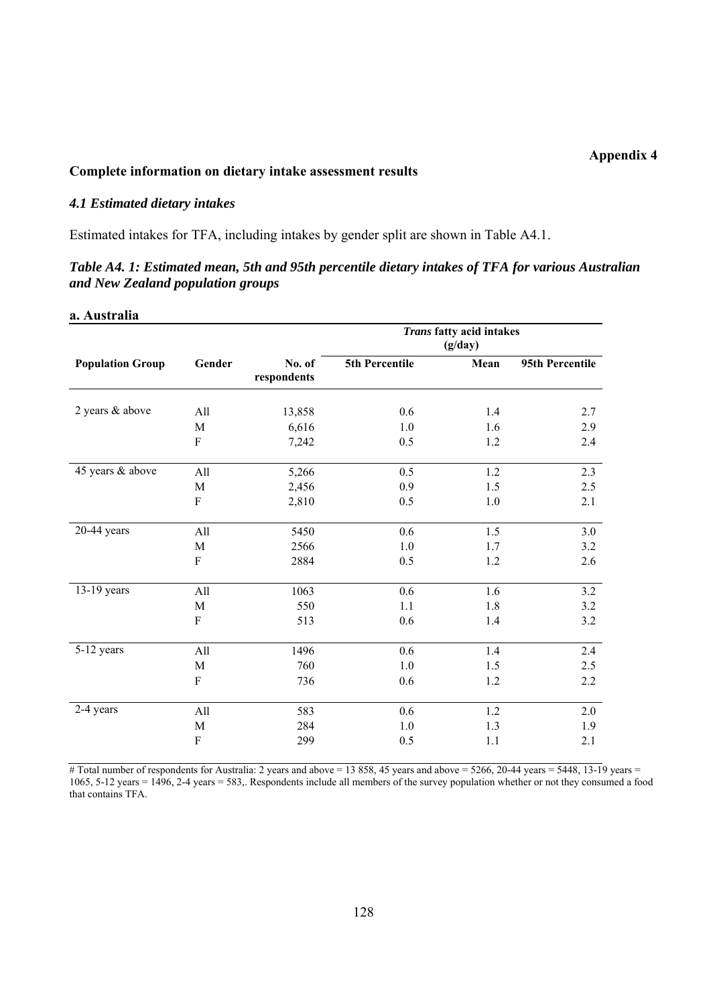#### **Complete information on dietary intake assessment results**

#### *4.1 Estimated dietary intakes*

Estimated intakes for TFA, including intakes by gender split are shown in Table A4.1.

### *Table A4. 1: Estimated mean, 5th and 95th percentile dietary intakes of TFA for various Australian and New Zealand population groups*

#### **a. Australia**

|                         |                           |                       |                | Trans fatty acid intakes<br>(g/day) |                 |
|-------------------------|---------------------------|-----------------------|----------------|-------------------------------------|-----------------|
| <b>Population Group</b> | Gender                    | No. of<br>respondents | 5th Percentile | Mean                                | 95th Percentile |
| 2 years & above         | All                       | 13,858                | 0.6            | 1.4                                 | 2.7             |
|                         | M                         | 6,616                 | 1.0            | 1.6                                 | 2.9             |
|                         | ${\bf F}$                 | 7,242                 | 0.5            | 1.2                                 | 2.4             |
| 45 years & above        | All                       | 5,266                 | 0.5            | 1.2                                 | 2.3             |
|                         | $\mathbf M$               | 2,456                 | 0.9            | 1.5                                 | 2.5             |
|                         | F                         | 2,810                 | 0.5            | 1.0                                 | 2.1             |
| $20-44$ years           | All                       | 5450                  | 0.6            | 1.5                                 | 3.0             |
|                         | $\mathbf M$               | 2566                  | 1.0            | 1.7                                 | 3.2             |
|                         | ${\bf F}$                 | 2884                  | 0.5            | 1.2                                 | 2.6             |
| 13-19 years             | All                       | 1063                  | 0.6            | 1.6                                 | 3.2             |
|                         | $\mathbf M$               | 550                   | 1.1            | 1.8                                 | 3.2             |
|                         | $\rm F$                   | 513                   | 0.6            | 1.4                                 | 3.2             |
| 5-12 years              | All                       | 1496                  | 0.6            | 1.4                                 | 2.4             |
|                         | $\mathbf M$               | 760                   | 1.0            | 1.5                                 | 2.5             |
|                         | $\boldsymbol{\mathrm{F}}$ | 736                   | 0.6            | 1.2                                 | 2.2             |
| 2-4 years               | All                       | 583                   | 0.6            | 1.2                                 | 2.0             |
|                         | M                         | 284                   | 1.0            | 1.3                                 | 1.9             |
|                         | $\overline{F}$            | 299                   | 0.5            | 1.1                                 | 2.1             |

# Total number of respondents for Australia: 2 years and above = 13 858, 45 years and above = 5266, 20-44 years = 5448, 13-19 years = 1065, 5-12 years = 1496, 2-4 years = 583,. Respondents include all members of the survey population whether or not they consumed a food that contains TFA.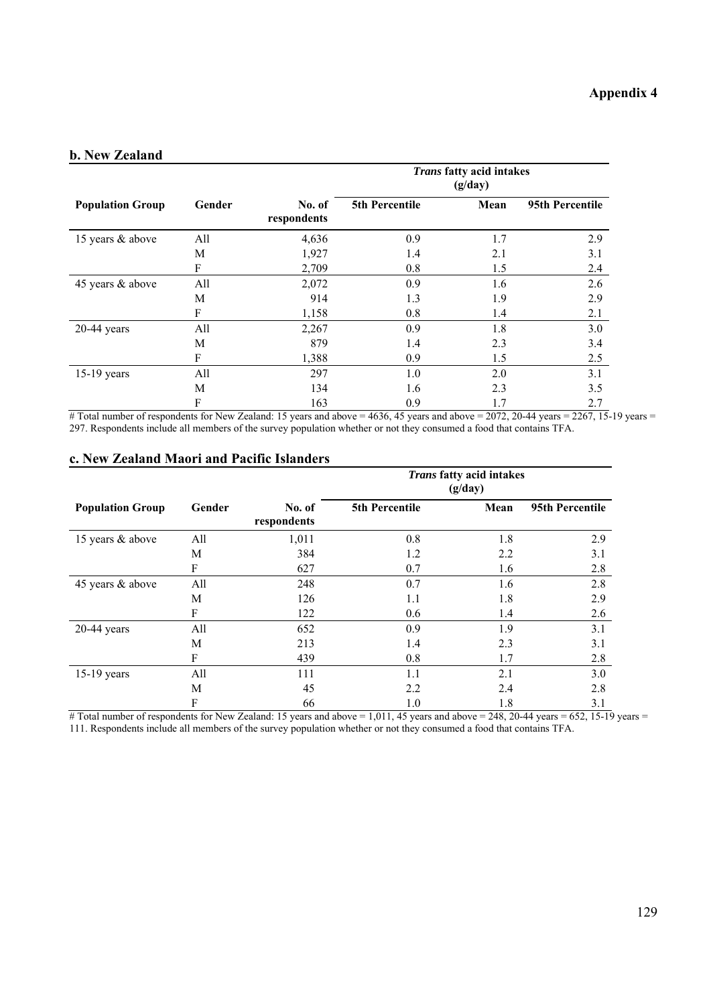#### **b. New Zealand**

|                         |           |                       |                | Trans fatty acid intakes<br>(g/day) |                 |
|-------------------------|-----------|-----------------------|----------------|-------------------------------------|-----------------|
| <b>Population Group</b> | Gender    | No. of<br>respondents | 5th Percentile | Mean                                | 95th Percentile |
| 15 years & above        | All       | 4,636                 | 0.9            | 1.7                                 | 2.9             |
|                         | М         | 1,927                 | 1.4            | 2.1                                 | 3.1             |
|                         | ${\bf F}$ | 2,709                 | 0.8            | 1.5                                 | 2.4             |
| 45 years & above        | All       | 2,072                 | 0.9            | 1.6                                 | 2.6             |
|                         | М         | 914                   | 1.3            | 1.9                                 | 2.9             |
|                         | F         | 1,158                 | 0.8            | 1.4                                 | 2.1             |
| $20-44$ years           | All       | 2,267                 | 0.9            | 1.8                                 | 3.0             |
|                         | М         | 879                   | 1.4            | 2.3                                 | 3.4             |
|                         | F         | 1,388                 | 0.9            | 1.5                                 | 2.5             |
| 15-19 years             | All       | 297                   | 1.0            | 2.0                                 | 3.1             |
|                         | М         | 134                   | 1.6            | 2.3                                 | 3.5             |
|                         | F         | 163                   | 0.9            | 1.7                                 | 2.7             |

# Total number of respondents for New Zealand: 15 years and above = 4636, 45 years and above = 2072, 20-44 years = 2267, 15-19 years = 297. Respondents include all members of the survey population whether or not they consumed a food that contains TFA.

#### **c. New Zealand Maori and Pacific Islanders**

|                         |        |                       |                       | Trans fatty acid intakes<br>(g/day) |                 |
|-------------------------|--------|-----------------------|-----------------------|-------------------------------------|-----------------|
| <b>Population Group</b> | Gender | No. of<br>respondents | <b>5th Percentile</b> | Mean                                | 95th Percentile |
| 15 years & above        | All    | 1,011                 | 0.8                   | 1.8                                 | 2.9             |
|                         | M      | 384                   | 1.2                   | 2.2                                 | 3.1             |
|                         | F      | 627                   | 0.7                   | 1.6                                 | 2.8             |
| 45 years & above        | All    | 248                   | 0.7                   | 1.6                                 | 2.8             |
|                         | M      | 126                   | 1.1                   | 1.8                                 | 2.9             |
|                         | F      | 122                   | 0.6                   | 1.4                                 | 2.6             |
| $20-44$ years           | All    | 652                   | 0.9                   | 1.9                                 | 3.1             |
|                         | M      | 213                   | 1.4                   | 2.3                                 | 3.1             |
|                         | F      | 439                   | 0.8                   | 1.7                                 | 2.8             |
| $15-19$ years           | All    | 111                   | 1.1                   | 2.1                                 | 3.0             |
|                         | M      | 45                    | 2.2                   | 2.4                                 | 2.8             |
|                         | F      | 66                    | 1.0                   | 1.8                                 | 3.1             |

 $#$  Total number of respondents for New Zealand: 15 years and above = 1,011, 45 years and above = 248, 20-44 years = 652, 15-19 years = 111. Respondents include all members of the survey population whether or not they consumed a food that contains TFA.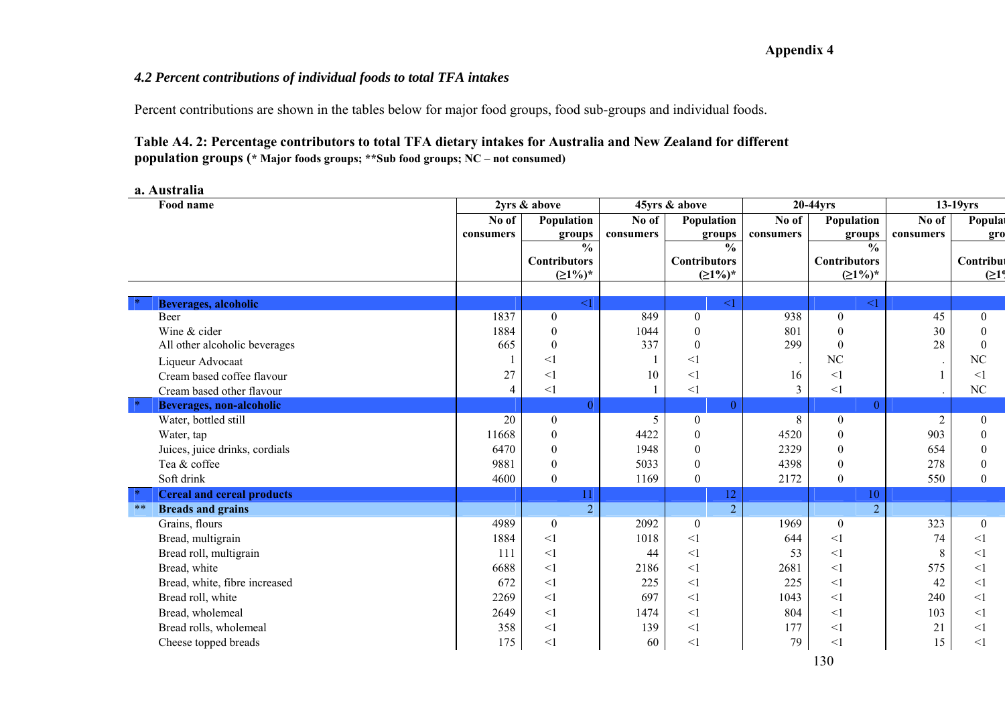### *4.2 Percent contributions of individual foods to total TFA intakes*

Percent contributions are shown in the tables below for major food groups, food sub-groups and individual foods.

### **Table A4. 2: Percentage contributors to total TFA dietary intakes for Australia and New Zealand for different population groups (\* Major foods groups; \*\*Sub food groups; NC – not consumed)**

#### **a. Australia**

| Food name                                    |                | 2yrs & above        |                     | 45yrs & above       | 20-44yrs  |                     | 13-19yrs       |                  |
|----------------------------------------------|----------------|---------------------|---------------------|---------------------|-----------|---------------------|----------------|------------------|
|                                              | No of          | Population          | $\overline{N}$ o of | Population          | No of     | Population          | No of          | Populat          |
|                                              | consumers      | groups              | consumers           | groups              | consumers | groups              | consumers      | gro              |
|                                              |                | $\frac{0}{0}$       |                     | $\frac{0}{0}$       |           | $\frac{0}{0}$       |                |                  |
|                                              |                | <b>Contributors</b> |                     | <b>Contributors</b> |           | <b>Contributors</b> |                | Contribut        |
|                                              |                | $(21\%)^*$          |                     | $(21%)^*$           |           | $(21%)^*$           |                | (219             |
|                                              |                |                     |                     |                     |           |                     |                |                  |
| Beverages, alcoholic                         |                | $\leq$ 1            |                     | $\leq$ 1            |           | $\leq$ 1            |                |                  |
| <b>Beer</b>                                  | 1837           | $\boldsymbol{0}$    | 849                 | $\boldsymbol{0}$    | 938       | $\overline{0}$      | 45             | $\overline{0}$   |
| Wine & cider                                 | 1884           | $\theta$            | 1044                | $\theta$            | 801       | $\mathbf{0}$        | 30             | $\theta$         |
| All other alcoholic beverages                | 665            | $\theta$            | 337                 | $\theta$            | 299       | $\boldsymbol{0}$    | 28             | $\theta$         |
| Liqueur Advocaat                             |                | $\leq$ 1            |                     | $\leq$ 1            |           | NC                  | $\,$ .         | NC               |
| Cream based coffee flavour                   | 27             | $<$ 1               | 10                  | $\leq$ 1            | 16        | $\leq$ 1            |                | <1               |
| Cream based other flavour                    | $\overline{4}$ | <1                  |                     | $\leq$ 1            | 3         | $\leq$ 1            |                | NC               |
| $\mid \ast \mid$<br>Beverages, non-alcoholic |                | $\theta$            |                     | $\Omega$            |           | $\theta$            |                |                  |
| Water, bottled still                         | 20             | $\boldsymbol{0}$    | 5                   | $\boldsymbol{0}$    | 8         | $\boldsymbol{0}$    | $\overline{2}$ | $\overline{0}$   |
| Water, tap                                   | 11668          | $\boldsymbol{0}$    | 4422                | $\mathbf{0}$        | 4520      | $\mathbf{0}$        | 903            | $\theta$         |
| Juices, juice drinks, cordials               | 6470           | $\boldsymbol{0}$    | 1948                | $\mathbf{0}$        | 2329      | $\boldsymbol{0}$    | 654            | $\mathbf{0}$     |
| Tea & coffee                                 | 9881           | $\boldsymbol{0}$    | 5033                | $\boldsymbol{0}$    | 4398      | $\mathbf{0}$        | 278            | $\theta$         |
| Soft drink                                   | 4600           | $\boldsymbol{0}$    | 1169                | $\boldsymbol{0}$    | 2172      | $\boldsymbol{0}$    | 550            | $\theta$         |
| <b>Cereal and cereal products</b>            |                | 11                  |                     | 12                  |           | 10                  |                |                  |
| $\ast\ast$<br><b>Breads and grains</b>       |                | $\overline{2}$      |                     | $\overline{2}$      |           | $\overline{2}$      |                |                  |
| Grains, flours                               | 4989           | $\boldsymbol{0}$    | 2092                | $\boldsymbol{0}$    | 1969      | $\boldsymbol{0}$    | 323            | $\boldsymbol{0}$ |
| Bread, multigrain                            | 1884           | $\leq$ 1            | 1018                | $\leq$ 1            | 644       | <1                  | 74             | $\leq$ 1         |
| Bread roll, multigrain                       | 111            | $\leq$ 1            | 44                  | $\leq$ 1            | 53        | <1                  | 8              | $\leq$ 1         |
| Bread, white                                 | 6688           | $\leq$ 1            | 2186                | $\leq$ 1            | 2681      | <1                  | 575            | $\leq$ 1         |
| Bread, white, fibre increased                | 672            | $\leq$ 1            | 225                 | $\leq$ 1            | 225       | <1                  | 42             | <1               |
| Bread roll, white                            | 2269           | $\leq$ 1            | 697                 | $\leq$ 1            | 1043      | $\leq$ 1            | 240            | $\leq$ 1         |
| Bread, wholemeal                             | 2649           | $\leq$ 1            | 1474                | $\leq$ 1            | 804       | <1                  | 103            | $\leq$ 1         |
| Bread rolls, wholemeal                       | 358            | $\leq$ 1            | 139                 | $\leq$ 1            | 177       | $<$ 1               | 21             | $<$ 1            |
| Cheese topped breads                         | 175            | $\leq$ 1            | 60                  | $\leq$ 1            | 79        | $\leq$ 1            | 15             | $<$ 1            |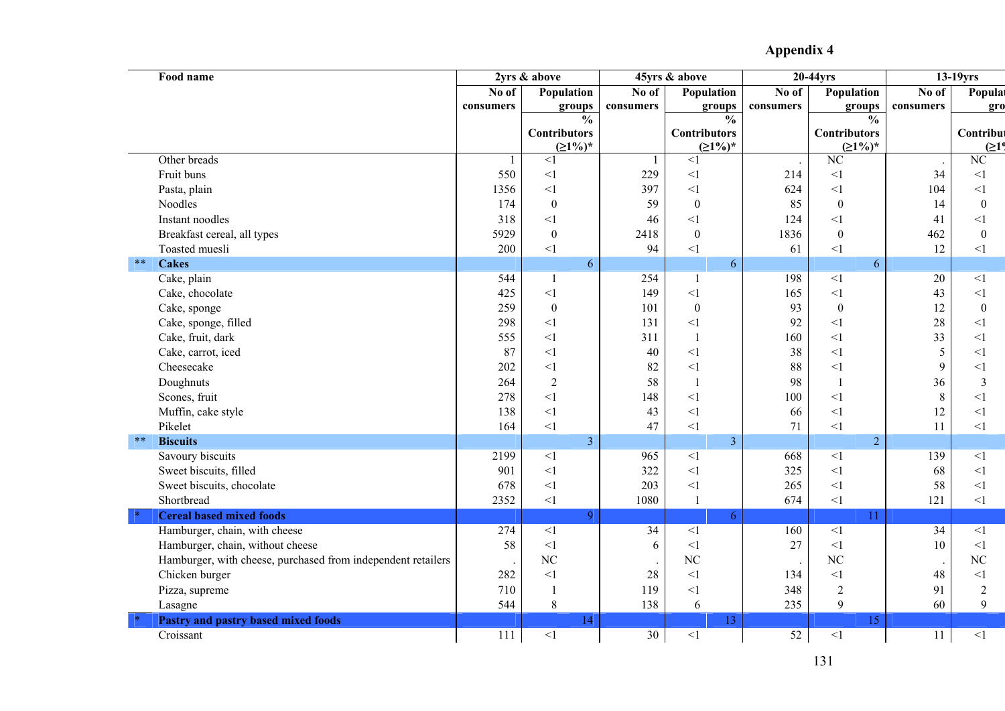| Food name                                                    |              | 2yrs & above        |           | 45yrs & above       |                 | 20-44yrs               |                 | 13-19yrs           |
|--------------------------------------------------------------|--------------|---------------------|-----------|---------------------|-----------------|------------------------|-----------------|--------------------|
|                                                              | No of        | Population          | No of     | Population          | No of           | Population             | No of           | Populat            |
|                                                              | consumers    | groups              | consumers | groups              | consumers       | groups                 | consumers       | gro                |
|                                                              |              | $\frac{0}{0}$       |           | $\frac{0}{0}$       |                 | $\frac{0}{0}$          |                 |                    |
|                                                              |              | <b>Contributors</b> |           | <b>Contributors</b> |                 | <b>Contributors</b>    |                 | Contribut          |
|                                                              |              | $(21\%)^*$          |           | $(21%)^*$           |                 | $(21\%)^*$             |                 | (21 <sup>0</sup> ) |
| Other breads                                                 | $\mathbf{1}$ | $\leq$ 1            | -1        | $\leq$ 1            |                 | $\overline{\text{NC}}$ | $\,$ .          | $\rm NC$           |
| Fruit buns                                                   | 550          | $\leq$ 1            | 229       | $<1\,$              | 214             | $<$ $\!1$              | 34              | $<\!\!1$           |
| Pasta, plain                                                 | 1356         | <1                  | 397       | $\leq$ 1            | 624             | $\leq$ 1               | 104             | <1                 |
| Noodles                                                      | 174          | $\boldsymbol{0}$    | 59        | $\boldsymbol{0}$    | 85              | $\boldsymbol{0}$       | 14              | $\boldsymbol{0}$   |
| Instant noodles                                              | 318          | $\leq$ 1            | 46        | $\leq$ 1            | 124             | $\leq$ 1               | 41              | $<\!\!1$           |
| Breakfast cereal, all types                                  | 5929         | $\boldsymbol{0}$    | 2418      | $\boldsymbol{0}$    | 1836            | $\boldsymbol{0}$       | 462             | $\boldsymbol{0}$   |
| Toasted muesli                                               | 200          | $\leq$ 1            | 94        | $<\!\!1$            | 61              | $\leq$ 1               | 12              | $<\!\!1$           |
| $\ast\ast$<br><b>Cakes</b>                                   |              | 6                   |           | 6                   |                 | 6                      |                 |                    |
| Cake, plain                                                  | 544          | $\mathbf{1}$        | 254       | $\mathbf{1}$        | 198             | $\overline{1}$         | 20              | $\leq$ 1           |
| Cake, chocolate                                              | 425          | <1                  | 149       | $\leq$ 1            | 165             | $\leq$ 1               | 43              | <1                 |
| Cake, sponge                                                 | 259          | $\boldsymbol{0}$    | 101       | $\boldsymbol{0}$    | 93              | $\boldsymbol{0}$       | 12              | $\boldsymbol{0}$   |
| Cake, sponge, filled                                         | 298          | <1                  | 131       | <1                  | 92              | $\leq$ 1               | 28              | <1                 |
| Cake, fruit, dark                                            | 555          | $<1\,$              | 311       | $\mathbf{1}$        | 160             | $<$ $\!1$              | 33              | $<1\,$             |
| Cake, carrot, iced                                           | 87           | $\leq$ 1            | 40        | $\leq$ 1            | 38              | $\leq$ 1               | 5               | $\leq$ 1           |
| Cheesecake                                                   | 202          | <1                  | 82        | $<\!\!1$            | 88              | $<$ 1                  | 9               | $<1\,$             |
| Doughnuts                                                    | 264          | $\overline{2}$      | 58        | $\mathbf{1}$        | 98              | $\mathbf{1}$           | 36              | $\overline{3}$     |
| Scones, fruit                                                | 278          | $\leq$ 1            | 148       | $\leq$ 1            | 100             | $\leq$ 1               | $\,8\,$         | <1                 |
| Muffin, cake style                                           | 138          | $\leq$ 1            | 43        | $\leq$ 1            | 66              | $<$ 1                  | 12              | $\leq$ 1           |
| Pikelet                                                      | 164          | $\leq$ 1            | 47        | <1                  | 71              | $\leq$ 1               | 11              | $<$ 1              |
| $***$<br><b>Biscuits</b>                                     |              | $\overline{3}$      |           | $\overline{3}$      |                 | $\overline{2}$         |                 |                    |
| Savoury biscuits                                             | 2199         | $\leq$ 1            | 965       | $\leq$ 1            | 668             | $\leq$ 1               | 139             | <1                 |
| Sweet biscuits, filled                                       | 901          | $\leq$ 1            | 322       | $\leq$ 1            | 325             | $<$ $\!1$              | 68              | $<\!\!1$           |
| Sweet biscuits, chocolate                                    | 678          | <1                  | 203       | $\leq$ 1            | 265             | $\leq$ 1               | 58              | $\leq$ 1           |
| Shortbread                                                   | 2352         | $<\!\!1$            | 1080      | $\mathbf{1}$        | 674             | $<$ $\!1$              | 121             | $\leq$ 1           |
| <b>Cereal based mixed foods</b>                              |              | 9                   |           | 6                   |                 | 11                     |                 |                    |
| Hamburger, chain, with cheese                                | 274          | $\leq$ 1            | 34        | $<\!\!1$            | 160             | $<$ $\!1$              | $\overline{34}$ | $\leq$ 1           |
| Hamburger, chain, without cheese                             | 58           | $\leq$ 1            | 6         | $\leq$ 1            | 27              | $\leq$ 1               | 10              | $\leq$ 1           |
| Hamburger, with cheese, purchased from independent retailers |              | N <sub>C</sub>      |           | NC                  |                 | NC                     | $\cdot$         | NC                 |
| Chicken burger                                               | 282          | $\leq$ 1            | 28        | $\leq$ 1            | 134             | $\leq$ 1               | 48              | $<\!\!1$           |
| Pizza, supreme                                               | 710          | $\mathbf{1}$        | 119       | $\leq$ 1            | 348             | $\sqrt{2}$             | 91              | $\overline{2}$     |
| Lasagne                                                      | 544          | 8                   | 138       | 6                   | 235             | 9                      | 60              | 9                  |
| Pastry and pastry based mixed foods                          |              | 14                  |           | 13                  |                 | 15                     |                 |                    |
| Croissant                                                    | 111          | $\leq$ 1            | 30        | $<\!\!1$            | $\overline{52}$ | $<$ $\!1$              | 11              | $<1\,$             |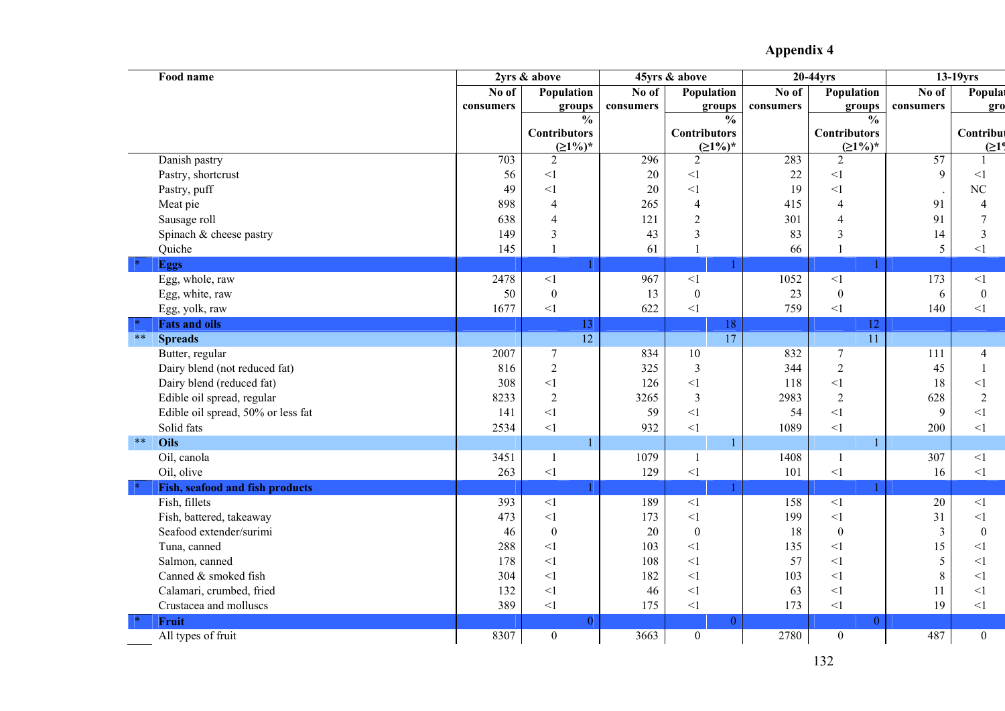| Food name                          | 2yrs & above |                         | 45yrs & above |                     | 20-44yrs  |                     | $13-19$ yrs     |                    |
|------------------------------------|--------------|-------------------------|---------------|---------------------|-----------|---------------------|-----------------|--------------------|
|                                    | No of        | Population              | No of         | Population          | No of     | Population          | No of           | Populat            |
|                                    | consumers    | groups                  | consumers     | groups              | consumers | groups              | consumers       | gro                |
|                                    |              | $\frac{0}{0}$           |               | $\frac{0}{0}$       |           | $\frac{0}{0}$       |                 |                    |
|                                    |              | <b>Contributors</b>     |               | <b>Contributors</b> |           | <b>Contributors</b> |                 | Contribut          |
|                                    |              | $(21%)^*$               |               | $(21\%)^*$          |           | $(21\%)^*$          |                 | (21 <sup>0</sup> ) |
| Danish pastry                      | 703          | $\overline{2}$          | 296           | $\overline{2}$      | 283       | $\overline{2}$      | 57              |                    |
| Pastry, shortcrust                 | 56           | $\leq$ 1                | 20            | $<1\,$              | $22\,$    | <1                  | 9               | $<\!\!1$           |
| Pastry, puff                       | 49           | $\leq$ 1                | 20            | $\leq$ 1            | 19        | $\leq$ 1            |                 | $\rm NC$           |
| Meat pie                           | 898          | $\overline{4}$          | 265           | $\overline{4}$      | 415       | $\overline{4}$      | 91              | $\overline{4}$     |
| Sausage roll                       | 638          | $\overline{4}$          | 121           | $\overline{2}$      | 301       | $\overline{4}$      | 91              | $\overline{7}$     |
| Spinach & cheese pastry            | 149          | $\overline{\mathbf{3}}$ | 43            | $\overline{3}$      | 83        | 3                   | 14              | $\overline{3}$     |
| Quiche                             | 145          | $\mathbf{1}$            | 61            | $\mathbf{1}$        | 66        | $\mathbf{1}$        | 5               | $\leq$ 1           |
| <b>Eggs</b>                        |              |                         |               |                     |           |                     |                 |                    |
| Egg, whole, raw                    | 2478         | $\overline{1}$          | 967           | $\overline{1}$      | 1052      | $\overline{1}$      | 173             | $<1\,$             |
| Egg, white, raw                    | 50           | $\boldsymbol{0}$        | 13            | $\boldsymbol{0}$    | 23        | $\boldsymbol{0}$    | 6               | $\boldsymbol{0}$   |
| Egg, yolk, raw                     | 1677         | $<1\,$                  | 622           | $<1\,$              | 759       | $<1\,$              | 140             | $\leq$ 1           |
| <b>Fats and oils</b>               |              | 13                      |               | 18                  |           | 12                  |                 |                    |
| $***$<br><b>Spreads</b>            |              | $\overline{12}$         |               | $\overline{17}$     |           | $\overline{11}$     |                 |                    |
| Butter, regular                    | 2007         | $\boldsymbol{7}$        | 834           | 10                  | 832       | $\overline{7}$      | 111             | $\overline{4}$     |
| Dairy blend (not reduced fat)      | 816          | $\sqrt{2}$              | 325           | $\mathfrak{Z}$      | 344       | $\overline{2}$      | 45              | $\mathbf{1}$       |
| Dairy blend (reduced fat)          | 308          | $\leq$ 1                | 126           | $<1\,$              | 118       | $\leq$ 1            | 18              | $\leq$ 1           |
| Edible oil spread, regular         | 8233         | $\sqrt{2}$              | 3265          | $\mathfrak{Z}$      | 2983      | $\sqrt{2}$          | 628             | $\sqrt{2}$         |
| Edible oil spread, 50% or less fat | 141          | $\leq$ 1                | 59            | $\leq$ 1            | 54        | $\leq$ 1            | 9               | $\leq$ 1           |
| Solid fats                         | 2534         | $\leq$ 1                | 932           | <1                  | 1089      | $\leq$ 1            | 200             | $\leq$ 1           |
| $***$<br>Oils                      |              |                         |               | 1                   |           | $\mathbf{1}$        |                 |                    |
| Oil, canola                        | 3451         | $\mathbf{1}$            | 1079          | $\mathbf{1}$        | 1408      | $\mathbf{1}$        | 307             | <1                 |
| Oil, olive                         | 263          | $<\!\!1$                | 129           | $<\!\!1$            | 101       | $<\!\!1$            | 16              | $\leq$ 1           |
| Fish, seafood and fish products    |              |                         |               |                     |           |                     |                 |                    |
| Fish, fillets                      | 393          | $\leq$ 1                | 189           | $\overline{1}$      | 158       | $\leq$ 1            | $\overline{20}$ | $\leq$ 1           |
| Fish, battered, takeaway           | 473          | $\leq$ 1                | 173           | $\leq$ 1            | 199       | $\leq$ 1            | 31              | $\leq$ 1           |
| Seafood extender/surimi            | 46           | $\boldsymbol{0}$        | 20            | $\boldsymbol{0}$    | 18        | $\boldsymbol{0}$    | $\overline{3}$  | $\boldsymbol{0}$   |
| Tuna, canned                       | 288          | $\leq$ 1                | 103           | $\leq$ 1            | 135       | <1                  | 15              | <1                 |
| Salmon, canned                     | 178          | $\leq$ 1                | 108           | $\leq$ 1            | 57        | <1                  | 5               | $<$ 1              |
| Canned & smoked fish               | 304          | $\leq$ 1                | 182           | $\leq$ 1            | 103       | $\leq$ 1            | $\,8\,$         | $\leq$ 1           |
| Calamari, crumbed, fried           | 132          | $\leq$ 1                | 46            | $<\!\!1$            | 63        | <1                  | 11              | $<1\,$             |
| Crustacea and molluscs             | 389          | $\leq$ 1                | 175           | $<1\,$              | 173       | $\leq$ 1            | 19              | $\leq$ 1           |
| Fruit                              |              | $\theta$                |               | $\overline{0}$      |           | $\overline{0}$      |                 |                    |
| All types of fruit                 | 8307         | $\boldsymbol{0}$        | 3663          | $\overline{0}$      | 2780      | $\boldsymbol{0}$    | 487             | $\boldsymbol{0}$   |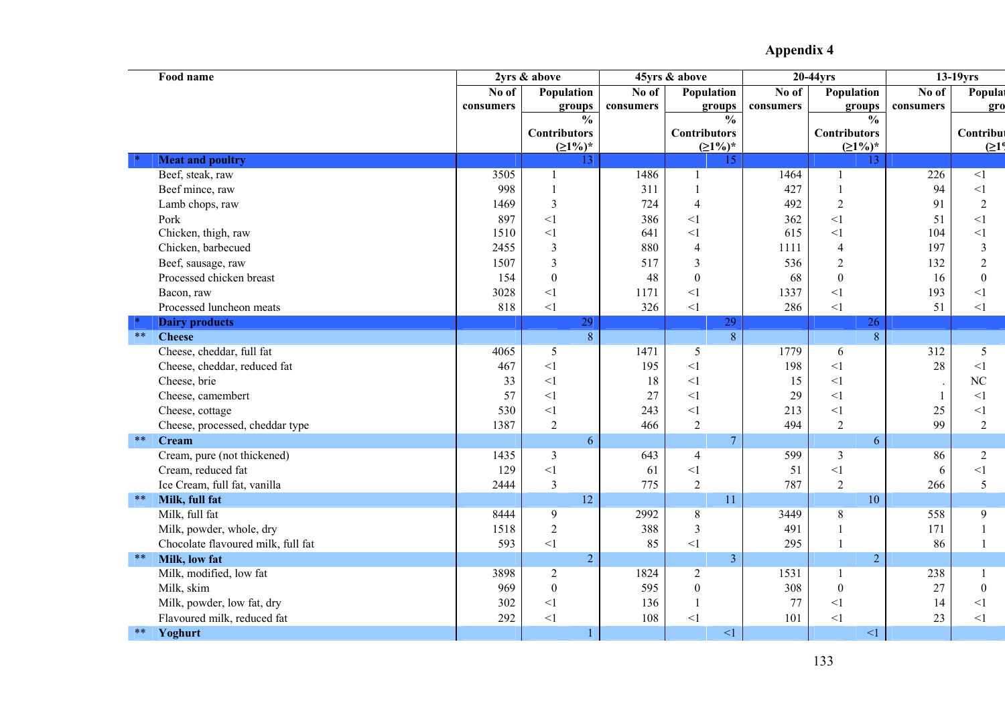|            | Food name                          |           | 2yrs & above            |           | 45yrs & above       |           | 20-44yrs            |                      | $13-19$ yrs        |
|------------|------------------------------------|-----------|-------------------------|-----------|---------------------|-----------|---------------------|----------------------|--------------------|
|            |                                    |           | Population              | No of     | Population          | No of     | Population          | No of                | Populat            |
|            |                                    | consumers | groups                  | consumers | groups              | consumers | groups              | consumers            | gro                |
|            |                                    |           | $\frac{0}{0}$           |           | $\frac{0}{0}$       |           | $\frac{0}{0}$       |                      |                    |
|            |                                    |           | <b>Contributors</b>     |           | <b>Contributors</b> |           | <b>Contributors</b> |                      | Contribut          |
|            |                                    |           | $(21%)^*$               |           | $(21\%)^*$          |           | $(21%)^*$           |                      | (21 <sup>0</sup> ) |
|            | <b>Meat and poultry</b>            |           | 13                      |           | 15                  |           | 13                  |                      |                    |
|            | Beef, steak, raw                   | 3505      | 1                       | 1486      | -1                  | 1464      | 1                   | 226                  | $\overline{1}$     |
|            | Beef mince, raw                    | 998       | $\mathbf{1}$            | 311       | $\overline{1}$      | 427       | $\mathbf{1}$        | 94                   | $<$ 1              |
|            | Lamb chops, raw                    | 1469      | $\overline{3}$          | 724       | $\overline{4}$      | 492       | $\overline{2}$      | 91                   | $\overline{2}$     |
|            | Pork                               | 897       | $\leq$ 1                | 386       | $\leq$ 1            | 362       | $\leq$ 1            | 51                   | $\leq$ 1           |
|            | Chicken, thigh, raw                | 1510      | $\leq$ 1                | 641       | $\leq$ 1            | 615       | $\leq$ 1            | 104                  | $\leq$ 1           |
|            | Chicken, barbecued                 | 2455      | $\overline{\mathbf{3}}$ | 880       | $\overline{4}$      | 1111      | 4                   | 197                  | $\mathfrak{Z}$     |
|            | Beef, sausage, raw                 | 1507      | $\overline{3}$          | 517       | $\overline{3}$      | 536       | $\overline{2}$      | 132                  | $\overline{2}$     |
|            | Processed chicken breast           | 154       | $\boldsymbol{0}$        | 48        | $\boldsymbol{0}$    | 68        | $\boldsymbol{0}$    | 16                   | $\boldsymbol{0}$   |
|            | Bacon, raw                         | 3028      | $\leq$ 1                | 1171      | $<$ $\!1$           | 1337      | <1                  | 193                  | $\leq$ 1           |
|            | Processed luncheon meats           | 818       | $\leq$ 1                | 326       | $<1\,$              | 286       | $\leq$ 1            | 51                   | $\leq$ 1           |
|            | <b>Dairy products</b>              |           | 29                      |           | 29                  |           | 26                  |                      |                    |
| $**$       | <b>Cheese</b>                      |           | $\overline{8}$          |           | $\overline{8}$      |           | $\overline{8}$      |                      |                    |
|            | Cheese, cheddar, full fat          | 4065      | 5                       | 1471      | 5                   | 1779      | 6                   | 312                  | 5                  |
|            | Cheese, cheddar, reduced fat       | 467       | $\leq$ 1                | 195       | <1                  | 198       | $<$ 1               | 28                   | <1                 |
|            | Cheese, brie                       | 33        | $\leq$ 1                | 18        | $\leq$ 1            | 15        | <1                  | $\ddot{\phantom{a}}$ | NC                 |
|            | Cheese, camembert                  | 57        | $\leq$ 1                | 27        | $\leq$ 1            | 29        | $\leq$ 1            | $\mathbf{1}$         | <1                 |
|            | Cheese, cottage                    | 530       | $\leq$ 1                | 243       | $\leq$ 1            | 213       | <1                  | 25                   | $<\!\!1$           |
|            | Cheese, processed, cheddar type    | 1387      | $\sqrt{2}$              | 466       | $\sqrt{2}$          | 494       | $\sqrt{2}$          | 99                   | $\overline{2}$     |
| $***$      | <b>Cream</b>                       |           | 6                       |           | $\overline{7}$      |           | 6                   |                      |                    |
|            | Cream, pure (not thickened)        | 1435      | $\overline{3}$          | 643       | $\overline{4}$      | 599       | $\mathfrak{Z}$      | 86                   | $\sqrt{2}$         |
|            | Cream, reduced fat                 | 129       | $\leq$ 1                | 61        | $\leq$ 1            | 51        | $\leq$ 1            | 6                    | $<1\,$             |
|            | Ice Cream, full fat, vanilla       | 2444      | $\overline{3}$          | 775       | $\overline{2}$      | 787       | $\overline{2}$      | 266                  | 5                  |
| $\ast\ast$ | Milk, full fat                     |           | 12                      |           | 11                  |           | 10                  |                      |                    |
|            | Milk, full fat                     | 8444      | $\overline{9}$          | 2992      | $\overline{8}$      | 3449      | $8\,$               | 558                  | 9                  |
|            | Milk, powder, whole, dry           | 1518      | $\overline{2}$          | 388       | 3                   | 491       |                     | 171                  | $\mathbf{1}$       |
|            | Chocolate flavoured milk, full fat | 593       | $<$ $\!1$               | 85        | $\leq$ 1            | 295       |                     | 86                   | 1                  |
| $***$      | Milk, low fat                      |           | $\overline{2}$          |           | 3                   |           | $\overline{2}$      |                      |                    |
|            | Milk, modified, low fat            | 3898      | $\sqrt{2}$              | 1824      | $\sqrt{2}$          | 1531      | $\mathbf{1}$        | 238                  | $\mathbf{1}$       |
|            | Milk, skim                         | 969       | $\boldsymbol{0}$        | 595       | $\boldsymbol{0}$    | 308       | $\boldsymbol{0}$    | 27                   | $\boldsymbol{0}$   |
|            |                                    | 302       | $\leq$ 1                | 136       |                     | 77        | $\leq$ 1            | 14                   | <1                 |
|            | Milk, powder, low fat, dry         |           |                         |           | $\mathbf{1}$        |           |                     |                      |                    |
|            | Flavoured milk, reduced fat        | 292       | $\leq$ 1                | 108       | $<1\,$              | 101       | $\leq$ 1            | 23                   | $<\!\!1$           |
| $***$      | Yoghurt                            |           | 1                       |           | $\leq$ 1            |           | $\leq$ 1            |                      |                    |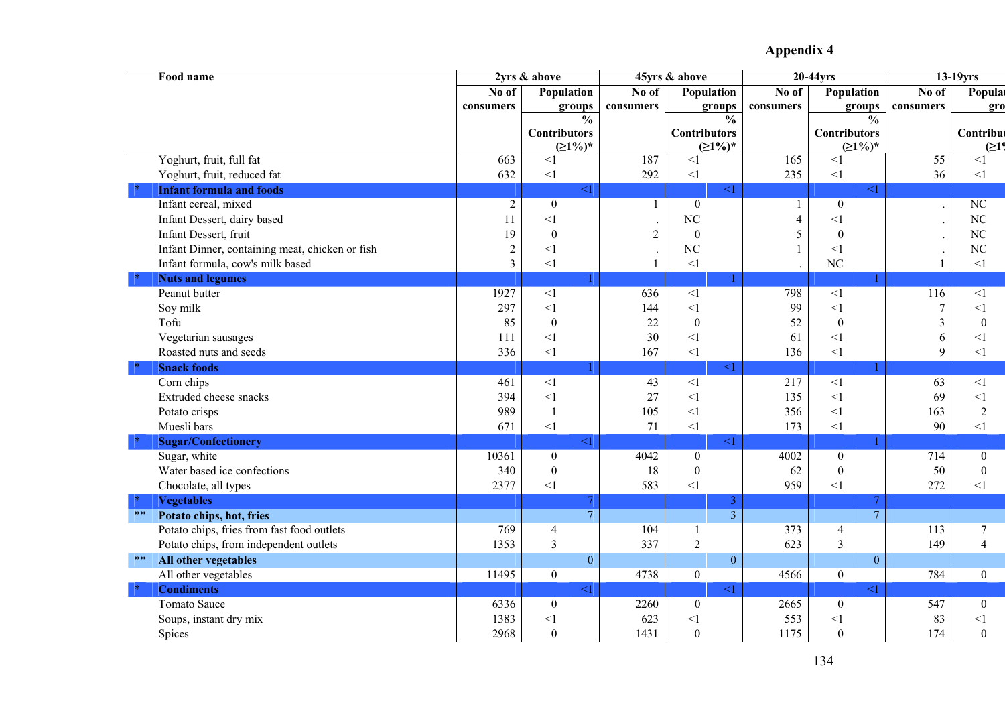| Food name                                       |                | 2yrs & above        |                | 45yrs & above       |                | 20-44yrs            |                | $13-19$ yrs        |
|-------------------------------------------------|----------------|---------------------|----------------|---------------------|----------------|---------------------|----------------|--------------------|
|                                                 | No of          | Population          | No of          | Population          | No of          | Population          | No of          | Populat            |
|                                                 | consumers      | groups              | consumers      | groups              | consumers      | groups              | consumers      | gro                |
|                                                 |                | $\frac{0}{0}$       |                | $\frac{0}{0}$       |                | $\frac{0}{0}$       |                |                    |
|                                                 |                | <b>Contributors</b> |                | <b>Contributors</b> |                | <b>Contributors</b> |                | Contribut          |
|                                                 |                | $(21\%)^*$          |                | $(21\%)^*$          |                | $(21\%)^*$          |                | (21 <sup>0</sup> ) |
| Yoghurt, fruit, full fat                        | 663            | <1                  | 187            | $<$ 1               | 165            | $\leq$ 1            | 55             | $\leq$ 1           |
| Yoghurt, fruit, reduced fat                     | 632            | $\leq$ 1            | 292            | <1                  | 235            | $\leq$ 1            | 36             | $\leq$ 1           |
| <b>Infant formula and foods</b>                 |                | $<1\,$              |                | $\leq$ 1            |                | $\leq$ 1            |                |                    |
| Infant cereal, mixed                            | $\overline{2}$ | $\boldsymbol{0}$    | 1              | $\boldsymbol{0}$    |                | $\boldsymbol{0}$    |                | $\rm NC$           |
| Infant Dessert, dairy based                     | 11             | $\leq$ 1            |                | NC                  | $\overline{4}$ | $<\!\!1$            |                | $\rm NC$           |
| Infant Dessert, fruit                           | 19             | $\boldsymbol{0}$    | $\overline{2}$ | $\boldsymbol{0}$    | 5              | $\boldsymbol{0}$    |                | NC                 |
| Infant Dinner, containing meat, chicken or fish | $\overline{2}$ | $\leq$ 1            |                | NC                  |                | $\leq$ 1            | $\cdot$        | NC                 |
| Infant formula, cow's milk based                | $\overline{3}$ | $<1\,$              | 1              | $<1\,$              |                | N <sub>C</sub>      | $\mathbf{1}$   | $\leq$ 1           |
| <b>Nuts and legumes</b>                         |                |                     |                |                     |                |                     |                |                    |
| Peanut butter                                   | 1927           | <1                  | 636            | <1                  | 798            | $\leq$ 1            | 116            | $\leq$ 1           |
| Soy milk                                        | 297            | $\leq$ 1            | 144            | $\leq$ 1            | 99             | $\leq$ 1            | $\overline{7}$ | $\leq$ 1           |
| Tofu                                            | 85             | $\boldsymbol{0}$    | 22             | $\boldsymbol{0}$    | 52             | $\boldsymbol{0}$    | $\overline{3}$ | $\boldsymbol{0}$   |
| Vegetarian sausages                             | 111            | $\leq$ 1            | 30             | $\leq$ 1            | 61             | $\leq$ 1            | 6              | $\leq$ 1           |
| Roasted nuts and seeds                          | 336            | $\leq$ 1            | 167            | $<1\,$              | 136            | <1                  | 9              | $\leq$ 1           |
| <b>Snack foods</b>                              |                |                     |                | $\leq$ 1            |                |                     |                |                    |
| Corn chips                                      | 461            | $\leq$ 1            | 43             | <1                  | 217            | $\leq$ 1            | 63             | $\leq$ 1           |
| Extruded cheese snacks                          | 394            | $\leq$ 1            | 27             | $<$ 1               | 135            | $\leq$ 1            | 69             | $\leq$ 1           |
| Potato crisps                                   | 989            | $\overline{1}$      | 105            | $\leq$              | 356            | $\leq$ 1            | 163            | $\overline{2}$     |
| Muesli bars                                     | 671            | $\leq$ 1            | 71             | <1                  | 173            | $<1\,$              | 90             | $<$ 1              |
| <b>Sugar/Confectionery</b>                      |                | $\leq$ 1            |                | $\leq$ 1            |                |                     |                |                    |
| Sugar, white                                    | 10361          | $\overline{0}$      | 4042           | $\overline{0}$      | 4002           | $\overline{0}$      | 714            | $\boldsymbol{0}$   |
| Water based ice confections                     | 340            | $\boldsymbol{0}$    | 18             | $\boldsymbol{0}$    | 62             | $\boldsymbol{0}$    | 50             | $\boldsymbol{0}$   |
| Chocolate, all types                            | 2377           | $<1\,$              | 583            | $<1\,$              | 959            | <1                  | 272            | $\leq$ 1           |
| <b>Vegetables</b>                               |                | 7                   |                | 3                   |                | 7                   |                |                    |
| $\ast\ast$<br>Potato chips, hot, fries          |                | $\overline{7}$      |                | $\overline{3}$      |                | $\overline{7}$      |                |                    |
| Potato chips, fries from fast food outlets      | 769            | $\overline{4}$      | 104            | $\mathbf{1}$        | 373            | $\overline{4}$      | 113            | $\overline{7}$     |
| Potato chips, from independent outlets          | 1353           | $\overline{3}$      | 337            | $\overline{2}$      | 623            | 3                   | 149            | $\overline{4}$     |
| All other vegetables<br>$***$                   |                | $\boldsymbol{0}$    |                | $\boldsymbol{0}$    |                | $\overline{0}$      |                |                    |
| All other vegetables                            | 11495          | $\mathbf{0}$        | 4738           | $\mathbf{0}$        | 4566           | $\mathbf{0}$        | 784            | $\boldsymbol{0}$   |
| <b>Condiments</b>                               |                | $\leq$ 1            |                | $\leq$ 1            |                | $\leq$ 1            |                |                    |
| <b>Tomato Sauce</b>                             | 6336           | $\boldsymbol{0}$    | 2260           | $\mathbf{0}$        | 2665           | $\mathbf{0}$        | 547            | $\boldsymbol{0}$   |
| Soups, instant dry mix                          | 1383           | $\leq$ 1            | 623            | $\leq$ 1            | 553            | $<\!\!1$            | 83             | $<$ 1              |
| Spices                                          | 2968           | $\boldsymbol{0}$    | 1431           | $\boldsymbol{0}$    | 1175           | $\boldsymbol{0}$    | 174            | $\boldsymbol{0}$   |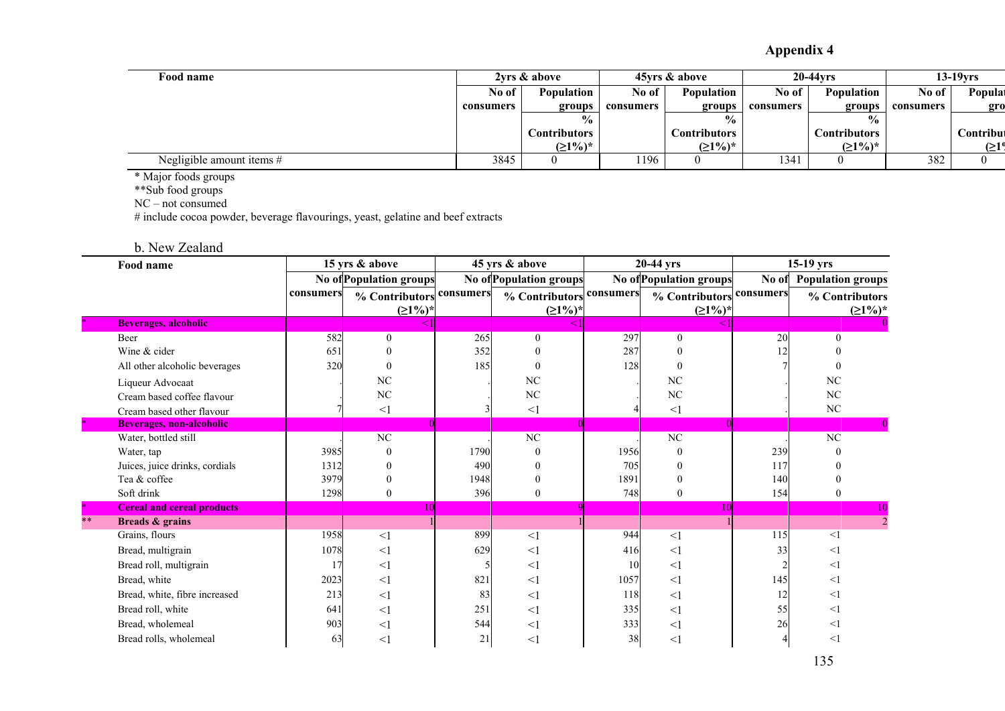| Food name                 |           | 2vrs & above         |           | 45 yrs & above       |           | <b>20-44vrs</b>   |           | $13-19$ vrs |
|---------------------------|-----------|----------------------|-----------|----------------------|-----------|-------------------|-----------|-------------|
|                           | No of     | <b>Population</b>    |           | Population           | No of     | <b>Population</b> | No of     | Populat     |
|                           | consumers | groups               | consumers | groups               | consumers | groups            | consumers | gro         |
|                           |           | $\frac{6}{10}$       |           | $\frac{0}{0}$        |           | $\frac{0}{0}$     |           |             |
|                           |           | C <b>ontributors</b> |           | C <b>ontributors</b> |           | Contributors      |           | Contribut   |
|                           |           | $(21\%)^*$           |           | $(21%)^*$            |           | $(21\%)^*$        |           | >10         |
| Negligible amount items # | 3845      |                      | 1196      |                      | 1341      |                   | 382       |             |

\* Major foods groups

\*\*Sub food groups

NC – not consumed

# include cocoa powder, beverage flavourings, yeast, gelatine and beef extracts

b. New Zealand

|                           | 15 yrs & above<br>Food name       |           |                          | 45 yrs & above |                         | $20-44$ yrs |                         | $15-19$ yrs |                          |
|---------------------------|-----------------------------------|-----------|--------------------------|----------------|-------------------------|-------------|-------------------------|-------------|--------------------------|
|                           |                                   |           | No of Population groups  |                | No of Population groups |             | No of Population groups | No of       | <b>Population groups</b> |
|                           |                                   | consumers | % Contributors consumers |                | % Contributors          | consumers   | % Contributors          | consumers   | % Contributors           |
|                           |                                   |           | $(21%)^*$                |                | $(21%)^*$               |             | $(21%)^*$               |             | $(21%)^*$                |
|                           | Beverages, alcoholic              |           |                          |                |                         |             |                         |             |                          |
|                           | Beer                              | 582       | $\boldsymbol{0}$         | 265            | $\mathbf{0}$            | 297         | $\Omega$                | 20          |                          |
|                           | Wine & cider                      | 651       | $\Omega$                 | 352            | $\Omega$                | 287         | $\Omega$                |             |                          |
|                           | All other alcoholic beverages     | 320       |                          | 185            |                         | 128         | $\theta$                |             |                          |
|                           | Liqueur Advocaat                  |           | NC                       |                | NC                      |             | NC                      |             | NC                       |
|                           | Cream based coffee flavour        |           | NC                       |                | NC                      |             | NC                      |             | NC                       |
|                           | Cream based other flavour         |           | $<\!\!1$                 |                | $\leq$ 1                |             | $\leq$ 1                |             | NC                       |
| $\mathcal{A}_\mathcal{C}$ | <b>Beverages, non-alcoholic</b>   |           |                          |                |                         |             |                         |             |                          |
|                           | Water, bottled still              |           | $\overline{\text{NC}}$   |                | $\overline{\text{NC}}$  |             | $\overline{NC}$         |             | $\overline{\text{NC}}$   |
|                           | Water, tap                        | 3985      | $\theta$                 | 1790           | $\theta$                | 1956        | $\Omega$                | 239         |                          |
|                           | Juices, juice drinks, cordials    | 1312      | $\theta$                 | 490            |                         | 705         | $\Omega$                | 117         |                          |
|                           | Tea & coffee                      | 3979      | $\theta$                 | 1948           | $\theta$                | 1891        | $\theta$                | 140         |                          |
|                           | Soft drink                        | 1298      | $\overline{0}$           | 396            | $\mathbf{0}$            | 748         | $\Omega$                | 154         | $\theta$                 |
|                           | <b>Cereal and cereal products</b> |           | 10                       |                |                         |             |                         |             |                          |
| $***$                     | Breads & grains                   |           |                          |                |                         |             |                         |             |                          |
|                           | Grains, flours                    | 1958      | <1                       | 899            | $\leq$ 1                | 944         | $\leq$ 1                | 115         | $\leq$ 1                 |
|                           | Bread, multigrain                 | 1078      | $<$ 1                    | 629            | $<$ 1                   | 416         | $\leq$ 1                | 33          | $\leq$ 1                 |
|                           | Bread roll, multigrain            |           | $\leq$ 1                 |                | $<$ 1                   | 10          | <1                      |             | $\leq$ 1                 |
|                           | Bread, white                      | 2023      | $\leq$ 1                 | 821            | $<$ 1                   | 1057        | $\leq$ 1                | 145         | $\leq$ 1                 |
|                           | Bread, white, fibre increased     | 213       | $\leq$ 1                 | 83             | $<$ 1                   | 118         | <1                      | 12          | $\leq$ 1                 |
|                           | Bread roll, white                 | 641       | $<$ 1                    | 251            | $<$ 1                   | 335         | <1                      | 55          | $\leq$ 1                 |
|                           | Bread, wholemeal                  | 903       | <1                       | 544            | $<$ 1                   | 333         | $<$ 1                   | 26          | $\leq$ 1                 |
|                           | Bread rolls, wholemeal            | 63        | $<$ $\!1$                | 21             | $<$ 1                   | 38          | $\leq$ 1                |             | $\leq$ 1                 |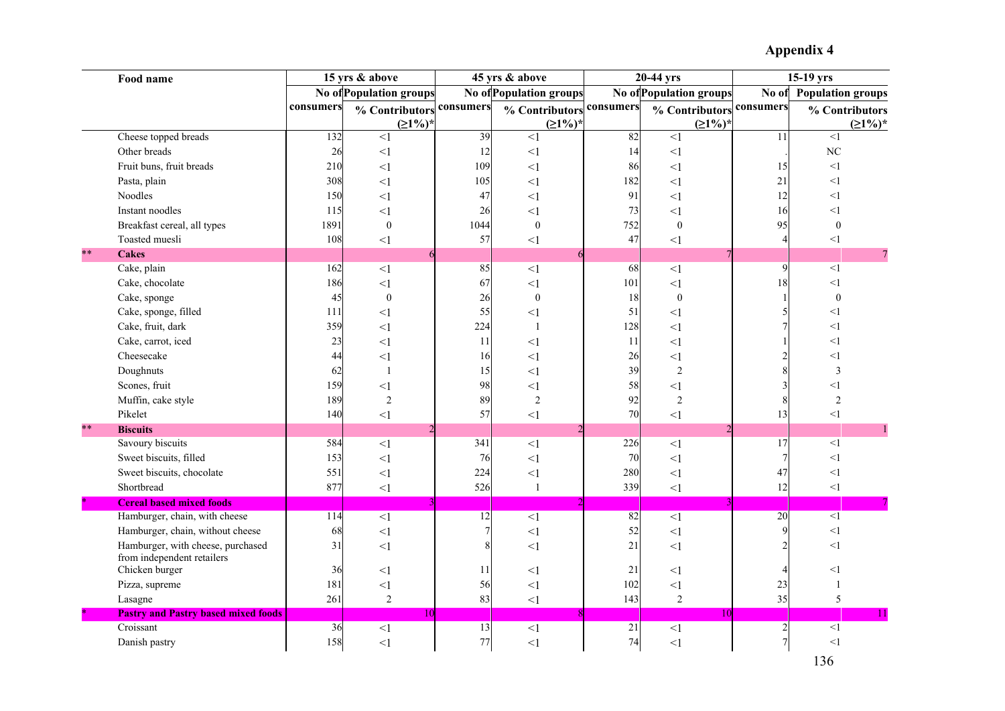|    | Food name                                  |           | 15 yrs & above                 |           | 45 yrs & above                 |           | 20-44 yrs               |           | 15-19 yrs                |
|----|--------------------------------------------|-----------|--------------------------------|-----------|--------------------------------|-----------|-------------------------|-----------|--------------------------|
|    |                                            |           | <b>No of Population groups</b> |           | <b>No of Population groups</b> |           | No of Population groups | No of     | <b>Population groups</b> |
|    |                                            | consumers | % Contributors                 | consumers | % Contributors                 | consumers | % Contributors          | consumers | % Contributors           |
|    |                                            |           | $(21%)^*$                      |           | (21%)                          |           | $(21%)^*$               |           | $(21%)^*$                |
|    | Cheese topped breads                       | 132       | $\leq$ 1                       | 39        | $\leq$ 1                       | 82        | $\leq$ 1                | 11        | <1                       |
|    | Other breads                               | 26        | <1                             | 12        | $<$ 1                          | 14        | $\leq$ 1                |           | NC                       |
|    | Fruit buns, fruit breads                   | 210       | $\leq$ 1                       | 109       | $\leq$ 1                       | 86        | $\leq$ 1                | 15        | <1                       |
|    | Pasta, plain                               | 308       | $\leq$ 1                       | 105       | $<$ 1                          | 182       | $\leq$ 1                | 21        | <1                       |
|    | Noodles                                    | 150       | $\leq$ 1                       | 47        | $<$ 1                          | 91        | $<$ l                   | 12        | $<$ 1                    |
|    | Instant noodles                            | 115       | <1                             | 26        | $<$ 1                          | 73        | $<$ 1                   | 16        | <1                       |
|    | Breakfast cereal, all types                | 1891      | $\overline{0}$                 | 1044      | $\mathbf{0}$                   | 752       | $\boldsymbol{0}$        | 95        | $\overline{0}$           |
|    | Toasted muesli                             | 108       | $\leq$ 1                       | 57        | $<$ 1                          | 47        | $\leq$ 1                |           | $\leq$ 1                 |
| ** | <b>Cakes</b>                               |           | 6                              |           | 6                              |           |                         |           |                          |
|    | Cake, plain                                | 162       | $\leq$ 1                       | 85        | $<$ 1                          | 68        | $<$ 1                   | q         | $<$ 1                    |
|    | Cake, chocolate                            | 186       | $\leq$ 1                       | 67        | $\leq$ 1                       | 101       | $\leq$ 1                | 18        | $<$ 1                    |
|    | Cake, sponge                               | 45        | $\boldsymbol{0}$               | 26        | $\boldsymbol{0}$               | 18        | $\boldsymbol{0}$        |           | $\mathbf{0}$             |
|    | Cake, sponge, filled                       | 111       | $\leq$ 1                       | 55        | $<$ 1                          | 51        | $<$ 1                   |           | $<$ 1                    |
|    | Cake, fruit, dark                          | 359       | $\leq$ 1                       | 224       | $\overline{1}$                 | 128       | $\leq$ 1                |           | $<$ 1                    |
|    | Cake, carrot, iced                         | 23        | $\leq$ 1                       | 11        | $<$ 1                          | 11        | $\leq$ 1                |           | $<$ 1                    |
|    | Cheesecake                                 | 44        | $\leq$ 1                       | 16        | $<$ 1                          | 26        | $<$ l                   |           | $<$ 1                    |
|    | Doughnuts                                  | 62        | $\mathbf{1}$                   | 15        | $<$ 1                          | 39        | $\overline{2}$          |           | 3                        |
|    | Scones, fruit                              | 159       | $\leq$ 1                       | 98        | $<$ 1                          | 58        | $\leq$ 1                |           | $<$ 1                    |
|    | Muffin, cake style                         | 189       | $\overline{2}$                 | 89        | $\overline{2}$                 | 92        | $\overline{2}$          | Ş         | $\overline{2}$           |
|    | Pikelet                                    | 140       | $\leq$ 1                       | 57        | <1                             | 70        | $<$ l                   | 13        | $\leq$ 1                 |
| ** | <b>Biscuits</b>                            |           |                                |           |                                |           | $\mathcal{D}$           |           | $\mathbf{1}$             |
|    | Savoury biscuits                           | 584       | $\leq$ 1                       | 341       | $\leq$ 1                       | 226       | $\leq$ 1                | 17        | $\leq$ 1                 |
|    | Sweet biscuits, filled                     | 153       | $\leq$ 1                       | 76        | $\leq$ 1                       | 70        | $\leq$ 1                |           | $\leq$ 1                 |
|    | Sweet biscuits, chocolate                  | 551       | $\leq$ 1                       | 224       | $<$ 1                          | 280       | <1                      | 47        | <1                       |
|    | Shortbread                                 | 877       | $\leq$ 1                       | 526       | $\mathbf{1}$                   | 339       | $\leq$ 1                | 12        | $<1\,$                   |
|    | <b>Cereal based mixed foods</b>            |           |                                |           |                                |           |                         |           |                          |
|    | Hamburger, chain, with cheese              | 114       | $<$ $\!1$                      | 12        | $<1\,$                         | 82        | <1                      | 20        | $\overline{1}$           |
|    | Hamburger, chain, without cheese           | 68        | <1                             |           | $<$ 1                          | 52        | <1                      | Ç         | $\leq$ 1                 |
|    | Hamburger, with cheese, purchased          | 31        | $\leq$ 1                       |           | <1                             | 21        | <1                      |           | $<$ 1                    |
|    | from independent retailers                 |           |                                |           |                                |           |                         |           |                          |
|    | Chicken burger                             | 36        | $<1\,$                         | 11        | $<$ 1                          | 21        | $<$ 1                   |           | $<$ 1                    |
|    | Pizza, supreme                             | 181       | $<\!\!1$                       | 56        | $<$ 1                          | 102       | $<$ 1                   | 23        | -1                       |
|    | Lasagne                                    | 261       | $\overline{2}$                 | 83        | $\leq$ 1                       | 143       | $\overline{2}$          | 35        | 5                        |
|    | <b>Pastry and Pastry based mixed foods</b> |           | 10                             |           |                                |           | 1 <sub>0</sub>          |           | $11\,$                   |
|    | Croissant                                  | 36        | $<$ $\!1$                      | 13        | $<$ $\!1$                      | 21        | $\leq$ 1                |           | $<\!1$                   |
|    | Danish pastry                              | 158       | $\leq$ 1                       | 77        | $\leq$ 1                       | 74        | $\leq$ 1                |           | $\leq$ 1                 |

136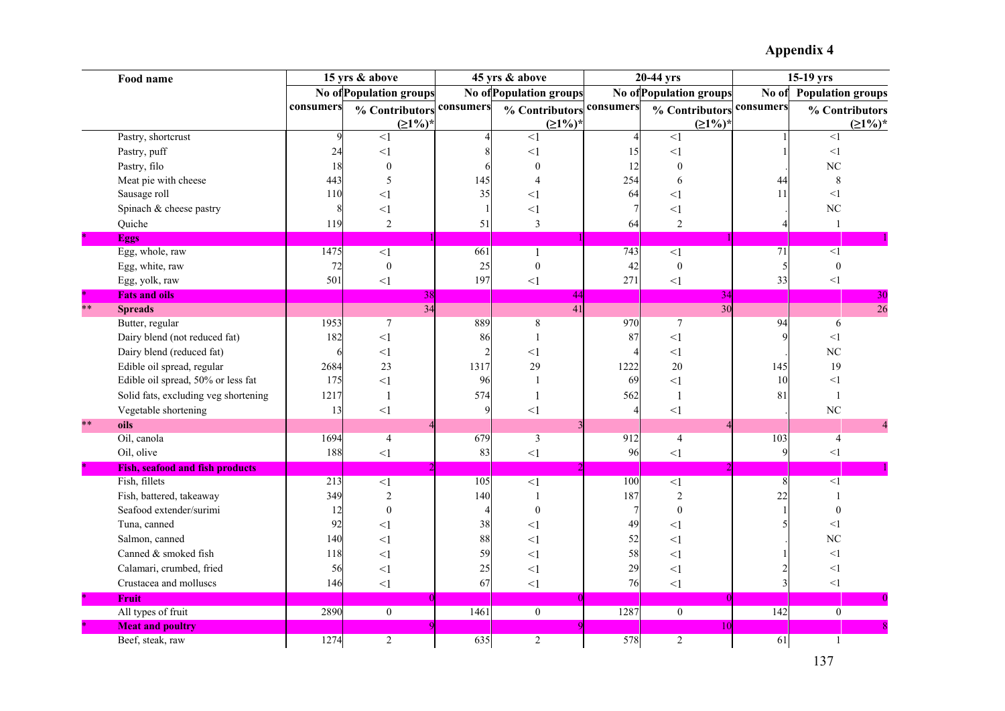|       | Food name                              |           | 15 yrs & above                 |                  | 45 yrs & above          |                  | 20-44 yrs              |                  | $15-19$ yrs              |
|-------|----------------------------------------|-----------|--------------------------------|------------------|-------------------------|------------------|------------------------|------------------|--------------------------|
|       |                                        |           | <b>No of Population groups</b> |                  | No of Population groups |                  | No ofPopulation groups | No of            | <b>Population groups</b> |
|       |                                        | consumers | % Contributor                  | consumers        | % Contributors          | consumers        | % Contributors         | consumers        | % Contributors           |
|       |                                        |           | $(21\%)$                       |                  | $(21%)^*$               |                  | (21%)                  |                  | $(21%)^*$                |
|       | Pastry, shortcrust                     |           | $<$ 1                          |                  | $\leq$ 1                |                  | $\leq$ 1               |                  | $<$ 1                    |
|       | Pastry, puff                           | 24        | $\leq$ 1                       |                  | $<$ $\,$                | 15               | $\leq$ 1               |                  | <1                       |
|       | Pastry, filo                           | 18        | $\theta$                       |                  | $\theta$                | 12               | $\theta$               |                  | NC                       |
|       | Meat pie with cheese                   | 443       | $\overline{5}$                 | 145              | $\overline{A}$          | 254              | 6                      | 44               | 8                        |
|       | Sausage roll                           | 110       | $\leq$ 1                       | 35               | $<$ $1$                 | 64               | $<$ 1                  | 11               | $\leq$ 1                 |
|       | Spinach & cheese pastry                |           | $<$ 1                          |                  | $<$ l                   |                  | $<$ 1                  |                  | N <sub>C</sub>           |
|       | Quiche                                 | 119       | $\overline{2}$                 | 51               | 3                       | 64               | $\overline{2}$         |                  | $\overline{1}$           |
|       | <b>Eggs</b>                            |           |                                |                  |                         |                  |                        |                  |                          |
|       | Egg, whole, raw                        | 1475      | $\leq$ 1                       | 661              | $\mathbf{1}$            | 743              | $\leq$ 1               | 71               | $\overline{1}$           |
|       | Egg, white, raw                        | 72        | $\boldsymbol{0}$               | 25               | $\boldsymbol{0}$        | 42               | $\boldsymbol{0}$       |                  | $\boldsymbol{0}$         |
|       | Egg, yolk, raw                         | 501       | <1                             | 197              | $\leq$ 1                | 271              | $\leq$ 1               | 33               | $<\!1$                   |
|       | <b>Fats and oils</b>                   |           | 38I                            |                  | 44                      |                  | 34                     |                  | 30                       |
| $**$  | <b>Spreads</b>                         |           | 34                             |                  | 41                      |                  | 30                     |                  | $\overline{26}$          |
|       | Butter, regular                        | 1953      | $\overline{7}$                 | 889              | $\,$ $\,$               | 970              | $\tau$                 | 94               | 6                        |
|       | Dairy blend (not reduced fat)          | 182       | $\leq$ 1                       | 86               |                         | 87               | $\leq$ 1               |                  | $<$ 1                    |
|       | Dairy blend (reduced fat)              |           | $\leq$ 1                       |                  | $<$ l                   |                  | $<$ 1                  |                  | N <sub>C</sub>           |
|       | Edible oil spread, regular             | 2684      | 23                             | 1317             | 29                      | 1222             | 20                     | 145              | 19                       |
|       | Edible oil spread, 50% or less fat     | 175       | $\leq$ 1                       | 96               |                         | 69               | $<$ 1                  | 10               | $\leq$ 1                 |
|       | Solid fats, excluding veg shortening   | 1217      |                                | 574              |                         | 562              | $\mathbf{1}$           | 81               | $\overline{1}$           |
|       | Vegetable shortening                   | 13        | $\leq$ 1                       |                  | $\leq$ 1                |                  | $\leq$ 1               |                  | NC                       |
| $***$ | oils                                   |           |                                |                  |                         |                  |                        |                  |                          |
|       | Oil, canola                            | 1694      | $\overline{4}$                 | 679              | 3                       | 912              | $\overline{4}$         | 103              | $\overline{4}$           |
|       | Oil, olive                             | 188       | $\leq$ 1                       | 83               | $\leq$ 1                | 96               | $\leq$ 1               | $\mathbf Q$      | $\leq$ 1                 |
|       | <b>Fish, seafood and fish products</b> |           |                                |                  |                         |                  |                        |                  |                          |
|       | Fish, fillets                          | 213       | $\leq$ 1                       | $\overline{105}$ | $\leq$ 1                | $\overline{100}$ | $\leq$ 1               |                  | $\overline{1}$           |
|       | Fish, battered, takeaway               | 349       | 2                              | 140              |                         | 187              | $\overline{2}$         | 22               |                          |
|       | Seafood extender/surimi                | 12        | $\mathbf{0}$                   |                  | $\Omega$                |                  | $\boldsymbol{0}$       |                  | $\mathbf{0}$             |
|       | Tuna, canned                           | 92        | $<$ 1                          | 38               | $<$ $1$                 | 49               | $<$ 1                  |                  | $<$ 1                    |
|       | Salmon, canned                         | 140       | $\leq$ 1                       | 88               | $<$ l                   | 52               | $\leq$ 1               |                  | N <sub>C</sub>           |
|       | Canned & smoked fish                   | 118       | $\leq$ 1                       | 59               | $<$ l                   | 58               | $<$ 1                  |                  | $<$ 1                    |
|       | Calamari, crumbed, fried               | 56        | $\leq$ 1                       | 25               | $<$ 1                   | 29               | $\leq$ 1               |                  | <1                       |
|       | Crustacea and molluscs                 | 146       | $\leq$ 1                       | 67               | $\leq$ 1                | 76               | $\leq$ 1               |                  | $<1\,$                   |
|       | <b>Fruit</b>                           |           |                                |                  |                         |                  |                        |                  |                          |
|       | All types of fruit                     | 2890      | $\overline{0}$                 | 1461             | $\overline{0}$          | 1287             | $\mathbf{0}$           | $\overline{142}$ | $\mathbf{0}$             |
|       | <b>Meat and poultry</b>                |           |                                |                  |                         |                  | 10                     |                  |                          |
|       | Beef, steak, raw                       | 1274      | $\overline{2}$                 | 635              | $\overline{2}$          | 578              | $\overline{2}$         | 61               | $\mathbf{1}$             |

137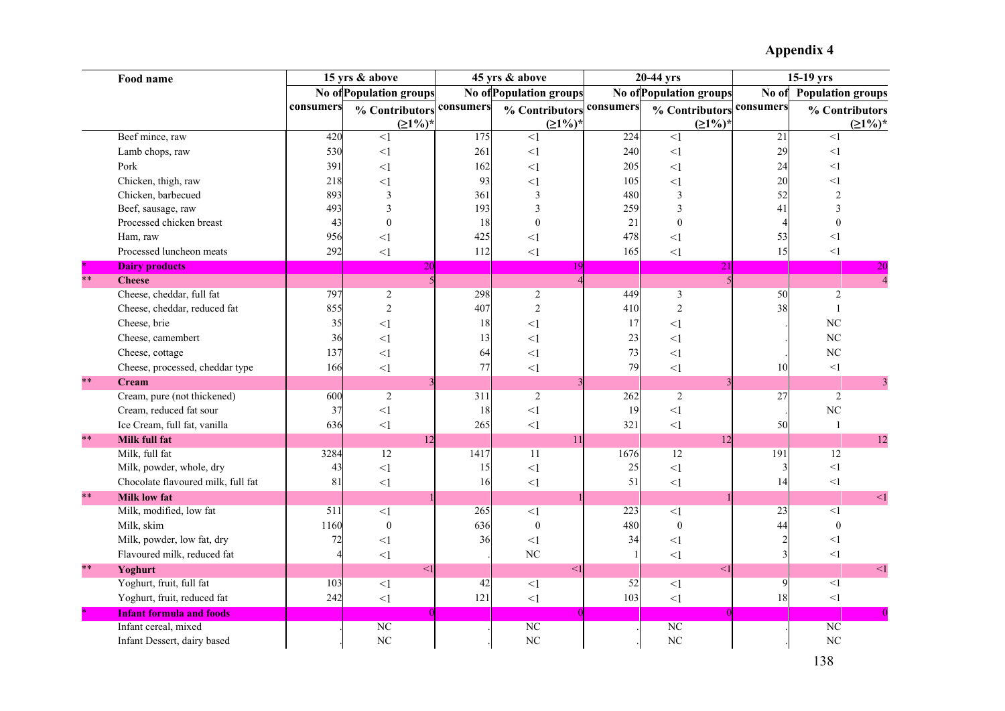|       | Food name                          |           | 15 yrs & above                 |           | 45 yrs & above                 |           | 20-44 yrs               |                 | $15-19$ yrs              |
|-------|------------------------------------|-----------|--------------------------------|-----------|--------------------------------|-----------|-------------------------|-----------------|--------------------------|
|       |                                    |           | <b>No of Population groups</b> |           | <b>No of Population groups</b> |           | No of Population groups | No of           | <b>Population groups</b> |
|       |                                    | consumers | % Contributor                  | consumers | % Contributor                  | consumers | % Contributors          | consumers       | % Contributors           |
|       |                                    |           | $(21%)^*$                      |           | $(≥1%)$ <sup>*</sup>           |           | $(21%)^*$               |                 | $(21%)^*$                |
|       | Beef mince, raw                    | 420       | $\leq$ 1                       | 175       | $\leq$ 1                       | 224       | $\leq$ 1                | $\overline{21}$ | $\leq$ 1                 |
|       | Lamb chops, raw                    | 530       | $\leq$ 1                       | 261       | $\leq$ 1                       | 240       | $\leq$ 1                | 29              | <1                       |
|       | Pork                               | 391       | $\leq$ 1                       | 162       | $\leq$ 1                       | 205       | $\leq$ 1                | 24              | $\leq$ 1                 |
|       | Chicken, thigh, raw                | 218       | $\leq$ 1                       | 93        | $\leq$ 1                       | 105       | $\leq$ 1                | 20              | <1                       |
|       | Chicken, barbecued                 | 893       | $\overline{\mathbf{3}}$        | 361       | $\overline{\mathbf{3}}$        | 480       | 3                       | 52              | $\overline{2}$           |
|       | Beef, sausage, raw                 | 493       | 3                              | 193       | 3                              | 259       | 3                       | 41              | 3                        |
|       | Processed chicken breast           | 43        | $\theta$                       | 18        | $\theta$                       | 21        | $\boldsymbol{0}$        |                 | $\theta$                 |
|       | Ham, raw                           | 956       | $\leq$ 1                       | 425       | $<$ 1                          | 478       | $<\!\!1$                | 53              | $<$ 1                    |
|       | Processed luncheon meats           | 292       | $\leq$ 1                       | 112       | $\leq$ 1                       | 165       | $\leq$ 1                | 15              | <1                       |
|       | <b>Dairy products</b>              |           | 20                             |           |                                |           | 21                      |                 | 20                       |
| $***$ | <b>Cheese</b>                      |           |                                |           |                                |           |                         |                 | $\overline{4}$           |
|       | Cheese, cheddar, full fat          | 797       | $\overline{2}$                 | 298       | $\overline{2}$                 | 449       | $\overline{\mathbf{3}}$ | 50              | $\overline{2}$           |
|       | Cheese, cheddar, reduced fat       | 855       | $\overline{2}$                 | 407       | $\overline{2}$                 | 410       | $\overline{2}$          | 38              |                          |
|       | Cheese, brie                       | 35        | $\leq$ 1                       | 18        | $\leq$ 1                       | 17        | $\leq$ 1                |                 | NC                       |
|       | Cheese, camembert                  | 36        | $\leq$ 1                       | 13        | $<$ 1                          | 23        | $<$ 1                   |                 | NC                       |
|       | Cheese, cottage                    | 137       | $\leq$ 1                       | 64        | $\leq$ 1                       | 73        | $\leq$ 1                |                 | NC                       |
|       | Cheese, processed, cheddar type    | 166       | $\leq$ 1                       | 77        | $\leq$ 1                       | 79        | $\leq$ 1                | 10              | <1                       |
| $***$ | Cream                              |           |                                |           |                                |           |                         |                 | $\overline{\mathbf{3}}$  |
|       | Cream, pure (not thickened)        | 600       | $\overline{2}$                 | 311       | $\overline{2}$                 | 262       | $\overline{2}$          | 27              | $\overline{2}$           |
|       | Cream, reduced fat sour            | 37        | <1                             | 18        | $<\!1$                         | 19        | $\leq$ 1                |                 | NC                       |
|       | Ice Cream, full fat, vanilla       | 636       | $\leq$ 1                       | 265       | $\leq$ 1                       | 321       | $\leq$ 1                | 50              | $\mathbf{1}$             |
| $***$ | <b>Milk full fat</b>               |           | 12                             |           | 11                             |           | 12                      |                 | 12                       |
|       | Milk, full fat                     | 3284      | 12                             | 1417      | 11                             | 1676      | $\overline{12}$         | 191             | $\overline{12}$          |
|       | Milk, powder, whole, dry           | 43        | $\leq$ 1                       | 15        | $\leq$ 1                       | 25        | $\leq$ 1                |                 | $<\!1$                   |
|       | Chocolate flavoured milk, full fat | 81        | $\leq$ 1                       | 16        | $<1\,$                         | 51        | $\leq$ 1                | 14              | <1                       |
| $***$ | <b>Milk low fat</b>                |           |                                |           |                                |           |                         |                 | ${<}1\,$                 |
|       | Milk, modified, low fat            | 511       | $<\!\!1$                       | 265       | <1                             | 223       | <1                      | 23              | <1                       |
|       | Milk, skim                         | 1160      | $\mathbf{0}$                   | 636       | $\mathbf{0}$                   | 480       | $\boldsymbol{0}$        | 44              | $\theta$                 |
|       | Milk, powder, low fat, dry         | 72        | $\leq$ 1                       | 36        | $\leq$ 1                       | 34        | $<$ 1                   |                 | <1                       |
|       | Flavoured milk, reduced fat        |           | $\leq$ 1                       |           | NC                             |           | <1                      |                 | $\leq$ 1                 |
| $***$ | Yoghurt                            |           | $\leq$ 1                       |           | $\leq$ 1                       |           | $\leq$ 1                |                 | ${<}1$                   |
|       | Yoghurt, fruit, full fat           | 103       | $<$ 1                          | 42        | $\leq$ 1                       | 52        | $\leq$ 1                | $\mathbf Q$     | $<1\,$                   |
|       | Yoghurt, fruit, reduced fat        | 242       | $\leq$ 1                       | 121       | $\leq$ 1                       | 103       | $\leq$ 1                | 18              | $\leq$ 1                 |
|       | <b>Infant formula and foods</b>    |           |                                |           |                                |           |                         |                 |                          |
|       | Infant cereal, mixed               |           | $\overline{\text{NC}}$         |           | NC                             |           | NC                      |                 | NC                       |
|       | Infant Dessert, dairy based        |           | $\rm NC$                       |           | NC                             |           | NC                      |                 | $\rm NC$                 |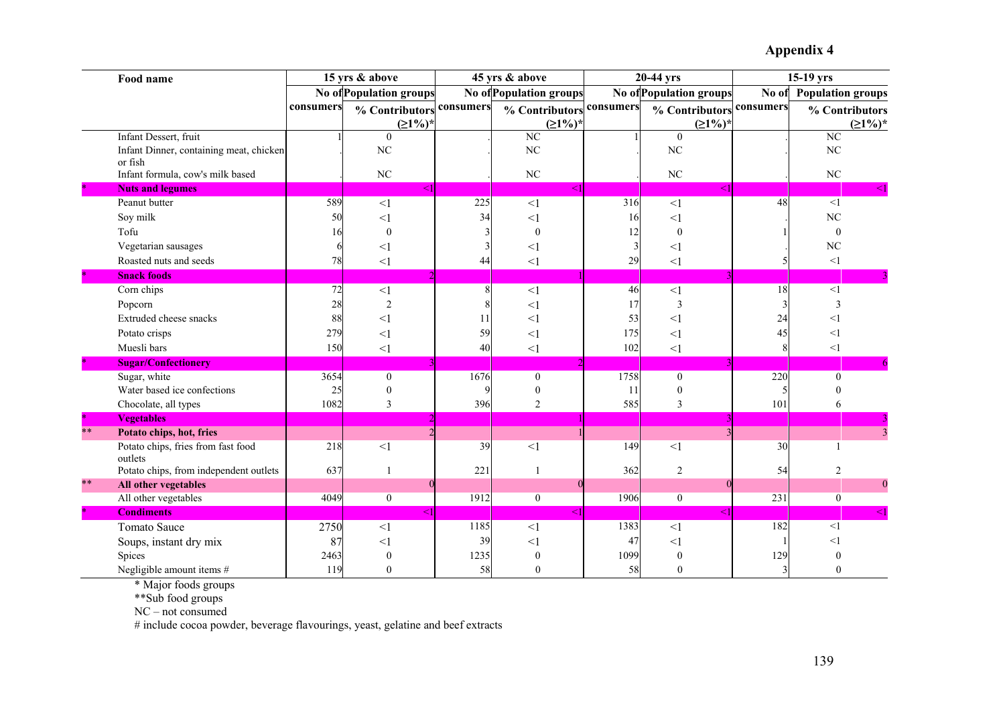|              | Food name                               |           | 15 yrs & above                 |           | 45 yrs & above                 |                  | 20-44 yrs              |                  | 15-19 yrs                |
|--------------|-----------------------------------------|-----------|--------------------------------|-----------|--------------------------------|------------------|------------------------|------------------|--------------------------|
|              |                                         |           | <b>No of Population groups</b> |           | <b>No of Population groups</b> |                  | No ofPopulation groups | No of            | <b>Population groups</b> |
|              |                                         | consumers | % Contributors                 | consumers | % Contributors                 | consumers        | % Contributors         | consumers        | % Contributors           |
|              |                                         |           | $(21\%)^*$                     |           | $(21\%)^*$                     |                  | $(21%)^*$              |                  | $(21%)^*$                |
|              | Infant Dessert, fruit                   |           | $\mathbf{0}$                   |           | NC                             |                  | $\mathbf{0}$           |                  | $\overline{NC}$          |
|              | Infant Dinner, containing meat, chicken |           | NC                             |           | N <sub>C</sub>                 |                  | NC                     |                  | NC                       |
|              | or fish                                 |           |                                |           |                                |                  |                        |                  |                          |
|              | Infant formula, cow's milk based        |           | $\rm NC$                       |           | NC                             |                  | $\rm NC$               |                  | $\rm NC$                 |
|              | <b>Nuts and legumes</b>                 |           | $<$ 1 $\,$                     |           |                                |                  |                        |                  |                          |
|              | Peanut butter                           | 589       | <1                             | 225       | $<$ 1                          | $\overline{316}$ | $\leq$ 1               | 48               | $\leq$ 1                 |
|              | Soy milk                                | 50        | $\leq$ 1                       | 34        | $\leq$ 1                       | 16               | $<$ 1                  |                  | N <sub>C</sub>           |
|              | Tofu                                    | 16        | $\mathbf{0}$                   |           | $\theta$                       | 12               | $\theta$               |                  | $\Omega$                 |
|              | Vegetarian sausages                     |           | $<$ 1                          |           | <1                             |                  | <1                     |                  | N <sub>C</sub>           |
|              | Roasted nuts and seeds                  | 78        | $<$ 1                          | 44        | <1                             | 29               | $\leq$ 1               |                  | $\leq$ 1                 |
|              | <b>Snack foods</b>                      |           |                                |           |                                |                  |                        |                  |                          |
|              | Corn chips                              | 72        | $\leq$ 1                       |           | $<1\,$                         | 46               | $\leq$ 1               | 18               | <1                       |
|              | Popcorn                                 | 28        | $\overline{2}$                 |           | $<$ 1                          | 17               | 3                      |                  | 3                        |
|              | Extruded cheese snacks                  | 88        | $\leq$ 1                       | 11        | $<$ 1                          | 53               | <1                     | 24               | $<$ 1                    |
|              | Potato crisps                           | 279       | $\leq$ 1                       | 59        | $\leq$ 1                       | 175              | $<$ 1                  | 45               | <1                       |
|              | Muesli bars                             | 150       | $\leq$ 1                       | 40        | $\leq$ 1                       | 102              | <1                     |                  | <1                       |
|              | <b>Sugar/Confectionery</b>              |           |                                |           |                                |                  |                        |                  |                          |
|              | Sugar, white                            | 3654      | $\boldsymbol{0}$               | 1676      | $\mathbf{0}$                   | 1758             | $\overline{0}$         | $\overline{220}$ | $\overline{0}$           |
|              | Water based ice confections             | 25        | $\boldsymbol{0}$               |           | $\boldsymbol{0}$               | 11               | $\mathbf{0}$           |                  | $\mathbf{0}$             |
|              | Chocolate, all types                    | 1082      | $\overline{3}$                 | 396       | $\overline{c}$                 | 585              | 3                      | 101              | 6                        |
|              | <b>Vegetables</b>                       |           |                                |           |                                |                  |                        |                  |                          |
| $***$        | Potato chips, hot, fries                |           |                                |           |                                |                  |                        |                  |                          |
|              | Potato chips, fries from fast food      | 218       | <1                             | 39        |                                | 149              | $\leq$ 1               | 30               | $\mathbf{1}$             |
|              | outlets                                 |           |                                |           | <1                             |                  |                        |                  |                          |
|              | Potato chips, from independent outlets  | 637       | 1                              | 221       | 1                              | 362              | $\overline{2}$         | 54               | $\overline{2}$           |
| $**$         | All other vegetables                    |           | $\Omega$                       |           |                                |                  |                        |                  | $\boldsymbol{0}$         |
|              | All other vegetables                    | 4049      | $\boldsymbol{0}$               | 1912      | $\boldsymbol{0}$               | 1906             | $\overline{0}$         | 231              | $\overline{0}$           |
| $\mathbf{R}$ | <b>Condiments</b>                       |           | $\leq$ 1                       |           |                                |                  |                        |                  |                          |
|              | <b>Tomato Sauce</b>                     | 2750      | $\leq$ 1                       | 1185      | <1                             | 1383             | <1                     | 182              | <1                       |
|              | Soups, instant dry mix                  | 87        | $\leq$ 1                       | 39        | $<$ 1                          | 47               | $<$ 1                  |                  | $<$ 1                    |
|              | Spices                                  | 2463      |                                | 1235      |                                | 1099             | $\theta$               | 129              |                          |
|              | Negligible amount items #               | 119       | $\theta$                       | 58        | $\Omega$                       | 58               | $\theta$               |                  |                          |

\* Major foods groups

\*\*Sub food groups

NC – not consumed

# include cocoa powder, beverage flavourings, yeast, gelatine and beef extracts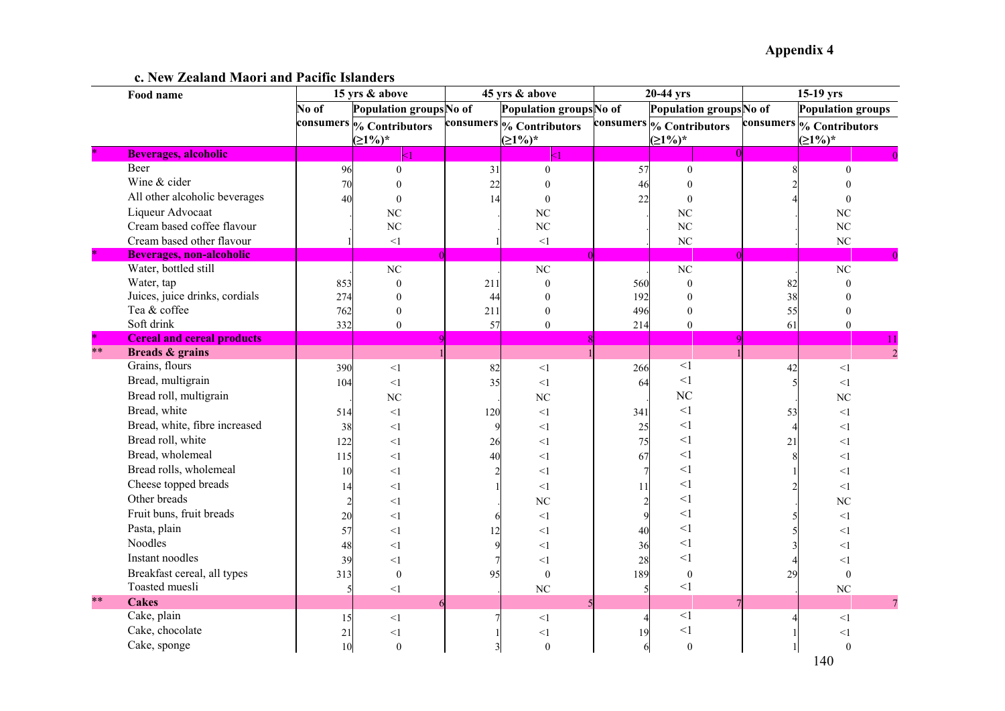**c. New Zealand Maori and Pacific Islanders** 

|                 | Food name                         |       | 15 yrs & above           |     | 45 yrs & above           |     | 20-44 yrs                |           | 15-19 yrs                |
|-----------------|-----------------------------------|-------|--------------------------|-----|--------------------------|-----|--------------------------|-----------|--------------------------|
|                 |                                   | No of | Population groups No of  |     | Population groupsNo of   |     | Population groups No of  |           | <b>Population groups</b> |
|                 |                                   |       | consumers % Contributors |     | consumers % Contributors |     | consumers % Contributors | consumers | % Contributors           |
|                 |                                   |       | $(21%)^*$                |     | $(21%)^*$                |     | $(21\%)^*$               |           | $(21%)^*$                |
|                 | <b>Beverages, alcoholic</b>       |       |                          |     |                          |     |                          |           |                          |
|                 | Beer                              | 96    | $\mathbf{0}$             | 31  | $\theta$                 | 57  | $\Omega$                 |           | $\Omega$                 |
|                 | Wine & cider                      | 70    | $\theta$                 | 22  |                          | 46  | $\Omega$                 |           |                          |
|                 | All other alcoholic beverages     | 40    | $\theta$                 | 14  | $\Omega$                 | 22  | $\theta$                 |           |                          |
|                 | Liqueur Advocaat                  |       | N <sub>C</sub>           |     | N <sub>C</sub>           |     | <b>NC</b>                |           | N <sub>C</sub>           |
|                 | Cream based coffee flavour        |       | N <sub>C</sub>           |     | N <sub>C</sub>           |     | $_{\mathrm{NC}}$         |           | NC                       |
|                 | Cream based other flavour         |       | $\leq$ 1                 |     | <1                       |     | NC                       |           | NC                       |
| $\star$         | <b>Beverages, non-alcoholic</b>   |       |                          |     |                          |     |                          |           |                          |
|                 | Water, bottled still              |       | NC                       |     | NC                       |     | $_{\mathrm{NC}}$         |           | NC                       |
|                 | Water, tap                        | 853   | $\boldsymbol{0}$         | 211 | $\mathbf{0}$             | 560 | $\mathbf{0}$             | 82        | $\mathbf{0}$             |
|                 | Juices, juice drinks, cordials    | 274   | $\mathbf{0}$             | 44  | $\Omega$                 | 192 | $\theta$                 | 38        | $\theta$                 |
|                 | Tea & coffee                      | 762   | $\boldsymbol{0}$         | 211 | $\mathbf{0}$             | 496 | $\mathbf{0}$             | 55        | $\boldsymbol{0}$         |
|                 | Soft drink                        | 332   | $\overline{0}$           | 57  | $\mathbf{0}$             | 214 | $\theta$                 | 61        | $\theta$                 |
| $\star$<br>$**$ | <b>Cereal and cereal products</b> |       |                          |     |                          |     |                          |           | 11                       |
|                 | Breads & grains                   |       |                          |     |                          |     |                          |           | $\overline{2}$           |
|                 | Grains, flours                    | 390   | $<1\,$                   | 82  | $\leq$ 1                 | 266 | $<$ $\!1$                | 42        | $\leq$ 1                 |
|                 | Bread, multigrain                 | 104   | <1                       | 35  | $\leq$ 1                 | 64  | $<\!\!1$                 | 5         | <1                       |
|                 | Bread roll, multigrain            |       | NC                       |     | NC                       |     | NC                       |           | NC                       |
|                 | Bread, white                      | 514   | $\leq$ 1                 | 120 | $\leq$ 1                 | 341 | $<\!\!1$                 | 53        | $\leq$ 1                 |
|                 | Bread, white, fibre increased     | 38    | $\leq$ 1                 | 9   | $\leq$ 1                 | 25  | $<\!\!1$                 |           | $\leq$ 1                 |
|                 | Bread roll, white                 | 122   | $<$ l                    | 26  | $\leq$ 1                 | 75  | $<\!\!1$                 | 21        | $<$ 1                    |
|                 | Bread, wholemeal                  | 115   | $\leq$ 1                 | 40  | $\leq$ 1                 | 67  | $\leq$ 1                 |           | $\leq$ 1                 |
|                 | Bread rolls, wholemeal            | 10    | $<$ l                    |     | $\leq$ 1                 |     | $\leq$ 1                 |           | $\leq$ 1                 |
|                 | Cheese topped breads              | 14    | $<$ l                    |     | <1                       | 11  | $\leq$ 1                 |           | $\leq$ 1                 |
|                 | Other breads                      |       | $<$ l                    |     | <b>NC</b>                |     | $\leq$ 1                 |           | NC                       |
|                 | Fruit buns, fruit breads          | 20    | $<$ l                    | 6   | $\leq$ 1                 |     | $\leq$ 1                 |           | <1                       |
|                 | Pasta, plain                      | 57    | $<$ l                    |     | $\leq$ 1                 | 40  | $\leq$ 1                 |           | <1                       |
|                 | Noodles                           | 48    | $<$ l                    |     | <1                       | 36  | <1                       |           | <1                       |
|                 | Instant noodles                   | 39    | $\leq$ 1                 |     | <1                       | 28  | $\leq$ 1                 |           | $\leq$ 1                 |
|                 | Breakfast cereal, all types       | 313   | $\mathbf{0}$             | 95  | $\mathbf{0}$             | 189 | $\mathbf{0}$             | 29        | $\theta$                 |
|                 | Toasted muesli                    |       | <1                       |     | N <sub>C</sub>           |     | <1                       |           | NC                       |
| $**$            | <b>Cakes</b>                      |       |                          |     |                          |     |                          |           |                          |
|                 | Cake, plain                       | 15    | <1                       |     | <1                       |     | $\leq$ 1                 |           | $\leq$ 1                 |
|                 | Cake, chocolate                   | 21    | $<$ l                    |     | <1                       | 19  | $<$ l                    |           | $<$ l                    |
|                 | Cake, sponge                      | 10    | $\boldsymbol{0}$         | 3   | $\mathbf{0}$             | 6   | $\mathbf{0}$             |           | $\theta$                 |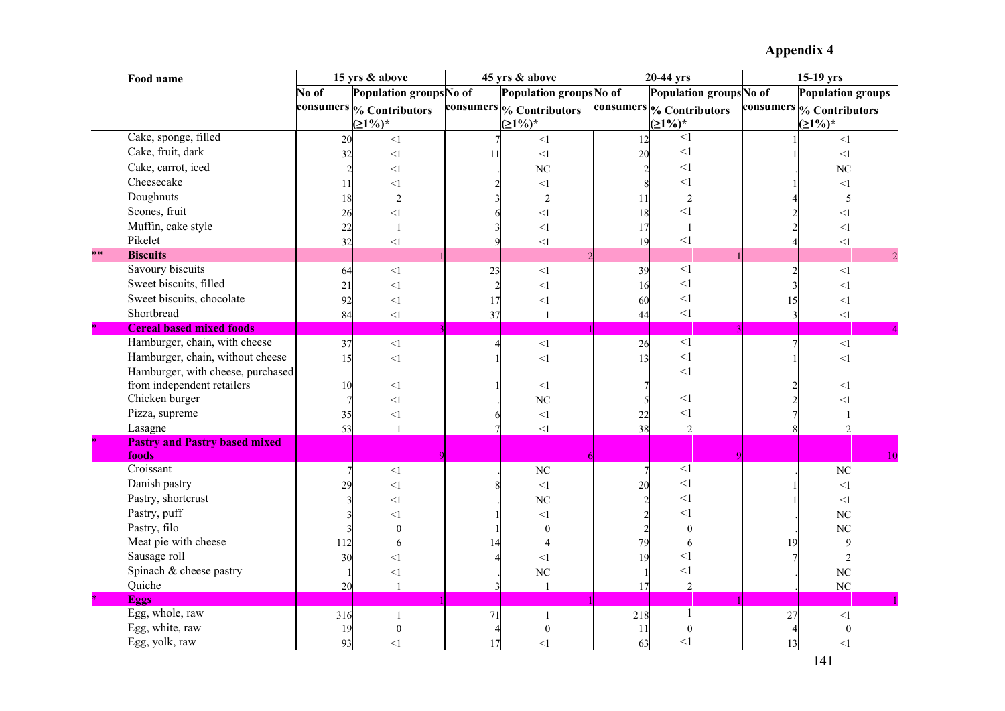|         | Food name                                     |       | 15 yrs & above                      |    | 45 yrs & above                        |                | 20-44 yrs                |    | 15-19 yrs                |
|---------|-----------------------------------------------|-------|-------------------------------------|----|---------------------------------------|----------------|--------------------------|----|--------------------------|
|         |                                               | No of | Population groups No of             |    | Population groups No of               |                | Population groups No of  |    | <b>Population groups</b> |
|         |                                               |       | consumers <sub>%</sub> Contributors |    | consumers <sup>6</sup> % Contributors |                | consumers % Contributors |    | consumers % Contributors |
|         |                                               |       | $(21%)^*$                           |    | $(21\%)^*$                            |                | $(21\%)^*$               |    | $(21\%)^*$               |
|         | Cake, sponge, filled                          | 20    | <1                                  |    | <1                                    | 12             | <1                       |    | <1                       |
|         | Cake, fruit, dark                             | 32    | <1                                  | 11 | <1                                    | 20             | $\leq$ 1                 |    | $<$ $\!1$                |
|         | Cake, carrot, iced                            |       | $\leq$ 1                            |    | <b>NC</b>                             | $\overline{2}$ | <1                       |    | NC                       |
|         | Cheesecake                                    | 11    | $\leq$ 1                            |    | <1                                    |                | <1                       |    | <1                       |
|         | Doughnuts                                     | 18    | $\overline{2}$                      |    | $\overline{2}$                        | 11             | $\sqrt{2}$               |    | 5                        |
|         | Scones, fruit                                 | 26    | <1                                  |    | $<$ l                                 | 18             | $<$ 1                    |    | <1                       |
|         | Muffin, cake style                            | 22    | $\mathbf{1}$                        |    | $\leq$ 1                              | 17             | $\mathbf{1}$             |    | $\leq$ 1                 |
|         | Pikelet                                       | 32    | <1                                  |    | <1                                    | 19             | $<$ l                    |    | $<\!\!1$                 |
| $***$   | <b>Biscuits</b>                               |       |                                     |    |                                       |                |                          |    | $\overline{c}$           |
|         | Savoury biscuits                              | 64    | $\leq$ 1                            | 23 | <1                                    | 39             | $\leq$ 1                 | 2  | $\leq$ 1                 |
|         | Sweet biscuits, filled                        | 21    | <1                                  |    | <1                                    | 16             | $\leq$ 1                 |    | $<$ $\!1$                |
|         | Sweet biscuits, chocolate                     | 92    | $<\!\!1$                            | 17 | <1                                    | 60             | $\leq$ 1                 | 15 | $<\!\!1$                 |
|         | Shortbread                                    | 84    | $<1\,$                              | 37 | $\overline{1}$                        | 44             | $\leq$ 1                 | 3  | <1                       |
| $\star$ | <b>Cereal based mixed foods</b>               |       |                                     |    |                                       |                |                          |    |                          |
|         | Hamburger, chain, with cheese                 | 37    | <1                                  |    | $<\!\!1$                              | 26             | $\overline{1}$           |    | $<\!\!1$                 |
|         | Hamburger, chain, without cheese              | 15    | <1                                  |    | $<$ $\!1$                             | 13             | $\leq$ 1                 |    | <1                       |
|         | Hamburger, with cheese, purchased             |       |                                     |    |                                       |                | <1                       |    |                          |
|         | from independent retailers                    | 10    | <1                                  |    | <1                                    |                |                          |    | $\leq$ 1                 |
|         | Chicken burger                                |       | $\leq$ 1                            |    | NC                                    |                | $<$ 1                    |    | $<\!\!1$                 |
|         | Pizza, supreme                                | 35    | $<$ 1                               |    | $<\!\!1$                              | 22             | <1                       |    |                          |
|         | Lasagne                                       | 53    |                                     |    | <1                                    | 38             | $\overline{2}$           |    | $\overline{\mathcal{L}}$ |
|         | <b>Pastry and Pastry based mixed</b><br>foods |       |                                     |    |                                       |                |                          |    | 10                       |
|         | Croissant                                     |       | $\leq$ 1                            |    | N <sub>C</sub>                        |                | $<$ $\!1$                |    | $\rm NC$                 |
|         | Danish pastry                                 | 29    | $<$ 1                               |    | <1                                    | 20             | <1                       |    | $<$ $\!1$                |
|         | Pastry, shortcrust                            |       | $<$ 1                               |    | N <sub>C</sub>                        |                | <1                       |    | $\leq$ 1                 |
|         | Pastry, puff                                  |       | $<$ 1                               |    | $\leq$ 1                              |                | $<$ 1                    |    | NC                       |
|         | Pastry, filo                                  |       | $\theta$                            |    | $\mathbf{0}$                          | $\overline{c}$ | $\mathbf{0}$             |    | NC                       |
|         | Meat pie with cheese                          | 112   | 6                                   |    | $\overline{4}$                        | 79             | 6                        | 19 | 9                        |
|         | Sausage roll                                  | 30    | $\leq$ 1                            |    | $\leq$ 1                              | 19             | $<$ 1                    |    | $\overline{2}$           |
|         | Spinach & cheese pastry                       |       | $<$ 1                               |    | N <sub>C</sub>                        |                | $\leq$ 1                 |    | NC                       |
|         | Quiche                                        | 20    |                                     |    |                                       | 17             | $\overline{2}$           |    | NC                       |
| $\ast$  | <b>Eggs</b>                                   |       |                                     |    |                                       |                |                          |    |                          |
|         | Egg, whole, raw                               | 316   | $\mathbf{1}$                        | 71 | $\mathbf{1}$                          | 218            |                          | 27 | $<\!\!1$                 |
|         | Egg, white, raw                               | 19    | $\overline{0}$                      |    | $\mathbf{0}$                          | 11             | $\boldsymbol{0}$         |    | $\mathbf{0}$             |
|         | Egg, yolk, raw                                | 93    | $\leq$ 1                            | 17 | $<$ 1                                 | 63             | <1                       | 13 | <1                       |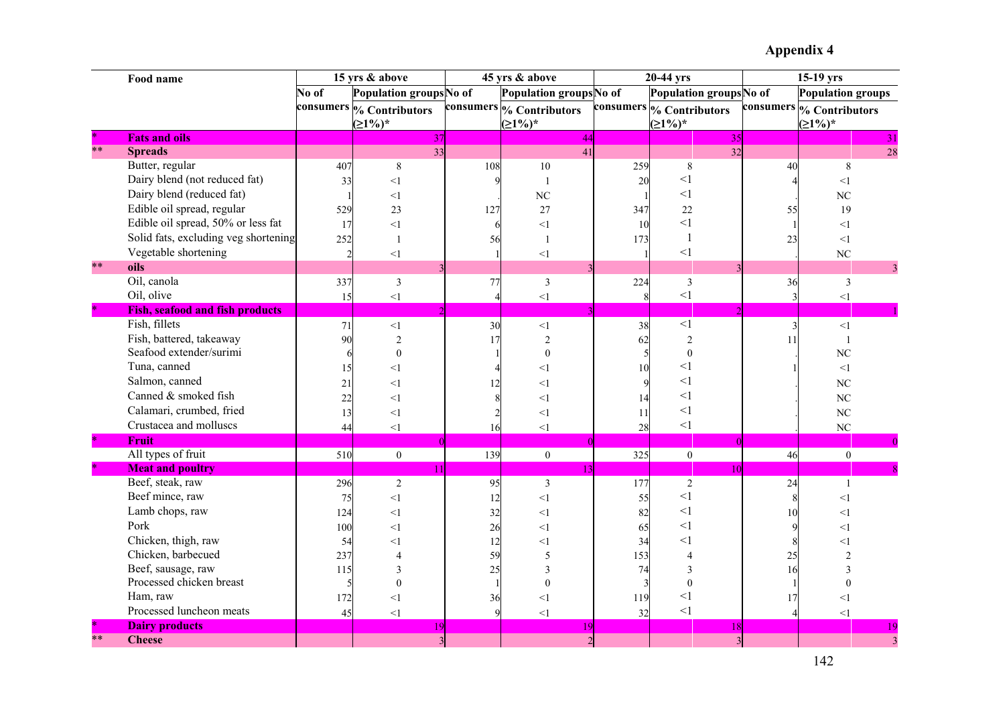|        | Food name                              |           | 15 yrs & above          |                | 45 yrs & above           |              | 20-44 yrs               |           | $\overline{15-19}$ yrs   |
|--------|----------------------------------------|-----------|-------------------------|----------------|--------------------------|--------------|-------------------------|-----------|--------------------------|
|        |                                        | No of     | Population groups No of |                | Population groups No of  |              | Population groups No of |           | <b>Population groups</b> |
|        |                                        | consumers | % Contributors          |                | consumers % Contributors | consumers    | % Contributors          | consumers | % Contributors           |
|        |                                        |           | $(21%)^*$               |                | $(21\%)^*$               |              | $(21\%)^*$              |           | $\geq 1\%$ <sup>*</sup>  |
|        | <b>Fats and oils</b>                   |           | 37                      |                | 44                       |              | 35                      |           | 31                       |
| $**$   | <b>Spreads</b>                         |           | 33                      |                | 41                       |              | 32                      |           | 28                       |
|        | Butter, regular                        | 407       | $\,8\,$                 | 108            | 10                       | 259          | $\,8\,$                 | 40        | 8                        |
|        | Dairy blend (not reduced fat)          | 33        | $\leq$ 1                |                |                          | 20           | $\leq$ 1                |           | <1                       |
|        | Dairy blend (reduced fat)              |           | <1                      |                | NC                       |              | <1                      |           | $\rm NC$                 |
|        | Edible oil spread, regular             | 529       | 23                      | 127            | 27                       | 347          | 22                      | 55        | 19                       |
|        | Edible oil spread, 50% or less fat     | 17        | <1                      | 6              | <1                       | 10           | $<$ 1                   |           | $\leq$ 1                 |
|        | Solid fats, excluding veg shortening   | 252       | $\mathbf{1}$            | 56             | $\mathbf{1}$             | 173          | $\mathbf{1}$            | 23        | <1                       |
|        | Vegetable shortening                   |           | $\leq$ 1                |                | <1                       |              | $\leq$ 1                |           | $\rm NC$                 |
| $**$   | oils                                   |           |                         |                |                          |              |                         |           | 3                        |
|        | Oil, canola                            | 337       | $\overline{3}$          | 77             | $\mathfrak{Z}$           | 224          | $\mathfrak{Z}$          | 36        | $\mathfrak{Z}$           |
|        | Oil, olive                             | 15        | $\leq$ 1                | $\overline{4}$ | <1                       | $\mathbf{R}$ | $\leq$ 1                |           | $\leq$ 1                 |
| $\ast$ | <b>Fish, seafood and fish products</b> |           |                         |                |                          |              |                         |           |                          |
|        | Fish, fillets                          | 71        | $\leq$ 1                | 30             | $<$ 1                    | 38           | $<$ $\!1$               |           | $\leq$ 1                 |
|        | Fish, battered, takeaway               | 90        | $\overline{2}$          | 17             | $\overline{2}$           | 62           | $\overline{2}$          | 11        | $\overline{1}$           |
|        | Seafood extender/surimi                |           | $\mathbf{0}$            |                | $\theta$                 |              | $\boldsymbol{0}$        |           | $\rm NC$                 |
|        | Tuna, canned                           | 15        | <1                      |                | $<$ 1                    | 10           | <1                      |           | $<\!\!1$                 |
|        | Salmon, canned                         | 21        | <1                      | 12             | $<$ 1                    |              | $<$ l                   |           | $\rm NC$                 |
|        | Canned & smoked fish                   | 22        | <1                      |                | $\leq$ 1                 |              | $<$ 1                   |           | NC                       |
|        | Calamari, crumbed, fried               | 13        | $\leq$ 1                |                | $<$ 1                    | 11           | $<$ $\!1$               |           | NC                       |
|        | Crustacea and molluscs                 | 44        | $\leq$ 1                | 16             | $\leq$ 1                 | 28           | <1                      |           | $\rm NC$                 |
| ×      | Fruit                                  |           |                         |                |                          |              |                         |           |                          |
|        | All types of fruit                     | 510       | $\boldsymbol{0}$        | 139            | $\boldsymbol{0}$         | 325          | $\boldsymbol{0}$        | 46        | $\boldsymbol{0}$         |
|        | <b>Meat and poultry</b>                |           |                         |                |                          |              | 1 <sub>0</sub>          |           |                          |
|        | Beef, steak, raw                       | 296       | $\overline{2}$          | 95             | $\overline{3}$           | 177          | $\overline{2}$          | 24        | $\mathbf{1}$             |
|        | Beef mince, raw                        | 75        | <1                      | 12             | $\leq$ 1                 | 55           | <1                      |           | <1                       |
|        | Lamb chops, raw                        | 124       | $\leq$ 1                | 32             | $<$ l                    | 82           | $<$ 1                   | 10        | $\leq$ 1                 |
|        | Pork                                   | 100       | <1                      | 26             | $<$ 1                    | 65           | $<$ 1                   |           | <1                       |
|        | Chicken, thigh, raw                    | 54        | $\leq$ 1                | 12             | $<$ 1                    | 34           | <1                      |           | $<$ 1                    |
|        | Chicken, barbecued                     | 237       |                         | 59             | 5                        | 153          | $\overline{4}$          | 25        |                          |
|        | Beef, sausage, raw                     | 115       | 3                       | 25             | 3                        | 74           | 3                       | 16        | 3                        |
|        | Processed chicken breast               |           | $\theta$                |                | $\Omega$                 |              | $\theta$                |           | $\theta$                 |
|        | Ham, raw                               | 172       | <1                      | 36             | $\leq$ 1                 | 119          | $<$ 1                   | 17        | $<$ 1                    |
|        | Processed luncheon meats               | 45        | <1                      |                | $\leq$ 1                 | 32           | $\leq$ 1                |           | <1                       |
|        | <b>Dairy products</b>                  |           |                         |                |                          |              | 18                      |           |                          |
| $**$   | <b>Cheese</b>                          |           |                         |                |                          |              |                         |           |                          |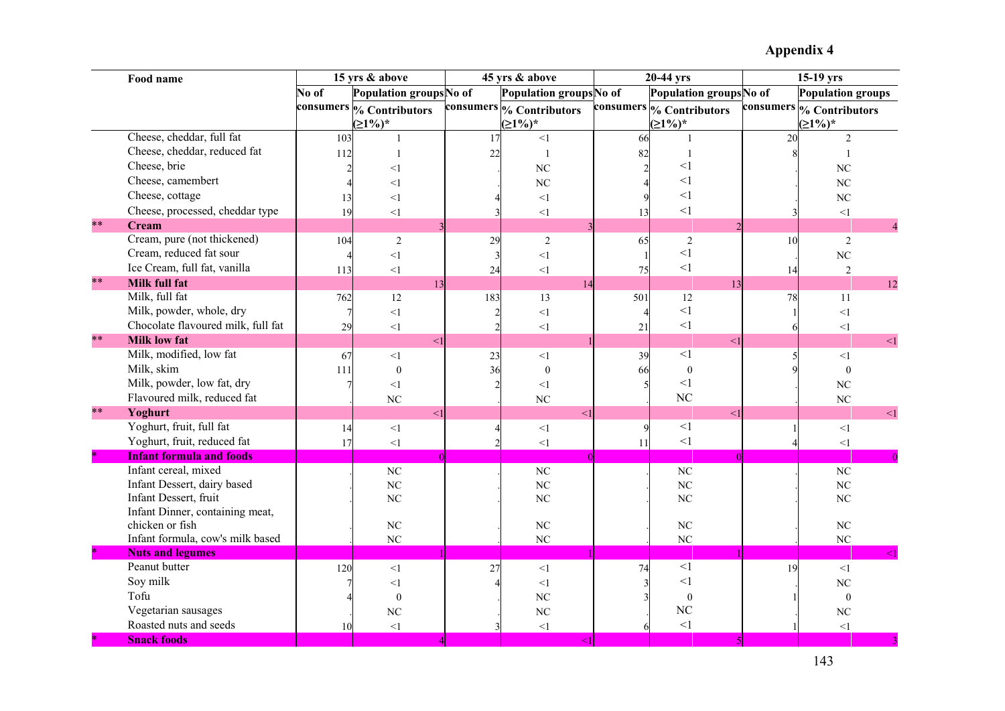|        | Food name                                          |       | 15 yrs & above           |                | 45 yrs & above           |           | 20-44 yrs               |    | $15-19$ yrs              |
|--------|----------------------------------------------------|-------|--------------------------|----------------|--------------------------|-----------|-------------------------|----|--------------------------|
|        |                                                    | No of | Population groups No of  |                | Population groups No of  |           | Population groups No of |    | Population groups        |
|        |                                                    |       | consumers % Contributors |                | consumers % Contributors | consumers | % Contributors          |    | consumers % Contributors |
|        |                                                    |       | $(21%)^*$                |                | $(21\%)^*$               |           | $(21\%)^*$              |    | $(21%)^*$                |
|        | Cheese, cheddar, full fat                          | 103   |                          | 17             | <1                       | 66        |                         | 20 | 2                        |
|        | Cheese, cheddar, reduced fat                       | 112   | $\overline{1}$           | 22             | $\mathbf{1}$             | 82        | $\mathbf{1}$            |    |                          |
|        | Cheese, brie                                       |       | $<$ 1                    |                | NC                       |           | <1                      |    | NC                       |
|        | Cheese, camembert                                  |       | <1                       |                | N <sub>C</sub>           |           | $\leq$ 1                |    | N <sub>C</sub>           |
|        | Cheese, cottage                                    | 13    | $\leq$ 1                 |                | $<\!\!1$                 |           | <1                      |    | <b>NC</b>                |
|        | Cheese, processed, cheddar type                    | 19    | $<1\,$                   |                | $<\!\!1$                 | 13        | $\leq$ 1                |    | $<\!\!1$                 |
| $**$   | <b>Cream</b>                                       |       |                          |                |                          |           |                         |    | $\overline{4}$           |
|        | Cream, pure (not thickened)                        | 104   | $\overline{2}$           | 29             | $\overline{2}$           | 65        | 2                       | 10 | 2                        |
|        | Cream, reduced fat sour                            |       | $<1\,$                   | $\overline{3}$ | $<\!\!1$                 |           | $\leq$ 1                |    | $\rm NC$                 |
|        | Ice Cream, full fat, vanilla                       | 113   | $<1\,$                   | 24             | <1                       | 75        | $\leq$ 1                | 14 | $\overline{2}$           |
| $**$   | <b>Milk full fat</b>                               |       | 13                       |                | 14                       |           | 13                      |    | 12                       |
|        | Milk, full fat                                     | 762   | 12                       | 183            | 13                       | 501       | 12                      | 78 | 11                       |
|        | Milk, powder, whole, dry                           |       | $<1\,$                   |                | <1                       | Δ         | $\leq$ 1                |    | $<1$                     |
|        | Chocolate flavoured milk, full fat                 | 29    | $<\!1$                   |                | $<\!\!1$                 | 21        | <1                      |    | $<1\,$                   |
| $**$   | <b>Milk low fat</b>                                |       | $\leq$ 1                 |                |                          |           | $\leq$ 1                |    | $\leq$ 1                 |
|        | Milk, modified, low fat                            | 67    | <1                       | 23             | <1                       | 39        | $\leq$ 1                |    | <1                       |
|        | Milk, skim                                         | 111   | $\mathbf{0}$             | 36             | $\mathbf{0}$             | 66        | $\mathbf{0}$            |    | $\Omega$                 |
|        | Milk, powder, low fat, dry                         |       | $<1\,$                   |                | $<\!\!1$                 |           | $\leq$ 1                |    | <b>NC</b>                |
|        | Flavoured milk, reduced fat                        |       | NC                       |                | N <sub>C</sub>           |           | NC                      |    | NC                       |
| $**$   | Yoghurt                                            |       | $\leq$ 1                 |                | <1                       |           | $\leq$ 1                |    | $<\!\!1$                 |
|        | Yoghurt, fruit, full fat                           | 14    | <1                       |                | <1                       | q         | $\overline{1}$          |    | $<1\,$                   |
|        | Yoghurt, fruit, reduced fat                        | 17    | $<1\,$                   |                | $\leq$ 1                 | 11        | $\leq$ 1                |    | <1                       |
| $\ast$ | <b>Infant formula and foods</b>                    |       |                          |                |                          |           |                         |    |                          |
|        | Infant cereal, mixed                               |       | $\rm NC$                 |                | $\rm NC$                 |           | NC                      |    | NC                       |
|        | Infant Dessert, dairy based                        |       | NC                       |                | $\rm NC$                 |           | NC                      |    | NC                       |
|        | Infant Dessert, fruit                              |       | NC                       |                | $\rm NC$                 |           | NC                      |    | NC                       |
|        | Infant Dinner, containing meat,<br>chicken or fish |       |                          |                |                          |           |                         |    |                          |
|        | Infant formula, cow's milk based                   |       | $\rm NC$<br>NC           |                | $\rm NC$<br>NC           |           | $\rm NC$<br>NC          |    | $\rm NC$<br>NC           |
| $\ast$ | <b>Nuts and legumes</b>                            |       |                          |                |                          |           |                         |    |                          |
|        | Peanut butter                                      | 120   | $<1\,$                   | 27             | $<\!\!1$                 | 74        | $\leq$ 1                | 19 | $<\!\!1$                 |
|        | Soy milk                                           |       | <1                       |                | <1                       |           | $\leq$ 1                |    | NC                       |
|        | Tofu                                               |       | $\boldsymbol{0}$         |                | NC                       |           | $\mathbf{0}$            |    | $\Omega$                 |
|        | Vegetarian sausages                                |       | $\rm NC$                 |                | NC                       |           | NC                      |    | NC                       |
|        | Roasted nuts and seeds                             | 10    | <1                       |                | <1                       |           | $\leq$ 1                |    | <1                       |
|        | <b>Snack foods</b>                                 |       |                          |                |                          |           |                         |    |                          |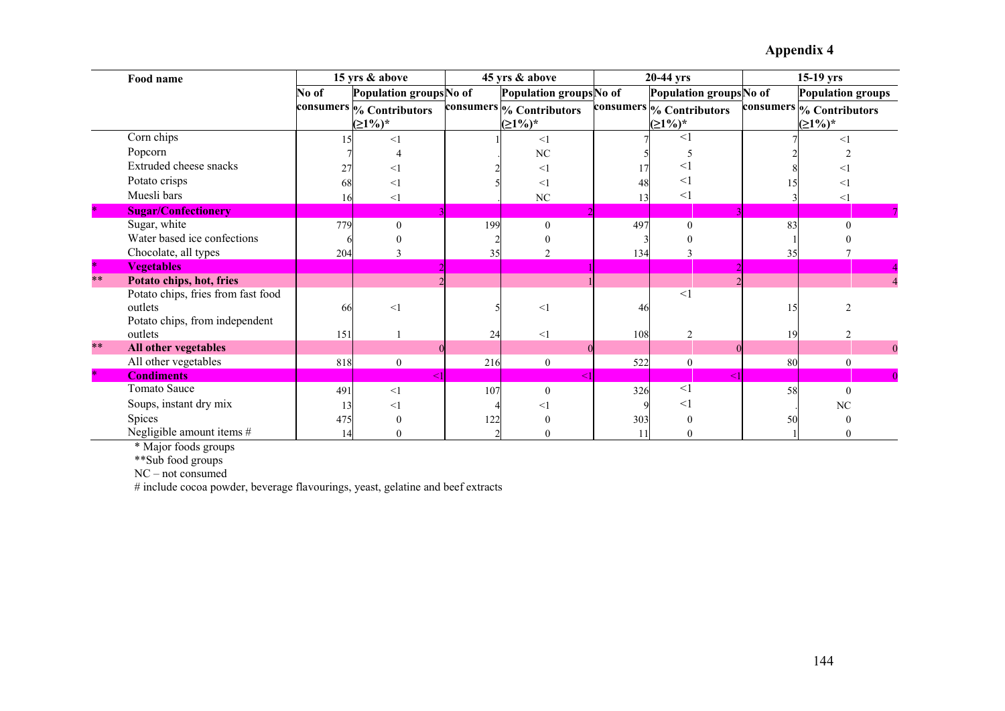|      | Food name                                                                       |       | 15 yrs & above                         |     | 45 yrs & above                        |     | $20-44$ yrs                            |    | $15-19$ yrs                        |
|------|---------------------------------------------------------------------------------|-------|----------------------------------------|-----|---------------------------------------|-----|----------------------------------------|----|------------------------------------|
|      |                                                                                 | No of | Population groups No of                |     | Population groupsNo of                |     | Population groups No of                |    | <b>Population groups</b>           |
|      |                                                                                 |       | consumers % Contributors<br>$(21\%)^*$ |     | consumers % Contributors<br>$(≥1%)^*$ |     | consumers % Contributors<br>$(21\%)^*$ |    | consumers % Contributors<br>(≥1%)* |
|      | Corn chips                                                                      |       | $<$ 1                                  |     | $<$ 1                                 |     | $<$ 1                                  |    | $<$ 1                              |
|      | Popcorn                                                                         |       |                                        |     | N <sub>C</sub>                        |     |                                        |    |                                    |
|      | Extruded cheese snacks                                                          | 27    | <1                                     |     | $<$ 1                                 |     | $\,<\,$                                |    |                                    |
|      | Potato crisps                                                                   | 68    | <1                                     |     | $<$ 1                                 | 48  | $\lt'$                                 |    | <1                                 |
|      | Muesli bars                                                                     | 16    | <1                                     |     | NC                                    | 13  | $<$ 1                                  |    | $<$ 1                              |
|      | <b>Sugar/Confectionery</b>                                                      |       |                                        |     |                                       |     |                                        |    |                                    |
|      | Sugar, white                                                                    | 779   | $\theta$                               | 199 | $\theta$                              | 497 | $\theta$                               | 83 | 0                                  |
|      | Water based ice confections                                                     |       |                                        |     |                                       |     |                                        |    |                                    |
|      | Chocolate, all types                                                            | 204   |                                        | 35  | C                                     | 134 |                                        | 35 |                                    |
|      | <b>Vegetables</b>                                                               |       |                                        |     |                                       |     |                                        |    |                                    |
| $**$ | Potato chips, hot, fries                                                        |       |                                        |     |                                       |     |                                        |    |                                    |
|      | Potato chips, fries from fast food<br>outlets<br>Potato chips, from independent | 66    | $<$ 1                                  |     | <                                     | 46  | $<$ 1                                  | 15 |                                    |
|      | outlets                                                                         | 151   |                                        | 24  | $\leq$                                | 108 | $\mathcal{I}$                          | 19 |                                    |
| $**$ | All other vegetables                                                            |       |                                        |     |                                       |     |                                        |    | $\Omega$                           |
|      | All other vegetables                                                            | 818   | $\mathbf{0}$                           | 216 | $\theta$                              | 522 | $\theta$                               | 80 | $\theta$                           |
|      | <b>Condiments</b>                                                               |       |                                        |     |                                       |     |                                        |    |                                    |
|      | Tomato Sauce                                                                    | 491   | <1                                     | 107 | $\Omega$                              | 326 | <1                                     | 58 | $\Omega$                           |
|      | Soups, instant dry mix                                                          | 13    | <1                                     |     |                                       |     | $<$ 1                                  |    | NC                                 |
|      | Spices                                                                          | 475   |                                        | 122 |                                       | 303 |                                        | 50 |                                    |
|      | Negligible amount items #                                                       | 14    |                                        |     |                                       |     |                                        |    |                                    |

\* Major foods groups

\*\*Sub food groups

NC – not consumed # include cocoa powder, beverage flavourings, yeast, gelatine and beef extracts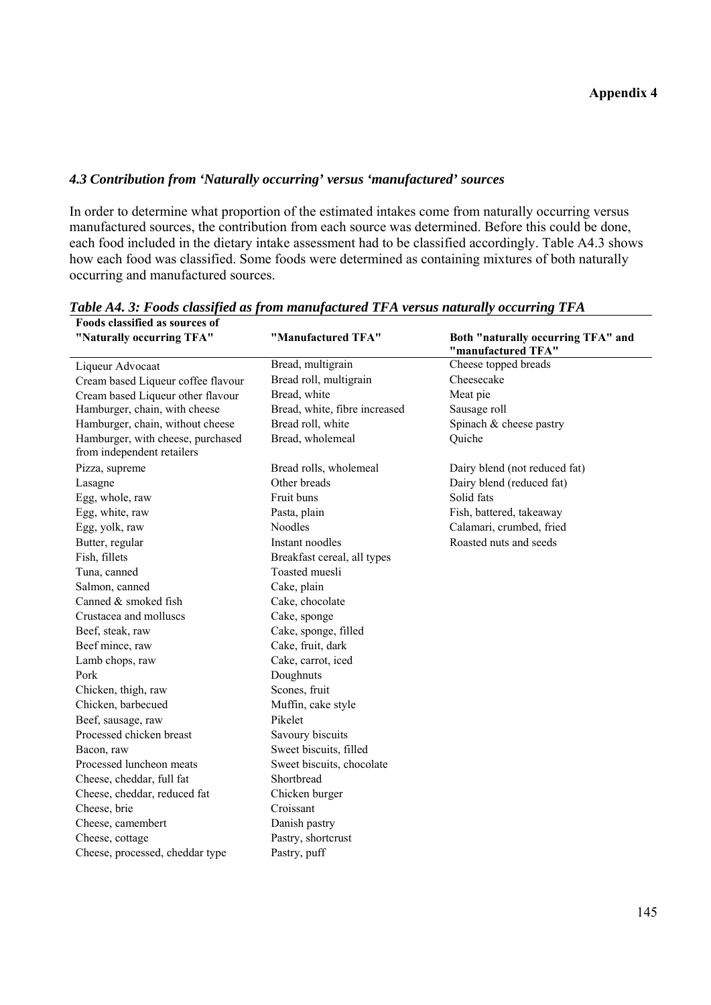### *4.3 Contribution from 'Naturally occurring' versus 'manufactured' sources*

In order to determine what proportion of the estimated intakes come from naturally occurring versus manufactured sources, the contribution from each source was determined. Before this could be done, each food included in the dietary intake assessment had to be classified accordingly. Table A4.3 shows how each food was classified. Some foods were determined as containing mixtures of both naturally occurring and manufactured sources.

| T UVUS VIASSIIIVU AS SUU<br>"Naturally occurring TFA"           | "Manufactured TFA"            | Both "naturally occurring TFA" and<br>"manufactured TFA" |
|-----------------------------------------------------------------|-------------------------------|----------------------------------------------------------|
| Liqueur Advocaat                                                | Bread, multigrain             | Cheese topped breads                                     |
| Cream based Liqueur coffee flavour                              | Bread roll, multigrain        | Cheesecake                                               |
| Cream based Liqueur other flavour                               | Bread, white                  | Meat pie                                                 |
| Hamburger, chain, with cheese                                   | Bread, white, fibre increased | Sausage roll                                             |
| Hamburger, chain, without cheese                                | Bread roll, white             | Spinach & cheese pastry                                  |
| Hamburger, with cheese, purchased<br>from independent retailers | Bread, wholemeal              | Quiche                                                   |
| Pizza, supreme                                                  | Bread rolls, wholemeal        | Dairy blend (not reduced fat)                            |
| Lasagne                                                         | Other breads                  | Dairy blend (reduced fat)                                |
| Egg, whole, raw                                                 | Fruit buns                    | Solid fats                                               |
| Egg, white, raw                                                 | Pasta, plain                  | Fish, battered, takeaway                                 |
| Egg, yolk, raw                                                  | Noodles                       | Calamari, crumbed, fried                                 |
| Butter, regular                                                 | Instant noodles               | Roasted nuts and seeds                                   |
| Fish, fillets                                                   | Breakfast cereal, all types   |                                                          |
| Tuna, canned                                                    | Toasted muesli                |                                                          |
| Salmon, canned                                                  | Cake, plain                   |                                                          |
| Canned & smoked fish                                            | Cake, chocolate               |                                                          |
| Crustacea and molluscs                                          | Cake, sponge                  |                                                          |
| Beef, steak, raw                                                | Cake, sponge, filled          |                                                          |
| Beef mince, raw                                                 | Cake, fruit, dark             |                                                          |
| Lamb chops, raw                                                 | Cake, carrot, iced            |                                                          |
| Pork                                                            | Doughnuts                     |                                                          |
| Chicken, thigh, raw                                             | Scones, fruit                 |                                                          |
| Chicken, barbecued                                              | Muffin, cake style            |                                                          |
| Beef, sausage, raw                                              | Pikelet                       |                                                          |
| Processed chicken breast                                        | Savoury biscuits              |                                                          |
| Bacon, raw                                                      | Sweet biscuits, filled        |                                                          |
| Processed luncheon meats                                        | Sweet biscuits, chocolate     |                                                          |
| Cheese, cheddar, full fat                                       | Shortbread                    |                                                          |
| Cheese, cheddar, reduced fat                                    | Chicken burger                |                                                          |
| Cheese, brie                                                    | Croissant                     |                                                          |
| Cheese, camembert                                               | Danish pastry                 |                                                          |
| Cheese, cottage                                                 | Pastry, shortcrust            |                                                          |
| Cheese, processed, cheddar type                                 | Pastry, puff                  |                                                          |

*Table A4. 3: Foods classified as from manufactured TFA versus naturally occurring TFA*  **Foods classified as sources of**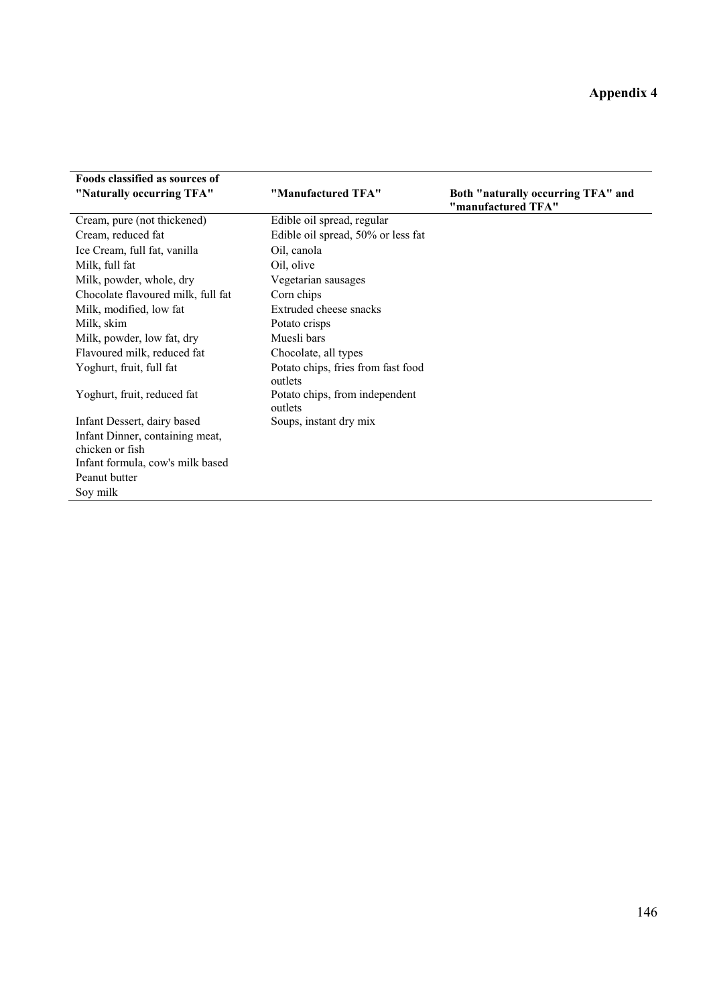| "Naturally occurring TFA"                          | "Manufactured TFA"                            | Both "naturally occurring TFA" and<br>"manufactured TFA" |
|----------------------------------------------------|-----------------------------------------------|----------------------------------------------------------|
| Cream, pure (not thickened)                        | Edible oil spread, regular                    |                                                          |
| Cream, reduced fat                                 | Edible oil spread, 50% or less fat            |                                                          |
| Ice Cream, full fat, vanilla                       | Oil, canola                                   |                                                          |
| Milk, full fat                                     | Oil, olive                                    |                                                          |
| Milk, powder, whole, dry                           | Vegetarian sausages                           |                                                          |
| Chocolate flavoured milk, full fat                 | Corn chips                                    |                                                          |
| Milk, modified, low fat                            | Extruded cheese snacks                        |                                                          |
| Milk, skim                                         | Potato crisps                                 |                                                          |
| Milk, powder, low fat, dry                         | Muesli bars                                   |                                                          |
| Flavoured milk, reduced fat                        | Chocolate, all types                          |                                                          |
| Yoghurt, fruit, full fat                           | Potato chips, fries from fast food<br>outlets |                                                          |
| Yoghurt, fruit, reduced fat                        | Potato chips, from independent<br>outlets     |                                                          |
| Infant Dessert, dairy based                        | Soups, instant dry mix                        |                                                          |
| Infant Dinner, containing meat,<br>chicken or fish |                                               |                                                          |
| Infant formula, cow's milk based                   |                                               |                                                          |
| Peanut butter                                      |                                               |                                                          |
| Soy milk                                           |                                               |                                                          |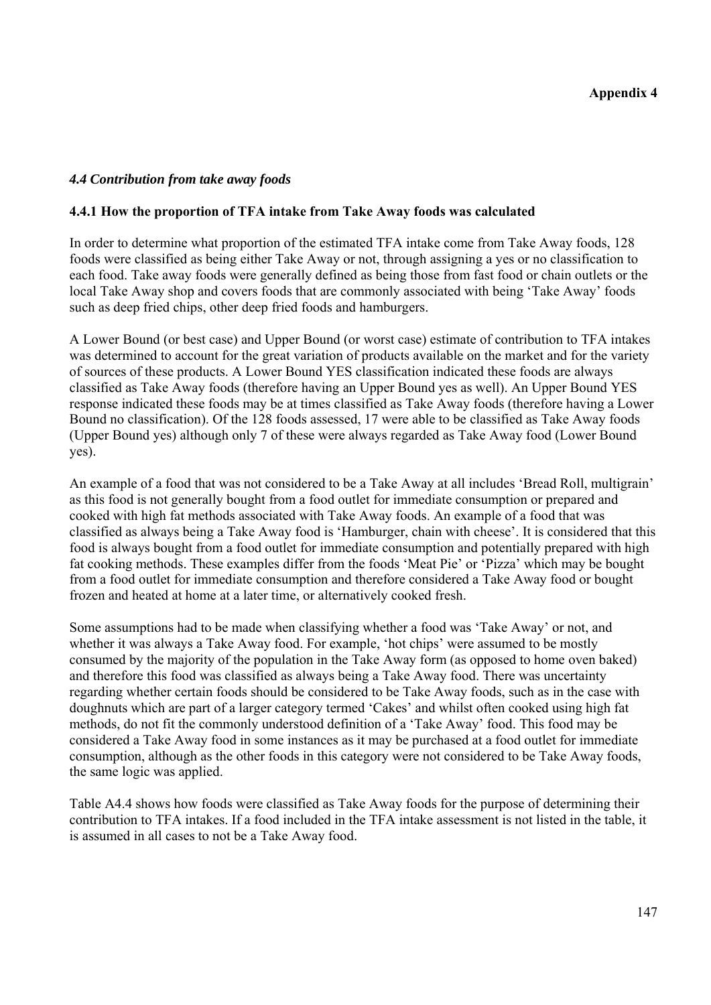### *4.4 Contribution from take away foods*

#### **4.4.1 How the proportion of TFA intake from Take Away foods was calculated**

In order to determine what proportion of the estimated TFA intake come from Take Away foods, 128 foods were classified as being either Take Away or not, through assigning a yes or no classification to each food. Take away foods were generally defined as being those from fast food or chain outlets or the local Take Away shop and covers foods that are commonly associated with being 'Take Away' foods such as deep fried chips, other deep fried foods and hamburgers.

A Lower Bound (or best case) and Upper Bound (or worst case) estimate of contribution to TFA intakes was determined to account for the great variation of products available on the market and for the variety of sources of these products. A Lower Bound YES classification indicated these foods are always classified as Take Away foods (therefore having an Upper Bound yes as well). An Upper Bound YES response indicated these foods may be at times classified as Take Away foods (therefore having a Lower Bound no classification). Of the 128 foods assessed, 17 were able to be classified as Take Away foods (Upper Bound yes) although only 7 of these were always regarded as Take Away food (Lower Bound yes).

An example of a food that was not considered to be a Take Away at all includes 'Bread Roll, multigrain' as this food is not generally bought from a food outlet for immediate consumption or prepared and cooked with high fat methods associated with Take Away foods. An example of a food that was classified as always being a Take Away food is 'Hamburger, chain with cheese'. It is considered that this food is always bought from a food outlet for immediate consumption and potentially prepared with high fat cooking methods. These examples differ from the foods 'Meat Pie' or 'Pizza' which may be bought from a food outlet for immediate consumption and therefore considered a Take Away food or bought frozen and heated at home at a later time, or alternatively cooked fresh.

Some assumptions had to be made when classifying whether a food was 'Take Away' or not, and whether it was always a Take Away food. For example, 'hot chips' were assumed to be mostly consumed by the majority of the population in the Take Away form (as opposed to home oven baked) and therefore this food was classified as always being a Take Away food. There was uncertainty regarding whether certain foods should be considered to be Take Away foods, such as in the case with doughnuts which are part of a larger category termed 'Cakes' and whilst often cooked using high fat methods, do not fit the commonly understood definition of a 'Take Away' food. This food may be considered a Take Away food in some instances as it may be purchased at a food outlet for immediate consumption, although as the other foods in this category were not considered to be Take Away foods, the same logic was applied.

Table A4.4 shows how foods were classified as Take Away foods for the purpose of determining their contribution to TFA intakes. If a food included in the TFA intake assessment is not listed in the table, it is assumed in all cases to not be a Take Away food.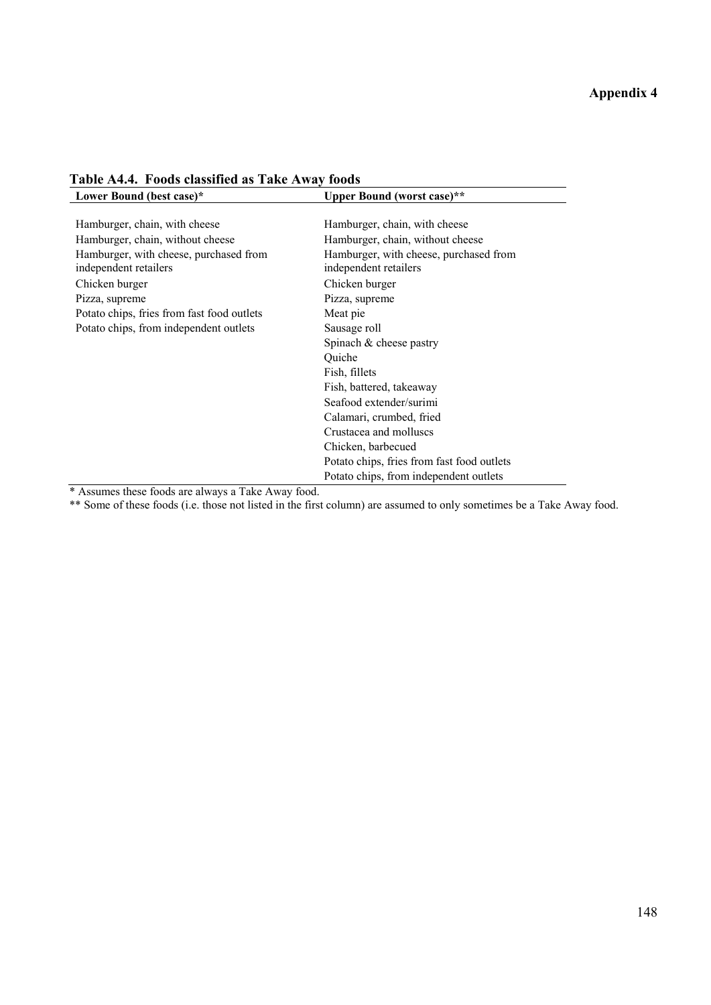| Lower Bound (best case)*                                        | Upper Bound (worst case)**                                      |
|-----------------------------------------------------------------|-----------------------------------------------------------------|
|                                                                 |                                                                 |
| Hamburger, chain, with cheese                                   | Hamburger, chain, with cheese                                   |
| Hamburger, chain, without cheese                                | Hamburger, chain, without cheese                                |
| Hamburger, with cheese, purchased from<br>independent retailers | Hamburger, with cheese, purchased from<br>independent retailers |
| Chicken burger                                                  | Chicken burger                                                  |
| Pizza, supreme                                                  | Pizza, supreme                                                  |
| Potato chips, fries from fast food outlets                      | Meat pie                                                        |
| Potato chips, from independent outlets                          | Sausage roll                                                    |
|                                                                 | Spinach $&$ cheese pastry                                       |
|                                                                 | Quiche                                                          |
|                                                                 | Fish, fillets                                                   |
|                                                                 | Fish, battered, takeaway                                        |
|                                                                 | Seafood extender/surimi                                         |
|                                                                 | Calamari, crumbed, fried                                        |
|                                                                 | Crustacea and molluscs                                          |
|                                                                 | Chicken, barbecued                                              |
|                                                                 | Potato chips, fries from fast food outlets                      |
|                                                                 | Potato chips, from independent outlets                          |

**Table A4.4. Foods classified as Take Away foods** 

\* Assumes these foods are always a Take Away food.

\*\* Some of these foods (i.e. those not listed in the first column) are assumed to only sometimes be a Take Away food.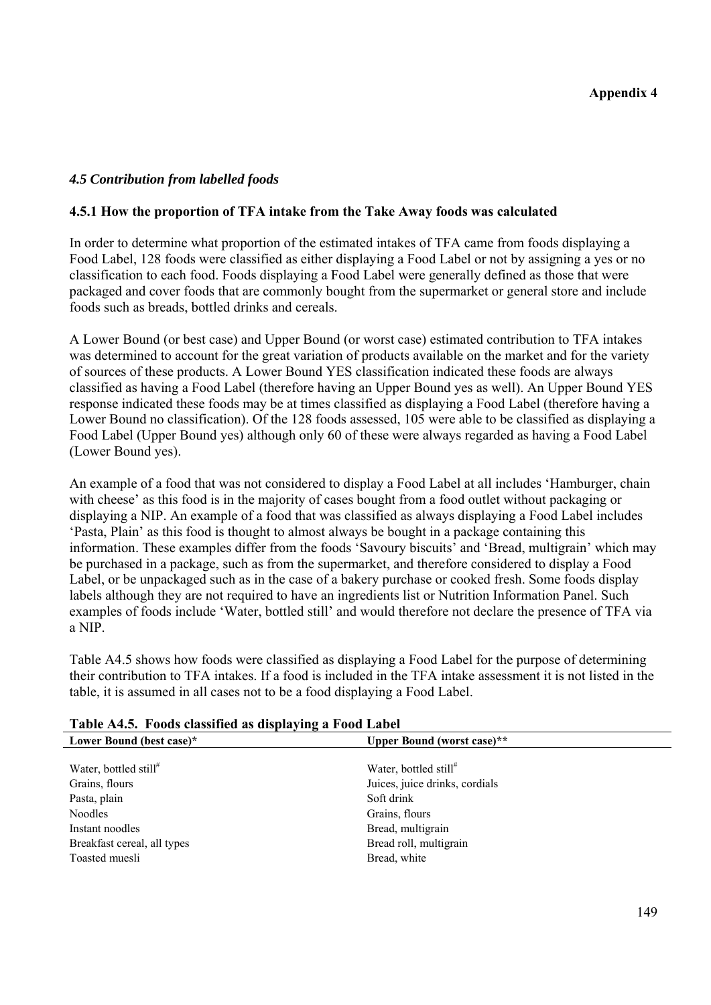### *4.5 Contribution from labelled foods*

#### **4.5.1 How the proportion of TFA intake from the Take Away foods was calculated**

In order to determine what proportion of the estimated intakes of TFA came from foods displaying a Food Label, 128 foods were classified as either displaying a Food Label or not by assigning a yes or no classification to each food. Foods displaying a Food Label were generally defined as those that were packaged and cover foods that are commonly bought from the supermarket or general store and include foods such as breads, bottled drinks and cereals.

A Lower Bound (or best case) and Upper Bound (or worst case) estimated contribution to TFA intakes was determined to account for the great variation of products available on the market and for the variety of sources of these products. A Lower Bound YES classification indicated these foods are always classified as having a Food Label (therefore having an Upper Bound yes as well). An Upper Bound YES response indicated these foods may be at times classified as displaying a Food Label (therefore having a Lower Bound no classification). Of the 128 foods assessed, 105 were able to be classified as displaying a Food Label (Upper Bound yes) although only 60 of these were always regarded as having a Food Label (Lower Bound yes).

An example of a food that was not considered to display a Food Label at all includes 'Hamburger, chain with cheese' as this food is in the majority of cases bought from a food outlet without packaging or displaying a NIP. An example of a food that was classified as always displaying a Food Label includes 'Pasta, Plain' as this food is thought to almost always be bought in a package containing this information. These examples differ from the foods 'Savoury biscuits' and 'Bread, multigrain' which may be purchased in a package, such as from the supermarket, and therefore considered to display a Food Label, or be unpackaged such as in the case of a bakery purchase or cooked fresh. Some foods display labels although they are not required to have an ingredients list or Nutrition Information Panel. Such examples of foods include 'Water, bottled still' and would therefore not declare the presence of TFA via a NIP.

Table A4.5 shows how foods were classified as displaying a Food Label for the purpose of determining their contribution to TFA intakes. If a food is included in the TFA intake assessment it is not listed in the table, it is assumed in all cases not to be a food displaying a Food Label.

| Table A4.5. Foods classified as displaying a Food Label |                                   |  |
|---------------------------------------------------------|-----------------------------------|--|
| Lower Bound (best case)*                                | Upper Bound (worst case)**        |  |
|                                                         |                                   |  |
| Water, bottled still#                                   | Water, bottled still <sup>#</sup> |  |
| Grains, flours                                          | Juices, juice drinks, cordials    |  |
| Pasta, plain                                            | Soft drink                        |  |
| <b>Noodles</b>                                          | Grains, flours                    |  |
| Instant noodles                                         | Bread, multigrain                 |  |
| Breakfast cereal, all types                             | Bread roll, multigrain            |  |
| Toasted muesli                                          | Bread, white                      |  |
|                                                         |                                   |  |

### **Table A4.5. Foods classified as displaying a Food Label**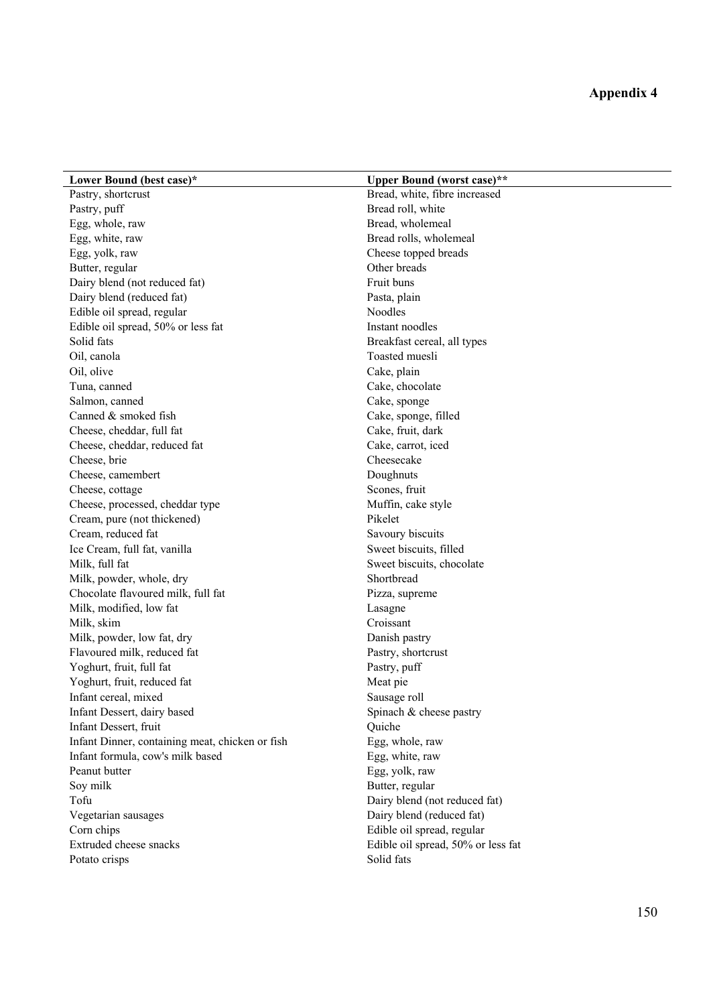| Lower Bound (best case)*                        | <b>Upper Bound (worst case)**</b>  |
|-------------------------------------------------|------------------------------------|
| Pastry, shortcrust                              | Bread, white, fibre increased      |
| Pastry, puff                                    | Bread roll, white                  |
| Egg, whole, raw                                 | Bread, wholemeal                   |
| Egg, white, raw                                 | Bread rolls, wholemeal             |
| Egg, yolk, raw                                  | Cheese topped breads               |
| Butter, regular                                 | Other breads                       |
| Dairy blend (not reduced fat)                   | Fruit buns                         |
| Dairy blend (reduced fat)                       | Pasta, plain                       |
| Edible oil spread, regular                      | <b>Noodles</b>                     |
| Edible oil spread, 50% or less fat              | Instant noodles                    |
| Solid fats                                      | Breakfast cereal, all types        |
| Oil, canola                                     | Toasted muesli                     |
| Oil, olive                                      | Cake, plain                        |
| Tuna, canned                                    | Cake, chocolate                    |
| Salmon, canned                                  | Cake, sponge                       |
| Canned & smoked fish                            | Cake, sponge, filled               |
| Cheese, cheddar, full fat                       | Cake, fruit, dark                  |
| Cheese, cheddar, reduced fat                    | Cake, carrot, iced                 |
| Cheese, brie                                    | Cheesecake                         |
| Cheese, camembert                               | Doughnuts                          |
| Cheese, cottage                                 | Scones, fruit                      |
| Cheese, processed, cheddar type                 | Muffin, cake style                 |
| Cream, pure (not thickened)                     | Pikelet                            |
| Cream, reduced fat                              | Savoury biscuits                   |
| Ice Cream, full fat, vanilla                    | Sweet biscuits, filled             |
| Milk, full fat                                  | Sweet biscuits, chocolate          |
| Milk, powder, whole, dry                        | Shortbread                         |
| Chocolate flavoured milk, full fat              | Pizza, supreme                     |
| Milk, modified, low fat                         | Lasagne                            |
| Milk, skim                                      | Croissant                          |
| Milk, powder, low fat, dry                      | Danish pastry                      |
| Flavoured milk, reduced fat                     | Pastry, shortcrust                 |
| Yoghurt, fruit, full fat                        | Pastry, puff                       |
| Yoghurt, fruit, reduced fat                     | Meat pie                           |
| Infant cereal, mixed                            | Sausage roll                       |
| Infant Dessert, dairy based                     | Spinach & cheese pastry            |
| Infant Dessert, fruit                           | Quiche                             |
| Infant Dinner, containing meat, chicken or fish | Egg, whole, raw                    |
| Infant formula, cow's milk based                | Egg, white, raw                    |
| Peanut butter                                   | Egg, yolk, raw                     |
| Soy milk                                        | Butter, regular                    |
| Tofu                                            | Dairy blend (not reduced fat)      |
| Vegetarian sausages                             | Dairy blend (reduced fat)          |
| Corn chips                                      | Edible oil spread, regular         |
| Extruded cheese snacks                          | Edible oil spread, 50% or less fat |
| Potato crisps                                   | Solid fats                         |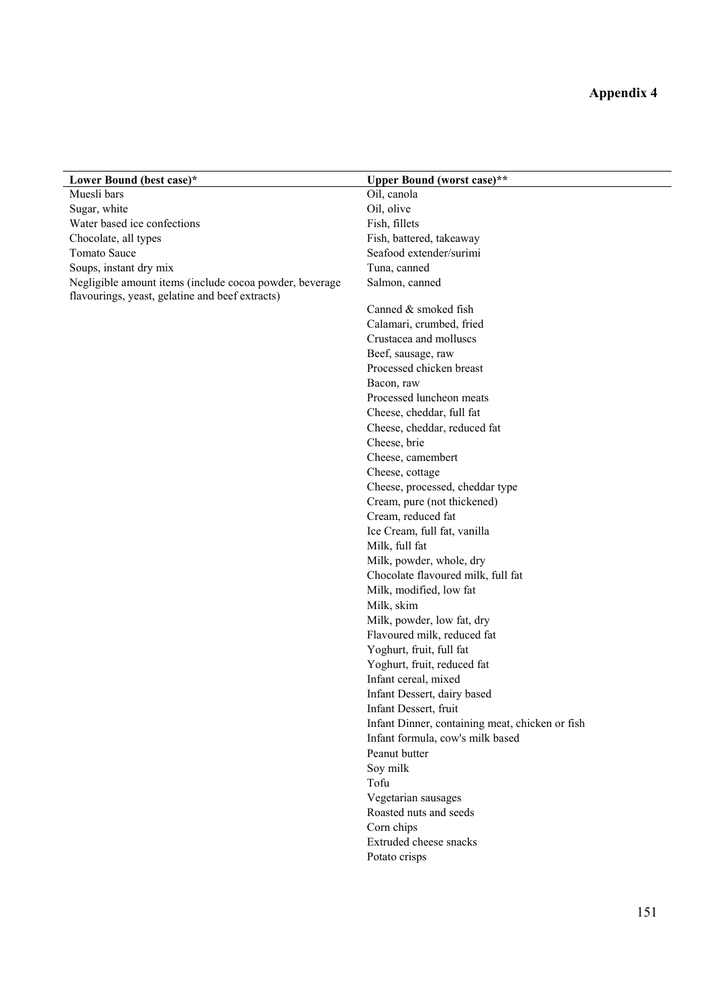| Lower Bound (best case)*                                | <b>Upper Bound (worst case)**</b>               |
|---------------------------------------------------------|-------------------------------------------------|
| Muesli bars                                             | Oil, canola                                     |
| Sugar, white                                            | Oil, olive                                      |
| Water based ice confections                             | Fish, fillets                                   |
| Chocolate, all types                                    | Fish, battered, takeaway                        |
| <b>Tomato Sauce</b>                                     | Seafood extender/surimi                         |
| Soups, instant dry mix                                  | Tuna, canned                                    |
| Negligible amount items (include cocoa powder, beverage | Salmon, canned                                  |
| flavourings, yeast, gelatine and beef extracts)         |                                                 |
|                                                         | Canned & smoked fish                            |
|                                                         | Calamari, crumbed, fried                        |
|                                                         | Crustacea and molluscs                          |
|                                                         | Beef, sausage, raw                              |
|                                                         | Processed chicken breast                        |
|                                                         | Bacon, raw                                      |
|                                                         | Processed luncheon meats                        |
|                                                         | Cheese, cheddar, full fat                       |
|                                                         | Cheese, cheddar, reduced fat                    |
|                                                         | Cheese, brie                                    |
|                                                         | Cheese, camembert                               |
|                                                         | Cheese, cottage                                 |
|                                                         | Cheese, processed, cheddar type                 |
|                                                         | Cream, pure (not thickened)                     |
|                                                         | Cream, reduced fat                              |
|                                                         | Ice Cream, full fat, vanilla                    |
|                                                         | Milk, full fat                                  |
|                                                         | Milk, powder, whole, dry                        |
|                                                         | Chocolate flavoured milk, full fat              |
|                                                         | Milk, modified, low fat                         |
|                                                         | Milk, skim                                      |
|                                                         | Milk, powder, low fat, dry                      |
|                                                         | Flavoured milk, reduced fat                     |
|                                                         | Yoghurt, fruit, full fat                        |
|                                                         | Yoghurt, fruit, reduced fat                     |
|                                                         | Infant cereal, mixed                            |
|                                                         | Infant Dessert, dairy based                     |
|                                                         | Infant Dessert, fruit                           |
|                                                         | Infant Dinner, containing meat, chicken or fish |
|                                                         | Infant formula, cow's milk based                |
|                                                         | Peanut butter                                   |
|                                                         | Soy milk                                        |
|                                                         | Tofu                                            |
|                                                         | Vegetarian sausages                             |
|                                                         | Roasted nuts and seeds                          |
|                                                         | Corn chips                                      |
|                                                         | Extruded cheese snacks                          |
|                                                         | Potato crisps                                   |
|                                                         |                                                 |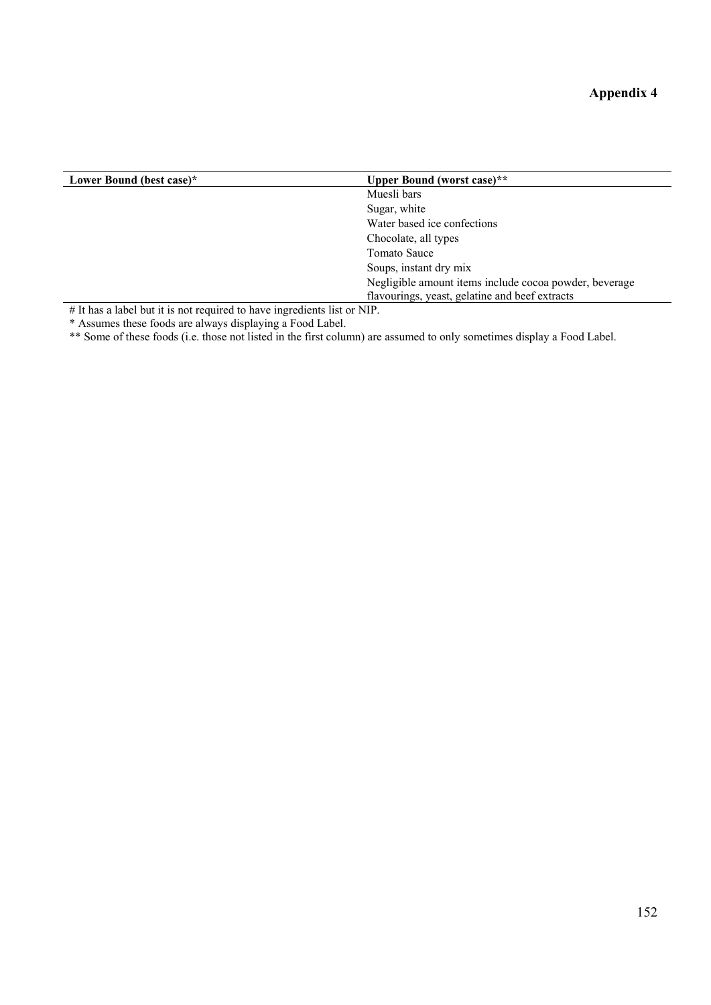| Lower Bound (best case)*                                                                                                          | <b>Upper Bound (worst case)**</b>                      |
|-----------------------------------------------------------------------------------------------------------------------------------|--------------------------------------------------------|
|                                                                                                                                   | Muesli bars                                            |
|                                                                                                                                   | Sugar, white                                           |
|                                                                                                                                   | Water based ice confections                            |
|                                                                                                                                   | Chocolate, all types                                   |
|                                                                                                                                   | Tomato Sauce                                           |
|                                                                                                                                   | Soups, instant dry mix                                 |
|                                                                                                                                   | Negligible amount items include cocoa powder, beverage |
|                                                                                                                                   | flavourings, yeast, gelatine and beef extracts         |
| $H$ Tail and in the first state of the second second and the second state of $\mathbf{M}$ Tailor $\mathbf{M}$ Tailor $\mathbf{M}$ |                                                        |

# It has a label but it is not required to have ingredients list or NIP.

\* Assumes these foods are always displaying a Food Label.

\*\* Some of these foods (i.e. those not listed in the first column) are assumed to only sometimes display a Food Label.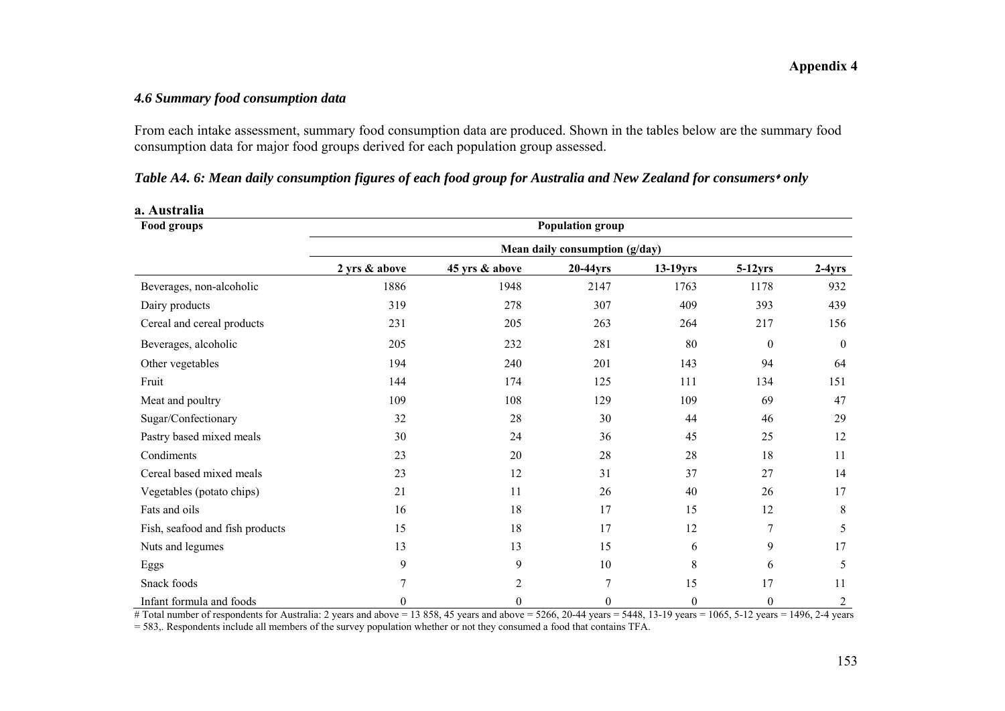### *4.6 Summary food consumption data*

**a. Australia**

From each intake assessment, summary food consumption data are produced. Shown in the tables below are the summary food consumption data for major food groups derived for each population group assessed.

|  |  |  |  | Table A4. 6: Mean daily consumption figures of each food group for Australia and New Zealand for consumers* only |  |
|--|--|--|--|------------------------------------------------------------------------------------------------------------------|--|
|  |  |  |  |                                                                                                                  |  |

| Food groups                     | <b>Population group</b>        |                |          |                  |                  |                |  |  |  |
|---------------------------------|--------------------------------|----------------|----------|------------------|------------------|----------------|--|--|--|
|                                 | Mean daily consumption (g/day) |                |          |                  |                  |                |  |  |  |
|                                 | 2 yrs & above                  | 45 yrs & above | 20-44yrs | $13-19$ yrs      | $5-12$ yrs       | $2-4yrs$       |  |  |  |
| Beverages, non-alcoholic        | 1886                           | 1948           | 2147     | 1763             | 1178             | 932            |  |  |  |
| Dairy products                  | 319                            | 278            | 307      | 409              | 393              | 439            |  |  |  |
| Cereal and cereal products      | 231                            | 205            | 263      | 264              | 217              | 156            |  |  |  |
| Beverages, alcoholic            | 205                            | 232            | 281      | 80               | $\boldsymbol{0}$ | $\theta$       |  |  |  |
| Other vegetables                | 194                            | 240            | 201      | 143              | 94               | 64             |  |  |  |
| Fruit                           | 144                            | 174            | 125      | 111              | 134              | 151            |  |  |  |
| Meat and poultry                | 109                            | 108            | 129      | 109              | 69               | 47             |  |  |  |
| Sugar/Confectionary             | 32                             | 28             | 30       | 44               | 46               | 29             |  |  |  |
| Pastry based mixed meals        | 30                             | 24             | 36       | 45               | 25               | 12             |  |  |  |
| Condiments                      | 23                             | 20             | 28       | 28               | 18               | 11             |  |  |  |
| Cereal based mixed meals        | 23                             | 12             | 31       | 37               | 27               | 14             |  |  |  |
| Vegetables (potato chips)       | 21                             | 11             | 26       | 40               | 26               | 17             |  |  |  |
| Fats and oils                   | 16                             | 18             | 17       | 15               | 12               | 8              |  |  |  |
| Fish, seafood and fish products | 15                             | 18             | 17       | 12               | 7                | 5              |  |  |  |
| Nuts and legumes                | 13                             | 13             | 15       | 6                | 9                | 17             |  |  |  |
| Eggs                            | 9                              | 9              | 10       | 8                | 6                | 5              |  |  |  |
| Snack foods                     |                                | 2              | 7        | 15               | 17               | 11             |  |  |  |
| Infant formula and foods        | $\Omega$                       | $\theta$       | $\theta$ | $\boldsymbol{0}$ | $\theta$         | $\overline{2}$ |  |  |  |

| Table A4. 6: Mean daily consumption figures of each food group for Australia and New Zealand for consumers* only |  |  |  |
|------------------------------------------------------------------------------------------------------------------|--|--|--|
|------------------------------------------------------------------------------------------------------------------|--|--|--|

# Total number of respondents for Australia: 2 years and above = 13 858, 45 years and above = 5266, 20-44 years = 5448, 13-19 years = 1065, 5-12 years = 1496, 2-4 years =  $\frac{1496}{2}$ .

= 583,. Respondents include all members of the survey population whether or not they consumed a food that contains TFA.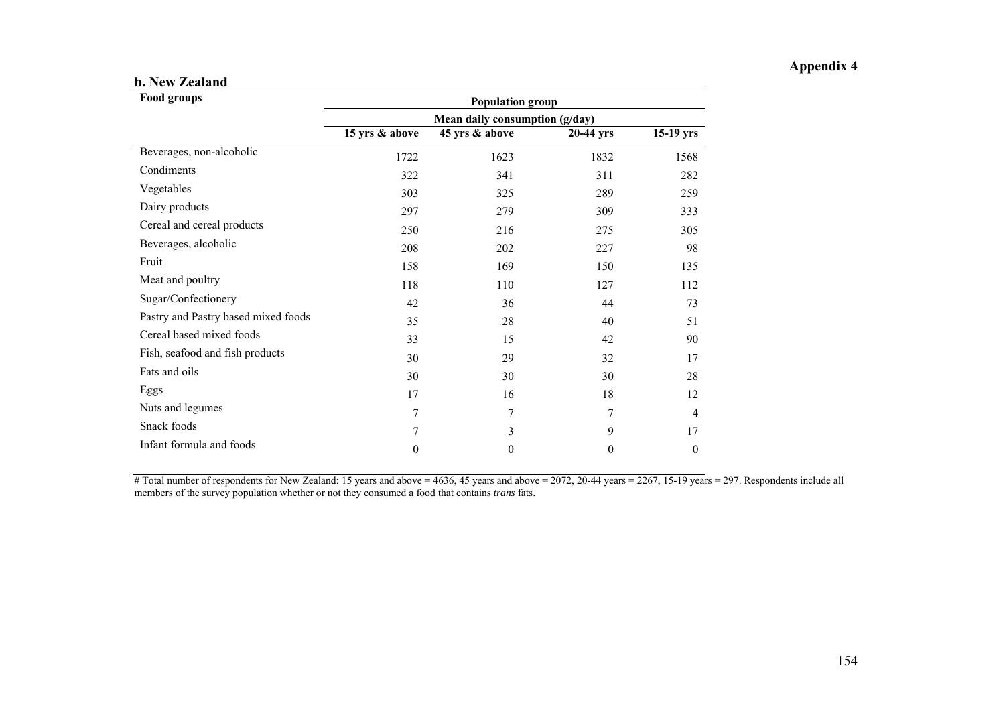#### **b. New Zealand**

| <b>Food groups</b>                  | <b>Population group</b><br>Mean daily consumption (g/day) |                |           |                  |  |  |
|-------------------------------------|-----------------------------------------------------------|----------------|-----------|------------------|--|--|
|                                     |                                                           |                |           |                  |  |  |
|                                     | 15 yrs & above                                            | 45 yrs & above | 20-44 yrs | $15-19$ yrs      |  |  |
| Beverages, non-alcoholic            | 1722                                                      | 1623           | 1832      | 1568             |  |  |
| Condiments                          | 322                                                       | 341            | 311       | 282              |  |  |
| Vegetables                          | 303                                                       | 325            | 289       | 259              |  |  |
| Dairy products                      | 297                                                       | 279            | 309       | 333              |  |  |
| Cereal and cereal products          | 250                                                       | 216            | 275       | 305              |  |  |
| Beverages, alcoholic                | 208                                                       | 202            | 227       | 98               |  |  |
| Fruit                               | 158                                                       | 169            | 150       | 135              |  |  |
| Meat and poultry                    | 118                                                       | 110            | 127       | 112              |  |  |
| Sugar/Confectionery                 | 42                                                        | 36             | 44        | 73               |  |  |
| Pastry and Pastry based mixed foods | 35                                                        | 28             | 40        | 51               |  |  |
| Cereal based mixed foods            | 33                                                        | 15             | 42        | 90               |  |  |
| Fish, seafood and fish products     | 30                                                        | 29             | 32        | 17               |  |  |
| Fats and oils                       | 30                                                        | 30             | 30        | 28               |  |  |
| Eggs                                | 17                                                        | 16             | 18        | 12               |  |  |
| Nuts and legumes                    | $\overline{7}$                                            | 7              | 7         | $\overline{4}$   |  |  |
| Snack foods                         | 7                                                         | 3              | 9         | 17               |  |  |
| Infant formula and foods            | $\boldsymbol{0}$                                          | $\theta$       | 0         | $\boldsymbol{0}$ |  |  |

 $\overline{\text{# Total number of respondents for New Zealand: 15 years and above} = 4636, 45 years and above} = 2072, 20-44 years = 2267, 15-19 years = 297. Respondents include all.}$ members of the survey population whether or not they consumed a food that contains *trans* fats.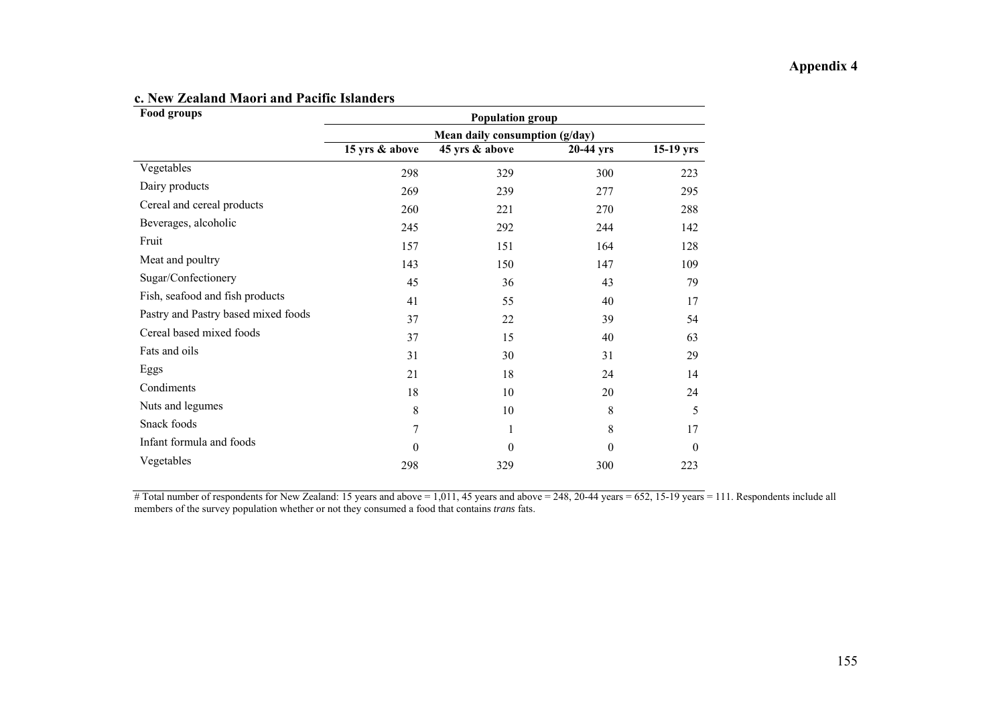| <b>Food groups</b>                  | <b>Population group</b>        |                |           |             |  |
|-------------------------------------|--------------------------------|----------------|-----------|-------------|--|
|                                     | Mean daily consumption (g/day) |                |           |             |  |
|                                     | 15 yrs & above                 | 45 yrs & above | 20-44 yrs | $15-19$ yrs |  |
| Vegetables                          | 298                            | 329            | 300       | 223         |  |
| Dairy products                      | 269                            | 239            | 277       | 295         |  |
| Cereal and cereal products          | 260                            | 221            | 270       | 288         |  |
| Beverages, alcoholic                | 245                            | 292            | 244       | 142         |  |
| Fruit                               | 157                            | 151            | 164       | 128         |  |
| Meat and poultry                    | 143                            | 150            | 147       | 109         |  |
| Sugar/Confectionery                 | 45                             | 36             | 43        | 79          |  |
| Fish, seafood and fish products     | 41                             | 55             | 40        | 17          |  |
| Pastry and Pastry based mixed foods | 37                             | 22             | 39        | 54          |  |
| Cereal based mixed foods            | 37                             | 15             | 40        | 63          |  |
| Fats and oils                       | 31                             | 30             | 31        | 29          |  |
| Eggs                                | 21                             | 18             | 24        | 14          |  |
| Condiments                          | 18                             | 10             | 20        | 24          |  |
| Nuts and legumes                    | 8                              | 10             | 8         | 5           |  |
| Snack foods                         | 7                              | 1              | 8         | 17          |  |
| Infant formula and foods            | $\theta$                       | $\theta$       | $\Omega$  | 0           |  |
| Vegetables                          | 298                            | 329            | 300       | 223         |  |

#### **c. New Zealand Maori and Pacific Islanders**

# Total number of respondents for New Zealand: 15 years and above = 1,011, 45 years and above = 248, 20-44 years = 652, 15-19 years = 111. Respondents include all members of the survey population whether or not they consumed a food that contains *trans* fats.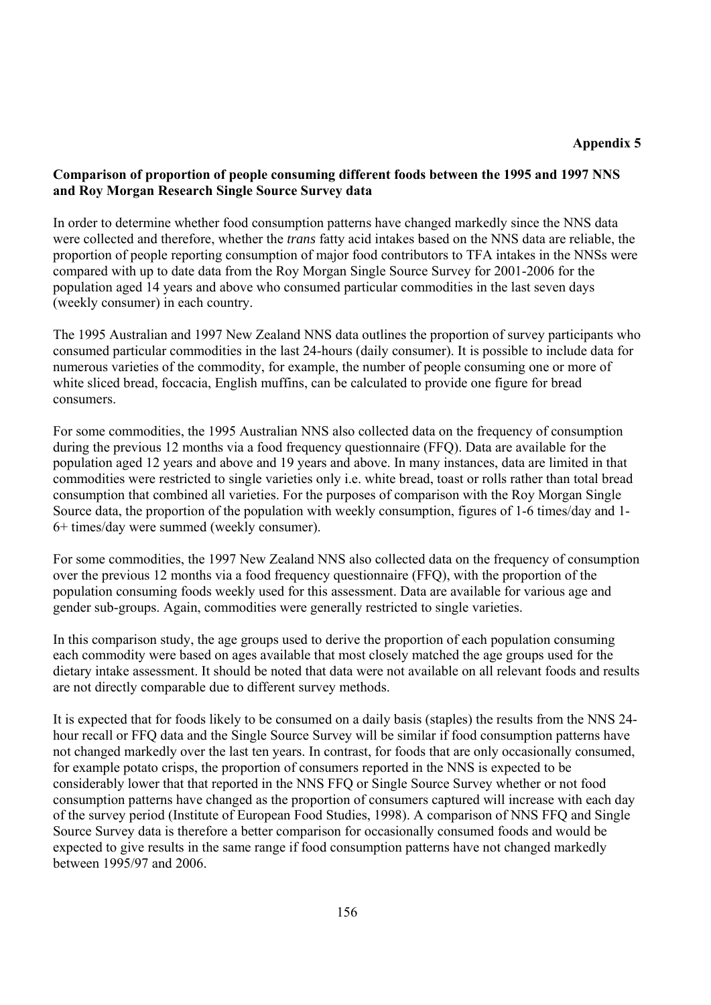#### **Comparison of proportion of people consuming different foods between the 1995 and 1997 NNS and Roy Morgan Research Single Source Survey data**

In order to determine whether food consumption patterns have changed markedly since the NNS data were collected and therefore, whether the *trans* fatty acid intakes based on the NNS data are reliable, the proportion of people reporting consumption of major food contributors to TFA intakes in the NNSs were compared with up to date data from the Roy Morgan Single Source Survey for 2001-2006 for the population aged 14 years and above who consumed particular commodities in the last seven days (weekly consumer) in each country.

The 1995 Australian and 1997 New Zealand NNS data outlines the proportion of survey participants who consumed particular commodities in the last 24-hours (daily consumer). It is possible to include data for numerous varieties of the commodity, for example, the number of people consuming one or more of white sliced bread, foccacia, English muffins, can be calculated to provide one figure for bread consumers.

For some commodities, the 1995 Australian NNS also collected data on the frequency of consumption during the previous 12 months via a food frequency questionnaire (FFQ). Data are available for the population aged 12 years and above and 19 years and above. In many instances, data are limited in that commodities were restricted to single varieties only i.e. white bread, toast or rolls rather than total bread consumption that combined all varieties. For the purposes of comparison with the Roy Morgan Single Source data, the proportion of the population with weekly consumption, figures of 1-6 times/day and 1- 6+ times/day were summed (weekly consumer).

For some commodities, the 1997 New Zealand NNS also collected data on the frequency of consumption over the previous 12 months via a food frequency questionnaire (FFQ), with the proportion of the population consuming foods weekly used for this assessment. Data are available for various age and gender sub-groups. Again, commodities were generally restricted to single varieties.

In this comparison study, the age groups used to derive the proportion of each population consuming each commodity were based on ages available that most closely matched the age groups used for the dietary intake assessment. It should be noted that data were not available on all relevant foods and results are not directly comparable due to different survey methods.

It is expected that for foods likely to be consumed on a daily basis (staples) the results from the NNS 24 hour recall or FFQ data and the Single Source Survey will be similar if food consumption patterns have not changed markedly over the last ten years. In contrast, for foods that are only occasionally consumed, for example potato crisps, the proportion of consumers reported in the NNS is expected to be considerably lower that that reported in the NNS FFQ or Single Source Survey whether or not food consumption patterns have changed as the proportion of consumers captured will increase with each day of the survey period (Institute of European Food Studies, 1998). A comparison of NNS FFQ and Single Source Survey data is therefore a better comparison for occasionally consumed foods and would be expected to give results in the same range if food consumption patterns have not changed markedly between 1995/97 and 2006.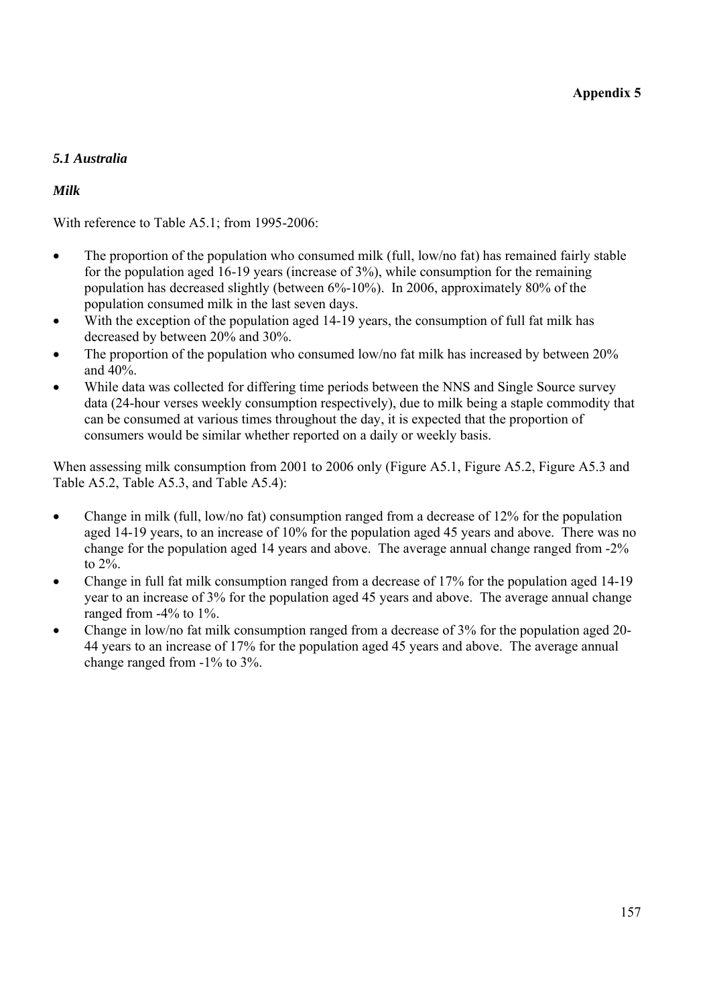## *5.1 Australia*

## *Milk*

With reference to Table A5.1; from 1995-2006:

- The proportion of the population who consumed milk (full, low/no fat) has remained fairly stable for the population aged 16-19 years (increase of 3%), while consumption for the remaining population has decreased slightly (between 6%-10%). In 2006, approximately 80% of the population consumed milk in the last seven days.
- With the exception of the population aged 14-19 years, the consumption of full fat milk has decreased by between 20% and 30%.
- The proportion of the population who consumed low/no fat milk has increased by between 20% and 40%.
- While data was collected for differing time periods between the NNS and Single Source survey data (24-hour verses weekly consumption respectively), due to milk being a staple commodity that can be consumed at various times throughout the day, it is expected that the proportion of consumers would be similar whether reported on a daily or weekly basis.

When assessing milk consumption from 2001 to 2006 only (Figure A5.1, Figure A5.2, Figure A5.3 and Table A5.2, Table A5.3, and Table A5.4):

- Change in milk (full, low/no fat) consumption ranged from a decrease of 12% for the population aged 14-19 years, to an increase of 10% for the population aged 45 years and above. There was no change for the population aged 14 years and above. The average annual change ranged from -2% to 2%.
- Change in full fat milk consumption ranged from a decrease of 17% for the population aged 14-19 year to an increase of 3% for the population aged 45 years and above. The average annual change ranged from -4% to 1%.
- Change in low/no fat milk consumption ranged from a decrease of 3% for the population aged 20- 44 years to an increase of 17% for the population aged 45 years and above. The average annual change ranged from -1% to 3%.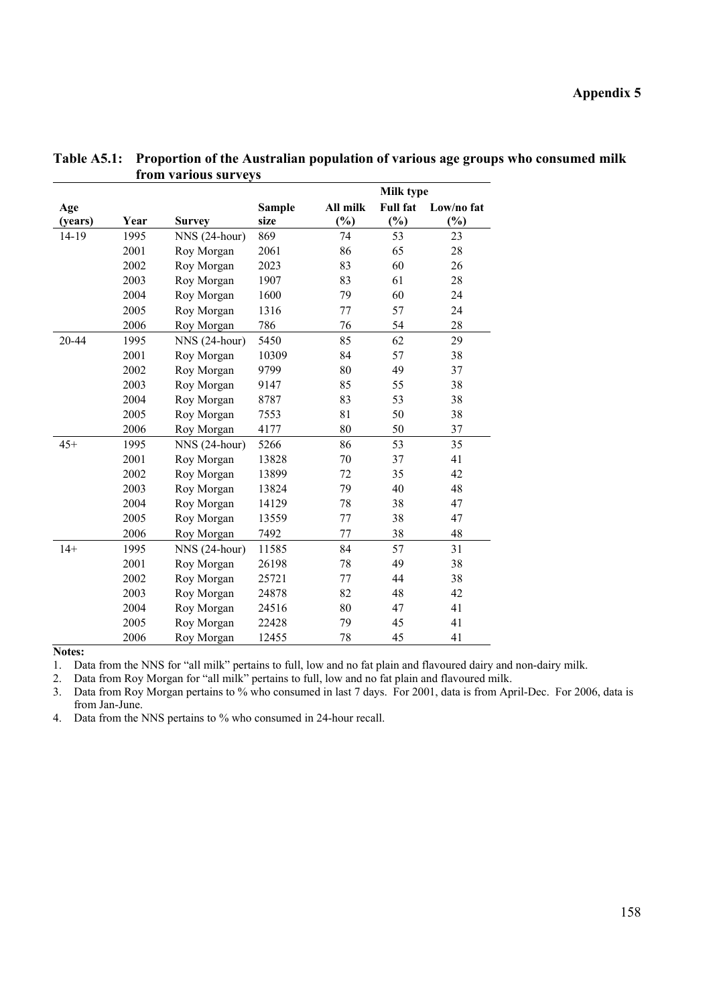|         |      |                |               |          | <b>Milk type</b> |            |
|---------|------|----------------|---------------|----------|------------------|------------|
| Age     |      |                | <b>Sample</b> | All milk | <b>Full fat</b>  | Low/no fat |
| (years) | Year | <b>Survey</b>  | size          | (%)      | $(\%)$           | (%)        |
| 14-19   | 1995 | NNS (24-hour)  | 869           | 74       | 53               | 23         |
|         | 2001 | Roy Morgan     | 2061          | 86       | 65               | 28         |
|         | 2002 | Roy Morgan     | 2023          | 83       | 60               | 26         |
|         | 2003 | Roy Morgan     | 1907          | 83       | 61               | 28         |
|         | 2004 | Roy Morgan     | 1600          | 79       | 60               | 24         |
|         | 2005 | Roy Morgan     | 1316          | 77       | 57               | 24         |
|         | 2006 | Roy Morgan     | 786           | 76       | 54               | 28         |
| 20-44   | 1995 | NNS (24-hour)  | 5450          | 85       | 62               | 29         |
|         | 2001 | Roy Morgan     | 10309         | 84       | 57               | 38         |
|         | 2002 | Roy Morgan     | 9799          | 80       | 49               | 37         |
|         | 2003 | Roy Morgan     | 9147          | 85       | 55               | 38         |
|         | 2004 | Roy Morgan     | 8787          | 83       | 53               | 38         |
|         | 2005 | Roy Morgan     | 7553          | 81       | 50               | 38         |
|         | 2006 | Roy Morgan     | 4177          | 80       | 50               | 37         |
| $45+$   | 1995 | $NNS(24-hour)$ | 5266          | 86       | 53               | 35         |
|         | 2001 | Roy Morgan     | 13828         | 70       | 37               | 41         |
|         | 2002 | Roy Morgan     | 13899         | 72       | 35               | 42         |
|         | 2003 | Roy Morgan     | 13824         | 79       | 40               | 48         |
|         | 2004 | Roy Morgan     | 14129         | 78       | 38               | 47         |
|         | 2005 | Roy Morgan     | 13559         | 77       | 38               | 47         |
|         | 2006 | Roy Morgan     | 7492          | 77       | 38               | 48         |
| $14+$   | 1995 | NNS (24-hour)  | 11585         | 84       | 57               | 31         |
|         | 2001 | Roy Morgan     | 26198         | 78       | 49               | 38         |
|         | 2002 | Roy Morgan     | 25721         | 77       | 44               | 38         |
|         | 2003 | Roy Morgan     | 24878         | 82       | 48               | 42         |
|         | 2004 | Roy Morgan     | 24516         | 80       | 47               | 41         |
|         | 2005 | Roy Morgan     | 22428         | 79       | 45               | 41         |
|         | 2006 | Roy Morgan     | 12455         | 78       | 45               | 41         |

**Table A5.1: Proportion of the Australian population of various age groups who consumed milk from various surveys** 

**Notes:** 

1. Data from the NNS for "all milk" pertains to full, low and no fat plain and flavoured dairy and non-dairy milk.

2. Data from Roy Morgan for "all milk" pertains to full, low and no fat plain and flavoured milk.

3. Data from Roy Morgan pertains to % who consumed in last 7 days. For 2001, data is from April-Dec. For 2006, data is from Jan-June.

4. Data from the NNS pertains to % who consumed in 24-hour recall.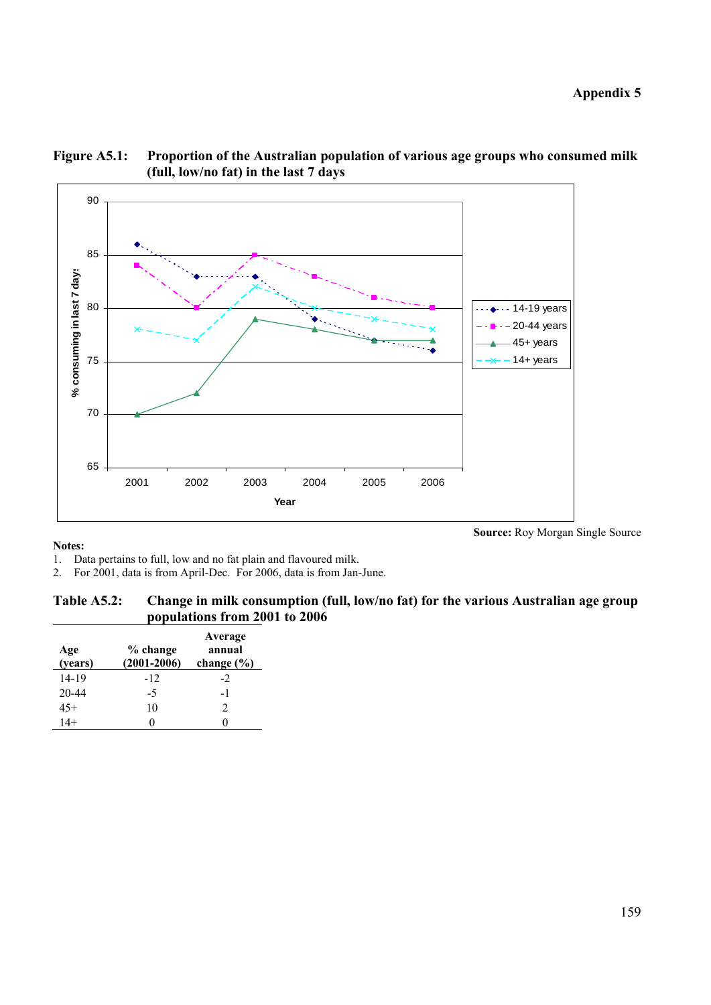**Source:** Roy Morgan Single Source



### **Figure A5.1: Proportion of the Australian population of various age groups who consumed milk (full, low/no fat) in the last 7 days**

#### **Notes:**

- 1. Data pertains to full, low and no fat plain and flavoured milk.
- 2. For 2001, data is from April-Dec. For 2006, data is from Jan-June.

| Table A5.2: | Change in milk consumption (full, low/no fat) for the various Australian age group |
|-------------|------------------------------------------------------------------------------------|
|             | populations from 2001 to 2006                                                      |

| Age<br>(years) | % change<br>$(2001 - 2006)$ | Average<br>annual<br>change $(\% )$ |
|----------------|-----------------------------|-------------------------------------|
| 14-19          | $-12$                       | $-2$                                |
| $20 - 44$      | -5                          | -1                                  |
| $45+$          | 10                          | $\mathcal{D}$                       |
| $14+$          | 0                           |                                     |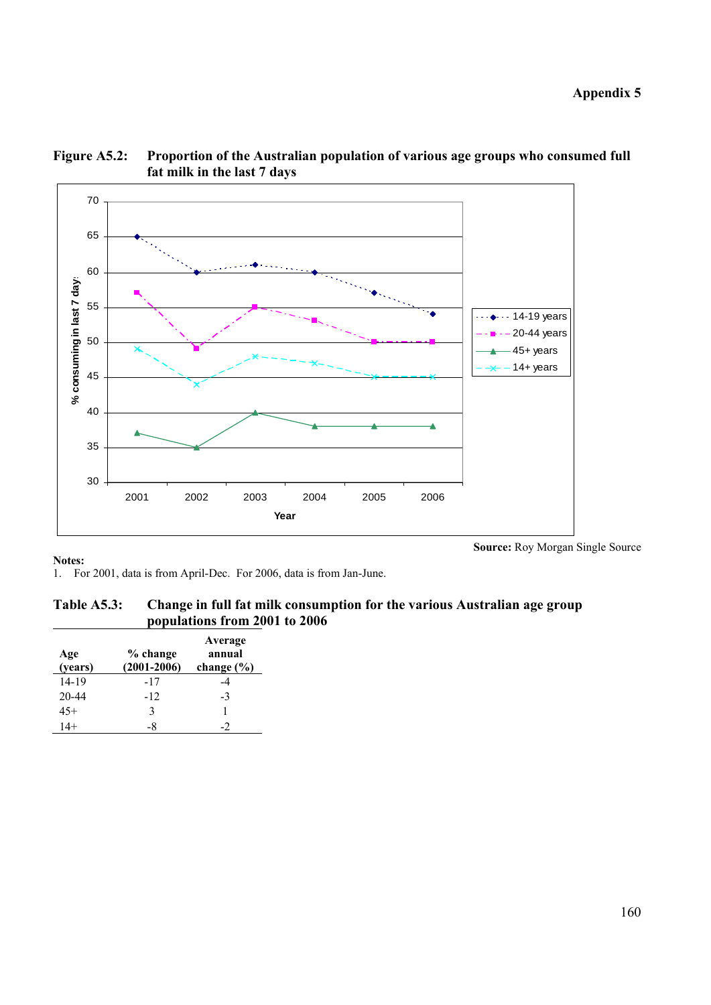

### **Figure A5.2: Proportion of the Australian population of various age groups who consumed full fat milk in the last 7 days**

**Notes:** 

1. For 2001, data is from April-Dec. For 2006, data is from Jan-June.

### **Table A5.3: Change in full fat milk consumption for the various Australian age group populations from 2001 to 2006**

| Age<br>(years) | % change<br>$(2001 - 2006)$ | Average<br>annual<br>change $(\% )$ |
|----------------|-----------------------------|-------------------------------------|
| $14 - 19$      | $-17$                       | -4                                  |
| 20-44          | $-12$                       | $-3$                                |
| $45+$          | 3                           |                                     |
| $14+$          | -8                          |                                     |

**Source:** Roy Morgan Single Source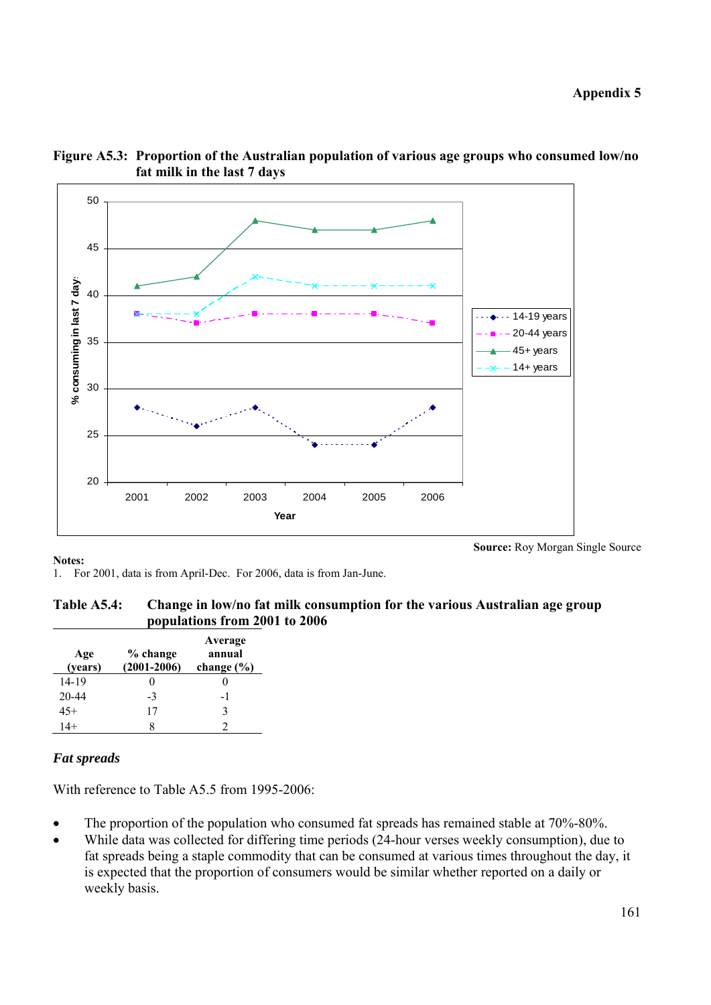



**Notes:** 

1. For 2001, data is from April-Dec. For 2006, data is from Jan-June.

| Table A5.4: | Change in low/no fat milk consumption for the various Australian age group |
|-------------|----------------------------------------------------------------------------|
|             | populations from 2001 to 2006                                              |

| Age<br>(years) | % change<br>$(2001 - 2006)$ | Average<br>annual<br>change $(\% )$ |
|----------------|-----------------------------|-------------------------------------|
| $14 - 19$      | 0                           | 0                                   |
| 20-44          | $-3$                        | -1                                  |
| $45+$          | 17                          | 3                                   |
| $14+$          | 8                           |                                     |

#### *Fat spreads*

With reference to Table A5.5 from 1995-2006:

- The proportion of the population who consumed fat spreads has remained stable at 70%-80%.
- While data was collected for differing time periods (24-hour verses weekly consumption), due to fat spreads being a staple commodity that can be consumed at various times throughout the day, it is expected that the proportion of consumers would be similar whether reported on a daily or weekly basis.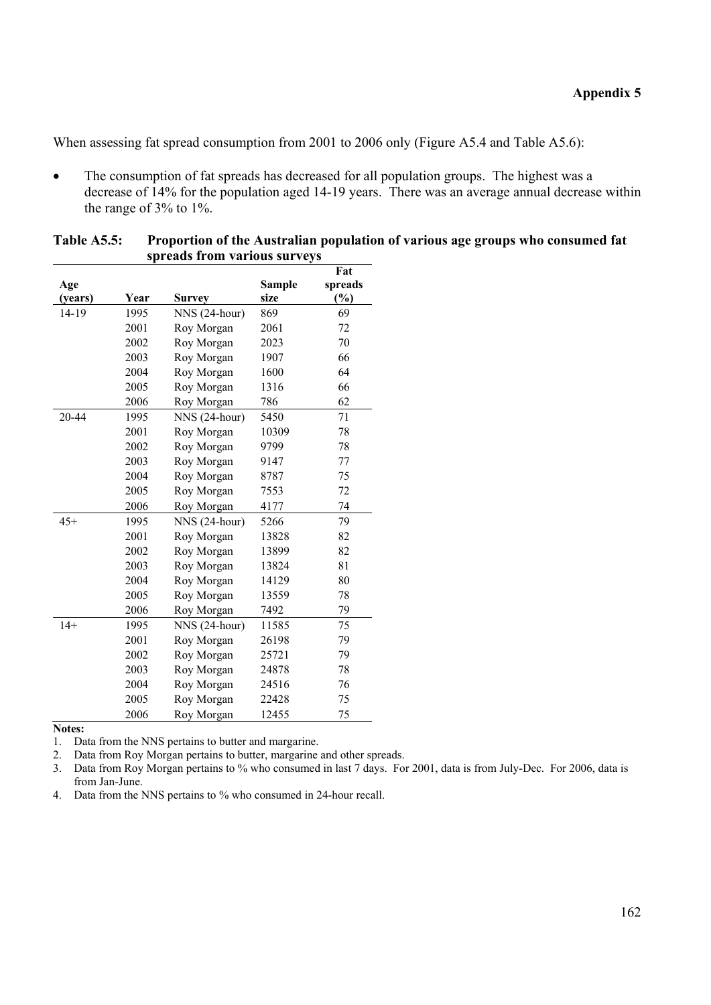When assessing fat spread consumption from 2001 to 2006 only (Figure A5.4 and Table A5.6):

• The consumption of fat spreads has decreased for all population groups. The highest was a decrease of 14% for the population aged 14-19 years. There was an average annual decrease within the range of 3% to 1%.

|         |      |                |               | Fat     |
|---------|------|----------------|---------------|---------|
| Age     |      |                | <b>Sample</b> | spreads |
| (years) | Year | <b>Survey</b>  | size          | $(\%)$  |
| 14-19   | 1995 | NNS (24-hour)  | 869           | 69      |
|         | 2001 | Roy Morgan     | 2061          | 72      |
|         | 2002 | Roy Morgan     | 2023          | 70      |
|         | 2003 | Roy Morgan     | 1907          | 66      |
|         | 2004 | Roy Morgan     | 1600          | 64      |
|         | 2005 | Roy Morgan     | 1316          | 66      |
|         | 2006 | Roy Morgan     | 786           | 62      |
| 20-44   | 1995 | $NNS(24-hour)$ | 5450          | 71      |
|         | 2001 | Roy Morgan     | 10309         | 78      |
|         | 2002 | Roy Morgan     | 9799          | 78      |
|         | 2003 | Roy Morgan     | 9147          | 77      |
|         | 2004 | Roy Morgan     | 8787          | 75      |
|         | 2005 | Roy Morgan     | 7553          | 72      |
|         | 2006 | Roy Morgan     | 4177          | 74      |
| $45+$   | 1995 | NNS (24-hour)  | 5266          | 79      |
|         | 2001 | Roy Morgan     | 13828         | 82      |
|         | 2002 | Roy Morgan     | 13899         | 82      |
|         | 2003 | Roy Morgan     | 13824         | 81      |
|         | 2004 | Roy Morgan     | 14129         | 80      |
|         | 2005 | Roy Morgan     | 13559         | 78      |
|         | 2006 | Roy Morgan     | 7492          | 79      |
| $14+$   | 1995 | NNS (24-hour)  | 11585         | 75      |
|         | 2001 | Roy Morgan     | 26198         | 79      |
|         | 2002 | Roy Morgan     | 25721         | 79      |
|         | 2003 | Roy Morgan     | 24878         | 78      |
|         | 2004 | Roy Morgan     | 24516         | 76      |
|         | 2005 | Roy Morgan     | 22428         | 75      |
|         | 2006 | Roy Morgan     | 12455         | 75      |

| <b>Table A5.5:</b> | Proportion of the Australian population of various age groups who consumed fat |
|--------------------|--------------------------------------------------------------------------------|
|                    | spreads from various surveys                                                   |

**Notes:** 

1. Data from the NNS pertains to butter and margarine.

2. Data from Roy Morgan pertains to butter, margarine and other spreads.

3. Data from Roy Morgan pertains to % who consumed in last 7 days. For 2001, data is from July-Dec. For 2006, data is from Jan-June.

4. Data from the NNS pertains to % who consumed in 24-hour recall.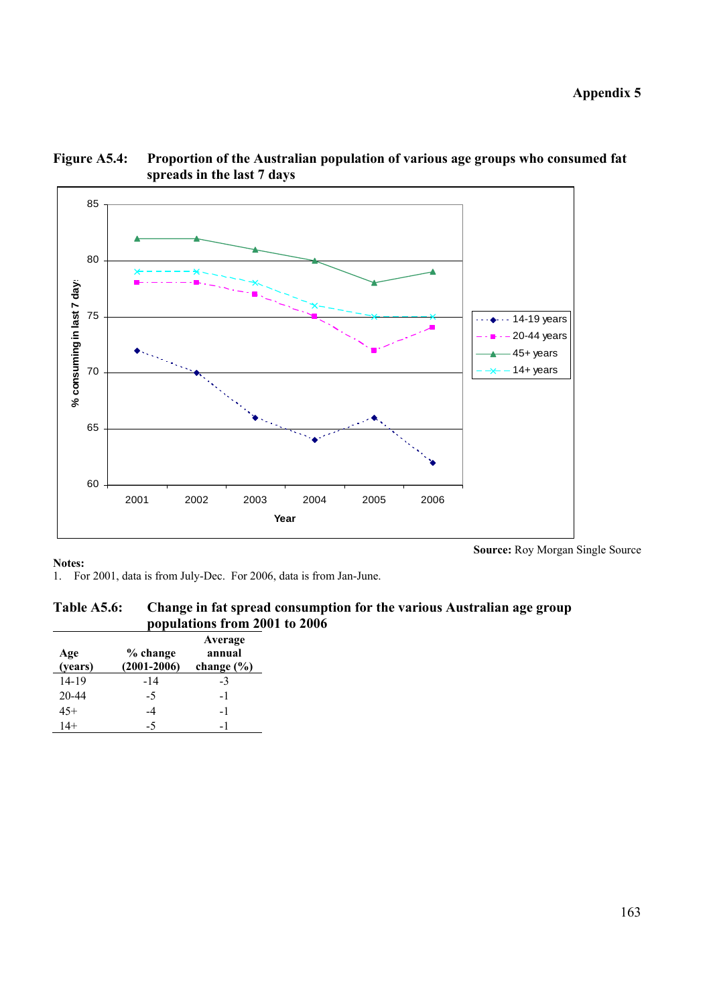**Appendix 5** 



### **Figure A5.4: Proportion of the Australian population of various age groups who consumed fat spreads in the last 7 days**

#### **Notes:**

1. For 2001, data is from July-Dec. For 2006, data is from Jan-June.

### **Table A5.6: Change in fat spread consumption for the various Australian age group populations from 2001 to 2006**

| Age<br>(years) | % change<br>$(2001 - 2006)$ | Average<br>annual<br>change $(\% )$ |
|----------------|-----------------------------|-------------------------------------|
| $14 - 19$      | $-14$                       | $-3$                                |
| $20 - 44$      | -5                          | -1                                  |
| $45+$          | -4                          | -1                                  |
| $14+$          | -5                          |                                     |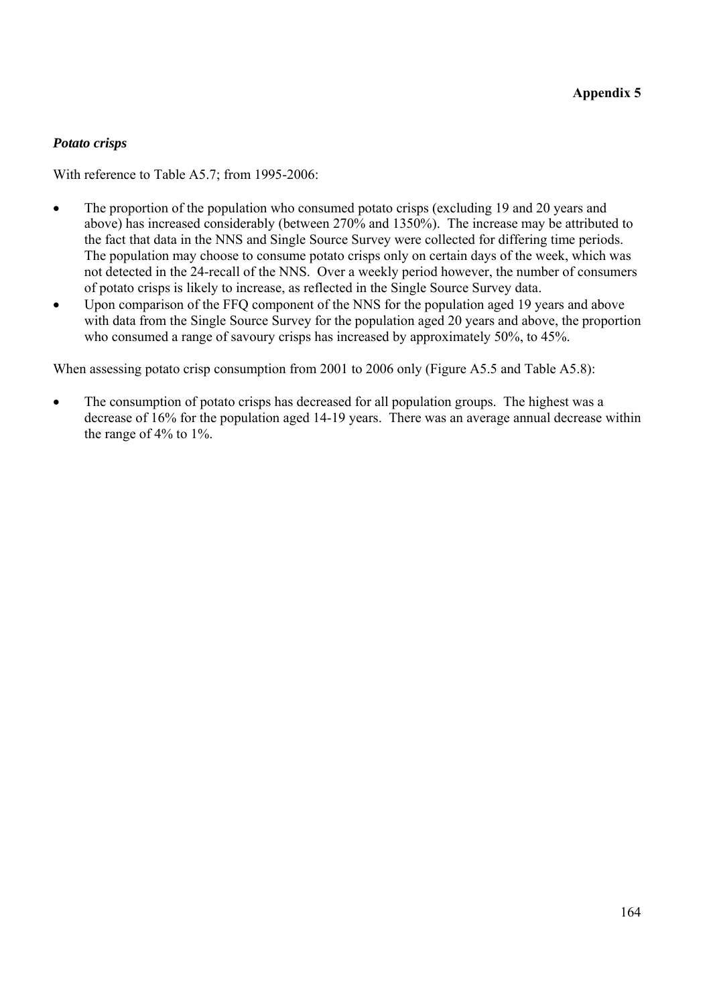## *Potato crisps*

With reference to Table A5.7; from 1995-2006:

- The proportion of the population who consumed potato crisps (excluding 19 and 20 years and above) has increased considerably (between 270% and 1350%). The increase may be attributed to the fact that data in the NNS and Single Source Survey were collected for differing time periods. The population may choose to consume potato crisps only on certain days of the week, which was not detected in the 24-recall of the NNS. Over a weekly period however, the number of consumers of potato crisps is likely to increase, as reflected in the Single Source Survey data.
- Upon comparison of the FFQ component of the NNS for the population aged 19 years and above with data from the Single Source Survey for the population aged 20 years and above, the proportion who consumed a range of savoury crisps has increased by approximately 50%, to 45%.

When assessing potato crisp consumption from 2001 to 2006 only (Figure A5.5 and Table A5.8):

• The consumption of potato crisps has decreased for all population groups. The highest was a decrease of 16% for the population aged 14-19 years. There was an average annual decrease within the range of 4% to 1%.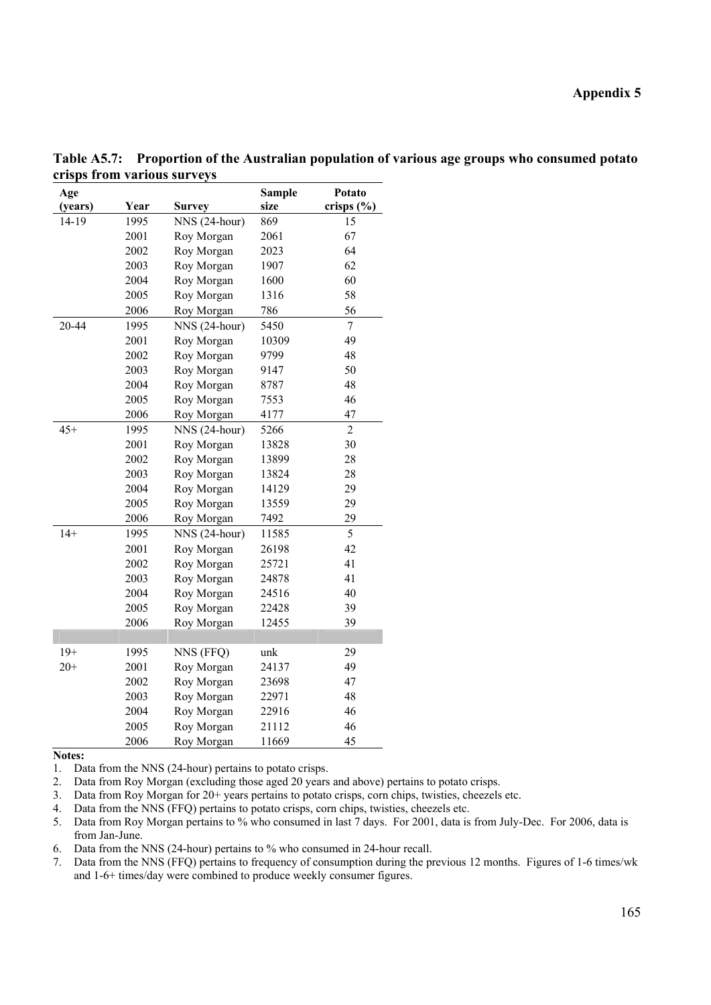| Age<br>(years) | Year | <b>Survey</b> | <b>Sample</b><br>size | Potato<br>crisps (%) |
|----------------|------|---------------|-----------------------|----------------------|
| 14-19          | 1995 | NNS (24-hour) | 869                   | 15                   |
|                | 2001 | Roy Morgan    | 2061                  | 67                   |
|                | 2002 | Roy Morgan    | 2023                  | 64                   |
|                | 2003 | Roy Morgan    | 1907                  | 62                   |
|                | 2004 | Roy Morgan    | 1600                  | 60                   |
|                | 2005 | Roy Morgan    | 1316                  | 58                   |
|                | 2006 | Roy Morgan    | 786                   | 56                   |
| 20-44          | 1995 | NNS (24-hour) | 5450                  | $\overline{7}$       |
|                | 2001 | Roy Morgan    | 10309                 | 49                   |
|                | 2002 | Roy Morgan    | 9799                  | 48                   |
|                | 2003 | Roy Morgan    | 9147                  | 50                   |
|                | 2004 | Roy Morgan    | 8787                  | 48                   |
|                | 2005 | Roy Morgan    | 7553                  | 46                   |
|                | 2006 | Roy Morgan    | 4177                  | 47                   |
| $45+$          | 1995 | NNS (24-hour) | 5266                  | $\overline{c}$       |
|                | 2001 | Roy Morgan    | 13828                 | 30                   |
|                | 2002 | Roy Morgan    | 13899                 | 28                   |
|                | 2003 | Roy Morgan    | 13824                 | 28                   |
|                | 2004 | Roy Morgan    | 14129                 | 29                   |
|                | 2005 | Roy Morgan    | 13559                 | 29                   |
|                | 2006 | Roy Morgan    | 7492                  | 29                   |
| $14+$          | 1995 | NNS (24-hour) | 11585                 | 5                    |
|                | 2001 | Roy Morgan    | 26198                 | 42                   |
|                | 2002 | Roy Morgan    | 25721                 | 41                   |
|                | 2003 | Roy Morgan    | 24878                 | 41                   |
|                | 2004 | Roy Morgan    | 24516                 | 40                   |
|                | 2005 | Roy Morgan    | 22428                 | 39                   |
|                | 2006 | Roy Morgan    | 12455                 | 39                   |
|                |      |               |                       |                      |
| $19+$          | 1995 | NNS (FFQ)     | unk                   | 29                   |
| $20+$          | 2001 | Roy Morgan    | 24137                 | 49                   |
|                | 2002 | Roy Morgan    | 23698                 | 47                   |
|                | 2003 | Roy Morgan    | 22971                 | 48                   |
|                | 2004 | Roy Morgan    | 22916                 | 46                   |
|                | 2005 | Roy Morgan    | 21112                 | 46                   |
|                | 2006 | Roy Morgan    | 11669                 | 45                   |

**Table A5.7: Proportion of the Australian population of various age groups who consumed potato crisps from various surveys** 

1. Data from the NNS (24-hour) pertains to potato crisps.

2. Data from Roy Morgan (excluding those aged 20 years and above) pertains to potato crisps.

3. Data from Roy Morgan for 20+ years pertains to potato crisps, corn chips, twisties, cheezels etc.

4. Data from the NNS (FFQ) pertains to potato crisps, corn chips, twisties, cheezels etc.

5. Data from Roy Morgan pertains to % who consumed in last 7 days. For 2001, data is from July-Dec. For 2006, data is from Jan-June.

6. Data from the NNS (24-hour) pertains to % who consumed in 24-hour recall.

7. Data from the NNS (FFQ) pertains to frequency of consumption during the previous 12 months. Figures of 1-6 times/wk and 1-6+ times/day were combined to produce weekly consumer figures.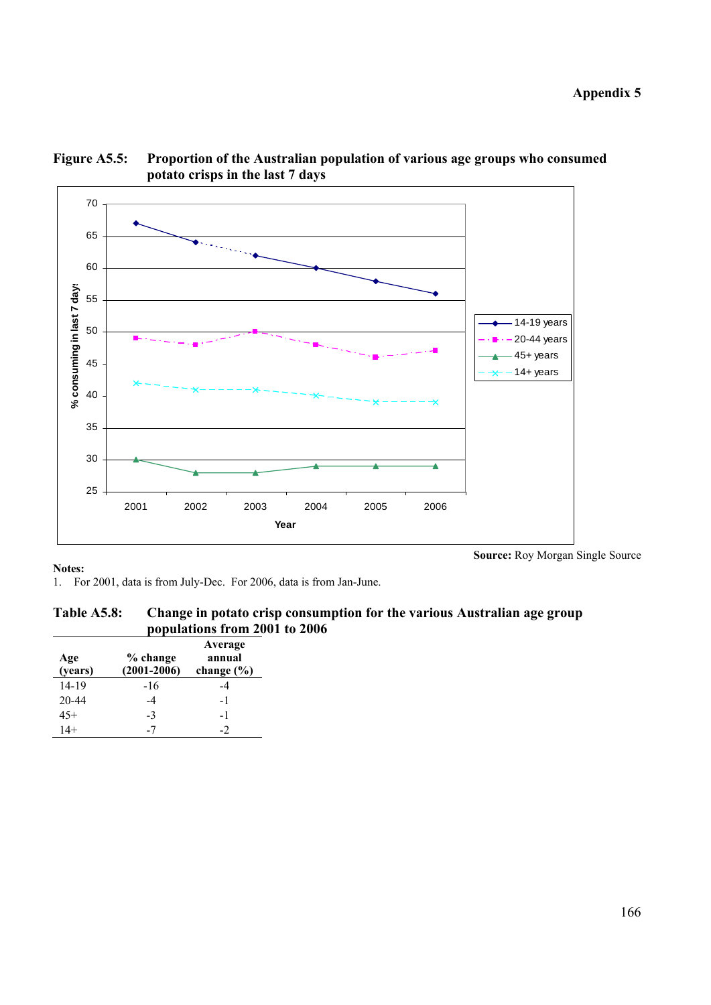

**Figure A5.5: Proportion of the Australian population of various age groups who consumed potato crisps in the last 7 days** 

1. For 2001, data is from July-Dec. For 2006, data is from Jan-June.

| Table A5.8: | Change in potato crisp consumption for the various Australian age group |
|-------------|-------------------------------------------------------------------------|
|             | populations from 2001 to 2006                                           |

| Age<br>(years) | % change<br>$(2001 - 2006)$ | Average<br>annual<br>change $(\% )$ |
|----------------|-----------------------------|-------------------------------------|
| 14-19          | $-16$                       |                                     |
| 20-44          | -4                          | -1                                  |
| $45+$          | $-3$                        | -1                                  |
| $14+$          |                             | -2                                  |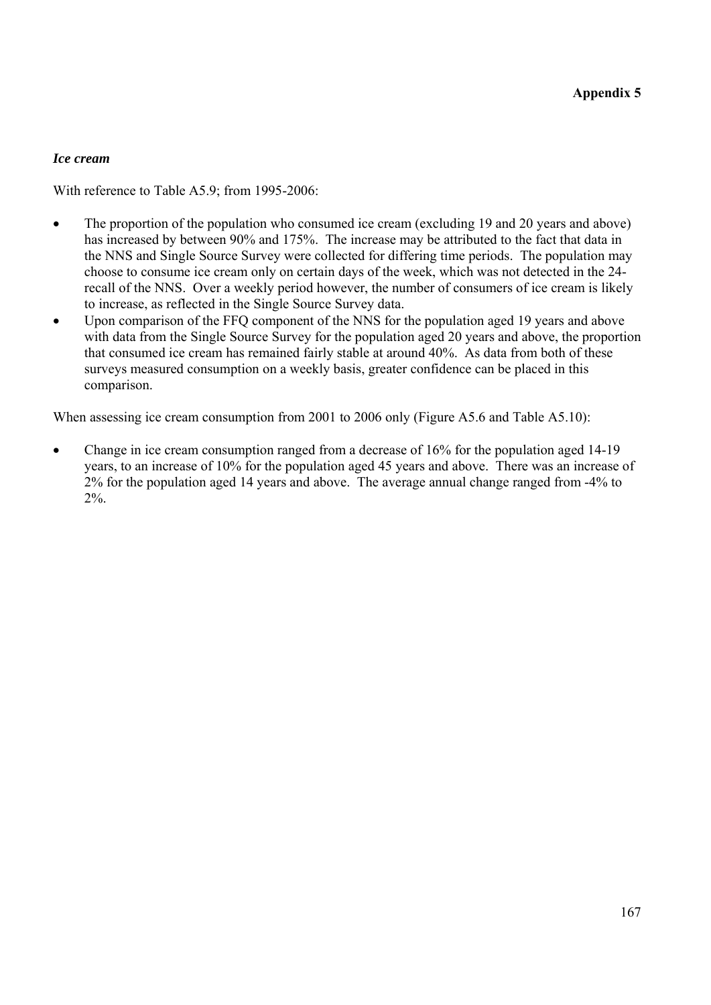### *Ice cream*

With reference to Table A5.9; from 1995-2006:

- The proportion of the population who consumed ice cream (excluding 19 and 20 years and above) has increased by between 90% and 175%. The increase may be attributed to the fact that data in the NNS and Single Source Survey were collected for differing time periods. The population may choose to consume ice cream only on certain days of the week, which was not detected in the 24 recall of the NNS. Over a weekly period however, the number of consumers of ice cream is likely to increase, as reflected in the Single Source Survey data.
- Upon comparison of the FFQ component of the NNS for the population aged 19 years and above with data from the Single Source Survey for the population aged 20 years and above, the proportion that consumed ice cream has remained fairly stable at around 40%. As data from both of these surveys measured consumption on a weekly basis, greater confidence can be placed in this comparison.

When assessing ice cream consumption from 2001 to 2006 only (Figure A5.6 and Table A5.10):

• Change in ice cream consumption ranged from a decrease of 16% for the population aged 14-19 years, to an increase of 10% for the population aged 45 years and above. There was an increase of 2% for the population aged 14 years and above. The average annual change ranged from -4% to 2%.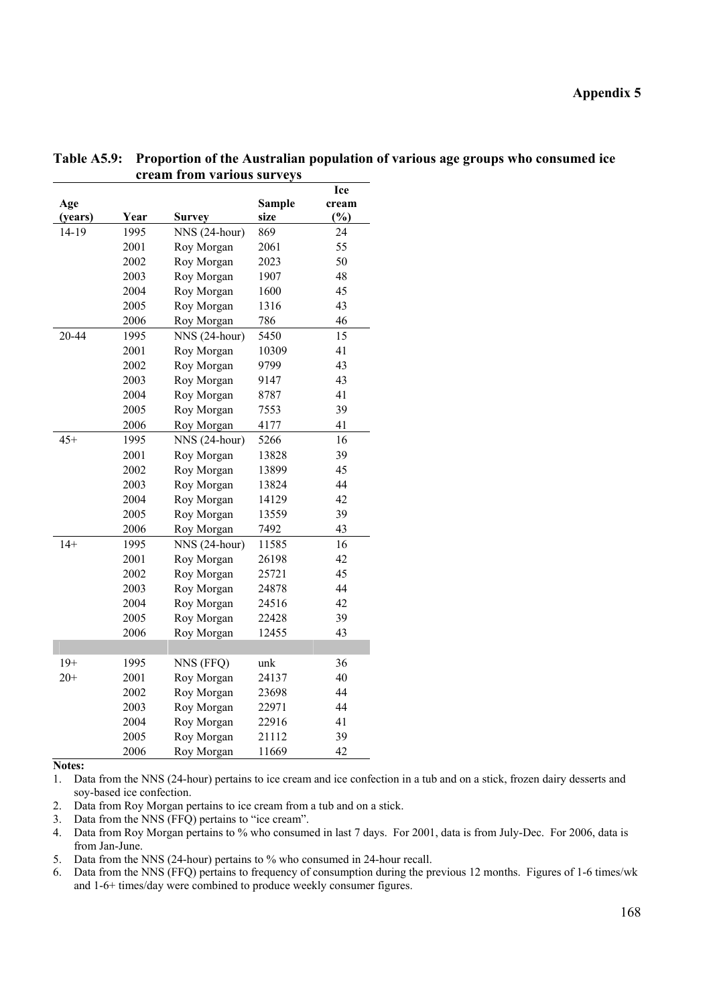| Age     |      |               | <b>Sample</b> | Ice<br>cream |
|---------|------|---------------|---------------|--------------|
| (years) | Year | <b>Survey</b> | size          | (%)          |
| 14-19   | 1995 | NNS (24-hour) | 869           | 24           |
|         | 2001 | Roy Morgan    | 2061          | 55           |
|         | 2002 | Roy Morgan    | 2023          | 50           |
|         | 2003 | Roy Morgan    | 1907          | 48           |
|         | 2004 | Roy Morgan    | 1600          | 45           |
|         | 2005 | Roy Morgan    | 1316          | 43           |
|         | 2006 | Roy Morgan    | 786           | 46           |
| 20-44   | 1995 | NNS (24-hour) | 5450          | 15           |
|         | 2001 | Roy Morgan    | 10309         | 41           |
|         | 2002 | Roy Morgan    | 9799          | 43           |
|         | 2003 | Roy Morgan    | 9147          | 43           |
|         | 2004 | Roy Morgan    | 8787          | 41           |
|         | 2005 | Roy Morgan    | 7553          | 39           |
|         | 2006 | Roy Morgan    | 4177          | 41           |
| $45+$   | 1995 | NNS (24-hour) | 5266          | 16           |
|         | 2001 | Roy Morgan    | 13828         | 39           |
|         | 2002 | Roy Morgan    | 13899         | 45           |
|         | 2003 | Roy Morgan    | 13824         | 44           |
|         | 2004 | Roy Morgan    | 14129         | 42           |
|         | 2005 | Roy Morgan    | 13559         | 39           |
|         | 2006 | Roy Morgan    | 7492          | 43           |
| $14+$   | 1995 | NNS (24-hour) | 11585         | 16           |
|         | 2001 | Roy Morgan    | 26198         | 42           |
|         | 2002 | Roy Morgan    | 25721         | 45           |
|         | 2003 | Roy Morgan    | 24878         | 44           |
|         | 2004 | Roy Morgan    | 24516         | 42           |
|         | 2005 | Roy Morgan    | 22428         | 39           |
|         | 2006 | Roy Morgan    | 12455         | 43           |
|         |      |               |               |              |
| $19+$   | 1995 | NNS (FFQ)     | unk           | 36           |
| $20+$   | 2001 | Roy Morgan    | 24137         | 40           |
|         | 2002 | Roy Morgan    | 23698         | 44           |
|         | 2003 | Roy Morgan    | 22971         | 44           |
|         | 2004 | Roy Morgan    | 22916         | 41           |
|         | 2005 | Roy Morgan    | 21112         | 39           |
|         | 2006 | Roy Morgan    | 11669         | 42           |

**Table A5.9: Proportion of the Australian population of various age groups who consumed ice cream from various surveys** 

1. Data from the NNS (24-hour) pertains to ice cream and ice confection in a tub and on a stick, frozen dairy desserts and soy-based ice confection.

2. Data from Roy Morgan pertains to ice cream from a tub and on a stick.

3. Data from the NNS (FFQ) pertains to "ice cream".

4. Data from Roy Morgan pertains to % who consumed in last 7 days. For 2001, data is from July-Dec. For 2006, data is from Jan-June.

5. Data from the NNS (24-hour) pertains to % who consumed in 24-hour recall.

6. Data from the NNS (FFQ) pertains to frequency of consumption during the previous 12 months. Figures of 1-6 times/wk and 1-6+ times/day were combined to produce weekly consumer figures.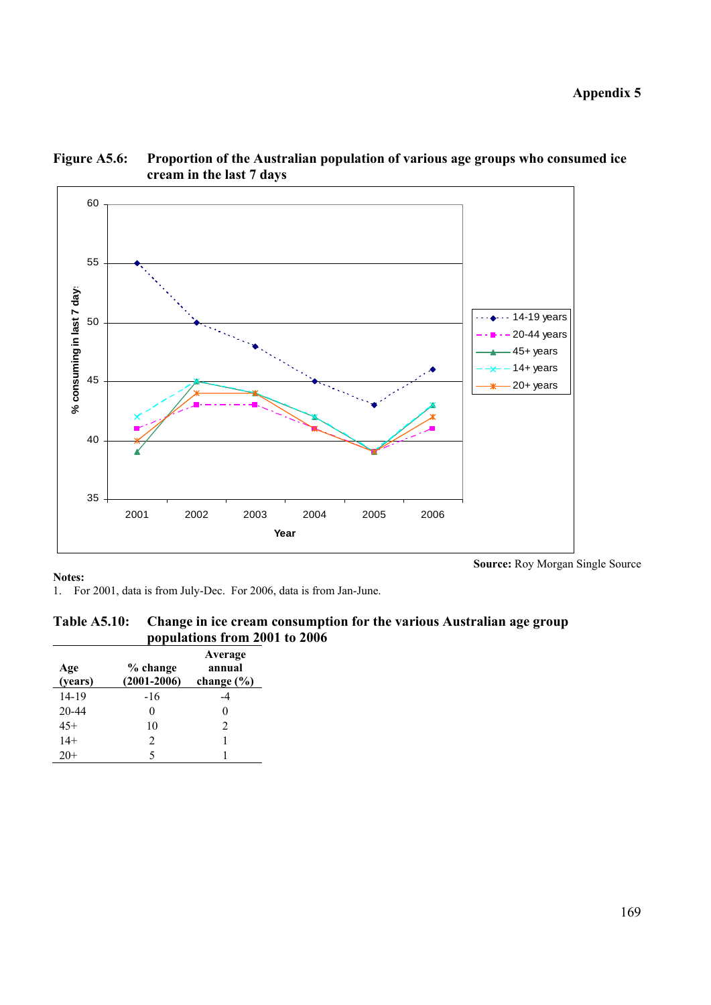

**Figure A5.6: Proportion of the Australian population of various age groups who consumed ice cream in the last 7 days** 

**Source:** Roy Morgan Single Source

1. For 2001, data is from July-Dec. For 2006, data is from Jan-June.

| Table A5.10: Change in ice cream consumption for the various Australian age group |
|-----------------------------------------------------------------------------------|
| populations from 2001 to 2006                                                     |

| Age<br>(years) | % change<br>$(2001 - 2006)$ | Average<br>annual<br>change $(\% )$ |
|----------------|-----------------------------|-------------------------------------|
| 14-19          | $-16$                       | -4                                  |
| 20-44          | $\mathbf{\Omega}$           | 0                                   |
| $45+$          | 10                          | $\mathfrak{D}$                      |
| $14+$          | $\mathcal{D}_{\mathcal{L}}$ |                                     |
|                |                             |                                     |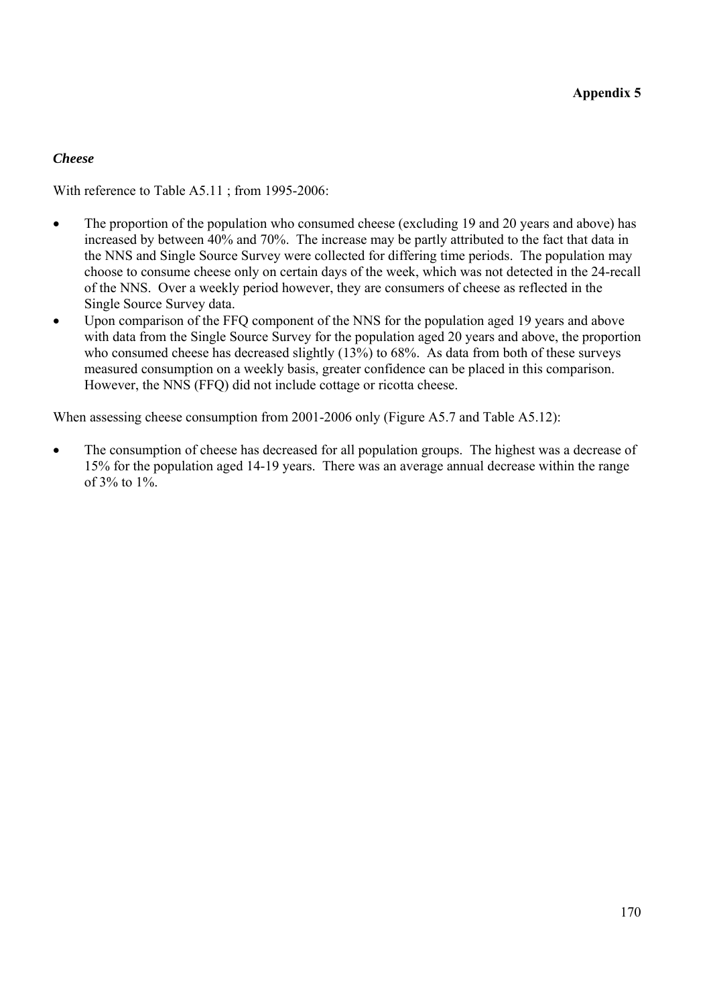# *Cheese*

With reference to Table A5.11 ; from 1995-2006:

- The proportion of the population who consumed cheese (excluding 19 and 20 years and above) has increased by between 40% and 70%. The increase may be partly attributed to the fact that data in the NNS and Single Source Survey were collected for differing time periods. The population may choose to consume cheese only on certain days of the week, which was not detected in the 24-recall of the NNS. Over a weekly period however, they are consumers of cheese as reflected in the Single Source Survey data.
- Upon comparison of the FFQ component of the NNS for the population aged 19 years and above with data from the Single Source Survey for the population aged 20 years and above, the proportion who consumed cheese has decreased slightly (13%) to 68%. As data from both of these surveys measured consumption on a weekly basis, greater confidence can be placed in this comparison. However, the NNS (FFQ) did not include cottage or ricotta cheese.

When assessing cheese consumption from 2001-2006 only (Figure A5.7 and Table A5.12):

The consumption of cheese has decreased for all population groups. The highest was a decrease of 15% for the population aged 14-19 years. There was an average annual decrease within the range of  $3\%$  to  $1\%$ .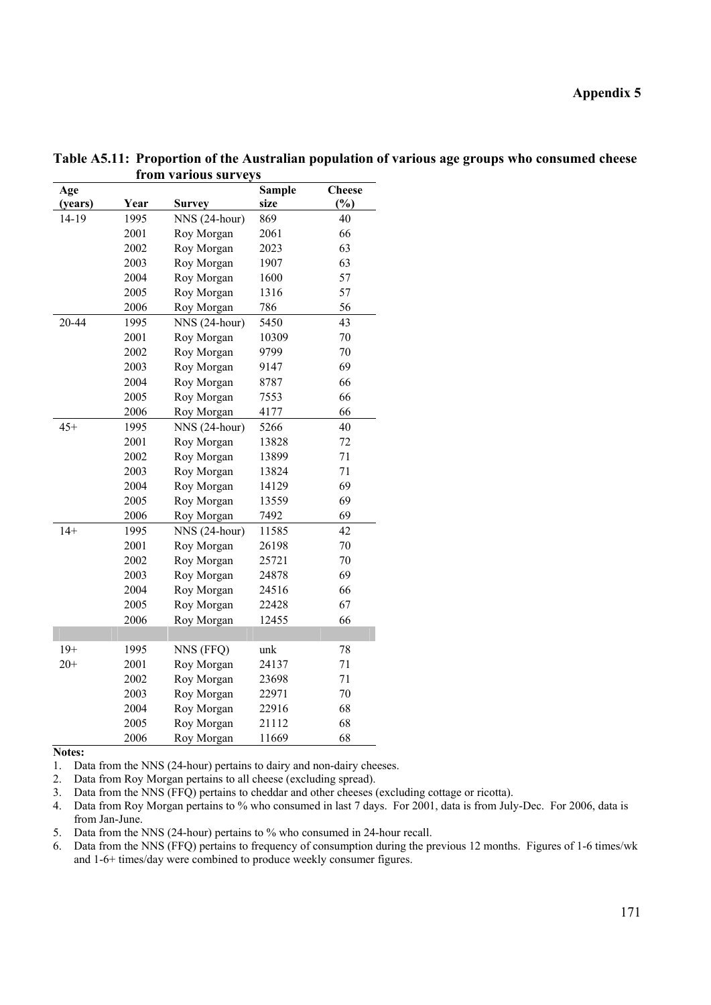| Age     |      |               | <b>Sample</b> | <b>Cheese</b> |
|---------|------|---------------|---------------|---------------|
| (years) | Year | <b>Survey</b> | size          | (%)           |
| 14-19   | 1995 | NNS (24-hour) | 869           | 40            |
|         | 2001 | Roy Morgan    | 2061          | 66            |
|         | 2002 | Roy Morgan    | 2023          | 63            |
|         | 2003 | Roy Morgan    | 1907          | 63            |
|         | 2004 | Roy Morgan    | 1600          | 57            |
|         | 2005 | Roy Morgan    | 1316          | 57            |
|         | 2006 | Roy Morgan    | 786           | 56            |
| 20-44   | 1995 | NNS (24-hour) | 5450          | 43            |
|         | 2001 | Roy Morgan    | 10309         | 70            |
|         | 2002 | Roy Morgan    | 9799          | 70            |
|         | 2003 | Roy Morgan    | 9147          | 69            |
|         | 2004 | Roy Morgan    | 8787          | 66            |
|         | 2005 | Roy Morgan    | 7553          | 66            |
|         | 2006 | Roy Morgan    | 4177          | 66            |
| $45+$   | 1995 | NNS (24-hour) | 5266          | 40            |
|         | 2001 | Roy Morgan    | 13828         | 72            |
|         | 2002 | Roy Morgan    | 13899         | 71            |
|         | 2003 | Roy Morgan    | 13824         | 71            |
|         | 2004 | Roy Morgan    | 14129         | 69            |
|         | 2005 | Roy Morgan    | 13559         | 69            |
|         | 2006 | Roy Morgan    | 7492          | 69            |
| $14+$   | 1995 | NNS (24-hour) | 11585         | 42            |
|         | 2001 | Roy Morgan    | 26198         | 70            |
|         | 2002 | Roy Morgan    | 25721         | 70            |
|         | 2003 | Roy Morgan    | 24878         | 69            |
|         | 2004 | Roy Morgan    | 24516         | 66            |
|         | 2005 | Roy Morgan    | 22428         | 67            |
|         | 2006 | Roy Morgan    | 12455         | 66            |
|         |      |               |               |               |
| $19+$   | 1995 | NNS (FFQ)     | unk           | $78\,$        |
| $20+$   | 2001 | Roy Morgan    | 24137         | 71            |
|         | 2002 | Roy Morgan    | 23698         | 71            |
|         | 2003 | Roy Morgan    | 22971         | 70            |
|         | 2004 | Roy Morgan    | 22916         | 68            |
|         | 2005 | Roy Morgan    | 21112         | 68            |
|         | 2006 | Roy Morgan    | 11669         | 68            |

**Table A5.11: Proportion of the Australian population of various age groups who consumed cheese from various surveys** 

1. Data from the NNS (24-hour) pertains to dairy and non-dairy cheeses.

2. Data from Roy Morgan pertains to all cheese (excluding spread).

3. Data from the NNS (FFQ) pertains to cheddar and other cheeses (excluding cottage or ricotta).

4. Data from Roy Morgan pertains to % who consumed in last 7 days. For 2001, data is from July-Dec. For 2006, data is from Jan-June.

5. Data from the NNS (24-hour) pertains to % who consumed in 24-hour recall.

6. Data from the NNS (FFQ) pertains to frequency of consumption during the previous 12 months. Figures of 1-6 times/wk and 1-6+ times/day were combined to produce weekly consumer figures.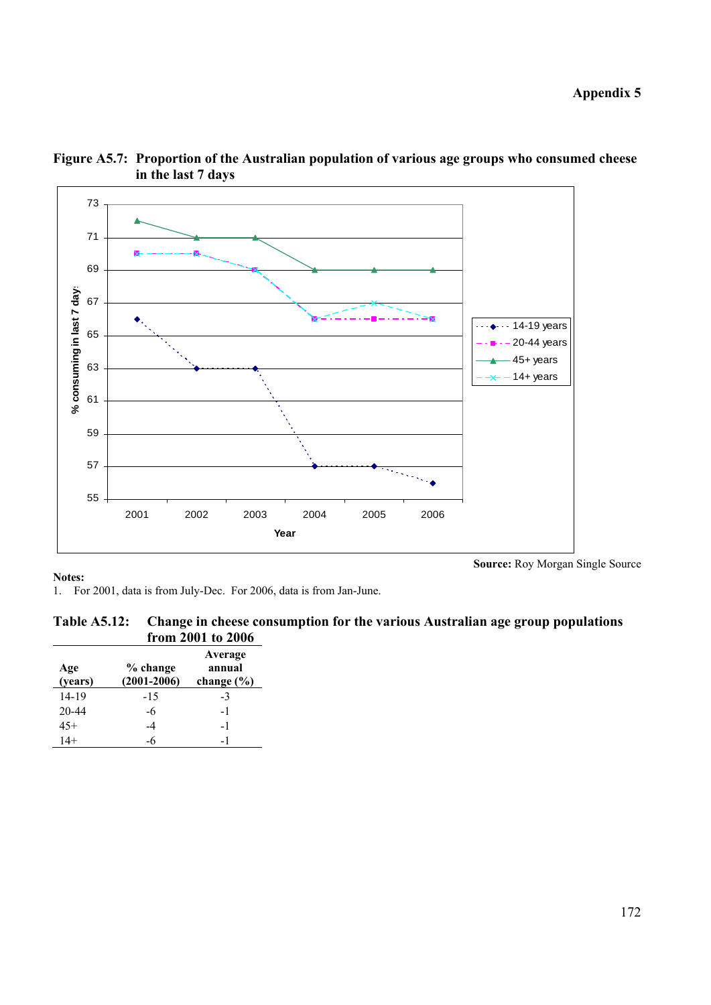**Appendix 5** 





**Notes:** 

**Source:** Roy Morgan Single Source

1. For 2001, data is from July-Dec. For 2006, data is from Jan-June.

| <b>Table A5.12:</b> | Change in cheese consumption for the various Australian age group populations |
|---------------------|-------------------------------------------------------------------------------|
|                     | from 2001 to 2006                                                             |

| Age<br>(years) | % change<br>$(2001 - 2006)$ | Average<br>annual<br>change $(\% )$ |
|----------------|-----------------------------|-------------------------------------|
| 14-19          | $-1.5$                      | $-3$                                |
| 20-44          | -6                          | $-1$                                |
| $45+$          | -4                          | -1                                  |
| $14+$          | -6                          | - 1                                 |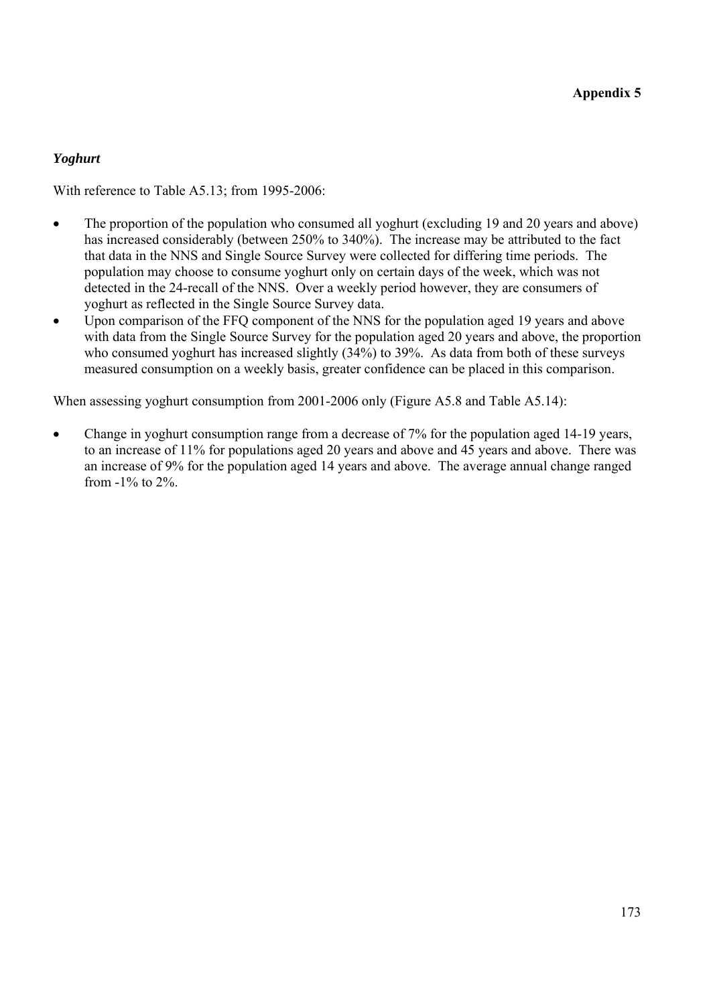# *Yoghurt*

With reference to Table A5.13; from 1995-2006:

- The proportion of the population who consumed all yoghurt (excluding 19 and 20 years and above) has increased considerably (between 250% to 340%). The increase may be attributed to the fact that data in the NNS and Single Source Survey were collected for differing time periods. The population may choose to consume yoghurt only on certain days of the week, which was not detected in the 24-recall of the NNS. Over a weekly period however, they are consumers of yoghurt as reflected in the Single Source Survey data.
- Upon comparison of the FFQ component of the NNS for the population aged 19 years and above with data from the Single Source Survey for the population aged 20 years and above, the proportion who consumed yoghurt has increased slightly (34%) to 39%. As data from both of these surveys measured consumption on a weekly basis, greater confidence can be placed in this comparison.

When assessing yoghurt consumption from 2001-2006 only (Figure A5.8 and Table A5.14):

• Change in yoghurt consumption range from a decrease of 7% for the population aged 14-19 years, to an increase of 11% for populations aged 20 years and above and 45 years and above. There was an increase of 9% for the population aged 14 years and above. The average annual change ranged from -1% to 2%.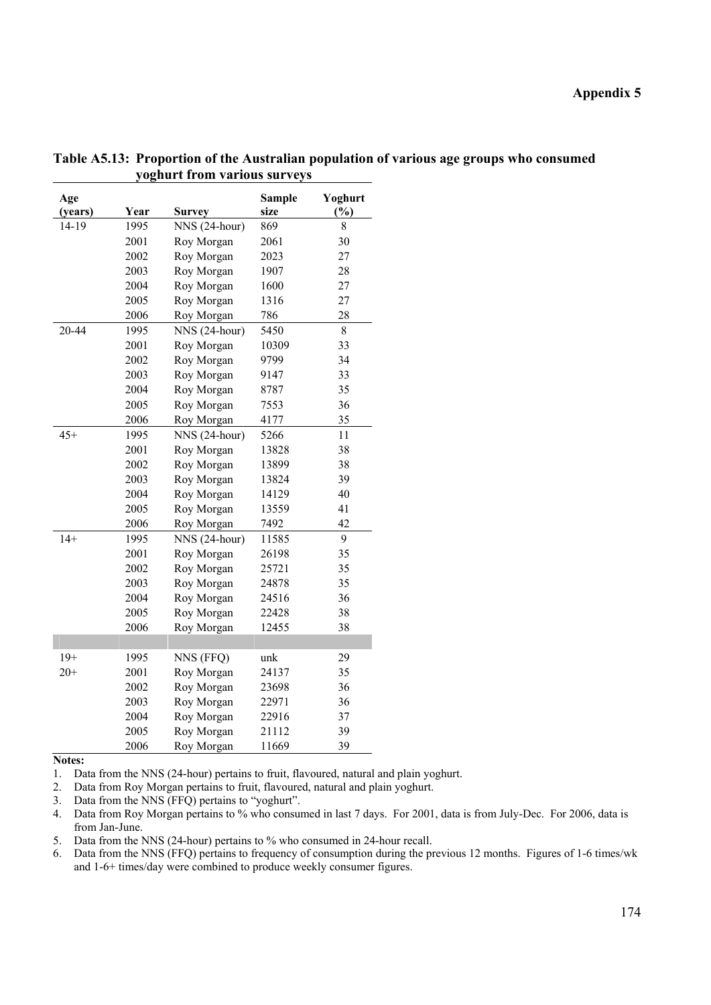| Age<br>(years) | Year | <b>Survey</b>  | <b>Sample</b><br>size | Yoghurt<br>$\frac{0}{0}$ |
|----------------|------|----------------|-----------------------|--------------------------|
| 14-19          | 1995 | NNS (24-hour)  | 869                   | 8                        |
|                | 2001 | Roy Morgan     | 2061                  | 30                       |
|                | 2002 | Roy Morgan     | 2023                  | 27                       |
|                | 2003 | Roy Morgan     | 1907                  | 28                       |
|                | 2004 | Roy Morgan     | 1600                  | 27                       |
|                | 2005 | Roy Morgan     | 1316                  | 27                       |
|                | 2006 | Roy Morgan     | 786                   | 28                       |
| 20-44          | 1995 | $NNS(24-hour)$ | 5450                  | $\,8\,$                  |
|                | 2001 | Roy Morgan     | 10309                 | 33                       |
|                | 2002 | Roy Morgan     | 9799                  | 34                       |
|                | 2003 | Roy Morgan     | 9147                  | 33                       |
|                | 2004 | Roy Morgan     | 8787                  | 35                       |
|                | 2005 | Roy Morgan     | 7553                  | 36                       |
|                | 2006 | Roy Morgan     | 4177                  | 35                       |
| $45+$          | 1995 | NNS (24-hour)  | 5266                  | 11                       |
|                | 2001 | Roy Morgan     | 13828                 | 38                       |
|                | 2002 | Roy Morgan     | 13899                 | 38                       |
|                | 2003 | Roy Morgan     | 13824                 | 39                       |
|                | 2004 | Roy Morgan     | 14129                 | 40                       |
|                | 2005 | Roy Morgan     | 13559                 | 41                       |
|                | 2006 | Roy Morgan     | 7492                  | 42                       |
| $14+$          | 1995 | NNS (24-hour)  | 11585                 | 9                        |
|                | 2001 | Roy Morgan     | 26198                 | 35                       |
|                | 2002 | Roy Morgan     | 25721                 | 35                       |
|                | 2003 | Roy Morgan     | 24878                 | 35                       |
|                | 2004 | Roy Morgan     | 24516                 | 36                       |
|                | 2005 | Roy Morgan     | 22428                 | 38                       |
|                | 2006 | Roy Morgan     | 12455                 | 38                       |
|                |      |                |                       |                          |
| $19+$          | 1995 | NNS (FFQ)      | unk                   | 29                       |
| $20+$          | 2001 | Roy Morgan     | 24137                 | 35                       |
|                | 2002 | Roy Morgan     | 23698                 | 36                       |
|                | 2003 | Roy Morgan     | 22971                 | 36                       |
|                | 2004 | Roy Morgan     | 22916                 | 37                       |
|                | 2005 | Roy Morgan     | 21112                 | 39                       |
|                | 2006 | Roy Morgan     | 11669                 | 39                       |

**Table A5.13: Proportion of the Australian population of various age groups who consumed yoghurt from various surveys** 

1. Data from the NNS (24-hour) pertains to fruit, flavoured, natural and plain yoghurt.

2. Data from Roy Morgan pertains to fruit, flavoured, natural and plain yoghurt.

3. Data from the NNS (FFQ) pertains to "yoghurt".

4. Data from Roy Morgan pertains to % who consumed in last 7 days. For 2001, data is from July-Dec. For 2006, data is from Jan-June.

5. Data from the NNS (24-hour) pertains to % who consumed in 24-hour recall.

6. Data from the NNS (FFQ) pertains to frequency of consumption during the previous 12 months. Figures of 1-6 times/wk and 1-6+ times/day were combined to produce weekly consumer figures.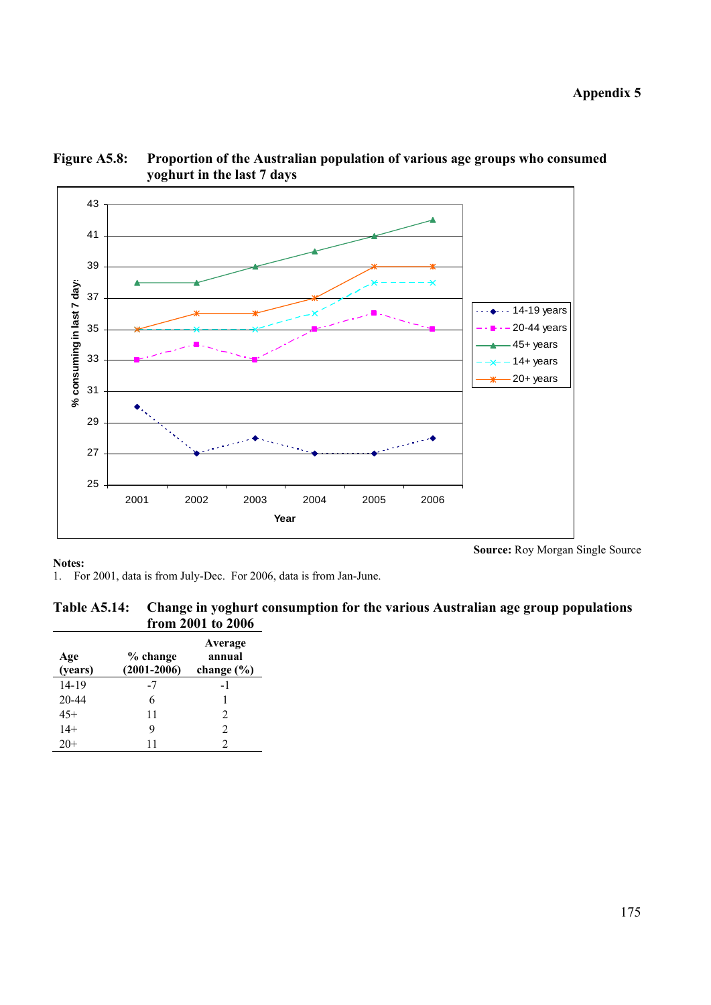

**Figure A5.8: Proportion of the Australian population of various age groups who consumed yoghurt in the last 7 days** 

**Source:** Roy Morgan Single Source

1. For 2001, data is from July-Dec. For 2006, data is from Jan-June.

| <b>Table A5.14:</b> | Change in yoghurt consumption for the various Australian age group populations |
|---------------------|--------------------------------------------------------------------------------|
|                     | from 2001 to 2006                                                              |

| Age<br>(years) | % change<br>$(2001 - 2006)$ | Average<br>annual<br>change $(\% )$ |
|----------------|-----------------------------|-------------------------------------|
| 14-19          | -7                          | -1                                  |
| 20-44          | 6                           |                                     |
| $45+$          | 11                          | $\mathcal{D}_{\mathcal{A}}$         |
| $14+$          | 9                           | $\mathcal{D}_{\mathcal{A}}$         |
|                | 11                          |                                     |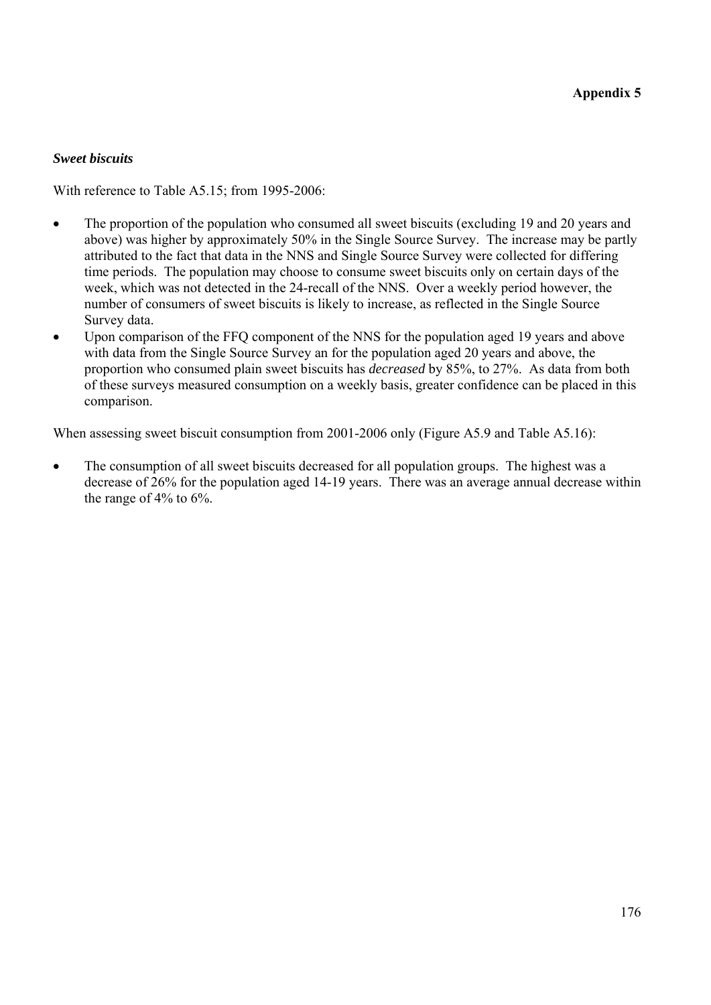## *Sweet biscuits*

With reference to Table A5.15; from 1995-2006:

- The proportion of the population who consumed all sweet biscuits (excluding 19 and 20 years and above) was higher by approximately 50% in the Single Source Survey. The increase may be partly attributed to the fact that data in the NNS and Single Source Survey were collected for differing time periods. The population may choose to consume sweet biscuits only on certain days of the week, which was not detected in the 24-recall of the NNS. Over a weekly period however, the number of consumers of sweet biscuits is likely to increase, as reflected in the Single Source Survey data.
- Upon comparison of the FFQ component of the NNS for the population aged 19 years and above with data from the Single Source Survey an for the population aged 20 years and above, the proportion who consumed plain sweet biscuits has *decreased* by 85%, to 27%. As data from both of these surveys measured consumption on a weekly basis, greater confidence can be placed in this comparison.

When assessing sweet biscuit consumption from 2001-2006 only (Figure A5.9 and Table A5.16):

• The consumption of all sweet biscuits decreased for all population groups. The highest was a decrease of 26% for the population aged 14-19 years. There was an average annual decrease within the range of 4% to 6%.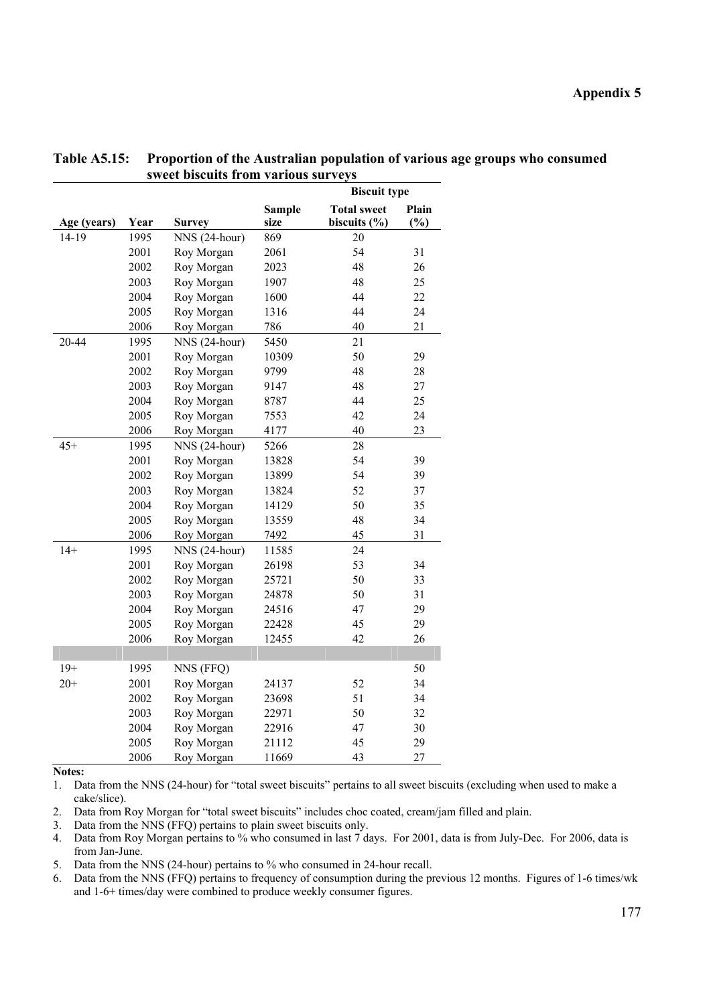|             |      |               |                       | <b>Biscuit type</b>                    |                 |
|-------------|------|---------------|-----------------------|----------------------------------------|-----------------|
| Age (years) | Year | <b>Survey</b> | <b>Sample</b><br>size | <b>Total sweet</b><br>biscuits $(\% )$ | Plain<br>$(\%)$ |
| 14-19       | 1995 | NNS (24-hour) | 869                   | 20                                     |                 |
|             | 2001 | Roy Morgan    | 2061                  | 54                                     | 31              |
|             | 2002 | Roy Morgan    | 2023                  | 48                                     | 26              |
|             | 2003 | Roy Morgan    | 1907                  | 48                                     | 25              |
|             | 2004 | Roy Morgan    | 1600                  | 44                                     | 22              |
|             | 2005 | Roy Morgan    | 1316                  | 44                                     | 24              |
|             | 2006 | Roy Morgan    | 786                   | 40                                     | 21              |
| 20-44       | 1995 | NNS (24-hour) | 5450                  | 21                                     |                 |
|             | 2001 | Roy Morgan    | 10309                 | 50                                     | 29              |
|             | 2002 | Roy Morgan    | 9799                  | 48                                     | 28              |
|             | 2003 | Roy Morgan    | 9147                  | 48                                     | 27              |
|             | 2004 | Roy Morgan    | 8787                  | 44                                     | 25              |
|             | 2005 | Roy Morgan    | 7553                  | 42                                     | 24              |
|             | 2006 | Roy Morgan    | 4177                  | 40                                     | 23              |
| $45+$       | 1995 | NNS (24-hour) | 5266                  | 28                                     |                 |
|             | 2001 | Roy Morgan    | 13828                 | 54                                     | 39              |
|             | 2002 | Roy Morgan    | 13899                 | 54                                     | 39              |
|             | 2003 | Roy Morgan    | 13824                 | 52                                     | 37              |
|             | 2004 | Roy Morgan    | 14129                 | 50                                     | 35              |
|             | 2005 | Roy Morgan    | 13559                 | 48                                     | 34              |
|             | 2006 | Roy Morgan    | 7492                  | 45                                     | 31              |
| $14+$       | 1995 | NNS (24-hour) | 11585                 | 24                                     |                 |
|             | 2001 | Roy Morgan    | 26198                 | 53                                     | 34              |
|             | 2002 | Roy Morgan    | 25721                 | 50                                     | 33              |
|             | 2003 | Roy Morgan    | 24878                 | 50                                     | 31              |
|             | 2004 | Roy Morgan    | 24516                 | 47                                     | 29              |
|             | 2005 | Roy Morgan    | 22428                 | 45                                     | 29              |
|             | 2006 | Roy Morgan    | 12455                 | 42                                     | 26              |
|             |      |               |                       |                                        |                 |
| $19+$       | 1995 | NNS (FFQ)     |                       |                                        | 50              |
| $20+$       | 2001 | Roy Morgan    | 24137                 | 52                                     | 34              |
|             | 2002 | Roy Morgan    | 23698                 | 51                                     | 34              |
|             | 2003 | Roy Morgan    | 22971                 | 50                                     | 32              |
|             | 2004 | Roy Morgan    | 22916                 | 47                                     | 30              |
|             | 2005 | Roy Morgan    | 21112                 | 45                                     | 29              |
|             | 2006 | Roy Morgan    | 11669                 | 43                                     | 27              |

### **Table A5.15: Proportion of the Australian population of various age groups who consumed sweet biscuits from various surveys**

**Notes:** 

1. Data from the NNS (24-hour) for "total sweet biscuits" pertains to all sweet biscuits (excluding when used to make a cake/slice).

2. Data from Roy Morgan for "total sweet biscuits" includes choc coated, cream/jam filled and plain.

3. Data from the NNS (FFQ) pertains to plain sweet biscuits only.

4. Data from Roy Morgan pertains to % who consumed in last 7 days. For 2001, data is from July-Dec. For 2006, data is from Jan-June.

5. Data from the NNS (24-hour) pertains to % who consumed in 24-hour recall.

6. Data from the NNS (FFQ) pertains to frequency of consumption during the previous 12 months. Figures of 1-6 times/wk and 1-6+ times/day were combined to produce weekly consumer figures.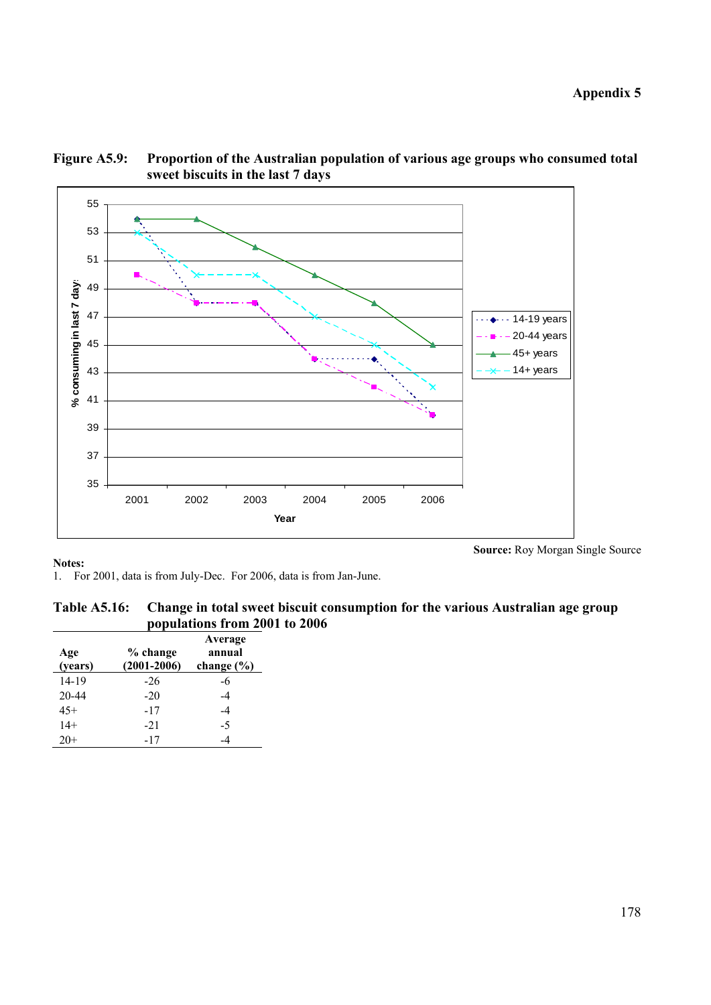**Appendix 5** 

**Source:** Roy Morgan Single Source



**Figure A5.9: Proportion of the Australian population of various age groups who consumed total sweet biscuits in the last 7 days** 

### **Notes:**

1. For 2001, data is from July-Dec. For 2006, data is from Jan-June.

| Table A5.16: Change in total sweet biscuit consumption for the various Australian age group |
|---------------------------------------------------------------------------------------------|
| populations from 2001 to 2006                                                               |

| Age<br>(years) | % change<br>$(2001 - 2006)$ | Average<br>annual<br>change $(\% )$ |
|----------------|-----------------------------|-------------------------------------|
| $14 - 19$      | -26                         | -6                                  |
| $20 - 44$      | $-20$                       | -4                                  |
| $45+$          | $-17$                       | -4                                  |
| $14+$          | $-21$                       | $-5$                                |
| $20+$          | $-17$                       |                                     |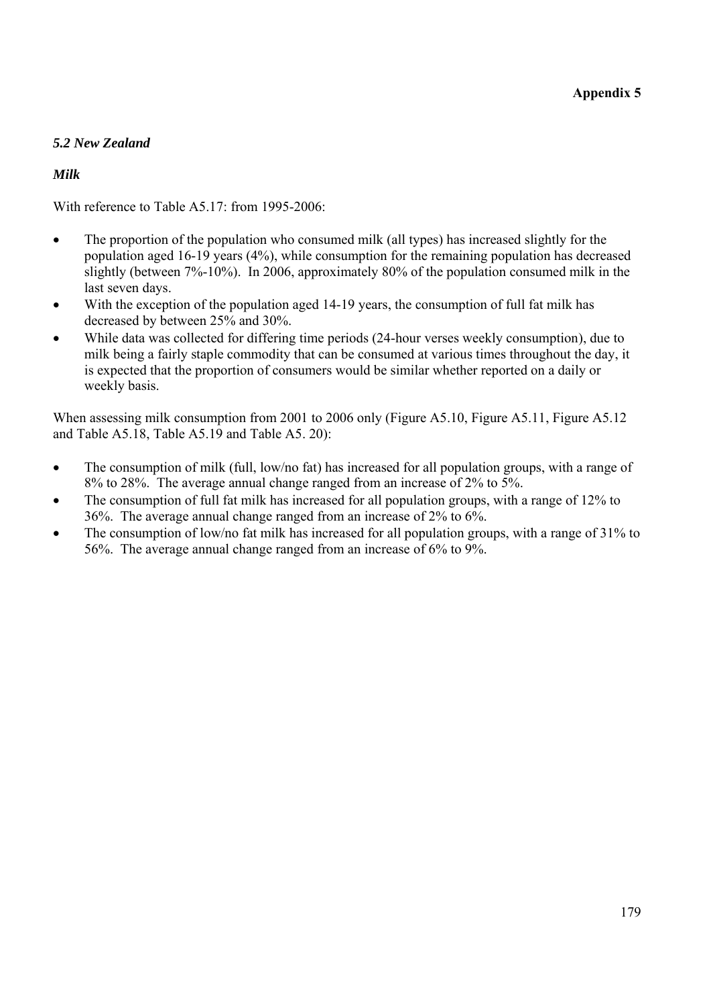# *5.2 New Zealand*

## *Milk*

With reference to Table A5.17: from 1995-2006:

- The proportion of the population who consumed milk (all types) has increased slightly for the population aged 16-19 years (4%), while consumption for the remaining population has decreased slightly (between 7%-10%). In 2006, approximately 80% of the population consumed milk in the last seven days.
- With the exception of the population aged 14-19 years, the consumption of full fat milk has decreased by between 25% and 30%.
- While data was collected for differing time periods (24-hour verses weekly consumption), due to milk being a fairly staple commodity that can be consumed at various times throughout the day, it is expected that the proportion of consumers would be similar whether reported on a daily or weekly basis.

When assessing milk consumption from 2001 to 2006 only (Figure A5.10, Figure A5.11, Figure A5.12 and Table A5.18, Table A5.19 and Table A5. 20):

- The consumption of milk (full, low/no fat) has increased for all population groups, with a range of 8% to 28%. The average annual change ranged from an increase of 2% to 5%.
- The consumption of full fat milk has increased for all population groups, with a range of 12% to 36%. The average annual change ranged from an increase of 2% to 6%.
- The consumption of low/no fat milk has increased for all population groups, with a range of 31% to 56%. The average annual change ranged from an increase of 6% to 9%.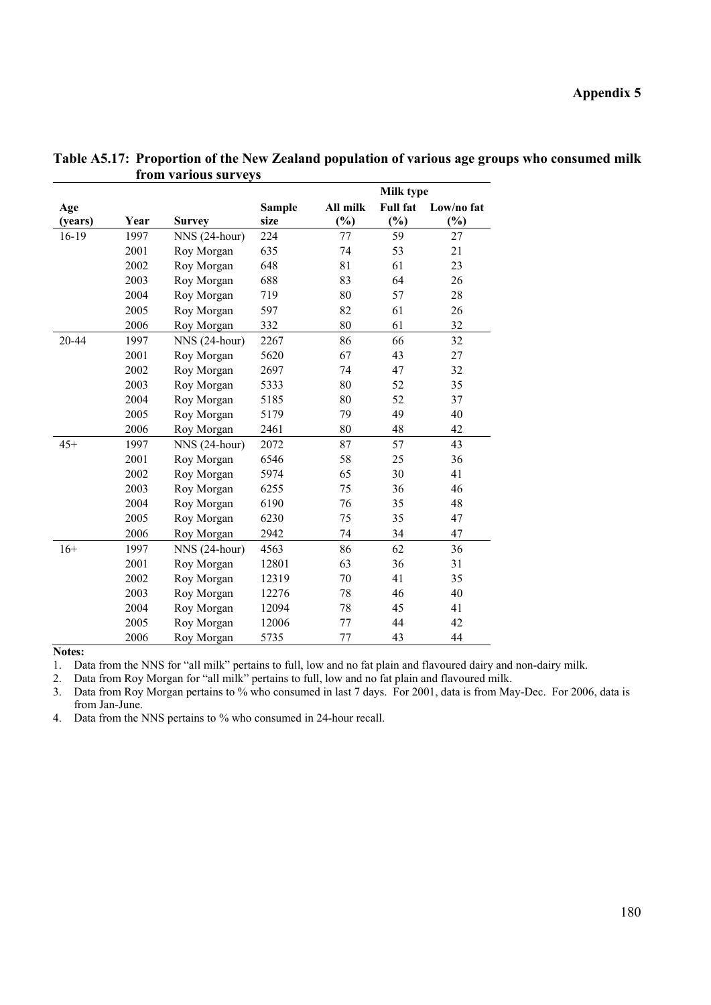|         |      |               |               |          | <b>Milk type</b> |            |
|---------|------|---------------|---------------|----------|------------------|------------|
| Age     |      |               | <b>Sample</b> | All milk | <b>Full fat</b>  | Low/no fat |
| (years) | Year | <b>Survey</b> | size          | $(\%)$   | $(\%)$           | $(\%)$     |
| $16-19$ | 1997 | NNS (24-hour) | 224           | 77       | 59               | 27         |
|         | 2001 | Roy Morgan    | 635           | 74       | 53               | 21         |
|         | 2002 | Roy Morgan    | 648           | 81       | 61               | 23         |
|         | 2003 | Roy Morgan    | 688           | 83       | 64               | 26         |
|         | 2004 | Roy Morgan    | 719           | 80       | 57               | 28         |
|         | 2005 | Roy Morgan    | 597           | 82       | 61               | 26         |
|         | 2006 | Roy Morgan    | 332           | 80       | 61               | 32         |
| 20-44   | 1997 | NNS (24-hour) | 2267          | 86       | 66               | 32         |
|         | 2001 | Roy Morgan    | 5620          | 67       | 43               | 27         |
|         | 2002 | Roy Morgan    | 2697          | 74       | 47               | 32         |
|         | 2003 | Roy Morgan    | 5333          | 80       | 52               | 35         |
|         | 2004 | Roy Morgan    | 5185          | 80       | 52               | 37         |
|         | 2005 | Roy Morgan    | 5179          | 79       | 49               | 40         |
|         | 2006 | Roy Morgan    | 2461          | 80       | 48               | 42         |
| $45+$   | 1997 | NNS (24-hour) | 2072          | 87       | 57               | 43         |
|         | 2001 | Roy Morgan    | 6546          | 58       | 25               | 36         |
|         | 2002 | Roy Morgan    | 5974          | 65       | 30               | 41         |
|         | 2003 | Roy Morgan    | 6255          | 75       | 36               | 46         |
|         | 2004 | Roy Morgan    | 6190          | 76       | 35               | 48         |
|         | 2005 | Roy Morgan    | 6230          | 75       | 35               | 47         |
|         | 2006 | Roy Morgan    | 2942          | 74       | 34               | 47         |
| $16+$   | 1997 | NNS (24-hour) | 4563          | 86       | 62               | 36         |
|         | 2001 | Roy Morgan    | 12801         | 63       | 36               | 31         |
|         | 2002 | Roy Morgan    | 12319         | 70       | 41               | 35         |
|         | 2003 | Roy Morgan    | 12276         | 78       | 46               | 40         |
|         | 2004 | Roy Morgan    | 12094         | 78       | 45               | 41         |
|         | 2005 | Roy Morgan    | 12006         | 77       | 44               | 42         |
|         | 2006 | Roy Morgan    | 5735          | 77       | 43               | 44         |

**Table A5.17: Proportion of the New Zealand population of various age groups who consumed milk from various surveys** 

1. Data from the NNS for "all milk" pertains to full, low and no fat plain and flavoured dairy and non-dairy milk.

2. Data from Roy Morgan for "all milk" pertains to full, low and no fat plain and flavoured milk.

3. Data from Roy Morgan pertains to % who consumed in last 7 days. For 2001, data is from May-Dec. For 2006, data is from Jan-June.

4. Data from the NNS pertains to % who consumed in 24-hour recall.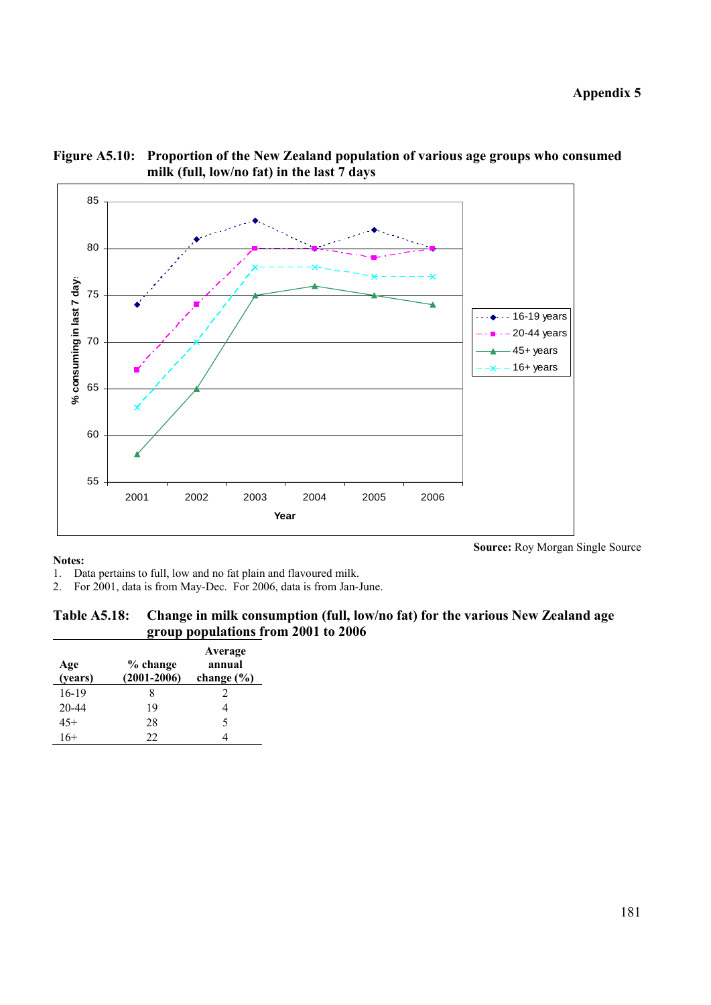

**Figure A5.10: Proportion of the New Zealand population of various age groups who consumed milk (full, low/no fat) in the last 7 days** 

1. Data pertains to full, low and no fat plain and flavoured milk.

2. For 2001, data is from May-Dec. For 2006, data is from Jan-June.

### **Table A5.18: Change in milk consumption (full, low/no fat) for the various New Zealand age group populations from 2001 to 2006**

| Age<br>(years) | % change<br>$(2001 - 2006)$ | Average<br>annual<br>change $(\% )$ |
|----------------|-----------------------------|-------------------------------------|
| 16-19          |                             |                                     |
| 20-44          | 19                          |                                     |
| $45+$          | 28                          | 5                                   |
| $16+$          | 22                          |                                     |

**Source:** Roy Morgan Single Source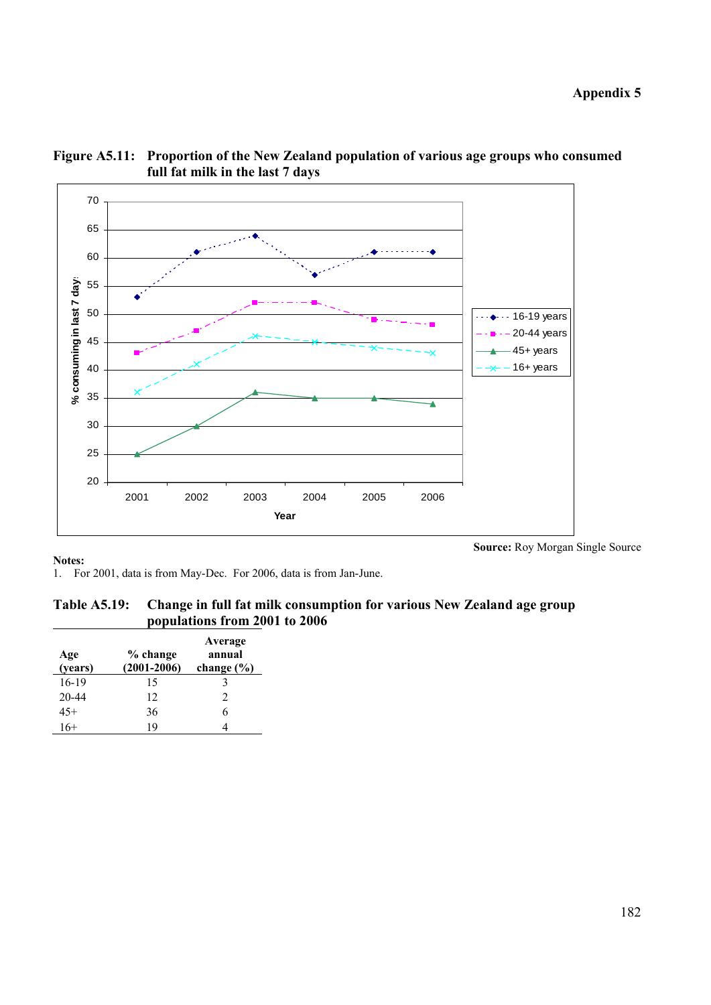**Appendix 5** 





**Notes:** 

**Source:** Roy Morgan Single Source

1. For 2001, data is from May-Dec. For 2006, data is from Jan-June.

**Table A5.19: Change in full fat milk consumption for various New Zealand age group populations from 2001 to 2006** 

| Age<br>(years) | % change<br>$(2001 - 2006)$ | Average<br>annual<br>change $(\% )$ |
|----------------|-----------------------------|-------------------------------------|
| 16-19          | 15                          | 3                                   |
| 20-44          | 12                          | $\mathfrak{D}$                      |
| $45+$          | 36                          | 6                                   |
| $16+$          | 19                          |                                     |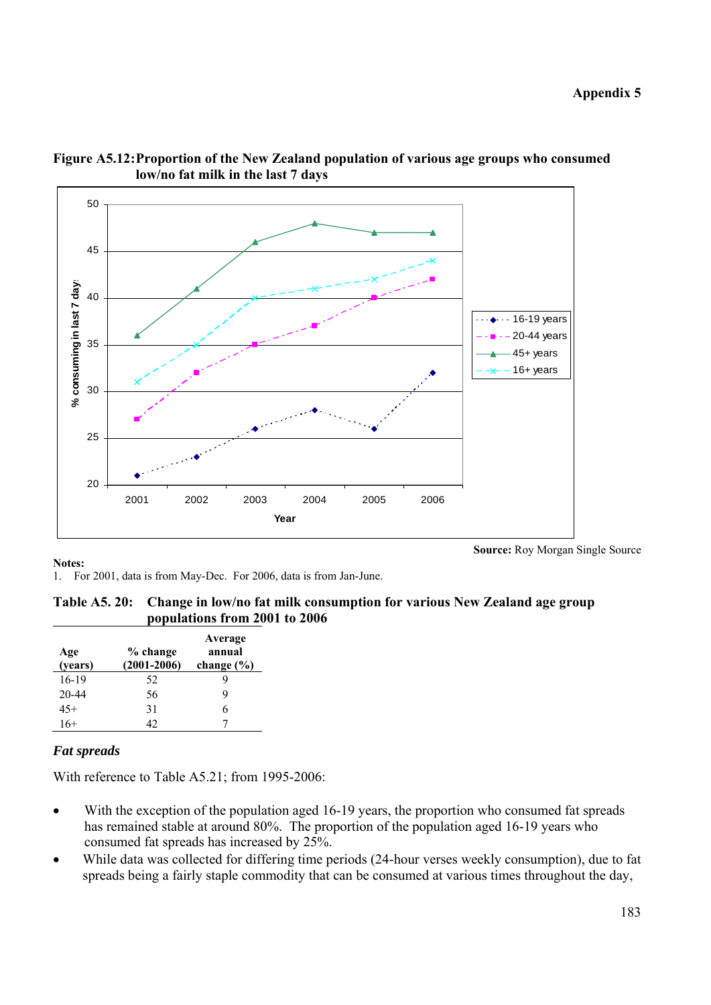

**Figure A5.12: Proportion of the New Zealand population of various age groups who consumed low/no fat milk in the last 7 days** 

1. For 2001, data is from May-Dec. For 2006, data is from Jan-June.

| Table A5. 20: Change in low/no fat milk consumption for various New Zealand age group |
|---------------------------------------------------------------------------------------|
| populations from 2001 to 2006                                                         |

| Age<br>(years) | % change<br>$(2001 - 2006)$ | Average<br>annual<br>change $(\% )$ |
|----------------|-----------------------------|-------------------------------------|
| 16-19          | 52                          | y                                   |
| 20-44          | 56                          | 9                                   |
| 45+            | 31                          | 6                                   |
| $16+$          | 42                          |                                     |

# *Fat spreads*

With reference to Table A5.21; from 1995-2006:

- With the exception of the population aged 16-19 years, the proportion who consumed fat spreads has remained stable at around 80%. The proportion of the population aged 16-19 years who consumed fat spreads has increased by 25%.
- While data was collected for differing time periods (24-hour verses weekly consumption), due to fat spreads being a fairly staple commodity that can be consumed at various times throughout the day,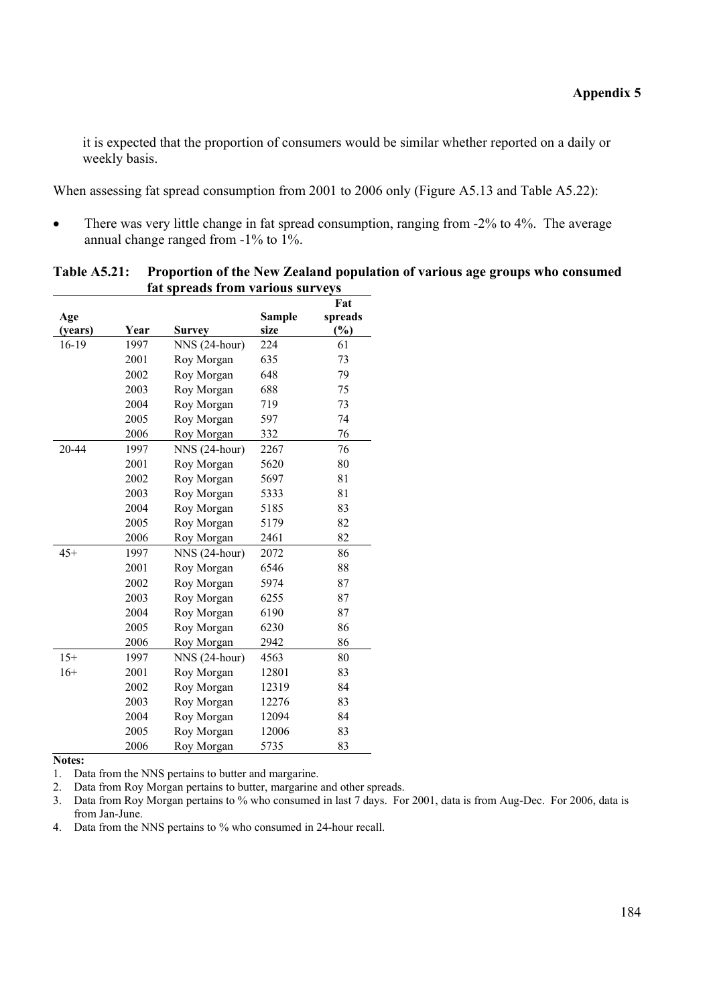it is expected that the proportion of consumers would be similar whether reported on a daily or weekly basis.

When assessing fat spread consumption from 2001 to 2006 only (Figure A5.13 and Table A5.22):

• There was very little change in fat spread consumption, ranging from -2% to 4%. The average annual change ranged from -1% to 1%.

|         |      | fat spreads from various surveys |               |         |
|---------|------|----------------------------------|---------------|---------|
|         |      |                                  |               | Fat     |
| Age     |      |                                  | <b>Sample</b> | spreads |
| (years) | Year | Survey                           | size          | $(\%)$  |
| 16-19   | 1997 | NNS (24-hour)                    | 224           | 61      |
|         | 2001 | Roy Morgan                       | 635           | 73      |
|         | 2002 | Roy Morgan                       | 648           | 79      |
|         | 2003 | Roy Morgan                       | 688           | 75      |
|         | 2004 | Roy Morgan                       | 719           | 73      |
|         | 2005 | Roy Morgan                       | 597           | 74      |
|         | 2006 | Roy Morgan                       | 332           | 76      |
| 20-44   | 1997 | NNS (24-hour)                    | 2267          | 76      |
|         | 2001 | Roy Morgan                       | 5620          | 80      |
|         | 2002 | Roy Morgan                       | 5697          | 81      |
|         | 2003 | Roy Morgan                       | 5333          | 81      |
|         | 2004 | Roy Morgan                       | 5185          | 83      |
|         | 2005 | Roy Morgan                       | 5179          | 82      |
|         | 2006 | Roy Morgan                       | 2461          | 82      |
| $45+$   | 1997 | NNS (24-hour)                    | 2072          | 86      |
|         | 2001 | Roy Morgan                       | 6546          | 88      |
|         | 2002 | Roy Morgan                       | 5974          | 87      |
|         | 2003 | Roy Morgan                       | 6255          | 87      |
|         | 2004 | Roy Morgan                       | 6190          | 87      |
|         | 2005 | Roy Morgan                       | 6230          | 86      |
|         | 2006 | Roy Morgan                       | 2942          | 86      |
| $15+$   | 1997 | NNS (24-hour)                    | 4563          | 80      |
| $16+$   | 2001 | Roy Morgan                       | 12801         | 83      |
|         | 2002 | Roy Morgan                       | 12319         | 84      |
|         | 2003 | Roy Morgan                       | 12276         | 83      |
|         | 2004 | Roy Morgan                       | 12094         | 84      |
|         | 2005 | Roy Morgan                       | 12006         | 83      |
|         | 2006 | Roy Morgan                       | 5735          | 83      |

**Table A5.21: Proportion of the New Zealand population of various age groups who consumed fat spreads from various surveys** 

**Notes:** 

1. Data from the NNS pertains to butter and margarine.

2. Data from Roy Morgan pertains to butter, margarine and other spreads.

3. Data from Roy Morgan pertains to % who consumed in last 7 days. For 2001, data is from Aug-Dec. For 2006, data is from Jan-June.

4. Data from the NNS pertains to % who consumed in 24-hour recall.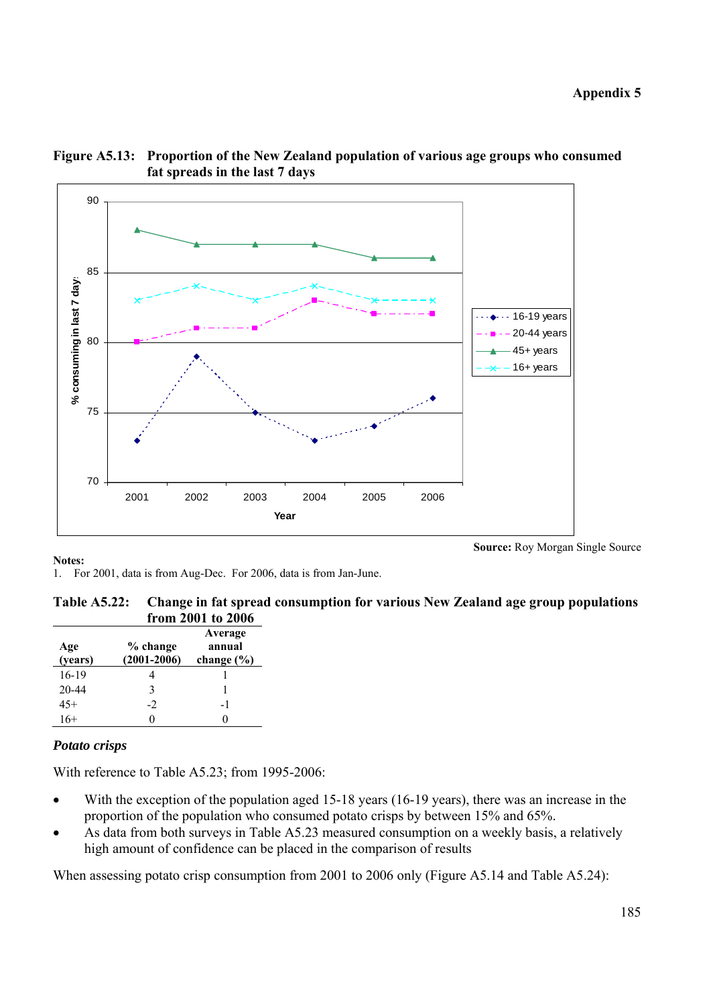**Appendix 5** 





**Notes:** 

**Source:** Roy Morgan Single Source

1. For 2001, data is from Aug-Dec. For 2006, data is from Jan-June.

| Table A5.22: Change in fat spread consumption for various New Zealand age group populations |
|---------------------------------------------------------------------------------------------|
| from 2001 to 2006                                                                           |

| Age<br>(years) | % change<br>$(2001 - 2006)$ | Average<br>annual<br>change $(\% )$ |
|----------------|-----------------------------|-------------------------------------|
| 16-19          |                             |                                     |
| $20 - 44$      | 3                           |                                     |
| $45+$          | $-2$                        | -1                                  |
| 16+            |                             |                                     |

### *Potato crisps*

With reference to Table A5.23; from 1995-2006:

- With the exception of the population aged 15-18 years (16-19 years), there was an increase in the proportion of the population who consumed potato crisps by between 15% and 65%.
- As data from both surveys in Table A5.23 measured consumption on a weekly basis, a relatively high amount of confidence can be placed in the comparison of results

When assessing potato crisp consumption from 2001 to 2006 only (Figure A5.14 and Table A5.24):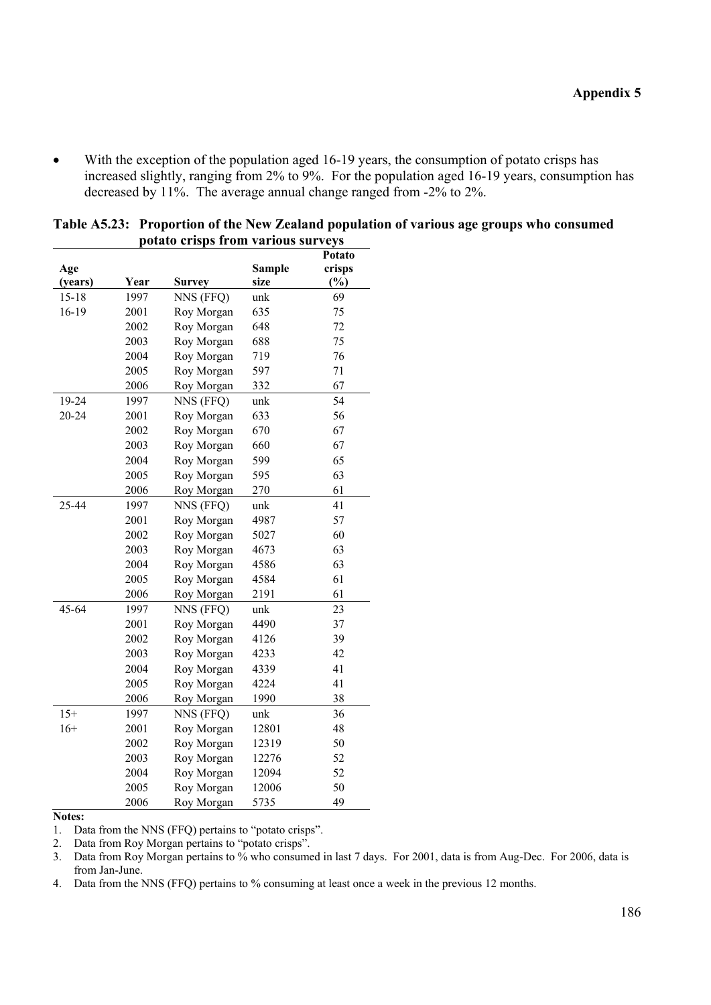• With the exception of the population aged 16-19 years, the consumption of potato crisps has increased slightly, ranging from 2% to 9%. For the population aged 16-19 years, consumption has decreased by 11%. The average annual change ranged from -2% to 2%.

|           |      |               |               | rotato |
|-----------|------|---------------|---------------|--------|
| Age       |      |               | <b>Sample</b> | crisps |
| (years)   | Year | <b>Survey</b> | size          | $(\%)$ |
| $15 - 18$ | 1997 | NNS (FFQ)     | unk           | 69     |
| 16-19     | 2001 | Roy Morgan    | 635           | 75     |
|           | 2002 | Roy Morgan    | 648           | 72     |
|           | 2003 | Roy Morgan    | 688           | 75     |
|           | 2004 | Roy Morgan    | 719           | 76     |
|           | 2005 | Roy Morgan    | 597           | 71     |
|           | 2006 | Roy Morgan    | 332           | 67     |
| 19-24     | 1997 | NNS (FFQ)     | unk           | 54     |
| 20-24     | 2001 | Roy Morgan    | 633           | 56     |
|           | 2002 | Roy Morgan    | 670           | 67     |
|           | 2003 | Roy Morgan    | 660           | 67     |
|           | 2004 | Roy Morgan    | 599           | 65     |
|           | 2005 | Roy Morgan    | 595           | 63     |
|           | 2006 | Roy Morgan    | 270           | 61     |
| 25-44     | 1997 | NNS (FFQ)     | unk           | 41     |
|           | 2001 | Roy Morgan    | 4987          | 57     |
|           | 2002 | Roy Morgan    | 5027          | 60     |
|           | 2003 | Roy Morgan    | 4673          | 63     |
|           | 2004 | Roy Morgan    | 4586          | 63     |
|           | 2005 | Roy Morgan    | 4584          | 61     |
|           | 2006 | Roy Morgan    | 2191          | 61     |
| $45 - 64$ | 1997 | NNS (FFQ)     | unk           | 23     |
|           | 2001 | Roy Morgan    | 4490          | 37     |
|           | 2002 | Roy Morgan    | 4126          | 39     |
|           | 2003 | Roy Morgan    | 4233          | 42     |
|           | 2004 | Roy Morgan    | 4339          | 41     |
|           | 2005 | Roy Morgan    | 4224          | 41     |
|           | 2006 | Roy Morgan    | 1990          | 38     |
| $15+$     | 1997 | NNS (FFQ)     | unk           | 36     |
| $16+$     | 2001 | Roy Morgan    | 12801         | 48     |
|           | 2002 | Roy Morgan    | 12319         | 50     |
|           | 2003 | Roy Morgan    | 12276         | 52     |
|           | 2004 | Roy Morgan    | 12094         | 52     |
|           | 2005 | Roy Morgan    | 12006         | 50     |
|           | 2006 | Roy Morgan    | 5735          | 49     |

| Table A5.23: Proportion of the New Zealand population of various age groups who consumed |
|------------------------------------------------------------------------------------------|
| potato crisps from various surveys                                                       |
| $D_{\alpha}$ tata                                                                        |

#### **Notes:**

1. Data from the NNS (FFQ) pertains to "potato crisps".

2. Data from Roy Morgan pertains to "potato crisps".

3. Data from Roy Morgan pertains to % who consumed in last 7 days. For 2001, data is from Aug-Dec. For 2006, data is from Jan-June.

4. Data from the NNS (FFQ) pertains to % consuming at least once a week in the previous 12 months.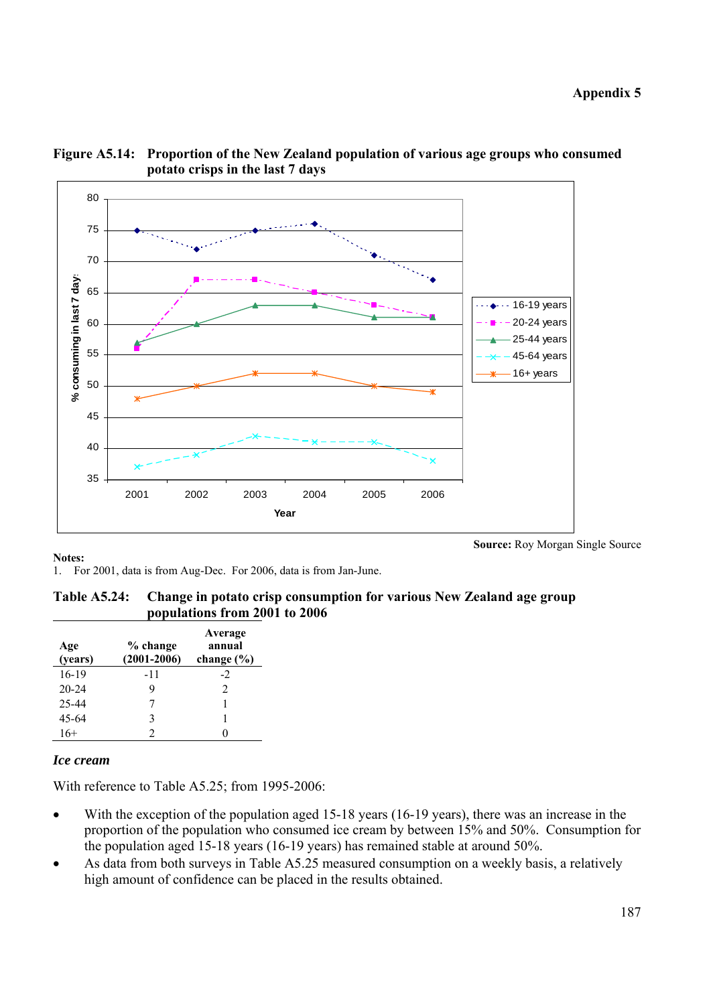

## **Figure A5.14: Proportion of the New Zealand population of various age groups who consumed potato crisps in the last 7 days**

### **Notes:**

1. For 2001, data is from Aug-Dec. For 2006, data is from Jan-June.

**Table A5.24: Change in potato crisp consumption for various New Zealand age group populations from 2001 to 2006** 

| Age<br>(years) | % change<br>$(2001 - 2006)$ | Average<br>annual<br>change $(\% )$ |
|----------------|-----------------------------|-------------------------------------|
| 16-19          | $-11$                       | -2                                  |
| $20 - 24$      |                             | $\mathfrak{D}$                      |
| 25-44          |                             |                                     |
| 45-64          | 3                           |                                     |
| 16+            |                             |                                     |

### *Ice cream*

With reference to Table A5.25; from 1995-2006:

- With the exception of the population aged 15-18 years (16-19 years), there was an increase in the proportion of the population who consumed ice cream by between 15% and 50%. Consumption for the population aged 15-18 years (16-19 years) has remained stable at around 50%.
- As data from both surveys in Table A5.25 measured consumption on a weekly basis, a relatively high amount of confidence can be placed in the results obtained.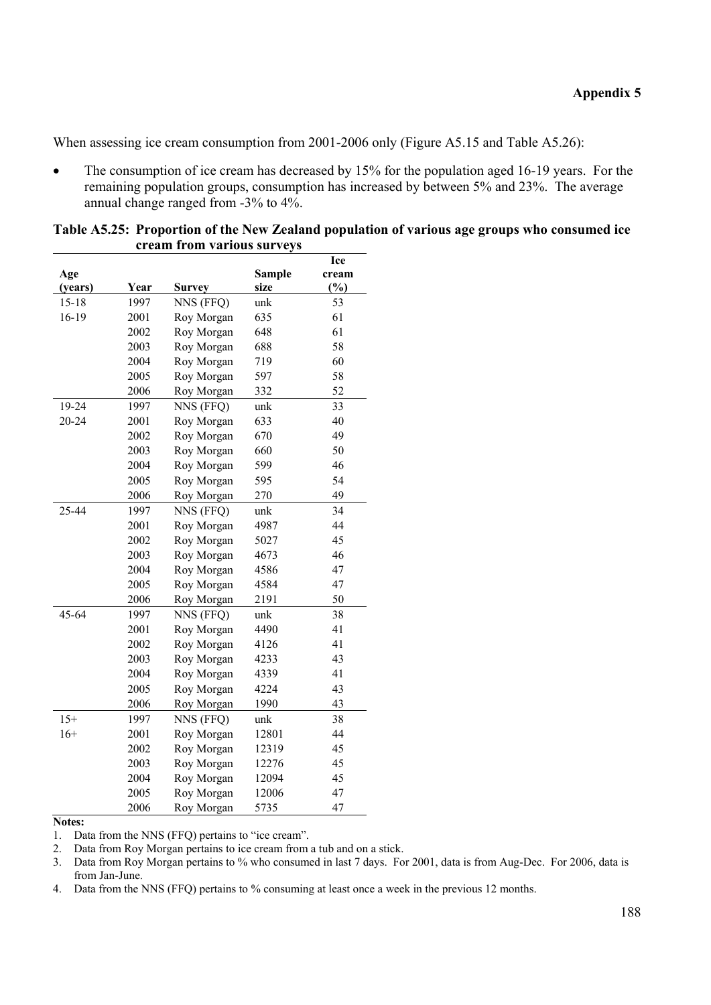When assessing ice cream consumption from 2001-2006 only (Figure A5.15 and Table A5.26):

The consumption of ice cream has decreased by 15% for the population aged 16-19 years. For the remaining population groups, consumption has increased by between 5% and 23%. The average annual change ranged from -3% to 4%.

|           |      |               |               | Ice   |
|-----------|------|---------------|---------------|-------|
| Age       |      |               | <b>Sample</b> | cream |
| (years)   | Year | <b>Survey</b> | size          | (%)   |
| $15 - 18$ | 1997 | NNS (FFQ)     | unk           | 53    |
| 16-19     | 2001 | Roy Morgan    | 635           | 61    |
|           | 2002 | Roy Morgan    | 648           | 61    |
|           | 2003 | Roy Morgan    | 688           | 58    |
|           | 2004 | Roy Morgan    | 719           | 60    |
|           | 2005 | Roy Morgan    | 597           | 58    |
|           | 2006 | Roy Morgan    | 332           | 52    |
| 19-24     | 1997 | NNS (FFQ)     | unk           | 33    |
| 20-24     | 2001 | Roy Morgan    | 633           | 40    |
|           | 2002 | Roy Morgan    | 670           | 49    |
|           | 2003 | Roy Morgan    | 660           | 50    |
|           | 2004 | Roy Morgan    | 599           | 46    |
|           | 2005 | Roy Morgan    | 595           | 54    |
|           | 2006 | Roy Morgan    | 270           | 49    |
| 25-44     | 1997 | NNS (FFQ)     | unk           | 34    |
|           | 2001 | Roy Morgan    | 4987          | 44    |
|           | 2002 | Roy Morgan    | 5027          | 45    |
|           | 2003 | Roy Morgan    | 4673          | 46    |
|           | 2004 | Roy Morgan    | 4586          | 47    |
|           | 2005 | Roy Morgan    | 4584          | 47    |
|           | 2006 | Roy Morgan    | 2191          | 50    |
| 45-64     | 1997 | NNS (FFQ)     | unk           | 38    |
|           | 2001 | Roy Morgan    | 4490          | 41    |
|           | 2002 | Roy Morgan    | 4126          | 41    |
|           | 2003 | Roy Morgan    | 4233          | 43    |
|           | 2004 | Roy Morgan    | 4339          | 41    |
|           | 2005 | Roy Morgan    | 4224          | 43    |
|           | 2006 | Roy Morgan    | 1990          | 43    |
| $15+$     | 1997 | NNS (FFQ)     | unk           | 38    |
| $16+$     | 2001 | Roy Morgan    | 12801         | 44    |
|           | 2002 | Roy Morgan    | 12319         | 45    |
|           | 2003 | Roy Morgan    | 12276         | 45    |
|           | 2004 | Roy Morgan    | 12094         | 45    |
|           | 2005 | Roy Morgan    | 12006         | 47    |
|           | 2006 | Roy Morgan    | 5735          | 47    |

**Table A5.25: Proportion of the New Zealand population of various age groups who consumed ice cream from various surveys** 

#### **Notes:**

1. Data from the NNS (FFQ) pertains to "ice cream".

2. Data from Roy Morgan pertains to ice cream from a tub and on a stick.

3. Data from Roy Morgan pertains to % who consumed in last 7 days. For 2001, data is from Aug-Dec. For 2006, data is from Jan-June.

4. Data from the NNS (FFQ) pertains to % consuming at least once a week in the previous 12 months.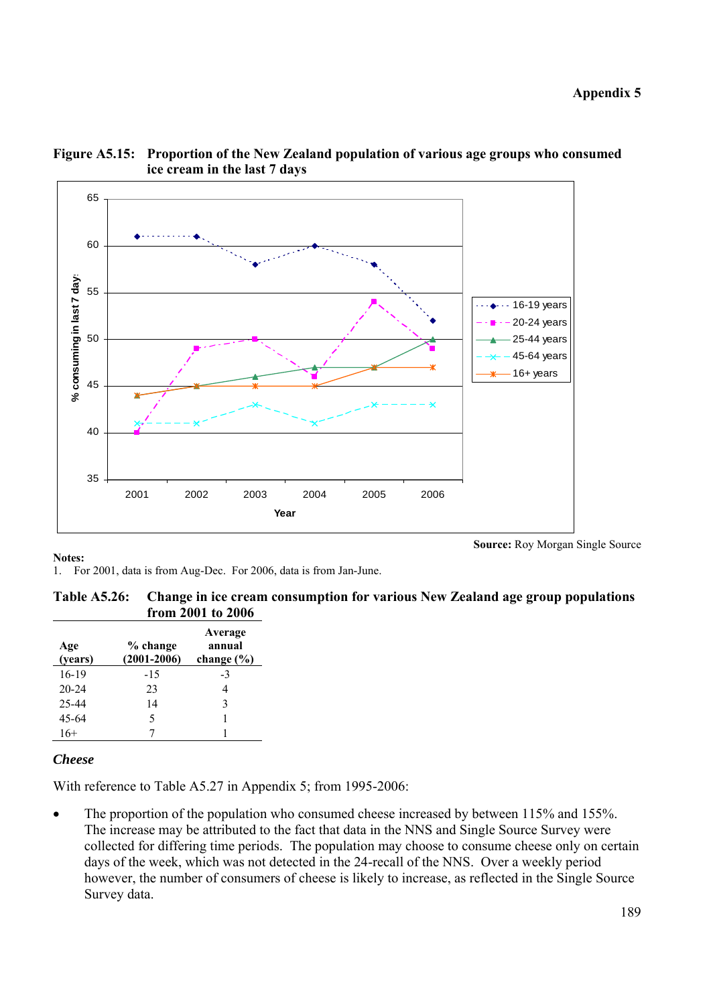

## **Figure A5.15: Proportion of the New Zealand population of various age groups who consumed ice cream in the last 7 days**

**Notes:** 

**Source:** Roy Morgan Single Source

1. For 2001, data is from Aug-Dec. For 2006, data is from Jan-June.

**Table A5.26: Change in ice cream consumption for various New Zealand age group populations from 2001 to 2006** 

| Age<br>(years) | % change<br>$(2001 - 2006)$ | Average<br>annual<br>change $(\% )$ |
|----------------|-----------------------------|-------------------------------------|
| $16-19$        | $-15$                       | $-3$                                |
| $20 - 24$      | 23                          |                                     |
| 25-44          | 14                          | 3                                   |
| $45 - 64$      | 5                           |                                     |
| 16+            |                             |                                     |

# *Cheese*

With reference to Table A5.27 in Appendix 5; from 1995-2006:

The proportion of the population who consumed cheese increased by between 115% and 155%. The increase may be attributed to the fact that data in the NNS and Single Source Survey were collected for differing time periods. The population may choose to consume cheese only on certain days of the week, which was not detected in the 24-recall of the NNS. Over a weekly period however, the number of consumers of cheese is likely to increase, as reflected in the Single Source Survey data.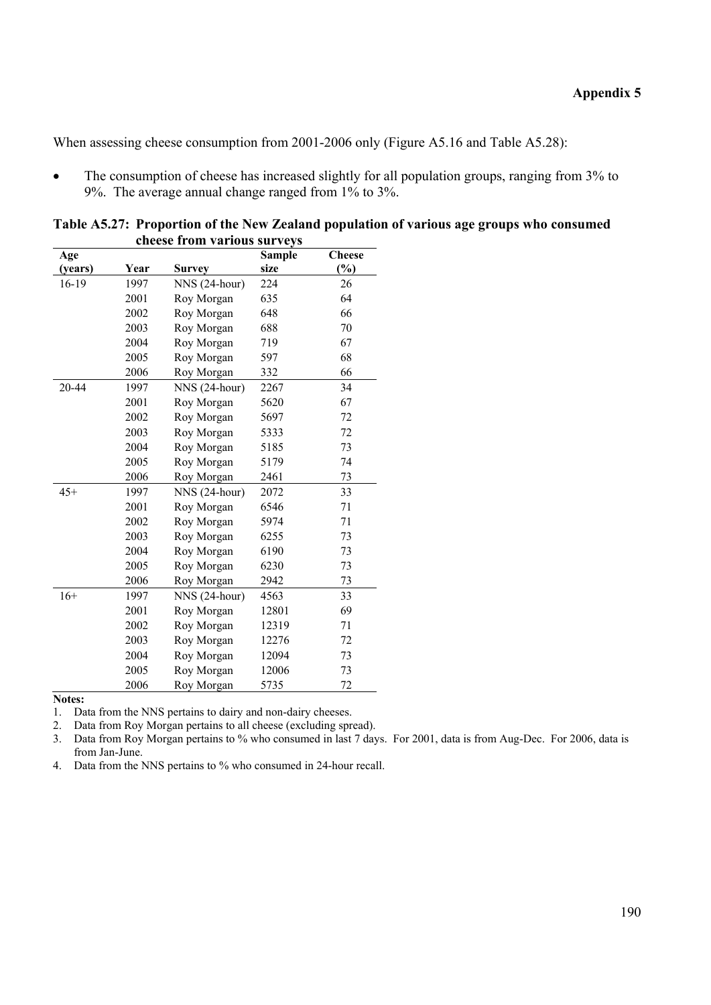When assessing cheese consumption from 2001-2006 only (Figure A5.16 and Table A5.28):

• The consumption of cheese has increased slightly for all population groups, ranging from 3% to 9%. The average annual change ranged from 1% to 3%.

| Age     |      |               | <b>Sample</b> | <b>Cheese</b> |
|---------|------|---------------|---------------|---------------|
| (years) | Year | Survey        | size          | $\frac{6}{6}$ |
| 16-19   | 1997 | NNS (24-hour) | 224           | 26            |
|         | 2001 | Roy Morgan    | 635           | 64            |
|         | 2002 | Roy Morgan    | 648           | 66            |
|         | 2003 | Roy Morgan    | 688           | 70            |
|         | 2004 | Roy Morgan    | 719           | 67            |
|         | 2005 | Roy Morgan    | 597           | 68            |
|         | 2006 | Roy Morgan    | 332           | 66            |
| 20-44   | 1997 | NNS (24-hour) | 2267          | 34            |
|         | 2001 | Roy Morgan    | 5620          | 67            |
|         | 2002 | Roy Morgan    | 5697          | 72            |
|         | 2003 | Roy Morgan    | 5333          | 72            |
|         | 2004 | Roy Morgan    | 5185          | 73            |
|         | 2005 | Roy Morgan    | 5179          | 74            |
|         | 2006 | Roy Morgan    | 2461          | 73            |
| $45+$   | 1997 | NNS (24-hour) | 2072          | 33            |
|         | 2001 | Roy Morgan    | 6546          | 71            |
|         | 2002 | Roy Morgan    | 5974          | 71            |
|         | 2003 | Roy Morgan    | 6255          | 73            |
|         | 2004 | Roy Morgan    | 6190          | 73            |
|         | 2005 | Roy Morgan    | 6230          | 73            |
|         | 2006 | Roy Morgan    | 2942          | 73            |
| $16+$   | 1997 | NNS (24-hour) | 4563          | 33            |
|         | 2001 | Roy Morgan    | 12801         | 69            |
|         | 2002 | Roy Morgan    | 12319         | 71            |
|         | 2003 | Roy Morgan    | 12276         | 72            |
|         | 2004 | Roy Morgan    | 12094         | 73            |
|         | 2005 | Roy Morgan    | 12006         | 73            |
|         | 2006 | Roy Morgan    | 5735          | 72            |

**Table A5.27: Proportion of the New Zealand population of various age groups who consumed cheese from various surveys** 

**Notes:** 

1. Data from the NNS pertains to dairy and non-dairy cheeses.

2. Data from Roy Morgan pertains to all cheese (excluding spread).

3. Data from Roy Morgan pertains to % who consumed in last 7 days. For 2001, data is from Aug-Dec. For 2006, data is from Jan-June.

4. Data from the NNS pertains to % who consumed in 24-hour recall.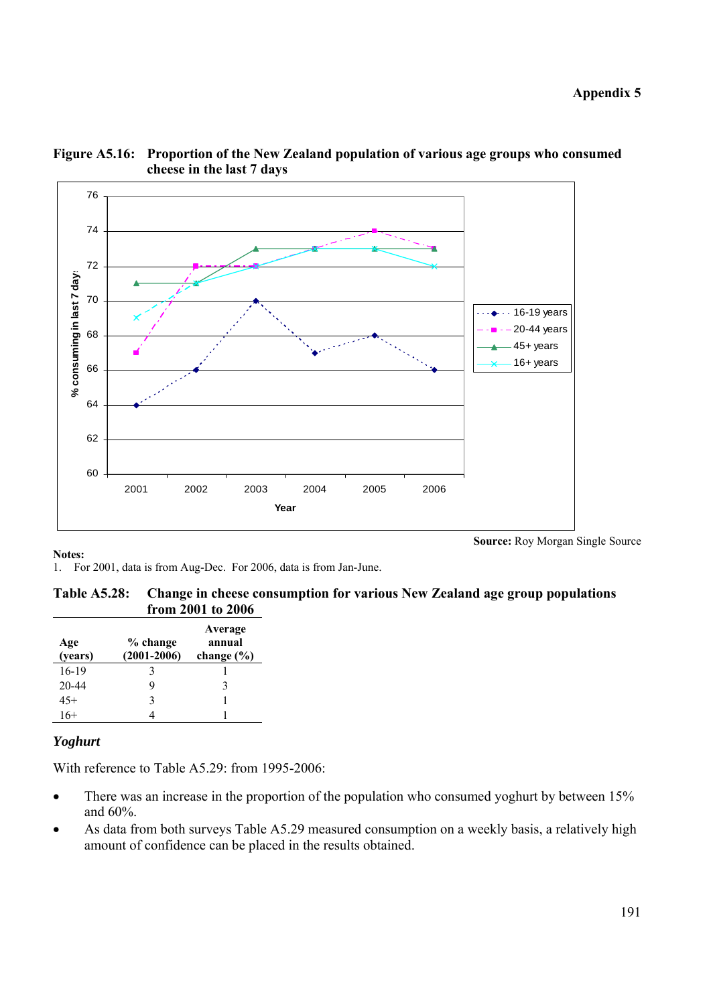

### **Figure A5.16: Proportion of the New Zealand population of various age groups who consumed cheese in the last 7 days**

**Notes:** 

**Source:** Roy Morgan Single Source

1. For 2001, data is from Aug-Dec. For 2006, data is from Jan-June.

### **Table A5.28: Change in cheese consumption for various New Zealand age group populations from 2001 to 2006**

| Age<br>(years) | % change<br>$(2001 - 2006)$ | Average<br>annual<br>change $(\% )$ |
|----------------|-----------------------------|-------------------------------------|
| 16-19          |                             |                                     |
| 20-44          |                             | 3                                   |
| $45+$          | 3                           |                                     |
| $16+$          |                             |                                     |

# *Yoghurt*

With reference to Table A5.29: from 1995-2006:

- There was an increase in the proportion of the population who consumed yoghurt by between 15% and 60%.
- As data from both surveys Table A5.29 measured consumption on a weekly basis, a relatively high amount of confidence can be placed in the results obtained.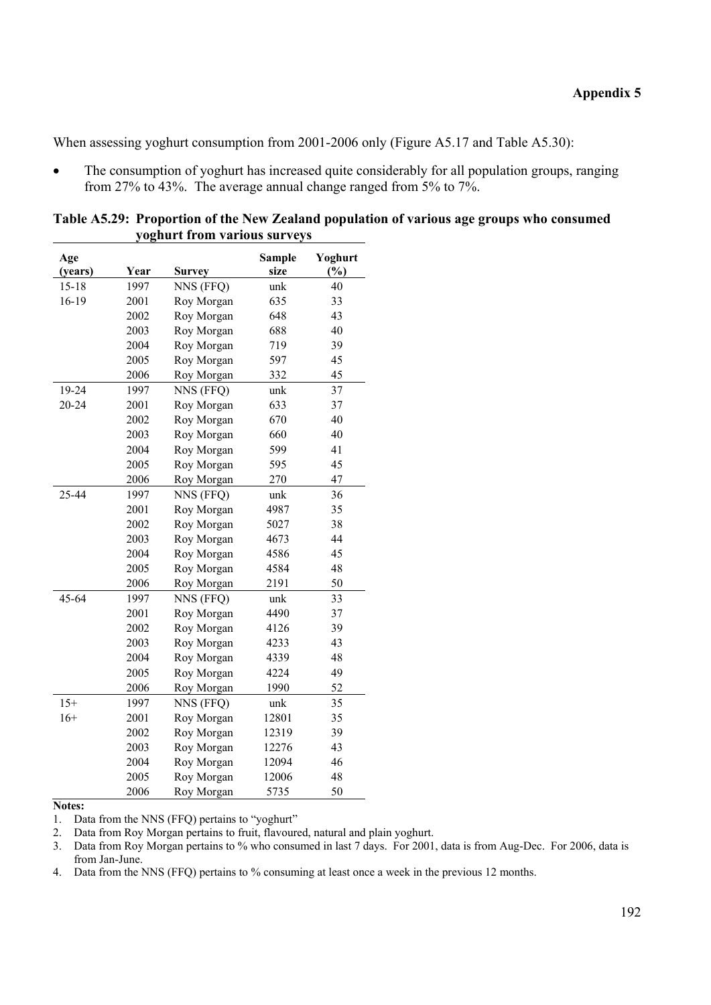When assessing yoghurt consumption from 2001-2006 only (Figure A5.17 and Table A5.30):

The consumption of yoghurt has increased quite considerably for all population groups, ranging from 27% to 43%. The average annual change ranged from 5% to 7%.

| Age       |      |               | <b>Sample</b> | Yoghurt |
|-----------|------|---------------|---------------|---------|
| (years)   | Year | <b>Survey</b> | size          | (%)     |
| $15 - 18$ | 1997 | NNS (FFQ)     | unk           | 40      |
| 16-19     | 2001 | Roy Morgan    | 635           | 33      |
|           | 2002 | Roy Morgan    | 648           | 43      |
|           | 2003 | Roy Morgan    | 688           | 40      |
|           | 2004 | Roy Morgan    | 719           | 39      |
|           | 2005 | Roy Morgan    | 597           | 45      |
|           | 2006 | Roy Morgan    | 332           | 45      |
| 19-24     | 1997 | NNS (FFQ)     | unk           | 37      |
| 20-24     | 2001 | Roy Morgan    | 633           | 37      |
|           | 2002 | Roy Morgan    | 670           | 40      |
|           | 2003 | Roy Morgan    | 660           | 40      |
|           | 2004 | Roy Morgan    | 599           | 41      |
|           | 2005 | Roy Morgan    | 595           | 45      |
|           | 2006 | Roy Morgan    | 270           | 47      |
| 25-44     | 1997 | NNS (FFQ)     | unk           | 36      |
|           | 2001 | Roy Morgan    | 4987          | 35      |
|           | 2002 | Roy Morgan    | 5027          | 38      |
|           | 2003 | Roy Morgan    | 4673          | 44      |
|           | 2004 | Roy Morgan    | 4586          | 45      |
|           | 2005 | Roy Morgan    | 4584          | 48      |
|           | 2006 | Roy Morgan    | 2191          | 50      |
| 45-64     | 1997 | NNS (FFQ)     | unk           | 33      |
|           | 2001 | Roy Morgan    | 4490          | 37      |
|           | 2002 | Roy Morgan    | 4126          | 39      |
|           | 2003 | Roy Morgan    | 4233          | 43      |
|           | 2004 | Roy Morgan    | 4339          | 48      |
|           | 2005 | Roy Morgan    | 4224          | 49      |
|           | 2006 | Roy Morgan    | 1990          | 52      |
| $15+$     | 1997 | NNS (FFQ)     | unk           | 35      |
| $16+$     | 2001 | Roy Morgan    | 12801         | 35      |
|           | 2002 | Roy Morgan    | 12319         | 39      |
|           | 2003 | Roy Morgan    | 12276         | 43      |
|           | 2004 | Roy Morgan    | 12094         | 46      |
|           | 2005 | Roy Morgan    | 12006         | 48      |
|           | 2006 | Roy Morgan    | 5735          | 50      |

**Table A5.29: Proportion of the New Zealand population of various age groups who consumed yoghurt from various surveys** 

### **Notes:**

1. Data from the NNS (FFQ) pertains to "yoghurt"

2. Data from Roy Morgan pertains to fruit, flavoured, natural and plain yoghurt.<br>3. Data from Roy Morgan pertains to % who consumed in last 7 days. For 2001

Data from Roy Morgan pertains to % who consumed in last 7 days. For 2001, data is from Aug-Dec. For 2006, data is from Jan-June.

4. Data from the NNS (FFQ) pertains to % consuming at least once a week in the previous 12 months.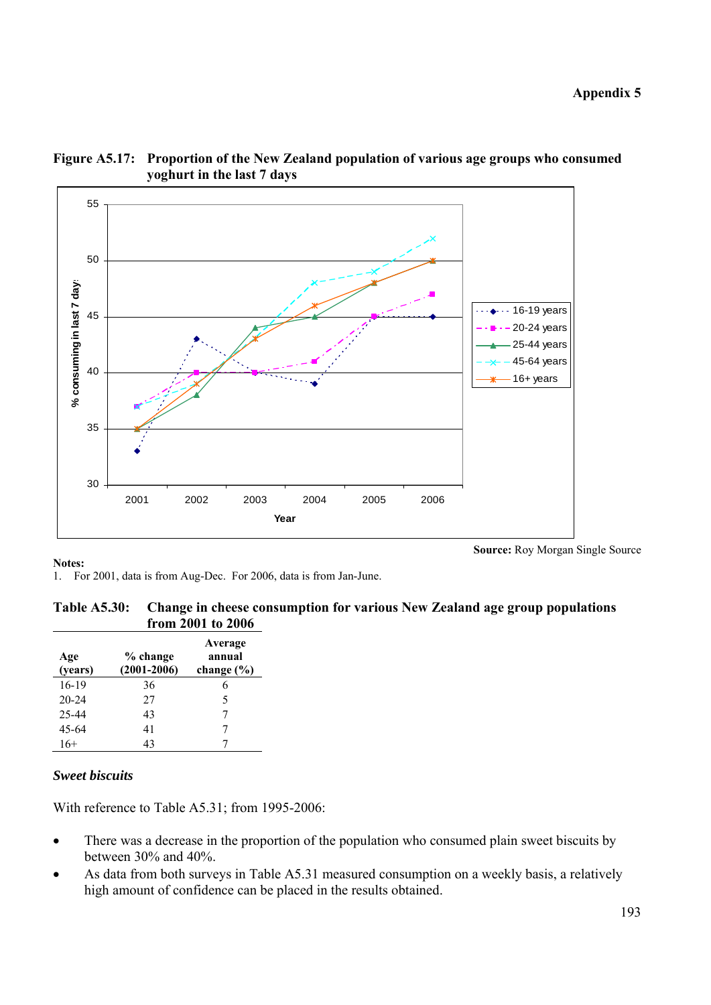

**Figure A5.17: Proportion of the New Zealand population of various age groups who consumed yoghurt in the last 7 days** 

**Source:** Roy Morgan Single Source

1. For 2001, data is from Aug-Dec. For 2006, data is from Jan-June.

| Table A5.30: Change in cheese consumption for various New Zealand age group populations |
|-----------------------------------------------------------------------------------------|
| from 2001 to 2006                                                                       |

| Age<br>(years) | % change<br>$(2001 - 2006)$ | Average<br>annual<br>change $(\% )$ |
|----------------|-----------------------------|-------------------------------------|
| 16-19          | 36                          | 6                                   |
| $20 - 24$      | 27                          | 5                                   |
| 25-44          | 43                          |                                     |
| 45-64          | 41                          |                                     |
| $16+$          | 43                          |                                     |

### *Sweet biscuits*

With reference to Table A5.31; from 1995-2006:

- There was a decrease in the proportion of the population who consumed plain sweet biscuits by between 30% and 40%.
- As data from both surveys in Table A5.31 measured consumption on a weekly basis, a relatively high amount of confidence can be placed in the results obtained.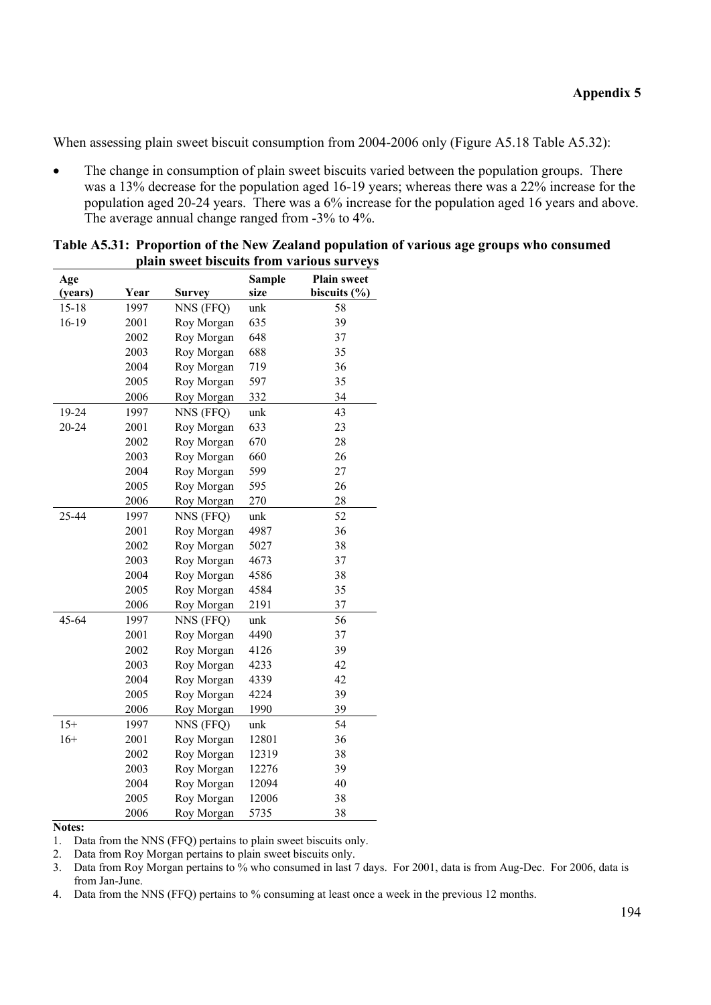When assessing plain sweet biscuit consumption from 2004-2006 only (Figure A5.18 Table A5.32):

• The change in consumption of plain sweet biscuits varied between the population groups. There was a 13% decrease for the population aged 16-19 years; whereas there was a 22% increase for the population aged 20-24 years. There was a 6% increase for the population aged 16 years and above. The average annual change ranged from -3% to 4%.

| Age     |      |               | <b>Sample</b> | <b>Plain sweet</b> |
|---------|------|---------------|---------------|--------------------|
| (years) | Year | <b>Survey</b> | size          | biscuits $(\% )$   |
| 15-18   | 1997 | NNS (FFQ)     | unk           | 58                 |
| 16-19   | 2001 | Roy Morgan    | 635           | 39                 |
|         | 2002 | Roy Morgan    | 648           | 37                 |
|         | 2003 | Roy Morgan    | 688           | 35                 |
|         | 2004 | Roy Morgan    | 719           | 36                 |
|         | 2005 | Roy Morgan    | 597           | 35                 |
|         | 2006 | Roy Morgan    | 332           | 34                 |
| 19-24   | 1997 | NNS (FFQ)     | unk           | 43                 |
| 20-24   | 2001 | Roy Morgan    | 633           | 23                 |
|         | 2002 | Roy Morgan    | 670           | 28                 |
|         | 2003 | Roy Morgan    | 660           | 26                 |
|         | 2004 | Roy Morgan    | 599           | 27                 |
|         | 2005 | Roy Morgan    | 595           | 26                 |
|         | 2006 | Roy Morgan    | 270           | 28                 |
| 25-44   | 1997 | NNS (FFQ)     | unk           | 52                 |
|         | 2001 | Roy Morgan    | 4987          | 36                 |
|         | 2002 | Roy Morgan    | 5027          | 38                 |
|         | 2003 | Roy Morgan    | 4673          | 37                 |
|         | 2004 | Roy Morgan    | 4586          | 38                 |
|         | 2005 | Roy Morgan    | 4584          | 35                 |
|         | 2006 | Roy Morgan    | 2191          | 37                 |
| 45-64   | 1997 | NNS (FFQ)     | unk           | 56                 |
|         | 2001 | Roy Morgan    | 4490          | 37                 |
|         | 2002 | Roy Morgan    | 4126          | 39                 |
|         | 2003 | Roy Morgan    | 4233          | 42                 |
|         | 2004 | Roy Morgan    | 4339          | 42                 |
|         | 2005 | Roy Morgan    | 4224          | 39                 |
|         | 2006 | Roy Morgan    | 1990          | 39                 |
| $15+$   | 1997 | NNS (FFQ)     | unk           | 54                 |
| $16+$   | 2001 | Roy Morgan    | 12801         | 36                 |
|         | 2002 | Roy Morgan    | 12319         | 38                 |
|         | 2003 | Roy Morgan    | 12276         | 39                 |
|         | 2004 | Roy Morgan    | 12094         | 40                 |
|         | 2005 | Roy Morgan    | 12006         | 38                 |
|         | 2006 | Roy Morgan    | 5735          | 38                 |

| Table A5.31: Proportion of the New Zealand population of various age groups who consumed |
|------------------------------------------------------------------------------------------|
| plain sweet biscuits from various surveys                                                |

#### **Notes:**

1. Data from the NNS (FFQ) pertains to plain sweet biscuits only.

2. Data from Roy Morgan pertains to plain sweet biscuits only.

3. Data from Roy Morgan pertains to % who consumed in last 7 days. For 2001, data is from Aug-Dec. For 2006, data is from Jan-June.

4. Data from the NNS (FFQ) pertains to % consuming at least once a week in the previous 12 months.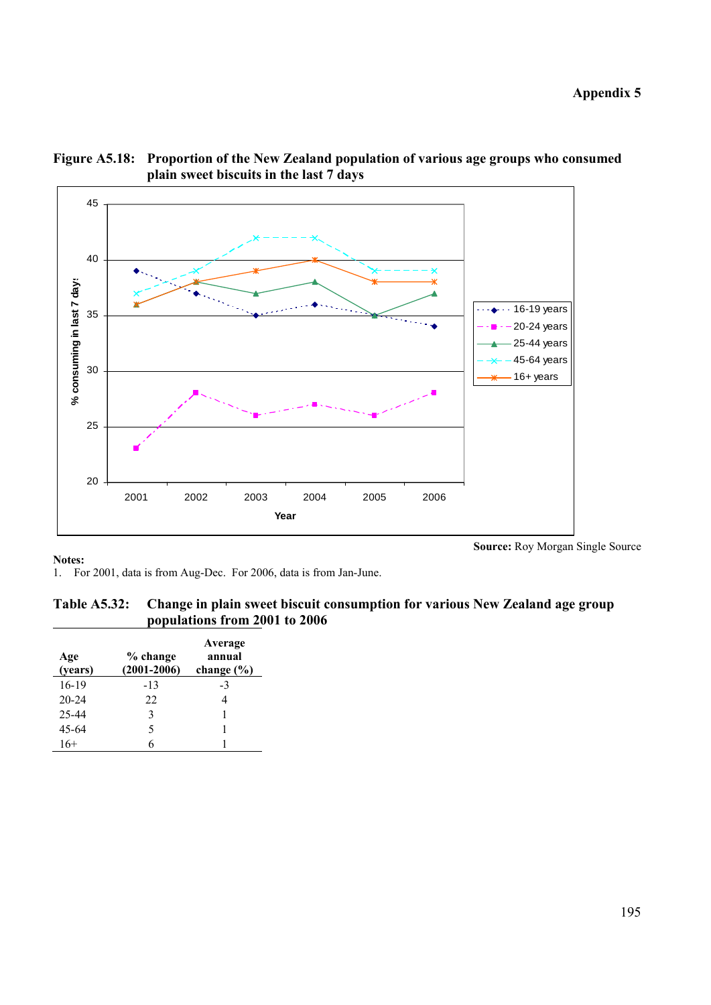



**Source:** Roy Morgan Single Source

1. For 2001, data is from Aug-Dec. For 2006, data is from Jan-June.

| Table A5.32: Change in plain sweet biscuit consumption for various New Zealand age group |
|------------------------------------------------------------------------------------------|
| populations from 2001 to 2006                                                            |

| Age<br>(years) | % change<br>$(2001 - 2006)$ | Average<br>annual<br>change $(\% )$ |
|----------------|-----------------------------|-------------------------------------|
| $16-19$        | $-13$                       | -3                                  |
| $20 - 24$      | 22                          | 4                                   |
| 25-44          | 3                           |                                     |
| 45-64          | 5                           |                                     |
| 16+            |                             |                                     |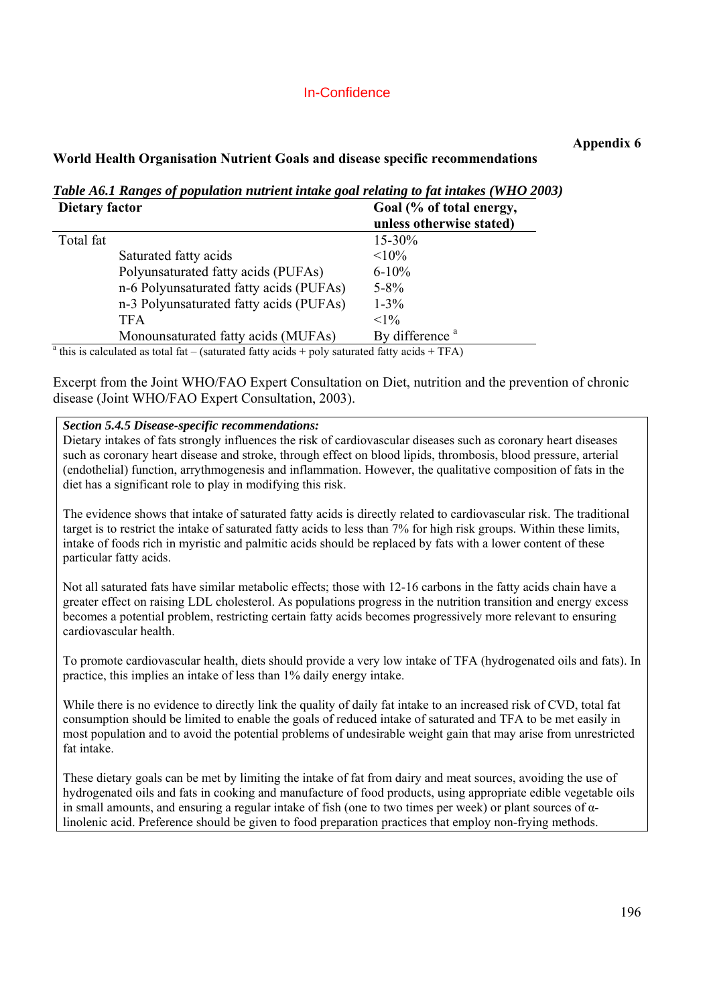# In-Confidence

## **Appendix 6**

### **World Health Organisation Nutrient Goals and disease specific recommendations**

*Table A6.1 Ranges of population nutrient intake goal relating to fat intakes (WHO 2003)* 

| Dietary factor |                                                                                                         | Goal (% of total energy,   |
|----------------|---------------------------------------------------------------------------------------------------------|----------------------------|
|                |                                                                                                         | unless otherwise stated)   |
| Total fat      |                                                                                                         | 15-30%                     |
|                | Saturated fatty acids                                                                                   | $<10\%$                    |
|                | Polyunsaturated fatty acids (PUFAs)                                                                     | $6 - 10\%$                 |
|                | n-6 Polyunsaturated fatty acids (PUFAs)                                                                 | $5 - 8\%$                  |
|                | n-3 Polyunsaturated fatty acids (PUFAs)                                                                 | $1 - 3\%$                  |
|                | <b>TFA</b>                                                                                              | $<1\%$                     |
|                | Monounsaturated fatty acids (MUFAs)                                                                     | By difference <sup>a</sup> |
|                | $^{\circ}$ this is calculated as total fat – (saturated fatty acids + poly saturated fatty acids + TFA) |                            |

Excerpt from the Joint WHO/FAO Expert Consultation on Diet, nutrition and the prevention of chronic disease (Joint WHO/FAO Expert Consultation, 2003).

### *Section 5.4.5 Disease-specific recommendations:*

Dietary intakes of fats strongly influences the risk of cardiovascular diseases such as coronary heart diseases such as coronary heart disease and stroke, through effect on blood lipids, thrombosis, blood pressure, arterial (endothelial) function, arrythmogenesis and inflammation. However, the qualitative composition of fats in the diet has a significant role to play in modifying this risk.

The evidence shows that intake of saturated fatty acids is directly related to cardiovascular risk. The traditional target is to restrict the intake of saturated fatty acids to less than 7% for high risk groups. Within these limits, intake of foods rich in myristic and palmitic acids should be replaced by fats with a lower content of these particular fatty acids.

Not all saturated fats have similar metabolic effects; those with 12-16 carbons in the fatty acids chain have a greater effect on raising LDL cholesterol. As populations progress in the nutrition transition and energy excess becomes a potential problem, restricting certain fatty acids becomes progressively more relevant to ensuring cardiovascular health.

To promote cardiovascular health, diets should provide a very low intake of TFA (hydrogenated oils and fats). In practice, this implies an intake of less than 1% daily energy intake.

While there is no evidence to directly link the quality of daily fat intake to an increased risk of CVD, total fat consumption should be limited to enable the goals of reduced intake of saturated and TFA to be met easily in most population and to avoid the potential problems of undesirable weight gain that may arise from unrestricted fat intake.

These dietary goals can be met by limiting the intake of fat from dairy and meat sources, avoiding the use of hydrogenated oils and fats in cooking and manufacture of food products, using appropriate edible vegetable oils in small amounts, and ensuring a regular intake of fish (one to two times per week) or plant sources of  $\alpha$ linolenic acid. Preference should be given to food preparation practices that employ non-frying methods.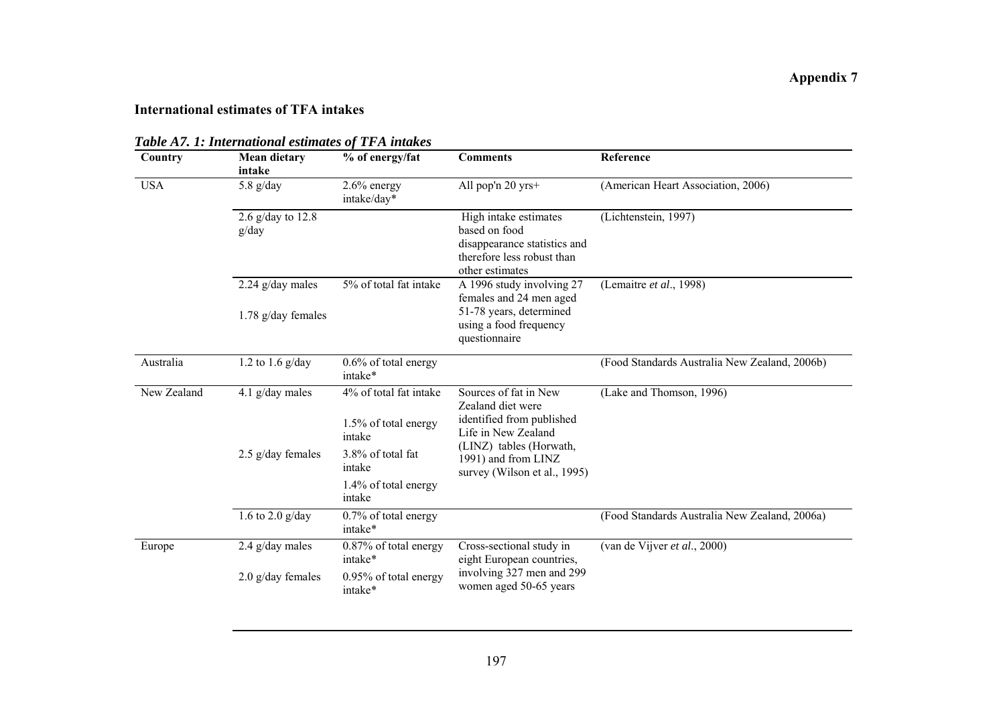### **International estimates of TFA intakes**

| Country     | <b>Mean dietary</b><br>intake | % of energy/fat                                | <b>Comments</b>                                                                                                                                                                  | Reference                                     |
|-------------|-------------------------------|------------------------------------------------|----------------------------------------------------------------------------------------------------------------------------------------------------------------------------------|-----------------------------------------------|
| <b>USA</b>  | 5.8 $g/day$                   | $2.6\%$ energy<br>intake/day*                  | All pop'n 20 yrs+                                                                                                                                                                | (American Heart Association, 2006)            |
|             | 2.6 $g/day$ to 12.8<br>g/day  |                                                | High intake estimates<br>based on food<br>disappearance statistics and<br>therefore less robust than<br>other estimates                                                          | (Lichtenstein, 1997)                          |
|             | $2.24$ g/day males            | 5% of total fat intake                         | A 1996 study involving 27<br>females and 24 men aged                                                                                                                             | (Lemaitre et al., 1998)                       |
|             | $1.78$ g/day females          |                                                | 51-78 years, determined<br>using a food frequency<br>questionnaire                                                                                                               |                                               |
| Australia   | 1.2 to 1.6 $g/day$            | 0.6% of total energy<br>intake*                |                                                                                                                                                                                  | (Food Standards Australia New Zealand, 2006b) |
| New Zealand | 4.1 $g/day$ males             | 4% of total fat intake<br>1.5% of total energy | Sources of fat in New<br>Zealand diet were<br>identified from published<br>Life in New Zealand<br>(LINZ) tables (Horwath,<br>1991) and from LINZ<br>survey (Wilson et al., 1995) | (Lake and Thomson, 1996)                      |
|             | 2.5 g/day females             | intake<br>3.8% of total fat<br>intake          |                                                                                                                                                                                  |                                               |
|             |                               | 1.4% of total energy<br>intake                 |                                                                                                                                                                                  |                                               |
|             | 1.6 to 2.0 $g/day$            | 0.7% of total energy<br>intake*                |                                                                                                                                                                                  | (Food Standards Australia New Zealand, 2006a) |
| Europe      | $2.4$ g/day males             | 0.87% of total energy<br>intake*               | Cross-sectional study in<br>eight European countries,                                                                                                                            | (van de Vijver et al., 2000)                  |
|             | $2.0$ g/day females           | 0.95% of total energy<br>intake*               | involving 327 men and 299<br>women aged 50-65 years                                                                                                                              |                                               |

*Table A7. 1: International estimates of TFA intakes*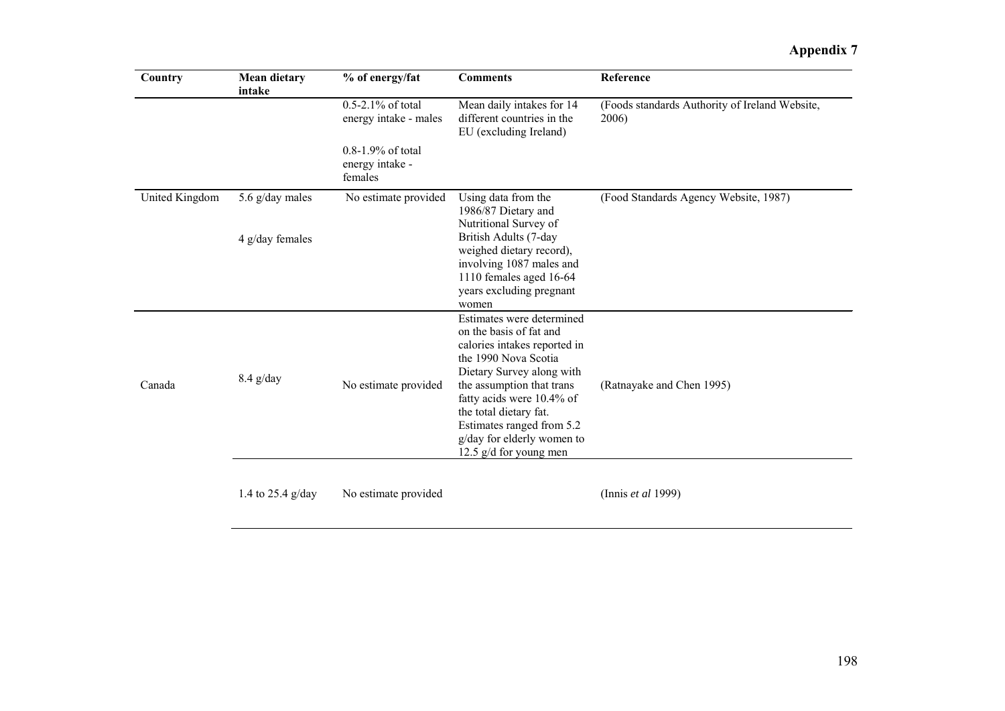# **Appendix 7**

| Country        | <b>Mean dietary</b><br>intake      | % of energy/fat                                      | <b>Comments</b>                                                                                                                                                                                                                                                                                                      | Reference                                               |
|----------------|------------------------------------|------------------------------------------------------|----------------------------------------------------------------------------------------------------------------------------------------------------------------------------------------------------------------------------------------------------------------------------------------------------------------------|---------------------------------------------------------|
|                |                                    | 0.5-2.1% of total<br>energy intake - males           | Mean daily intakes for 14<br>different countries in the<br>EU (excluding Ireland)                                                                                                                                                                                                                                    | (Foods standards Authority of Ireland Website,<br>2006) |
|                |                                    | $0.8 - 1.9\%$ of total<br>energy intake -<br>females |                                                                                                                                                                                                                                                                                                                      |                                                         |
| United Kingdom | 5.6 g/day males<br>4 g/day females | No estimate provided                                 | Using data from the<br>1986/87 Dietary and<br>Nutritional Survey of<br>British Adults (7-day<br>weighed dietary record),<br>involving 1087 males and<br>1110 females aged 16-64<br>years excluding pregnant<br>women                                                                                                 | (Food Standards Agency Website, 1987)                   |
| Canada         | $8.4$ g/day                        | No estimate provided                                 | Estimates were determined<br>on the basis of fat and<br>calories intakes reported in<br>the 1990 Nova Scotia<br>Dietary Survey along with<br>the assumption that trans<br>fatty acids were 10.4% of<br>the total dietary fat.<br>Estimates ranged from 5.2<br>g/day for elderly women to<br>12.5 $g/d$ for young men | (Ratnayake and Chen 1995)                               |
|                | 1.4 to $25.4$ g/day                | No estimate provided                                 |                                                                                                                                                                                                                                                                                                                      | (Innis et al 1999)                                      |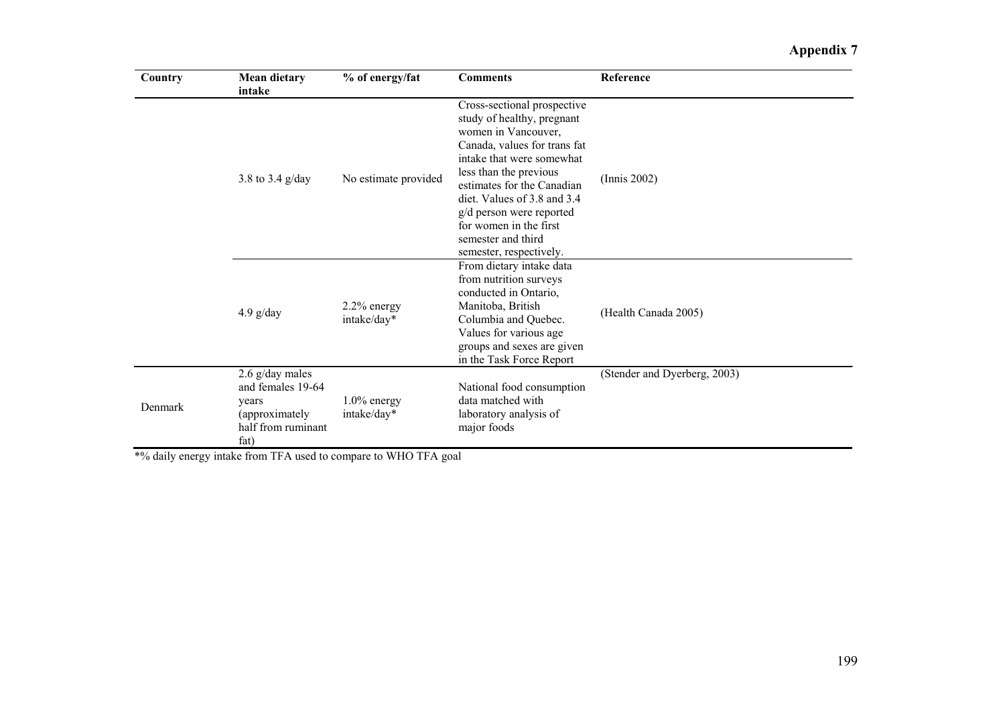# **Appendix 7**

| Country | <b>Mean dietary</b><br>intake                                                                   | % of energy/fat               | <b>Comments</b>                                                                                                                                                                                                                                                                                                                             | Reference                    |
|---------|-------------------------------------------------------------------------------------------------|-------------------------------|---------------------------------------------------------------------------------------------------------------------------------------------------------------------------------------------------------------------------------------------------------------------------------------------------------------------------------------------|------------------------------|
|         | 3.8 to 3.4 g/day                                                                                | No estimate provided          | Cross-sectional prospective<br>study of healthy, pregnant<br>women in Vancouver,<br>Canada, values for trans fat<br>intake that were somewhat<br>less than the previous<br>estimates for the Canadian<br>diet. Values of 3.8 and 3.4<br>g/d person were reported<br>for women in the first<br>semester and third<br>semester, respectively. | (Innis 2002)                 |
|         | $4.9$ g/day                                                                                     | $2.2\%$ energy<br>intake/day* | From dietary intake data<br>from nutrition surveys<br>conducted in Ontario,<br>Manitoba, British<br>Columbia and Quebec.<br>Values for various age<br>groups and sexes are given<br>in the Task Force Report                                                                                                                                | (Health Canada 2005)         |
| Denmark | $2.6$ g/day males<br>and females 19-64<br>years<br>(approximately<br>half from ruminant<br>fat) | $1.0\%$ energy<br>intake/day* | National food consumption<br>data matched with<br>laboratory analysis of<br>major foods                                                                                                                                                                                                                                                     | (Stender and Dyerberg, 2003) |

\*% daily energy intake from TFA used to compare to WHO TFA goal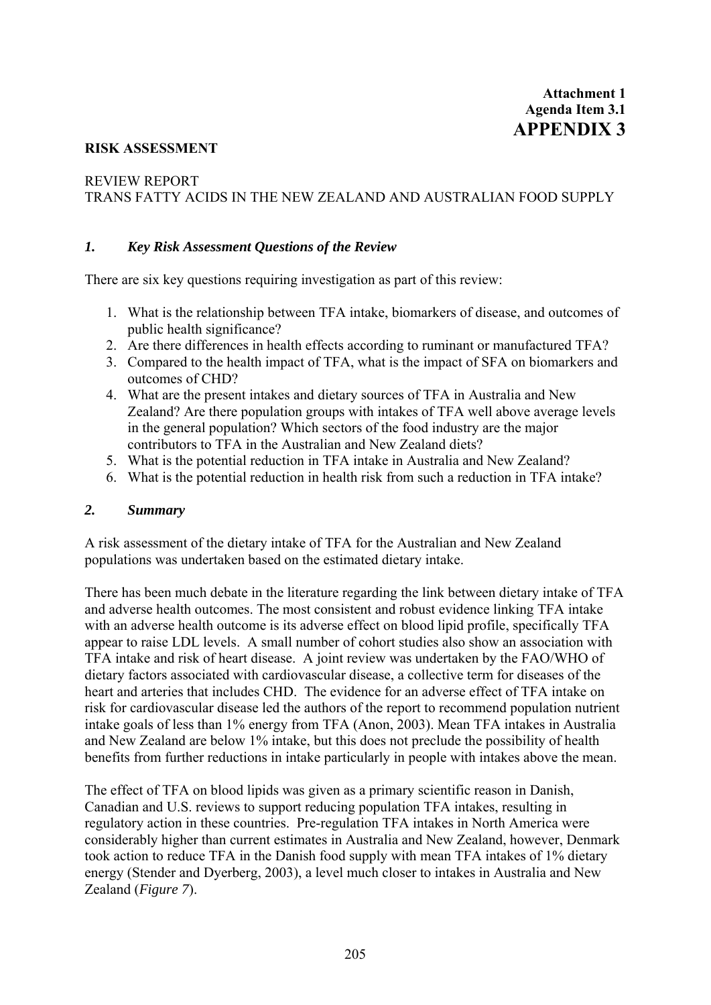#### **RISK ASSESSMENT**

### REVIEW REPORT

TRANS FATTY ACIDS IN THE NEW ZEALAND AND AUSTRALIAN FOOD SUPPLY

#### *1. Key Risk Assessment Questions of the Review*

There are six key questions requiring investigation as part of this review:

- 1. What is the relationship between TFA intake, biomarkers of disease, and outcomes of public health significance?
- 2. Are there differences in health effects according to ruminant or manufactured TFA?
- 3. Compared to the health impact of TFA, what is the impact of SFA on biomarkers and outcomes of CHD?
- 4. What are the present intakes and dietary sources of TFA in Australia and New Zealand? Are there population groups with intakes of TFA well above average levels in the general population? Which sectors of the food industry are the major contributors to TFA in the Australian and New Zealand diets?
- 5. What is the potential reduction in TFA intake in Australia and New Zealand?
- 6. What is the potential reduction in health risk from such a reduction in TFA intake?

#### *2. Summary*

A risk assessment of the dietary intake of TFA for the Australian and New Zealand populations was undertaken based on the estimated dietary intake.

There has been much debate in the literature regarding the link between dietary intake of TFA and adverse health outcomes. The most consistent and robust evidence linking TFA intake with an adverse health outcome is its adverse effect on blood lipid profile, specifically TFA appear to raise LDL levels. A small number of cohort studies also show an association with TFA intake and risk of heart disease. A joint review was undertaken by the FAO/WHO of dietary factors associated with cardiovascular disease, a collective term for diseases of the heart and arteries that includes CHD. The evidence for an adverse effect of TFA intake on risk for cardiovascular disease led the authors of the report to recommend population nutrient intake goals of less than 1% energy from TFA (Anon, 2003). Mean TFA intakes in Australia and New Zealand are below 1% intake, but this does not preclude the possibility of health benefits from further reductions in intake particularly in people with intakes above the mean.

The effect of TFA on blood lipids was given as a primary scientific reason in Danish, Canadian and U.S. reviews to support reducing population TFA intakes, resulting in regulatory action in these countries. Pre-regulation TFA intakes in North America were considerably higher than current estimates in Australia and New Zealand, however, Denmark took action to reduce TFA in the Danish food supply with mean TFA intakes of 1% dietary energy (Stender and Dyerberg, 2003), a level much closer to intakes in Australia and New Zealand (*Figure 7*).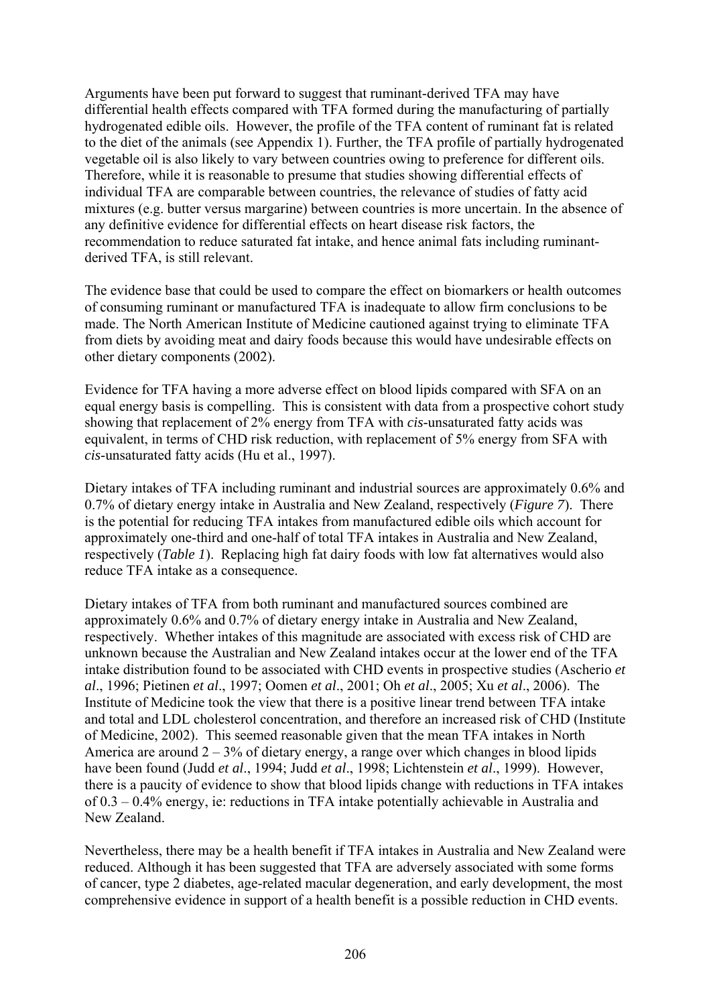Arguments have been put forward to suggest that ruminant-derived TFA may have differential health effects compared with TFA formed during the manufacturing of partially hydrogenated edible oils. However, the profile of the TFA content of ruminant fat is related to the diet of the animals (see Appendix 1). Further, the TFA profile of partially hydrogenated vegetable oil is also likely to vary between countries owing to preference for different oils. Therefore, while it is reasonable to presume that studies showing differential effects of individual TFA are comparable between countries, the relevance of studies of fatty acid mixtures (e.g. butter versus margarine) between countries is more uncertain. In the absence of any definitive evidence for differential effects on heart disease risk factors, the recommendation to reduce saturated fat intake, and hence animal fats including ruminantderived TFA, is still relevant.

The evidence base that could be used to compare the effect on biomarkers or health outcomes of consuming ruminant or manufactured TFA is inadequate to allow firm conclusions to be made. The North American Institute of Medicine cautioned against trying to eliminate TFA from diets by avoiding meat and dairy foods because this would have undesirable effects on other dietary components (2002).

Evidence for TFA having a more adverse effect on blood lipids compared with SFA on an equal energy basis is compelling. This is consistent with data from a prospective cohort study showing that replacement of 2% energy from TFA with *cis*-unsaturated fatty acids was equivalent, in terms of CHD risk reduction, with replacement of 5% energy from SFA with *cis*-unsaturated fatty acids (Hu et al., 1997).

Dietary intakes of TFA including ruminant and industrial sources are approximately 0.6% and 0.7% of dietary energy intake in Australia and New Zealand, respectively (*Figure 7*). There is the potential for reducing TFA intakes from manufactured edible oils which account for approximately one-third and one-half of total TFA intakes in Australia and New Zealand, respectively (*Table 1*). Replacing high fat dairy foods with low fat alternatives would also reduce TFA intake as a consequence.

Dietary intakes of TFA from both ruminant and manufactured sources combined are approximately 0.6% and 0.7% of dietary energy intake in Australia and New Zealand, respectively. Whether intakes of this magnitude are associated with excess risk of CHD are unknown because the Australian and New Zealand intakes occur at the lower end of the TFA intake distribution found to be associated with CHD events in prospective studies (Ascherio *et al*., 1996; Pietinen *et al*., 1997; Oomen *et al*., 2001; Oh *et al*., 2005; Xu *et al*., 2006). The Institute of Medicine took the view that there is a positive linear trend between TFA intake and total and LDL cholesterol concentration, and therefore an increased risk of CHD (Institute of Medicine, 2002). This seemed reasonable given that the mean TFA intakes in North America are around  $2 - 3\%$  of dietary energy, a range over which changes in blood lipids have been found (Judd *et al*., 1994; Judd *et al*., 1998; Lichtenstein *et al*., 1999). However, there is a paucity of evidence to show that blood lipids change with reductions in TFA intakes of 0.3 – 0.4% energy, ie: reductions in TFA intake potentially achievable in Australia and New Zealand.

Nevertheless, there may be a health benefit if TFA intakes in Australia and New Zealand were reduced. Although it has been suggested that TFA are adversely associated with some forms of cancer, type 2 diabetes, age-related macular degeneration, and early development, the most comprehensive evidence in support of a health benefit is a possible reduction in CHD events.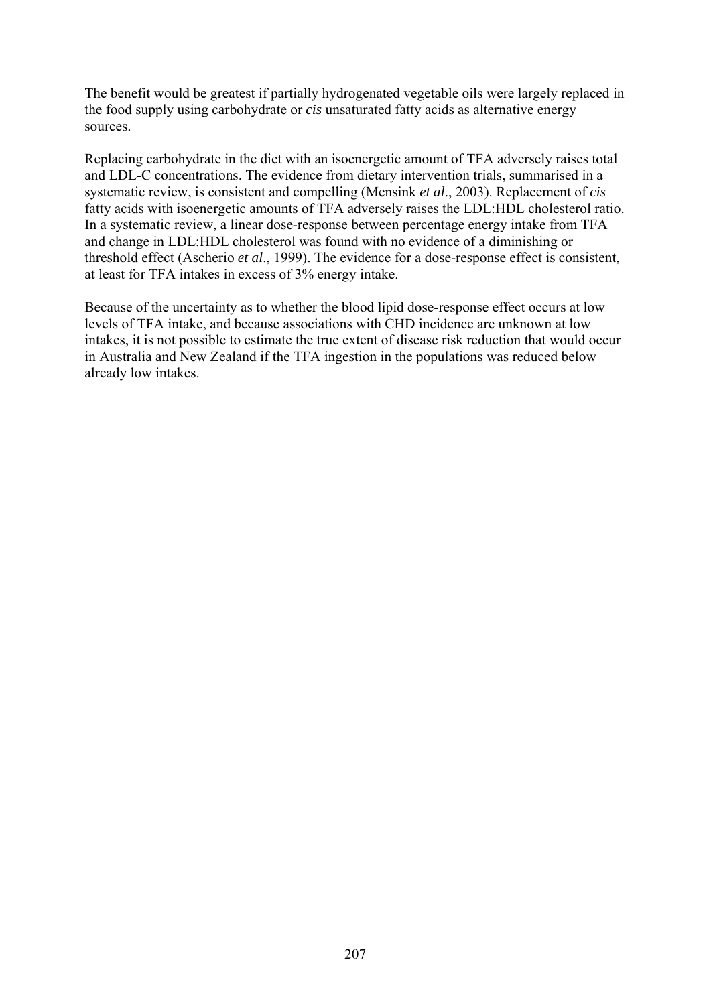The benefit would be greatest if partially hydrogenated vegetable oils were largely replaced in the food supply using carbohydrate or *cis* unsaturated fatty acids as alternative energy sources.

Replacing carbohydrate in the diet with an isoenergetic amount of TFA adversely raises total and LDL-C concentrations. The evidence from dietary intervention trials, summarised in a systematic review, is consistent and compelling (Mensink *et al*., 2003). Replacement of *cis* fatty acids with isoenergetic amounts of TFA adversely raises the LDL:HDL cholesterol ratio. In a systematic review, a linear dose-response between percentage energy intake from TFA and change in LDL:HDL cholesterol was found with no evidence of a diminishing or threshold effect (Ascherio *et al*., 1999). The evidence for a dose-response effect is consistent, at least for TFA intakes in excess of 3% energy intake.

Because of the uncertainty as to whether the blood lipid dose-response effect occurs at low levels of TFA intake, and because associations with CHD incidence are unknown at low intakes, it is not possible to estimate the true extent of disease risk reduction that would occur in Australia and New Zealand if the TFA ingestion in the populations was reduced below already low intakes.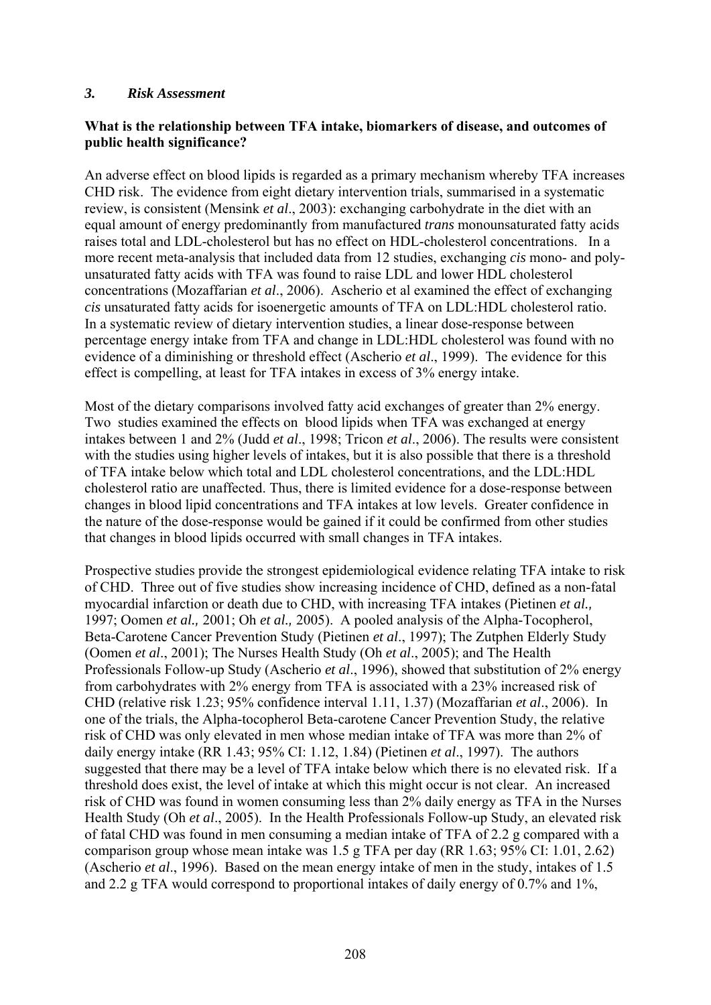#### *3. Risk Assessment*

# **What is the relationship between TFA intake, biomarkers of disease, and outcomes of public health significance?**

An adverse effect on blood lipids is regarded as a primary mechanism whereby TFA increases CHD risk. The evidence from eight dietary intervention trials, summarised in a systematic review, is consistent (Mensink *et al*., 2003): exchanging carbohydrate in the diet with an equal amount of energy predominantly from manufactured *trans* monounsaturated fatty acids raises total and LDL-cholesterol but has no effect on HDL-cholesterol concentrations. In a more recent meta-analysis that included data from 12 studies, exchanging *cis* mono- and polyunsaturated fatty acids with TFA was found to raise LDL and lower HDL cholesterol concentrations (Mozaffarian *et al*., 2006). Ascherio et al examined the effect of exchanging *cis* unsaturated fatty acids for isoenergetic amounts of TFA on LDL:HDL cholesterol ratio. In a systematic review of dietary intervention studies, a linear dose-response between percentage energy intake from TFA and change in LDL:HDL cholesterol was found with no evidence of a diminishing or threshold effect (Ascherio *et al*., 1999). The evidence for this effect is compelling, at least for TFA intakes in excess of 3% energy intake.

Most of the dietary comparisons involved fatty acid exchanges of greater than 2% energy. Two studies examined the effects on blood lipids when TFA was exchanged at energy intakes between 1 and 2% (Judd *et al*., 1998; Tricon *et al*., 2006). The results were consistent with the studies using higher levels of intakes, but it is also possible that there is a threshold of TFA intake below which total and LDL cholesterol concentrations, and the LDL:HDL cholesterol ratio are unaffected. Thus, there is limited evidence for a dose-response between changes in blood lipid concentrations and TFA intakes at low levels. Greater confidence in the nature of the dose-response would be gained if it could be confirmed from other studies that changes in blood lipids occurred with small changes in TFA intakes.

Prospective studies provide the strongest epidemiological evidence relating TFA intake to risk of CHD. Three out of five studies show increasing incidence of CHD, defined as a non-fatal myocardial infarction or death due to CHD, with increasing TFA intakes (Pietinen *et al.,* 1997; Oomen *et al.,* 2001; Oh *et al.,* 2005). A pooled analysis of the Alpha-Tocopherol, Beta-Carotene Cancer Prevention Study (Pietinen *et al*., 1997); The Zutphen Elderly Study (Oomen *et al*., 2001); The Nurses Health Study (Oh *et al*., 2005); and The Health Professionals Follow-up Study (Ascherio *et al*., 1996), showed that substitution of 2% energy from carbohydrates with 2% energy from TFA is associated with a 23% increased risk of CHD (relative risk 1.23; 95% confidence interval 1.11, 1.37) (Mozaffarian *et al*., 2006). In one of the trials, the Alpha-tocopherol Beta-carotene Cancer Prevention Study, the relative risk of CHD was only elevated in men whose median intake of TFA was more than 2% of daily energy intake (RR 1.43; 95% CI: 1.12, 1.84) (Pietinen *et al*., 1997). The authors suggested that there may be a level of TFA intake below which there is no elevated risk. If a threshold does exist, the level of intake at which this might occur is not clear. An increased risk of CHD was found in women consuming less than 2% daily energy as TFA in the Nurses Health Study (Oh *et al*., 2005). In the Health Professionals Follow-up Study, an elevated risk of fatal CHD was found in men consuming a median intake of TFA of 2.2 g compared with a comparison group whose mean intake was 1.5 g TFA per day (RR 1.63; 95% CI: 1.01, 2.62) (Ascherio *et al*., 1996). Based on the mean energy intake of men in the study, intakes of 1.5 and 2.2 g TFA would correspond to proportional intakes of daily energy of 0.7% and 1%,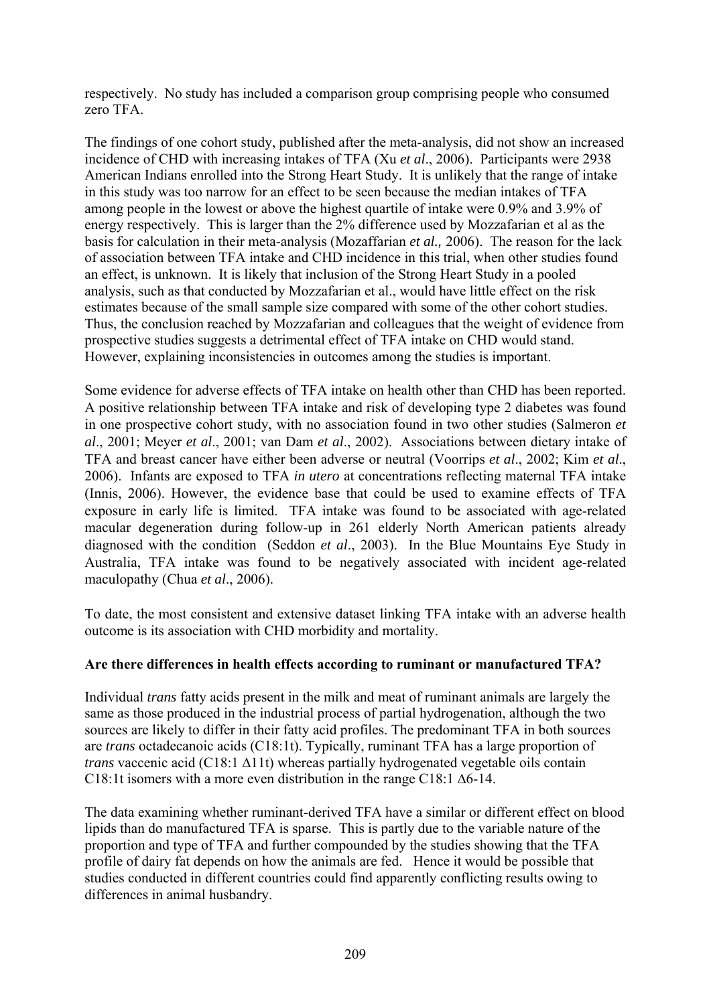respectively. No study has included a comparison group comprising people who consumed zero TFA.

The findings of one cohort study, published after the meta-analysis, did not show an increased incidence of CHD with increasing intakes of TFA (Xu *et al*., 2006). Participants were 2938 American Indians enrolled into the Strong Heart Study. It is unlikely that the range of intake in this study was too narrow for an effect to be seen because the median intakes of TFA among people in the lowest or above the highest quartile of intake were 0.9% and 3.9% of energy respectively. This is larger than the 2% difference used by Mozzafarian et al as the basis for calculation in their meta-analysis (Mozaffarian *et al.,* 2006). The reason for the lack of association between TFA intake and CHD incidence in this trial, when other studies found an effect, is unknown. It is likely that inclusion of the Strong Heart Study in a pooled analysis, such as that conducted by Mozzafarian et al., would have little effect on the risk estimates because of the small sample size compared with some of the other cohort studies. Thus, the conclusion reached by Mozzafarian and colleagues that the weight of evidence from prospective studies suggests a detrimental effect of TFA intake on CHD would stand. However, explaining inconsistencies in outcomes among the studies is important.

Some evidence for adverse effects of TFA intake on health other than CHD has been reported. A positive relationship between TFA intake and risk of developing type 2 diabetes was found in one prospective cohort study, with no association found in two other studies (Salmeron *et al*., 2001; Meyer *et al*., 2001; van Dam *et al*., 2002). Associations between dietary intake of TFA and breast cancer have either been adverse or neutral (Voorrips *et al*., 2002; Kim *et al*., 2006). Infants are exposed to TFA *in utero* at concentrations reflecting maternal TFA intake (Innis, 2006). However, the evidence base that could be used to examine effects of TFA exposure in early life is limited. TFA intake was found to be associated with age-related macular degeneration during follow-up in 261 elderly North American patients already diagnosed with the condition (Seddon *et al*., 2003). In the Blue Mountains Eye Study in Australia, TFA intake was found to be negatively associated with incident age-related maculopathy (Chua *et al*., 2006).

To date, the most consistent and extensive dataset linking TFA intake with an adverse health outcome is its association with CHD morbidity and mortality.

# **Are there differences in health effects according to ruminant or manufactured TFA?**

Individual *trans* fatty acids present in the milk and meat of ruminant animals are largely the same as those produced in the industrial process of partial hydrogenation, although the two sources are likely to differ in their fatty acid profiles. The predominant TFA in both sources are *trans* octadecanoic acids (C18:1t). Typically, ruminant TFA has a large proportion of *trans* vaccenic acid (C18:1 ∆11t) whereas partially hydrogenated vegetable oils contain C18:1t isomers with a more even distribution in the range C18:1 ∆6-14.

The data examining whether ruminant-derived TFA have a similar or different effect on blood lipids than do manufactured TFA is sparse. This is partly due to the variable nature of the proportion and type of TFA and further compounded by the studies showing that the TFA profile of dairy fat depends on how the animals are fed. Hence it would be possible that studies conducted in different countries could find apparently conflicting results owing to differences in animal husbandry.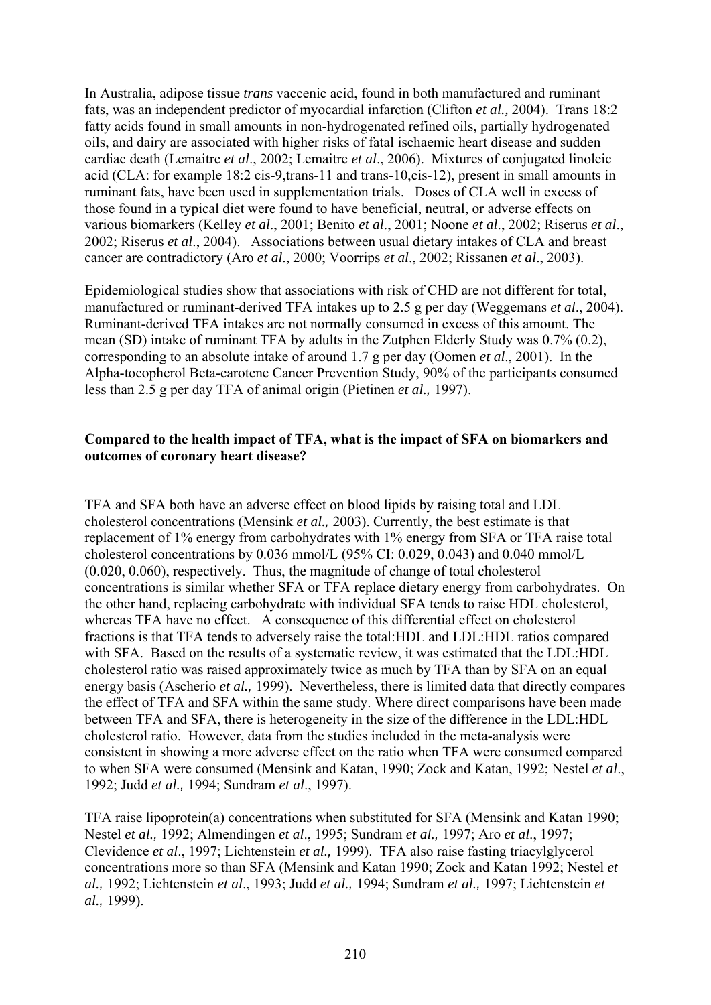In Australia, adipose tissue *trans* vaccenic acid, found in both manufactured and ruminant fats, was an independent predictor of myocardial infarction (Clifton *et al.,* 2004). Trans 18:2 fatty acids found in small amounts in non-hydrogenated refined oils, partially hydrogenated oils, and dairy are associated with higher risks of fatal ischaemic heart disease and sudden cardiac death (Lemaitre *et al*., 2002; Lemaitre *et al*., 2006). Mixtures of conjugated linoleic acid (CLA: for example 18:2 cis-9,trans-11 and trans-10,cis-12), present in small amounts in ruminant fats, have been used in supplementation trials. Doses of CLA well in excess of those found in a typical diet were found to have beneficial, neutral, or adverse effects on various biomarkers (Kelley *et al*., 2001; Benito *et al*., 2001; Noone *et al*., 2002; Riserus *et al*., 2002; Riserus *et al*., 2004). Associations between usual dietary intakes of CLA and breast cancer are contradictory (Aro *et al*., 2000; Voorrips *et al*., 2002; Rissanen *et al*., 2003).

Epidemiological studies show that associations with risk of CHD are not different for total, manufactured or ruminant-derived TFA intakes up to 2.5 g per day (Weggemans *et al*., 2004). Ruminant-derived TFA intakes are not normally consumed in excess of this amount. The mean (SD) intake of ruminant TFA by adults in the Zutphen Elderly Study was 0.7% (0.2), corresponding to an absolute intake of around 1.7 g per day (Oomen *et al*., 2001). In the Alpha-tocopherol Beta-carotene Cancer Prevention Study, 90% of the participants consumed less than 2.5 g per day TFA of animal origin (Pietinen *et al.,* 1997).

#### **Compared to the health impact of TFA, what is the impact of SFA on biomarkers and outcomes of coronary heart disease?**

TFA and SFA both have an adverse effect on blood lipids by raising total and LDL cholesterol concentrations (Mensink *et al.,* 2003). Currently, the best estimate is that replacement of 1% energy from carbohydrates with 1% energy from SFA or TFA raise total cholesterol concentrations by 0.036 mmol/L (95% CI: 0.029, 0.043) and 0.040 mmol/L (0.020, 0.060), respectively. Thus, the magnitude of change of total cholesterol concentrations is similar whether SFA or TFA replace dietary energy from carbohydrates. On the other hand, replacing carbohydrate with individual SFA tends to raise HDL cholesterol, whereas TFA have no effect. A consequence of this differential effect on cholesterol fractions is that TFA tends to adversely raise the total:HDL and LDL:HDL ratios compared with SFA. Based on the results of a systematic review, it was estimated that the LDL:HDL cholesterol ratio was raised approximately twice as much by TFA than by SFA on an equal energy basis (Ascherio *et al.,* 1999). Nevertheless, there is limited data that directly compares the effect of TFA and SFA within the same study. Where direct comparisons have been made between TFA and SFA, there is heterogeneity in the size of the difference in the LDL:HDL cholesterol ratio. However, data from the studies included in the meta-analysis were consistent in showing a more adverse effect on the ratio when TFA were consumed compared to when SFA were consumed (Mensink and Katan, 1990; Zock and Katan, 1992; Nestel *et al*., 1992; Judd *et al.,* 1994; Sundram *et al*., 1997).

TFA raise lipoprotein(a) concentrations when substituted for SFA (Mensink and Katan 1990; Nestel *et al.,* 1992; Almendingen *et al*., 1995; Sundram *et al.,* 1997; Aro *et al*., 1997; Clevidence *et al*., 1997; Lichtenstein *et al.,* 1999). TFA also raise fasting triacylglycerol concentrations more so than SFA (Mensink and Katan 1990; Zock and Katan 1992; Nestel *et al.,* 1992; Lichtenstein *et al*., 1993; Judd *et al.,* 1994; Sundram *et al.,* 1997; Lichtenstein *et al.,* 1999).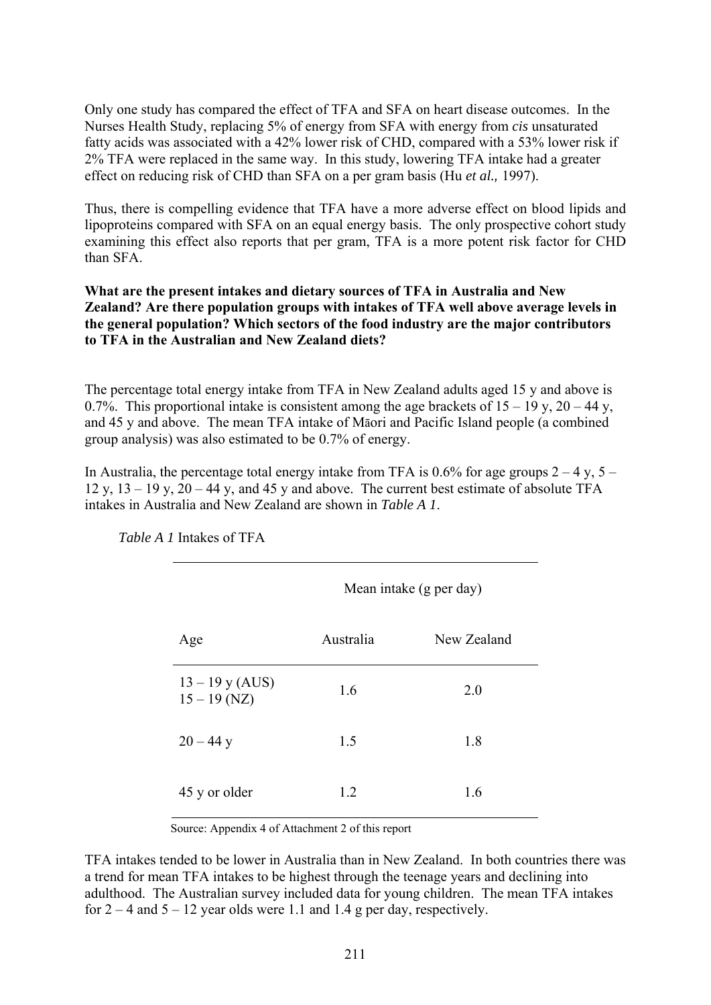Only one study has compared the effect of TFA and SFA on heart disease outcomes. In the Nurses Health Study, replacing 5% of energy from SFA with energy from *cis* unsaturated fatty acids was associated with a 42% lower risk of CHD, compared with a 53% lower risk if 2% TFA were replaced in the same way. In this study, lowering TFA intake had a greater effect on reducing risk of CHD than SFA on a per gram basis (Hu *et al.,* 1997).

Thus, there is compelling evidence that TFA have a more adverse effect on blood lipids and lipoproteins compared with SFA on an equal energy basis. The only prospective cohort study examining this effect also reports that per gram, TFA is a more potent risk factor for CHD than SFA.

#### **What are the present intakes and dietary sources of TFA in Australia and New Zealand? Are there population groups with intakes of TFA well above average levels in the general population? Which sectors of the food industry are the major contributors to TFA in the Australian and New Zealand diets?**

The percentage total energy intake from TFA in New Zealand adults aged 15 y and above is 0.7%. This proportional intake is consistent among the age brackets of  $15 - 19$  y,  $20 - 44$  y, and 45 y and above. The mean TFA intake of Māori and Pacific Island people (a combined group analysis) was also estimated to be 0.7% of energy.

In Australia, the percentage total energy intake from TFA is 0.6% for age groups  $2 - 4$  y,  $5 12 y$ ,  $13 - 19 y$ ,  $20 - 44 y$ , and  $45 y$  and above. The current best estimate of absolute TFA intakes in Australia and New Zealand are shown in *Table A 1*.

 $M = 11$  ( $1$ )

|                                     | Nean make (g per day) |             |  |  |
|-------------------------------------|-----------------------|-------------|--|--|
| Age                                 | Australia             | New Zealand |  |  |
| $13 - 19$ y (AUS)<br>$15 - 19$ (NZ) | 1.6                   | 2.0         |  |  |
| $20 - 44$ y                         | 1.5                   | 1.8         |  |  |
| 45 y or older                       | 1.2                   | 1.6         |  |  |

*Table A 1* Intakes of TFA

Source: Appendix 4 of Attachment 2 of this report

TFA intakes tended to be lower in Australia than in New Zealand. In both countries there was a trend for mean TFA intakes to be highest through the teenage years and declining into adulthood. The Australian survey included data for young children. The mean TFA intakes for  $2 - 4$  and  $5 - 12$  year olds were 1.1 and 1.4 g per day, respectively.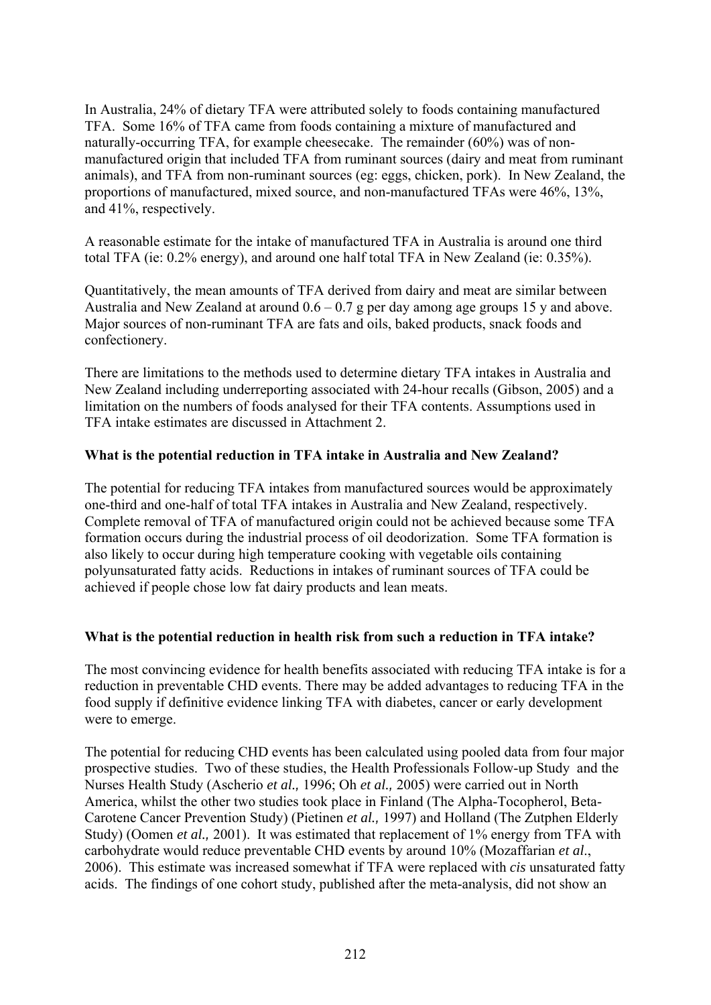In Australia, 24% of dietary TFA were attributed solely to foods containing manufactured TFA. Some 16% of TFA came from foods containing a mixture of manufactured and naturally-occurring TFA, for example cheesecake. The remainder (60%) was of nonmanufactured origin that included TFA from ruminant sources (dairy and meat from ruminant animals), and TFA from non-ruminant sources (eg: eggs, chicken, pork). In New Zealand, the proportions of manufactured, mixed source, and non-manufactured TFAs were 46%, 13%, and 41%, respectively.

A reasonable estimate for the intake of manufactured TFA in Australia is around one third total TFA (ie: 0.2% energy), and around one half total TFA in New Zealand (ie: 0.35%).

Quantitatively, the mean amounts of TFA derived from dairy and meat are similar between Australia and New Zealand at around  $0.6 - 0.7$  g per day among age groups 15 y and above. Major sources of non-ruminant TFA are fats and oils, baked products, snack foods and confectionery.

There are limitations to the methods used to determine dietary TFA intakes in Australia and New Zealand including underreporting associated with 24-hour recalls (Gibson, 2005) and a limitation on the numbers of foods analysed for their TFA contents. Assumptions used in TFA intake estimates are discussed in Attachment 2.

# **What is the potential reduction in TFA intake in Australia and New Zealand?**

The potential for reducing TFA intakes from manufactured sources would be approximately one-third and one-half of total TFA intakes in Australia and New Zealand, respectively. Complete removal of TFA of manufactured origin could not be achieved because some TFA formation occurs during the industrial process of oil deodorization. Some TFA formation is also likely to occur during high temperature cooking with vegetable oils containing polyunsaturated fatty acids. Reductions in intakes of ruminant sources of TFA could be achieved if people chose low fat dairy products and lean meats.

# **What is the potential reduction in health risk from such a reduction in TFA intake?**

The most convincing evidence for health benefits associated with reducing TFA intake is for a reduction in preventable CHD events. There may be added advantages to reducing TFA in the food supply if definitive evidence linking TFA with diabetes, cancer or early development were to emerge.

The potential for reducing CHD events has been calculated using pooled data from four major prospective studies. Two of these studies, the Health Professionals Follow-up Study and the Nurses Health Study (Ascherio *et al.,* 1996; Oh *et al.,* 2005) were carried out in North America, whilst the other two studies took place in Finland (The Alpha-Tocopherol, Beta-Carotene Cancer Prevention Study) (Pietinen *et al.,* 1997) and Holland (The Zutphen Elderly Study) (Oomen *et al.,* 2001). It was estimated that replacement of 1% energy from TFA with carbohydrate would reduce preventable CHD events by around 10% (Mozaffarian *et al*., 2006). This estimate was increased somewhat if TFA were replaced with *cis* unsaturated fatty acids. The findings of one cohort study, published after the meta-analysis, did not show an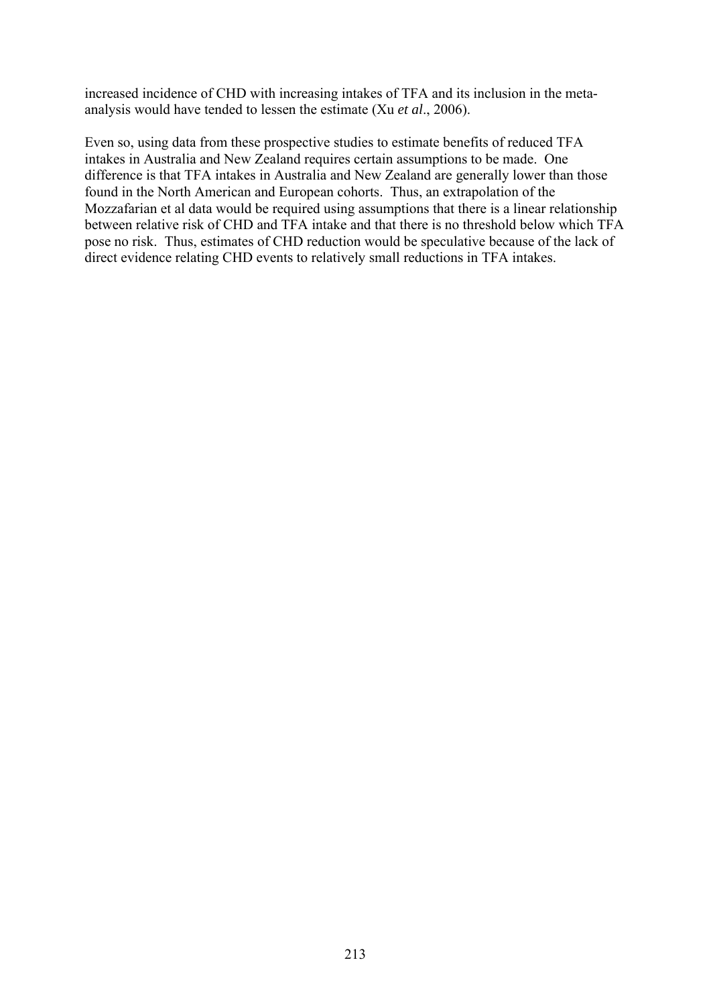increased incidence of CHD with increasing intakes of TFA and its inclusion in the metaanalysis would have tended to lessen the estimate (Xu *et al*., 2006).

Even so, using data from these prospective studies to estimate benefits of reduced TFA intakes in Australia and New Zealand requires certain assumptions to be made. One difference is that TFA intakes in Australia and New Zealand are generally lower than those found in the North American and European cohorts. Thus, an extrapolation of the Mozzafarian et al data would be required using assumptions that there is a linear relationship between relative risk of CHD and TFA intake and that there is no threshold below which TFA pose no risk. Thus, estimates of CHD reduction would be speculative because of the lack of direct evidence relating CHD events to relatively small reductions in TFA intakes.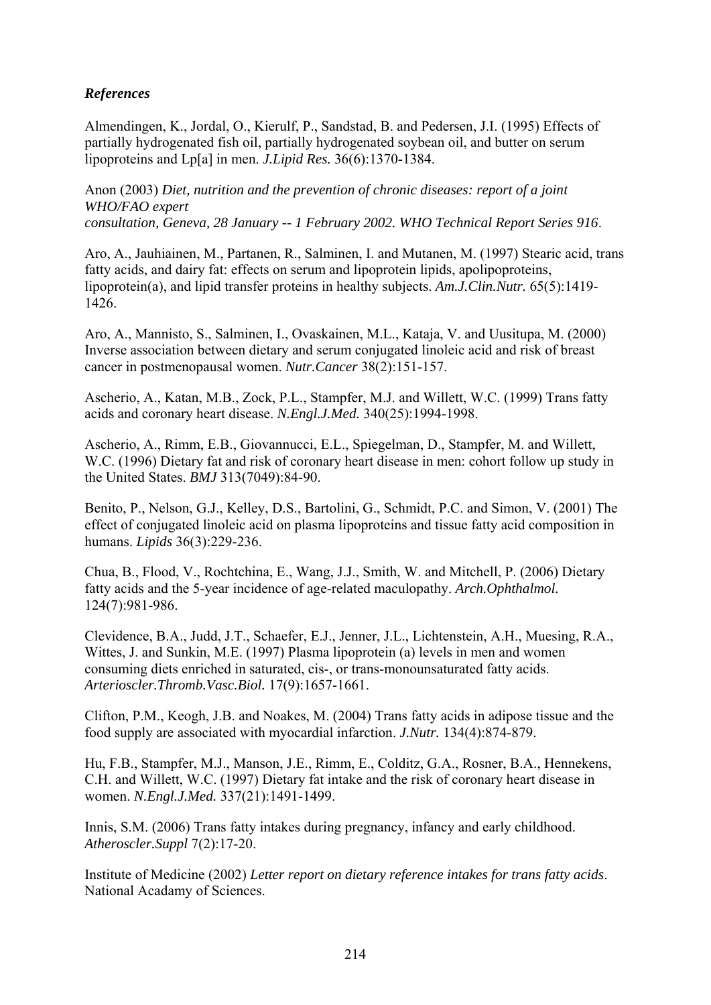# *References*

Almendingen, K., Jordal, O., Kierulf, P., Sandstad, B. and Pedersen, J.I. (1995) Effects of partially hydrogenated fish oil, partially hydrogenated soybean oil, and butter on serum lipoproteins and Lp[a] in men. *J.Lipid Res.* 36(6):1370-1384.

Anon (2003) *Diet, nutrition and the prevention of chronic diseases: report of a joint WHO/FAO expert consultation, Geneva, 28 January -- 1 February 2002. WHO Technical Report Series 916*.

Aro, A., Jauhiainen, M., Partanen, R., Salminen, I. and Mutanen, M. (1997) Stearic acid, trans fatty acids, and dairy fat: effects on serum and lipoprotein lipids, apolipoproteins, lipoprotein(a), and lipid transfer proteins in healthy subjects. *Am.J.Clin.Nutr.* 65(5):1419- 1426.

Aro, A., Mannisto, S., Salminen, I., Ovaskainen, M.L., Kataja, V. and Uusitupa, M. (2000) Inverse association between dietary and serum conjugated linoleic acid and risk of breast cancer in postmenopausal women. *Nutr.Cancer* 38(2):151-157.

Ascherio, A., Katan, M.B., Zock, P.L., Stampfer, M.J. and Willett, W.C. (1999) Trans fatty acids and coronary heart disease. *N.Engl.J.Med.* 340(25):1994-1998.

Ascherio, A., Rimm, E.B., Giovannucci, E.L., Spiegelman, D., Stampfer, M. and Willett, W.C. (1996) Dietary fat and risk of coronary heart disease in men: cohort follow up study in the United States. *BMJ* 313(7049):84-90.

Benito, P., Nelson, G.J., Kelley, D.S., Bartolini, G., Schmidt, P.C. and Simon, V. (2001) The effect of conjugated linoleic acid on plasma lipoproteins and tissue fatty acid composition in humans. *Lipids* 36(3):229-236.

Chua, B., Flood, V., Rochtchina, E., Wang, J.J., Smith, W. and Mitchell, P. (2006) Dietary fatty acids and the 5-year incidence of age-related maculopathy. *Arch.Ophthalmol.*  124(7):981-986.

Clevidence, B.A., Judd, J.T., Schaefer, E.J., Jenner, J.L., Lichtenstein, A.H., Muesing, R.A., Wittes, J. and Sunkin, M.E. (1997) Plasma lipoprotein (a) levels in men and women consuming diets enriched in saturated, cis-, or trans-monounsaturated fatty acids. *Arterioscler.Thromb.Vasc.Biol.* 17(9):1657-1661.

Clifton, P.M., Keogh, J.B. and Noakes, M. (2004) Trans fatty acids in adipose tissue and the food supply are associated with myocardial infarction. *J.Nutr.* 134(4):874-879.

Hu, F.B., Stampfer, M.J., Manson, J.E., Rimm, E., Colditz, G.A., Rosner, B.A., Hennekens, C.H. and Willett, W.C. (1997) Dietary fat intake and the risk of coronary heart disease in women. *N.Engl.J.Med.* 337(21):1491-1499.

Innis, S.M. (2006) Trans fatty intakes during pregnancy, infancy and early childhood. *Atheroscler.Suppl* 7(2):17-20.

Institute of Medicine (2002) *Letter report on dietary reference intakes for trans fatty acids*. National Acadamy of Sciences.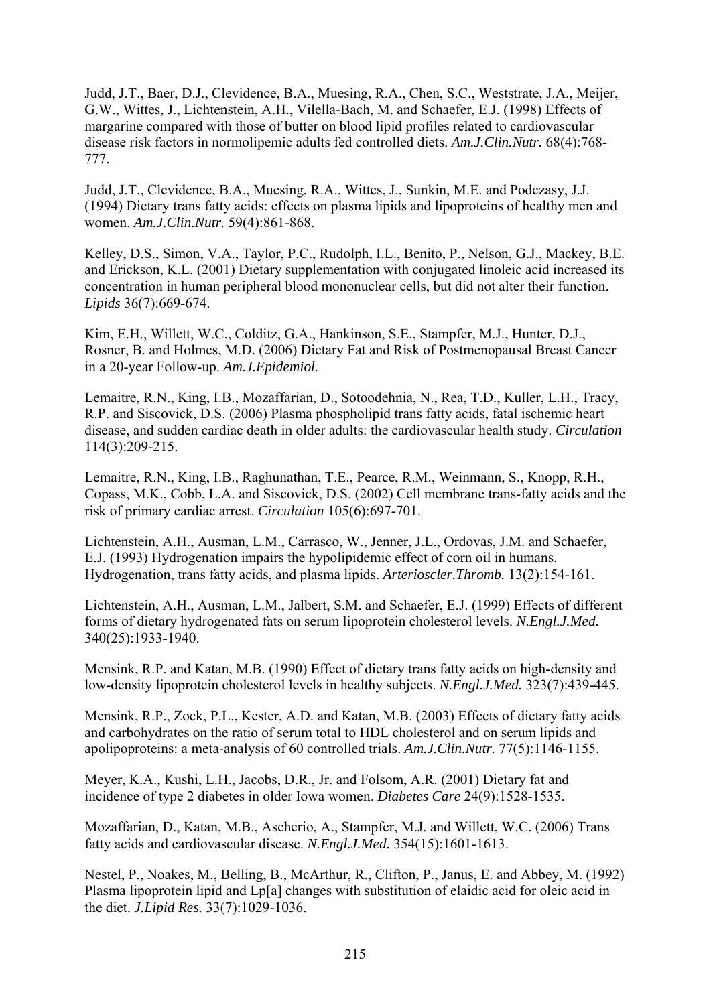Judd, J.T., Baer, D.J., Clevidence, B.A., Muesing, R.A., Chen, S.C., Weststrate, J.A., Meijer, G.W., Wittes, J., Lichtenstein, A.H., Vilella-Bach, M. and Schaefer, E.J. (1998) Effects of margarine compared with those of butter on blood lipid profiles related to cardiovascular disease risk factors in normolipemic adults fed controlled diets. *Am.J.Clin.Nutr.* 68(4):768- 777.

Judd, J.T., Clevidence, B.A., Muesing, R.A., Wittes, J., Sunkin, M.E. and Podczasy, J.J. (1994) Dietary trans fatty acids: effects on plasma lipids and lipoproteins of healthy men and women. *Am.J.Clin.Nutr.* 59(4):861-868.

Kelley, D.S., Simon, V.A., Taylor, P.C., Rudolph, I.L., Benito, P., Nelson, G.J., Mackey, B.E. and Erickson, K.L. (2001) Dietary supplementation with conjugated linoleic acid increased its concentration in human peripheral blood mononuclear cells, but did not alter their function. *Lipids* 36(7):669-674.

Kim, E.H., Willett, W.C., Colditz, G.A., Hankinson, S.E., Stampfer, M.J., Hunter, D.J., Rosner, B. and Holmes, M.D. (2006) Dietary Fat and Risk of Postmenopausal Breast Cancer in a 20-year Follow-up. *Am.J.Epidemiol.* 

Lemaitre, R.N., King, I.B., Mozaffarian, D., Sotoodehnia, N., Rea, T.D., Kuller, L.H., Tracy, R.P. and Siscovick, D.S. (2006) Plasma phospholipid trans fatty acids, fatal ischemic heart disease, and sudden cardiac death in older adults: the cardiovascular health study. *Circulation*  114(3):209-215.

Lemaitre, R.N., King, I.B., Raghunathan, T.E., Pearce, R.M., Weinmann, S., Knopp, R.H., Copass, M.K., Cobb, L.A. and Siscovick, D.S. (2002) Cell membrane trans-fatty acids and the risk of primary cardiac arrest. *Circulation* 105(6):697-701.

Lichtenstein, A.H., Ausman, L.M., Carrasco, W., Jenner, J.L., Ordovas, J.M. and Schaefer, E.J. (1993) Hydrogenation impairs the hypolipidemic effect of corn oil in humans. Hydrogenation, trans fatty acids, and plasma lipids. *Arterioscler.Thromb.* 13(2):154-161.

Lichtenstein, A.H., Ausman, L.M., Jalbert, S.M. and Schaefer, E.J. (1999) Effects of different forms of dietary hydrogenated fats on serum lipoprotein cholesterol levels. *N.Engl.J.Med.*  340(25):1933-1940.

Mensink, R.P. and Katan, M.B. (1990) Effect of dietary trans fatty acids on high-density and low-density lipoprotein cholesterol levels in healthy subjects. *N.Engl.J.Med.* 323(7):439-445.

Mensink, R.P., Zock, P.L., Kester, A.D. and Katan, M.B. (2003) Effects of dietary fatty acids and carbohydrates on the ratio of serum total to HDL cholesterol and on serum lipids and apolipoproteins: a meta-analysis of 60 controlled trials. *Am.J.Clin.Nutr.* 77(5):1146-1155.

Meyer, K.A., Kushi, L.H., Jacobs, D.R., Jr. and Folsom, A.R. (2001) Dietary fat and incidence of type 2 diabetes in older Iowa women. *Diabetes Care* 24(9):1528-1535.

Mozaffarian, D., Katan, M.B., Ascherio, A., Stampfer, M.J. and Willett, W.C. (2006) Trans fatty acids and cardiovascular disease. *N.Engl.J.Med.* 354(15):1601-1613.

Nestel, P., Noakes, M., Belling, B., McArthur, R., Clifton, P., Janus, E. and Abbey, M. (1992) Plasma lipoprotein lipid and Lp[a] changes with substitution of elaidic acid for oleic acid in the diet. *J.Lipid Res.* 33(7):1029-1036.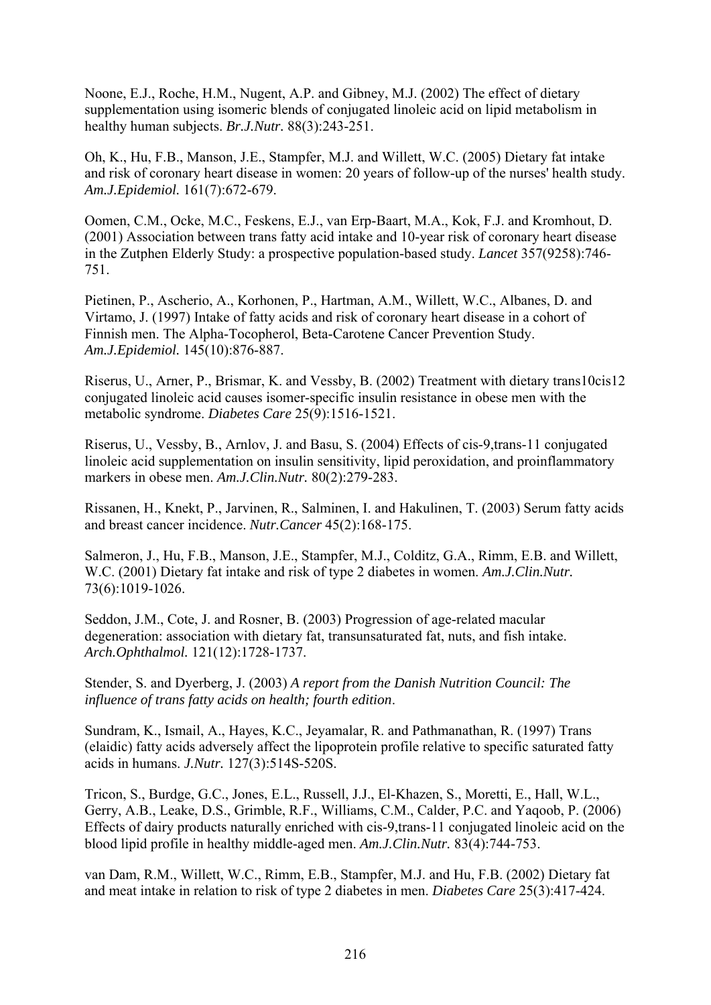Noone, E.J., Roche, H.M., Nugent, A.P. and Gibney, M.J. (2002) The effect of dietary supplementation using isomeric blends of conjugated linoleic acid on lipid metabolism in healthy human subjects. *Br.J.Nutr.* 88(3):243-251.

Oh, K., Hu, F.B., Manson, J.E., Stampfer, M.J. and Willett, W.C. (2005) Dietary fat intake and risk of coronary heart disease in women: 20 years of follow-up of the nurses' health study. *Am.J.Epidemiol.* 161(7):672-679.

Oomen, C.M., Ocke, M.C., Feskens, E.J., van Erp-Baart, M.A., Kok, F.J. and Kromhout, D. (2001) Association between trans fatty acid intake and 10-year risk of coronary heart disease in the Zutphen Elderly Study: a prospective population-based study. *Lancet* 357(9258):746- 751.

Pietinen, P., Ascherio, A., Korhonen, P., Hartman, A.M., Willett, W.C., Albanes, D. and Virtamo, J. (1997) Intake of fatty acids and risk of coronary heart disease in a cohort of Finnish men. The Alpha-Tocopherol, Beta-Carotene Cancer Prevention Study. *Am.J.Epidemiol.* 145(10):876-887.

Riserus, U., Arner, P., Brismar, K. and Vessby, B. (2002) Treatment with dietary trans10cis12 conjugated linoleic acid causes isomer-specific insulin resistance in obese men with the metabolic syndrome. *Diabetes Care* 25(9):1516-1521.

Riserus, U., Vessby, B., Arnlov, J. and Basu, S. (2004) Effects of cis-9,trans-11 conjugated linoleic acid supplementation on insulin sensitivity, lipid peroxidation, and proinflammatory markers in obese men. *Am.J.Clin.Nutr.* 80(2):279-283.

Rissanen, H., Knekt, P., Jarvinen, R., Salminen, I. and Hakulinen, T. (2003) Serum fatty acids and breast cancer incidence. *Nutr.Cancer* 45(2):168-175.

Salmeron, J., Hu, F.B., Manson, J.E., Stampfer, M.J., Colditz, G.A., Rimm, E.B. and Willett, W.C. (2001) Dietary fat intake and risk of type 2 diabetes in women. *Am.J.Clin.Nutr.*  73(6):1019-1026.

Seddon, J.M., Cote, J. and Rosner, B. (2003) Progression of age-related macular degeneration: association with dietary fat, transunsaturated fat, nuts, and fish intake. *Arch.Ophthalmol.* 121(12):1728-1737.

Stender, S. and Dyerberg, J. (2003) *A report from the Danish Nutrition Council: The influence of trans fatty acids on health; fourth edition*.

Sundram, K., Ismail, A., Hayes, K.C., Jeyamalar, R. and Pathmanathan, R. (1997) Trans (elaidic) fatty acids adversely affect the lipoprotein profile relative to specific saturated fatty acids in humans. *J.Nutr.* 127(3):514S-520S.

Tricon, S., Burdge, G.C., Jones, E.L., Russell, J.J., El-Khazen, S., Moretti, E., Hall, W.L., Gerry, A.B., Leake, D.S., Grimble, R.F., Williams, C.M., Calder, P.C. and Yaqoob, P. (2006) Effects of dairy products naturally enriched with cis-9,trans-11 conjugated linoleic acid on the blood lipid profile in healthy middle-aged men. *Am.J.Clin.Nutr.* 83(4):744-753.

van Dam, R.M., Willett, W.C., Rimm, E.B., Stampfer, M.J. and Hu, F.B. (2002) Dietary fat and meat intake in relation to risk of type 2 diabetes in men. *Diabetes Care* 25(3):417-424.